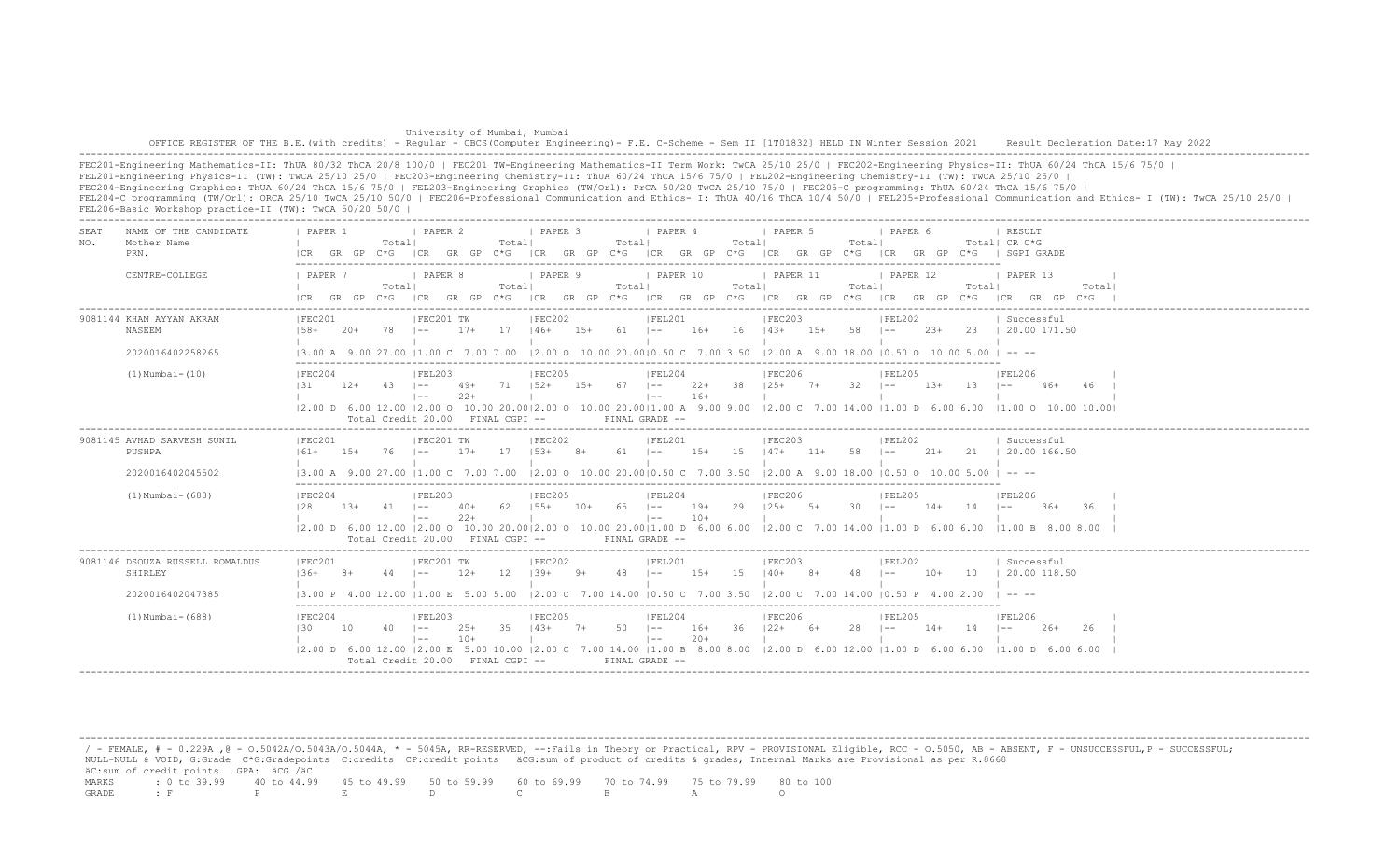University of Mumbai, Mumbai OFFICE REGISTER OF THE B.E.(with credits) - Regular - CBCS(Computer Engineering)- F.E. C-Scheme - Sem II [1T01832] HELD IN Winter Session 2021 Result Decleration Date:17 May 2022 -------------------------------------------------------------------------------------------------------------------------------------------------------------------------------------------------------------------

FEC201-Engineering Mathematics-II: ThUA 80/32 ThCA 20/8 100/0 | FEC201 TW-Engineering Mathematics-II Term Work: TwCA 25/10 25/0 | FEC202-Engineering Physics-II: ThUA 60/24 ThCA 15/6 75/0 | FEL201-Engineering Physics-II (TW): TwCA 25/10 25/0 | FEC203-Engineering Chemistry-II: ThUA 60/24 ThCA 15/6 75/0 | FEL202-Engineering Chemistry-II (TW): TwCA 25/10 25/0 | FEC204-Engineering Graphics: ThUA 60/24 ThCA 15/6 75/0 | FEL203-Engineering Graphics (TW/Orl): PrCA 50/20 TwCA 25/10 75/0 | FEC205-C programming: ThUA 60/24 ThCA 15/6 75/0 | FEL204-C programming (TW/Orl): ORCA 25/10 TwCA 25/10 50/0 | FEC206-Professional Communication and Ethics- I: ThUA 40/16 ThCA 10/4 50/0 | FEL205-Professional Communication and Ethics- I (TW): TwCA 25/10 25/0 | FEL206-Basic Workshop practice-II (TW): TwCA 50/20 50/0 |

| NAME OF THE CANDIDATE<br>SEA.<br>Mother Name<br>NO.<br>PRN. | I PAPER 2<br><b>I PAPER 3</b><br>I PAPER 4<br>PAPER 1<br>I PAPER 5<br>I PAPER 6<br>Totall<br>Totall<br>Totall<br>Totall<br>Totall<br>Total  CR C*G<br>C*G ICR GR GP C*G<br>ICR GR GP C*G ICR GR GP C*G ICR GR GP C*G<br>ICR GR GP C*G I SGPI GRADE<br>GR GP<br>I CR                                                                                                                                                                                            | RESULT                                |
|-------------------------------------------------------------|----------------------------------------------------------------------------------------------------------------------------------------------------------------------------------------------------------------------------------------------------------------------------------------------------------------------------------------------------------------------------------------------------------------------------------------------------------------|---------------------------------------|
| CENTRE-COLLEGE                                              | <i>I</i> PAPER 9<br>1 PAPER 10<br>  PAPER 11<br>1 PAPER 7<br>I PAPER 8<br>1 PAPER 12<br>Totall<br>Totall<br>Totall<br>Totall<br>Total <br>Total <br>$ICR$ $GR$ $GP$ $C*G$<br>ICR GR GP C*G ICR GR GP C*G ICR GR GP C*G ICR GR GP C*G<br>ICR GR GP C*G                                                                                                                                                                                                          | 1 PAPER 13<br>Total <br>ICR GR GP C*G |
| 9081144 KHAN AYYAN AKRAM<br>NASEEM                          | IFEC202<br> FEC203<br> FEL202<br>IFEC201<br>IFEC201 TW<br>IFEL201<br>17<br>$16+ 16 + 143+$<br>78<br>$17+$<br>$146+$<br>$15+ 61$ $1--$<br>$15+ 58$ $1--$<br>23+ 23   20.00 171.50<br>$158+$<br>-20+<br>$-$                                                                                                                                                                                                                                                      | Successful                            |
| 2020016402258265                                            | $(3.00 \text{ A } 9.00 \text{ 27.00 }  1.00 \text{ C } 7.00 \text{ 7.00 }  2.00 \text{ O } 10.00 \text{ 20.00}  0.50 \text{ C } 7.00 \text{ 3.50 }  2.00 \text{ A } 9.00 \text{ 18.00 }  0.50 \text{ O } 10.00 \text{ 5.00 }  -1.00 \text{ A } 9.00 \text{ A } 9.00 \text{ A } 9.00 \text{ A } 9.00 \text{ A } 9.00 \text{ A } 9.00 \text{ A } $                                                                                                               |                                       |
| $(1)$ Mumbai- $(10)$                                        | IFEC204<br>IFEL203<br>IFEC205<br>IFEL204<br>IFEC206<br>IFEL205<br>$125+ 7+ 32 1-- 13+$<br>131<br>71 152+ 15+ 67 1--<br>22+ 38<br>$12+ 43$ $1--$<br>49+<br>$13 - 1 =$<br>$16+$<br>$2.2+$<br>$\vert - - \vert$<br>$1 - -$                                                                                                                                                                                                                                        | <b>IFEL206</b><br>46+<br>46           |
|                                                             | 12.00 D 6.00 12.00 12.00 O 10.00 20.0012.00 O 10.00 20.0011.00 A 9.00 9.00 12.00 C 7.00 14.00 11.00 D 6.00 6.00 11.00 O 10.00 10.001<br>$FTNAI, GRADE =$<br>Total Credit 20.00 FINAL CGPI --                                                                                                                                                                                                                                                                   |                                       |
| 9081145 AVHAD SARVESH SUNIL<br>PUSHPA                       | IFEC201<br>IFEC201 TW<br>IFEC202<br>IFEL201<br>IFEL202<br>IFEC203<br>$153+$<br>1.5<br>$147+$ 11+<br>58<br>$161+$<br>$1.5+$<br>$17+$<br>17<br>$8+$<br>61   --<br>$1.5+$<br>$1 - -$<br>$21+$<br>76.<br>$1 - -$                                                                                                                                                                                                                                                   | Successful<br>21 1 20.00 166.50       |
| 2020016402045502                                            | $ 2,00 \t0 10,00 20,00 0,50 \tC 7,00 3,50$<br>$12.00$ A $9.00$ 18.00 10.50 O 10.00 5.00 I -- --<br>13.00 A 9.00 27.00 11.00 C<br>7.00 7.00                                                                                                                                                                                                                                                                                                                     |                                       |
| $(1)$ Mumbai - $(688)$                                      | IFEC204<br> FEL203<br>IFEC205<br>IFEL204<br>IFEC206<br>IFEL205<br>128<br>$155+$<br>$65 = 1 -$<br>$19+$<br>29<br>$125+$ 5+<br>$30 - 1 =$<br>$1.3+$<br>$-41$ $-$<br>$40+$<br>-62<br>$10+$<br>$14+$<br>14<br>$1 - -$<br>$22+$<br>$10+$<br>$\vert - - \vert$<br>$1 - -$<br> 2.00 D 6.00 12.00  2.00 O 10.00 20.00 2.00 O 10.00 20.00 1.00 D 6.00 6.00  2.00 C 7.00 14.00  1.00 D 6.00 6.00  1.00 B 8.00 8.00<br>Total Credit 20.00 FINAL CGPI --<br>FINAL GRADE -- | IFEL206<br>-36<br>$-36+$              |
| 9081146 DSOUZA RUSSELL ROMALDUS<br>SHIRLEY                  | FEL202<br>IFEC201<br>IFEC201 TW<br>IFEC202<br>IFEL201<br>IFEC203<br>12<br>$1.39+$<br>$48$ $ -$<br>15<br>$140+$ 8+<br>48<br>$1 - -$<br>$1.36+$<br>$12+$<br>$9+$<br>$15+$<br>$10+$<br>10<br>$8+$<br>44<br>$\vert - -$                                                                                                                                                                                                                                            | Successful<br>  20.00 118.50          |
| 2020016402047385                                            | $12.00 \text{ C}$ 7.00 14.00 10.50 C 7.00 3.50 12.00 C 7.00 14.00 10.50 P 4.00 2.00<br>$13.00 \text{ P}$ 4.00 12.00 11.00 E 5.00 5.00                                                                                                                                                                                                                                                                                                                          | $\cdots$                              |
| $(1)$ Mumbai - $(688)$                                      | FEC204<br> FEC206<br>IFEL203<br> FEC205<br> FEL204<br>IFEL205<br>$122+6+$<br>28<br>- 35<br>$143+$<br>$7+$<br>$50 \t - -$<br>$16+$<br>36<br>130<br>10<br>$40 - 1 =$<br>$25+$<br>$1 - -$<br>$14+$<br>14<br>$1 - -$<br>$10+$<br>$\vert - - \vert$<br>$2.0+$<br>$\vert - -$                                                                                                                                                                                        | IFEL206<br>$26+$<br>-26               |
|                                                             | $(2.00 \text{ D } 6.00 \text{ 12.00 }   2.00 \text{ E } 5.00 \text{ 10.00 }   2.00 \text{ C } 7.00 \text{ 14.00 }   1.00 \text{ B } 8.00 \text{ 8.00 }   2.00 \text{ D } 6.00 \text{ 12.00 }   1.00 \text{ D } 6.00 \text{ 6.00 }$<br>Total Credit $20.00$ FINAL CGPI $-$<br>FINAL GRADE --                                                                                                                                                                    | 11.00 D 6.00 6.00                     |

 / - FEMALE, # - 0.229A ,@ - O.5042A/O.5043A/O.5044A, \* - 5045A, RR-RESERVED, --:Fails in Theory or Practical, RPV - PROVISIONAL Eligible, RCC - O.5050, AB - ABSENT, F - UNSUCCESSFUL,P - SUCCESSFUL; NULL-NULL & VOID, G:Grade C\*G:Gradepoints C:credits CP:credit points äCG:sum of product of credits & grades, Internal Marks are Provisional as per R.8668  $\texttt{AC: sum of credit points}$  GPA:  $\texttt{ACG}$  / $\texttt{ACC}$ <br>MARKS : 0 to 39.99 40 to 44.99 MARKS : 0 to 39.99 40 to 44.99 45 to 49.99 50 to 59.99 60 to 69.99 70 to 74.99 75 to 79.99 80 to 100 GRADE : F P E D C B A O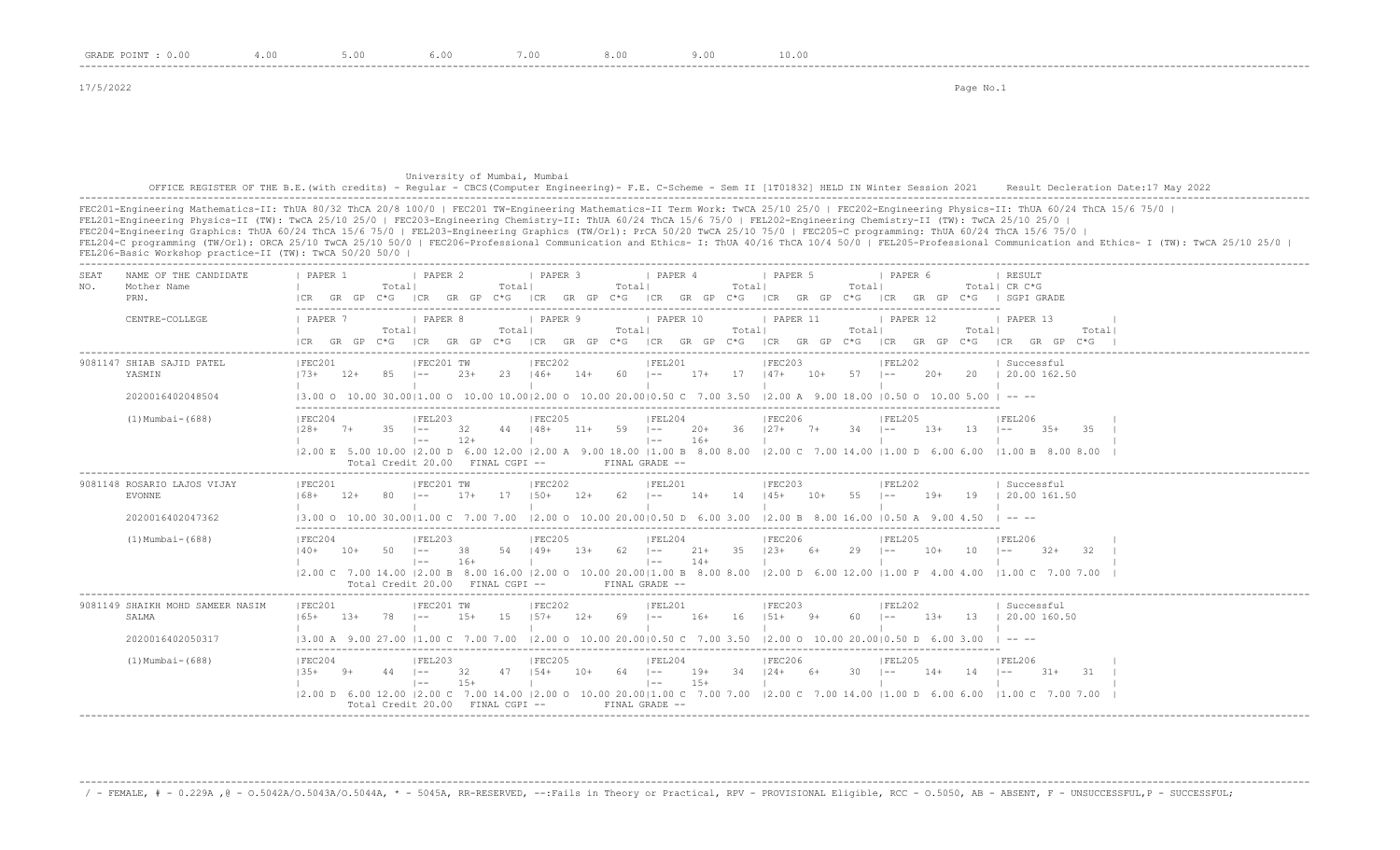#### University of Mumbai, Mumbai OFFICE REGISTER OF THE B.E.(with credits) - Regular - CBCS(Computer Engineering)- F.E. C-Scheme - Sem II [1T01832] HELD IN Winter Session 2021 Result Decleration Date:17 May 2022 -------------------------------------------------------------------------------------------------------------------------------------------------------------------------------------------------------------------

FEC201-Engineering Mathematics-II: ThUA 80/32 ThCA 20/8 100/0 | FEC201 TW-Engineering Mathematics-II Term Work: TwCA 25/10 25/0 | FEC202-Engineering Physics-II: ThUA 60/24 ThCA 15/6 75/0 | FEL201-Engineering Physics-II (TW): TwCA 25/10 25/0 | FEC203-Engineering Chemistry-II: ThUA 60/24 ThCA 15/6 75/0 | FEL202-Engineering Chemistry-II (TW): TwCA 25/10 25/0 | FEC204-Engineering Graphics: ThUA 60/24 ThCA 15/6 75/0 | FEL203-Engineering Graphics (TW/Orl): PrCA 50/20 TwCA 25/10 75/0 | FEC205-C programming: ThUA 60/24 ThCA 15/6 75/0 | FEL204-C programming (TW/Orl): ORCA 25/10 TwCA 25/10 50/0 | FEC206-Professional Communication and Ethics- I: ThUA 40/16 ThCA 10/4 50/0 | FEL205-Professional Communication and Ethics- I (TW): TwCA 25/10 25/0 | FEL206-Basic Workshop practice-II (TW): TwCA 50/20 50/0 |

-------------------------------------------------------------------------------------------------------------------------------------------------------------------------------------------------------------------

| SEAT<br>NO. | NAME OF THE CANDIDATE<br>Mother Name<br>PRN.                     | PAPER 1<br>I CR                                                                                                                                                                                                                                                                                                | GR GP C*G | Totall                                       | <b>I PAPER 2</b>                            |              | Totall          | <b>I PAPER 3</b>                       |        | Totall       | <b>I PAPER 4</b>                         |                 | Totall      | <b>I PAPER 5</b><br>ICR GR GP C*G ICR GR GP C*G ICR GR GP C*G ICR GR GP C*G |       | Totall                                                                               | I PAPER 6<br>ICR          | GR GP C*G |                 | RESULT<br>Totall CR C*G<br>I SGPT GRADE                                                                                                                           |       |  |
|-------------|------------------------------------------------------------------|----------------------------------------------------------------------------------------------------------------------------------------------------------------------------------------------------------------------------------------------------------------------------------------------------------------|-----------|----------------------------------------------|---------------------------------------------|--------------|-----------------|----------------------------------------|--------|--------------|------------------------------------------|-----------------|-------------|-----------------------------------------------------------------------------|-------|--------------------------------------------------------------------------------------|---------------------------|-----------|-----------------|-------------------------------------------------------------------------------------------------------------------------------------------------------------------|-------|--|
|             | CENTRE-COLLEGE                                                   | I PAPER 7<br>I CR                                                                                                                                                                                                                                                                                              | GR GP     | Totall<br>$C * G$                            | PAPER 8<br> CR                              | GR GP        | Totall<br>$C*G$ | PAPER 9<br>ICR GR GP C*G ICR GR GP C*G |        | Totall       | PAPER 10                                 |                 | Totall      | PAPER 11<br>ICR GR GP C*G                                                   |       | Totall                                                                               | PAPER 12<br>ICR GR GP C*G |           | Totall          | PAPER 13<br>ICR GR GP C*G                                                                                                                                         | Total |  |
|             | 9081147 SHIAB SAJID PATEL<br>YASMIN<br>2020016402048504          | IFEC201<br>$173+$<br>$(3.00 \t{0} 10.00 \t{0} 30.00   1.00 \t{0} 10.00 \t{1} 0.00   2.00 \t{0} 10.00 \t{2} 0.00   0.50 \t{0} 0.50 \t{0} 0.50 \t{0} 10.00 \t{0} 18.00   0.50 \t{0} 10.00 \t{5} 0.0   - - -$                                                                                                     | $12+$     | 85                                           | IFEC201 TW<br>$1 - -$                       | $2.3+$       | $23 \t146+$     | FEC202                                 | $14+$  | $60 - 1 -$   | FEL201                                   |                 |             | FEC203                                                                      |       | $17+$ 17 $147+$ 10+ 57 I--                                                           | FEL202                    | $2.0+$    |                 | Successful<br>20   20.00 162.50                                                                                                                                   |       |  |
|             | $(1)$ Mumbai - $(688)$                                           | IFEC204<br>$128+$                                                                                                                                                                                                                                                                                              | $7+$      | 35<br>Total Credit 20.00 FINAL CGPI --       | FEL203<br>$1 - -$<br>$1 - -$                | 32<br>$12+$  | 44   48+        | IFEC205                                | $11+$  | 59 –         | IFEL204<br>$\vert$ $-$<br>FINAL GRADE -- | $20+$<br>$16+$  |             | IFEC206<br>$36$ $127+$ $7+$                                                 |       | $34 - -$                                                                             | FEL205                    | $1.3+$    | 13 <sup>7</sup> | IFEL206<br>$1 - -$<br>$3.5+$<br> 2.00 E 5.00 10.00  2.00 D 6.00 12.00  2.00 A 9.00 18.00  1.00 B 8.00 8.00  2.00 C 7.00 14.00  1.00 D 6.00 6.00  1.00 B 8.00 8.00 | -35   |  |
|             | 9081148 ROSARIO LAJOS VIJAY<br><b>EVONNE</b><br>2020016402047362 | FEC201<br>$168+$<br>13.00 0 10.00 30.0011.00 C 7.00 7.00                                                                                                                                                                                                                                                       | $12+$     | 80                                           | FEC201 TW<br>$1 - -$                        | $17 +$       | 17              | FEC202<br>$1.50+$                      | $12+$  | $62 \t - -$  | FEL201                                   | $14+$           | 14 145+     | IFEC203                                                                     | $10+$ | 55<br>$12.00$ O $10.00$ 20.0010.50 D 6.00 3.00 12.00 B 8.00 16.00 10.50 A 9.00 4.50  | FEL202<br>$1 - -$         | $19+$     |                 | Successful<br>19 1 20.00 161.50                                                                                                                                   |       |  |
|             | $(1)$ Mumbai - $(688)$                                           | IFEC204<br>$140+$<br>$(2.00 \text{ C} \quad 7.00 \text{ 14.00} \mid 2.00 \text{ B} \quad 8.00 \text{ 16.00} \mid 2.00 \text{ O} \quad 10.00 \text{ 20.00} \mid 1.00 \text{ B} \quad 8.00 \text{ 8.00} \quad 8.00 \text{ 12.00} \text{ D} \quad 6.00 \text{ 12.00} \mid 1.00 \text{ P} \quad 4.00 \text{ 4.00}$ | $10+$     | 50<br>Total Credit 20.00 FINAL CGPI --       | IFEL203<br>$\vert - -$<br>$\vert - - \vert$ | 38<br>$16+$  | 54   49+        | IFEC205                                | $1.3+$ | $62 - 1$     | IFEL204<br>$\vert - -$<br>FINAL GRADE -- | $21+$<br>$14+$  |             | IFEC206<br>$35 \t 123+$                                                     | $6+$  | 29                                                                                   | IFFI205<br>$1 - -$        | $10+$     | 10              | <b>IFFI206</b><br>$32+$<br>$1 - -$<br>11.00 C 7.00 7.00                                                                                                           | -32   |  |
|             | 9081149 SHAIKH MOHD SAMEER NASIM<br>SALMA<br>2020016402050317    | IFEC201<br>$165+$<br>13.00 A 9.00 27.00 11.00 C 7.00 7.00                                                                                                                                                                                                                                                      | $1.3+$    | 78                                           | FEC201 TW<br>$1 - -$                        | $1.5+$       | 1.5             | FEC202<br>$157+$                       | $12+$  | $69$ $1 - -$ | FEL201                                   | $16+$           | 16          | IFEC203<br>$1.51 +$                                                         | $9+$  | 60.<br>$12.00$ O $10.00$ 20.0010.50 C 7.00 3.50 12.00 O 10.00 20.0010.50 D 6.00 3.00 | FEL202<br>$1 - -$         | $1.3+$    | $13 -$          | Successful<br>1, 20, 00, 160, 50                                                                                                                                  |       |  |
|             | $(1)$ Mumbai - $(688)$                                           | IFEC204<br>$1.35+$<br>12.00 D 6.00 12.00 12.00 C 7.00 14.00 12.00 O 10.00 20.0011.00 C 7.00 7.00 12.00 C 7.00 14.00 11.00 D 6.00 6.00                                                                                                                                                                          | - 9+      | $44 = -$<br>Total Credit 20.00 FINAL CGPI -- | IFEL203<br>$1 - -$                          | 32<br>$1.5+$ | 47              | IFEC205<br>$154+$                      | $10+$  | 64 –         | IFEL204<br>$\vert - -$<br>FINAL GRADE -- | $19+$<br>$1.5+$ | $34$ $124+$ | IFEC206                                                                     | 6+    | 30 ·                                                                                 | IFEL205<br>$\sim$         | $14+$     | 14              | IFEL206<br>$1 - -$<br>$31+$<br>11.00 C 7.00 7.00                                                                                                                  | -31   |  |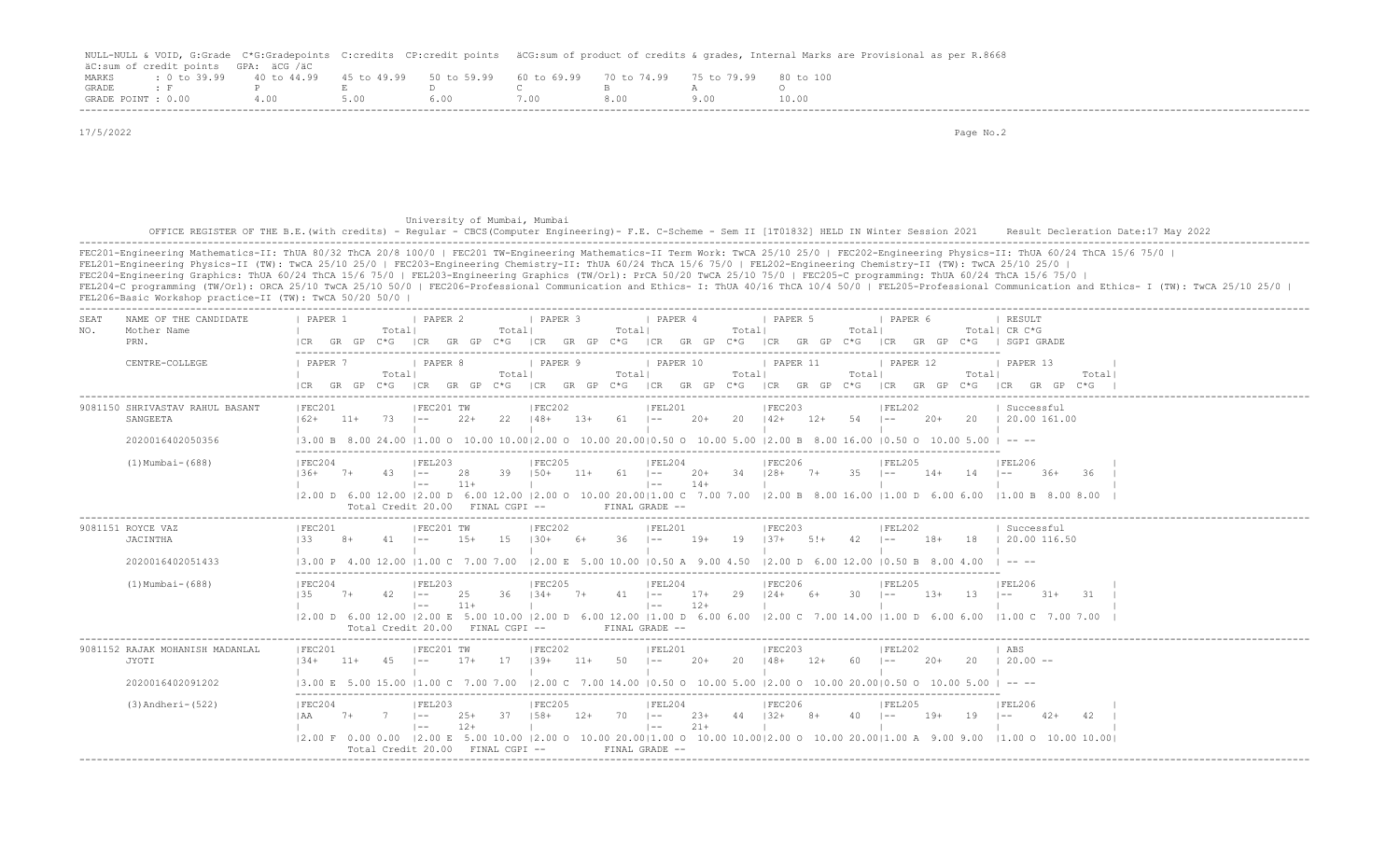|                    |                                      |             |                                                           |       | NULL-NULL & VOID, G:Grade C*G:Gradepoints C:credits CP:credit points äCG:sum of product of credits & qrades, Internal Marks are Provisional as per R.8668 |
|--------------------|--------------------------------------|-------------|-----------------------------------------------------------|-------|-----------------------------------------------------------------------------------------------------------------------------------------------------------|
|                    | äC:sum of credit points GPA: äCG /äC |             |                                                           |       |                                                                                                                                                           |
| MARKS              | $: 0 \text{ to } 39.99$ 40 to 44.99  | 45 to 49.99 | 50 to 59.99 60 to 69.99 70 to 74.99 75 to 79.99 80 to 100 |       |                                                                                                                                                           |
| <b>GRADE</b>       |                                      |             | $\mathbf{1}$                                              |       |                                                                                                                                                           |
| GRADE POINT : 0.00 |                                      | 5.00        | 5.00.                                                     | 8 N.O |                                                                                                                                                           |
|                    |                                      |             |                                                           |       |                                                                                                                                                           |

 17/5/2022 Page No.2 University of Mumbai, Mumbai OFFICE REGISTER OF THE B.E.(with credits) - Regular - CBCS(Computer Engineering)- F.E. C-Scheme - Sem II [1T01832] HELD IN Winter Session 2021 Result Decleration Date:17 May 2022 ------------------------------------------------------------------------------------------------------------------------------------------------------------------------------------------------------------------- FEC201-Engineering Mathematics-II: ThUA 80/32 ThCA 20/8 100/0 | FEC201 TW-Engineering Mathematics-II Term Work: TwCA 25/10 25/0 | FEC202-Engineering Physics-II: ThUA 60/24 ThCA 15/6 75/0 | FEL201-Engineering Physics-II (TW): TwCA 25/10 25/0 | FEC203-Engineering Chemistry-II: ThUA 60/24 ThCA 15/6 75/0 | FEL202-Engineering Chemistry-II (TW): TwCA 25/10 25/0 | FEC204-Engineering Graphics: ThUA 60/24 ThCA 15/6 75/0 | FEL203-Engineering Graphics (TW/Orl): PrCA 50/20 TwCA 25/10 75/0 | FEC205-C programming: ThUA 60/24 ThCA 15/6 75/0 | FEL204-C programming (TW/Orl): ORCA 25/10 TwCA 25/10 50/0 | FEC206-Professional Communication and Ethics- I: ThUA 40/16 ThCA 10/4 50/0 | FEL205-Professional Communication and Ethics- I (TW): TwCA 25/10 25/0 | FEL206-Basic Workshop practice-II (TW): TwCA 50/20 50/0 | ------------------------------------------------------------------------------------------------------------------------------------------------------------------------------------------------------------------- SEAT NAME OF THE CANDIDATE | PAPER 1 | PAPER 2 | PAPER 3 | PAPER 4 | PAPER 5 | PAPER 6 | RESULT NO. Mother Name | Total| Total| Total| Total| Total| Total| CR C\*G PRN. |CR GR GP C\*G |CR GR GP C\*G |CR GR GP C\*G |CR GR GP C\*G |CR GR GP C\*G |CR GR GP C\*G | SGPI GRADE ------------------------------------------------------------------------------------------------------------------------- CENTRE-COLLEGE | PAPER 7 | PAPER 8 | PAPER 9 | PAPER 10 | PAPER 11 | PAPER 12 | PAPER 13 | | Total| Total| Total| Total| Total| Total| Total| |CR GR GP C\*G |CR GR GP C\*G |CR GR GP C\*G |CR GR GP C\*G |CR GR GP C\*G |CR GR GP C\*G |CR GR GP C\*G | ------------------------------------------------------------------------------------------------------------------------------------------------------------------------------------------------------------------- 9181 SHRIVASTAV RAHUL BASANT | FEC201 | FEC201 TW | FEC202 | FEL201 | FEC203 | FEL202 | Successful<br>162+ 11+ 73 |-- 22+ 22 | 48+ 13+ 61 |-- 20+ 20 | 42+ 12+ 54 |-- 20+ 20 | 20.00161.0 SANGEETA |62+ 11+ 73 |-- 22+ 22 |48+ 13+ 61 |-- 20+ 20 |42+ 12+ 54 |-- 20+ 20 | 20.00 161.00 | | | | | | | 2020016402050356 |3.00 B 8.00 24.00 |1.00 O 10.00 10.00|2.00 O 10.00 20.00|0.50 O 10.00 5.00 |2.00 B 8.00 16.00 |0.50 O 10.00 5.00 | -- -- ------------------------------------------------------------------------------------------------------------------------- (1) TERC204 | FEL203 | FEC205 | FEC205 | FEL204 | FEC206 | FEL205 | FEL206 | FEL206 |36+ 7+ 43 |-- 28 39 |50+ 11+ 61 |-- 20+ 34 |28+ 7+ 35 |-- 14+ 14 |-- 36+ 36 | | |-- 11+ | |-- 14+ | | | | |2.00 D 6.00 12.00 |2.00 D 6.00 12.00 |2.00 O 10.00 20.00|1.00 C 7.00 7.00 |2.00 B 8.00 16.00 |1.00 D 6.00 6.00 |1.00 B 8.00 8.00 | Total Credit 20.00 FINAL CGPI -- FINAL GRADE -- ------------------------------------------------------------------------------------------------------------------------------------------------------------------------------------------------------------------- 9081151 ROYCE VAZ | | |FEC201 | |FEC201 TW | |FEC202 | |FEL201 | |FEC203 | |FEL202 | Successful JACINTHA |33 8+ 41 |-- 15+ 15 |30+ 6+ 36 |-- 19+ 19 |37+ 5!+ 42 |-- 18+ 18 | 20.00 116.50 | | | | | | |  $20.00 \text{ P}$  4.00 12.00 11.00 C 7.00 7.00 12.00 E 5.00 10.00 10.50 A 9.00 4.50 12.00 D 6.00 12.00 10.50 B 8.00 4.00 | -- -- ------------------------------------------------------------------------------------------------------------------------- (1)Mumbai-(688) |FEC204 |FEL203 |FEC205 |FEL204 |FEC206 |FEL205 |FEL206 | |35 7+ 42 |-- 25 36 |34+ 7+ 41 |-- 17+ 29 |24+ 6+ 30 |-- 13+ 13 |-- 31+ 31 | | |-- 11+ | |-- 12+ | | | | |2.00 D 6.00 12.00 |2.00 E 5.00 10.00 |2.00 D 6.00 12.00 |1.00 D 6.00 6.00 |2.00 C 7.00 14.00 |1.00 D 6.00 6.00 |1.00 C 7.00 7.00 | Total Credit 20.00 FINAL CGPI -- FINAL GRADE -- ------------------------------------------------------------------------------------------------------------------------------------------------------------------------------------------------------------------- 9081152 RAJAK MOHANISH MADANLAL |FEC201 | |FEC201 TW |FEC202 | |FEL201 | |FEC203 | |FEL202 | ABS JYOTI |34+ 11+ 45 |-- 17+ 17 |39+ 11+ 50 |-- 20+ 20 |48+ 12+ 60 |-- 20+ 20 | 20.00 -- | | | | | | | 2020016402091202 3.00 E 5.00 15.00 |1.00 C 7.00 7.00 |2.00 C 7.00 14.00 |0.50 O 10.00 5.00 |2.00 O 10.00 20.00|0.50 O 10.00 5.00 | -- - ------------------------------------------------------------------------------------------------------------------------- (3)Andheri-(522) |FEC204 |FEL203 |FEC205 |FEL204 |FEC206 |FEL205 |FEL206 |FEL205 |FEL206 |AA 7+ 7 |-- 25+ 37 |58+ 12+ 70 |-- 23+ 44 |32+ 8+ 40 |-- 19+ 19 |-- 42+ 42 |  $\frac{1}{1}$   $\frac{1}{1}$   $\frac{1}{1}$   $\frac{1}{1}$   $\frac{1}{1}$   $\frac{1}{1}$   $\frac{1}{1}$   $\frac{1}{1}$   $\frac{1}{1}$   $\frac{1}{1}$   $\frac{1}{1}$   $\frac{1}{1}$   $\frac{1}{1}$  |2.00 F 0.00 0.00 |2.00 E 5.00 10.00 |2.00 O 10.00 20.00|1.00 O 10.00 10.00|2.00 O 10.00 20.00|1.00 A 9.00 9.00 |1.00 O 10.00 10.00| Total Credit 20.00 FINAL CGPI -- FINAL GRADE --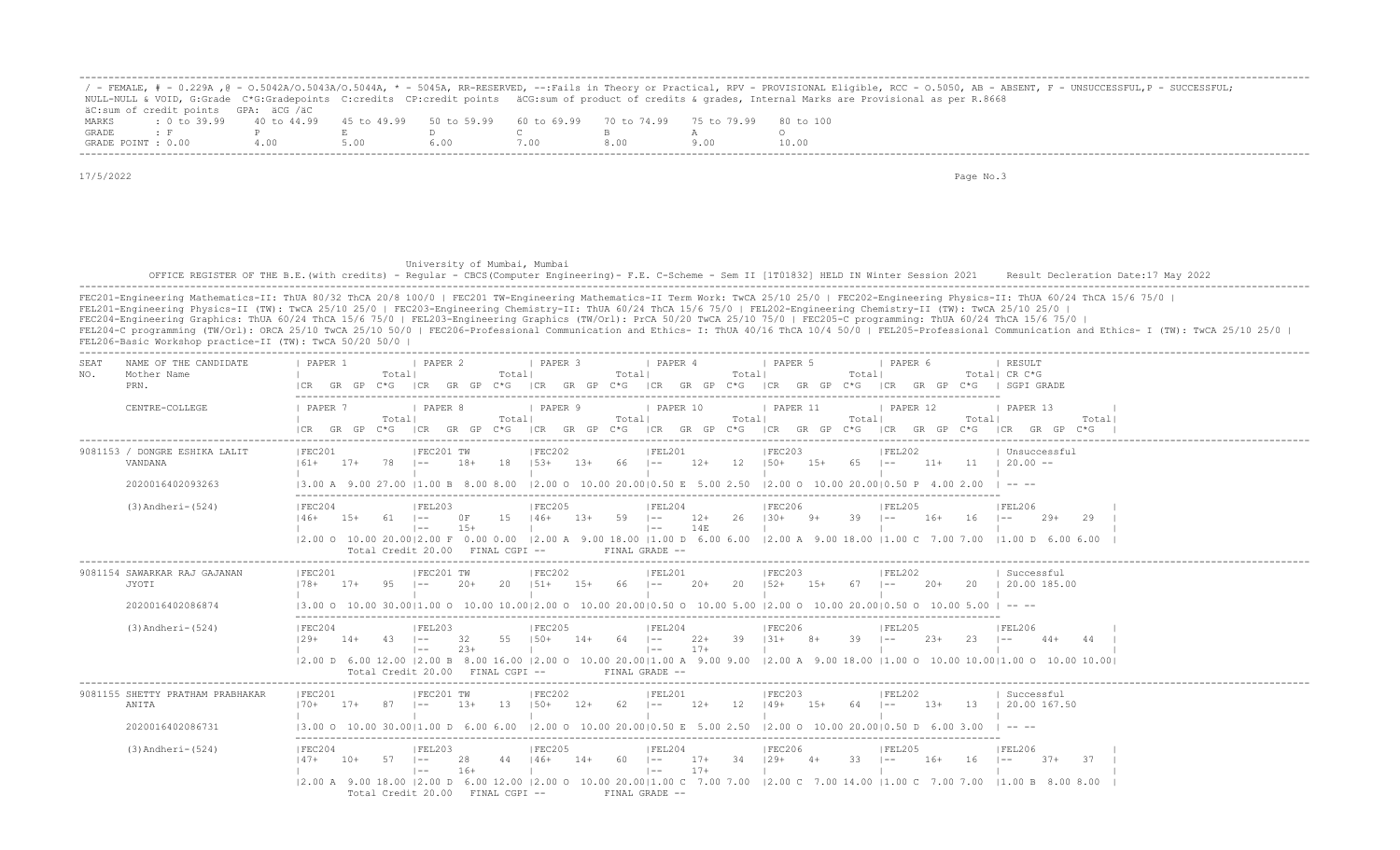|                    |                                      |                                                                                                |  |  | ' - FEMALE, # - 0.229A ,@ - 0.5042A/0.5043A/0.5044A, * - 5045A, RR-RESERVED, --:Fails in Theory or Practical, RPV - PROVISIONAL Eligible, RCC - 0.5050, AB - ABSENT, F - UNSUCCESSFUL,P - SUCCESSFUL; |
|--------------------|--------------------------------------|------------------------------------------------------------------------------------------------|--|--|-------------------------------------------------------------------------------------------------------------------------------------------------------------------------------------------------------|
|                    |                                      |                                                                                                |  |  | NULL-NULL & VOID, G:Grade C*G:Gradepoints C:credits CP:credit points äCG:sum of product of credits & qrades, Internal Marks are Provisional as per R.8668                                             |
|                    | äC:sum of credit points GPA: äCG /äC |                                                                                                |  |  |                                                                                                                                                                                                       |
| MARKS              |                                      | t 0 to 39,99 40 to 44,99 45 to 49,99 50 to 59,99 60 to 69,99 70 to 74,99 75 to 79,99 80 to 100 |  |  |                                                                                                                                                                                                       |
| GRADE              |                                      |                                                                                                |  |  |                                                                                                                                                                                                       |
| GRADE POINT : 0.00 |                                      | 400                                                                                            |  |  | 10.00                                                                                                                                                                                                 |

 University of Mumbai, Mumbai OFFICE REGISTER OF THE B.E.(with credits) - Regular - CBCS(Computer Engineering) - F.E. C-Scheme - Sem II [1T01832] HELD IN Winter Session 2021 Result Decleration Date:17 May 2022 -------------------------------------------------------------------------------------------------------------------------------------------------------------------------------------------------------------------

| SEAT<br>NAME OF THE CANDIDATE<br>Mother Name<br>NO.<br>PRN.   | PAPER 1<br>I PAPER 2<br>  PAPER 3<br>  PAPER 4<br>I PAPER 6<br>  PAPER 5<br>  RESULT<br>Total <br>Totall<br>Totall<br>Totall<br>Totall<br>Total  CR C*G<br>$C*G$ $ CR$ $GR$ $GP$ $C*G$<br>ICR GR GP C*G<br>ICR GR GP C*G ICR GR GP<br>GR GP C*G   SGPI GRADE<br>GR GP<br>$C * G$<br> CR                                                                                                                                                                                                                  |
|---------------------------------------------------------------|----------------------------------------------------------------------------------------------------------------------------------------------------------------------------------------------------------------------------------------------------------------------------------------------------------------------------------------------------------------------------------------------------------------------------------------------------------------------------------------------------------|
| CENTRE-COLLEGE                                                | <b>I PAPER 7</b><br><i>I</i> PAPER 8<br>I PAPER 9<br>PAPER 10<br>  PAPER 11<br><b>I PAPER 12</b><br>I PAPER 13<br>Total <br>Totall<br>Totall<br>Totall<br>Totall<br>Total <br>Total<br>C*G ICR GR GP C*G ICR GR GP C*G ICR GR GP C*G ICR GR GP C*G ICR GP C*G ICR GP C*G ICR GR GP C*G<br>ICR GR GP                                                                                                                                                                                                      |
| 9081153 / DONGRE ESHIKA LALIT<br>VANDANA<br>2020016402093263  | FEC201<br> FEC202<br> FEC203<br>  Unsuccessful<br>FEC201 TW<br> FEL201<br>IFEL202<br>$78$ $1--$<br>18<br>$153+$<br>$13+$<br>$12+$<br>12<br>$15+$<br>65   --<br>$11+$<br>$11 \quad 120.00 --$<br>$17+$<br>18+<br>66<br>$150+$<br>161+<br>$ -$<br>13.00 A 9.00 27.00 11.00 B 8.00 8.00<br>$ 2,00$ O $10,00$ 20,0010.50 E 5.00 2.50<br>$ 2.00 \t0 10.00 20.00 0.50 P 4.00 2.00$<br>$\cdots$                                                                                                                 |
| $(3)$ Andheri- $(524)$                                        | FEC204<br> FEL203<br> FEC205<br> FEL204<br> FEC206<br> FEL205<br> FEL206<br>$59$ $1--$<br>26<br>$39$ $1--$<br>0F<br>$15 \t146+$<br>$1.3+$<br>$12+$<br>$130+$<br>$9+$<br>$16+$<br>16<br>$29+$<br>$146+$<br>$1.5+$<br>$61 \t - -$<br>$1 - -$<br>29<br>$15+$<br>14E<br>$1 - -$<br>$\vert - - \vert$<br> 2.00 0 10.00 20.00 2.00 F 0.00 0.00  2.00 A 9.00 18.00  1.00 D 6.00 6.00  2.00 A 9.00 18.00  1.00 C 7.00 7.00  1.00 D 6.00 6.00<br>Total Credit 20.00 FINAL CGPI --<br>FINAL GRADE --               |
| 9081154 SAWARKAR RAJ GAJANAN<br>JYOTI<br>2020016402086874     | FEC201 TW<br> FEC202<br>IFEC201<br> FEL201<br> FEC203<br> FEL202<br>Successful<br>$95 \t - -$<br>20<br>$151+$<br>$15+ 66$ $1--$<br>$20+$<br>$20 \t 152+$<br>$15+$<br>$67 \quad - -$<br>$20+$<br>20   20.00 185.00<br>$178 + 17+$<br>$20+$<br>$(3.00 \t{0} 10.00 \t{0} 30.00   1.00 \t{0} 10.00 \t{1} 0.00   2.00 \t{0} 10.00 \t{2} 0.00   0.50 \t{0} 10.00 \t{5} 00   2.00 \t{0} 10.00 \t{2} 0.00   0.50 \t{0} 10.00 \t{5} 00   - - -$                                                                   |
| $(3)$ Andheri- $(524)$                                        | FEC204<br> FEL203<br> FEC205<br> FEL204<br> FEC206<br><b>FEL205</b><br> FEL206<br>55<br>$150+$<br>39<br>$131+$<br>39<br>32<br>$14+$<br>64<br>$\vert - -$<br>$22+$<br>$8+$<br>$2.3+$<br>23<br>$129+$<br>$14+$<br>-43<br>$1 - -$<br>$\vert - -$<br>44<br>$17+$<br>$23+$<br>$\vert - - \vert$<br>$\vert$ $-$<br> 2.00 D 6.00 12.00  2.00 B 8.00 16.00  2.00 O 10.00 20.00 1.00 A 9.00 9.00  2.00 A 9.00 18.00  1.00 O 10.00 10.00 1.00 O 10.00 10.00 <br>Total Credit 20.00 FINAL CGPI --<br>FINAL GRADE -- |
| 9081155 SHETTY PRATHAM PRABHAKAR<br>ANITA<br>2020016402086731 | FEC202<br> FEC201 TW<br> FEC203<br> FEC201<br> FEL201<br> FEL202<br>Successful<br>$150+$<br>13<br>$12+$<br>62<br>$12+$<br>12<br>$149+$<br>$15+$<br>64 –<br>$13+$<br>13<br>  20.00 167.50<br>$170+$ 17+<br>87<br>$\vert - -$<br>-13+<br>$\vert - -$<br>$(3.00 \t 0 \t 10.00 \t 30.00)(1.00 \t 0 \t 6.00 \t 6.00 \t 12.00 \t 0 \t 10.00 \t 20.00)(0.50 \t E \t 5.00 \t 2.50 \t 2.00 \t 0 \t 10.00 \t 20.00)(0.50 \t 0 \t 6.00 \t 3.00 \t 10.00 \t 20.00)$                                                  |
| $(3)$ Andheri- $(524)$                                        | IFEC205<br>IFEC204<br> FEL203<br>IFEL204<br>IFEC206<br> FEL205<br>IFEL206<br>34<br>33<br>$146+$<br>$14+$<br>60.<br>$17+$<br>$129+$<br>$16+$<br>16<br>37<br>57<br>-28<br>44<br>$\vert - - \vert$<br>$4+$<br>$37+$<br>$147+$<br>$10+$<br>$- -$<br>$\sim$<br>$17+$<br>$16+$<br>$1 - -$<br>$\vert$ $-$<br>12.00 A 9.00 18.00 12.00 D 6.00 12.00 12.00 O 10.00 20.0011.00 C 7.00 7.00 12.00 C 7.00 14.00 11.00 C 7.00 7.00 11.00 B 8.00 8.00<br>Total Credit 20.00 FINAL CGPI --<br>FINAL GRADE --            |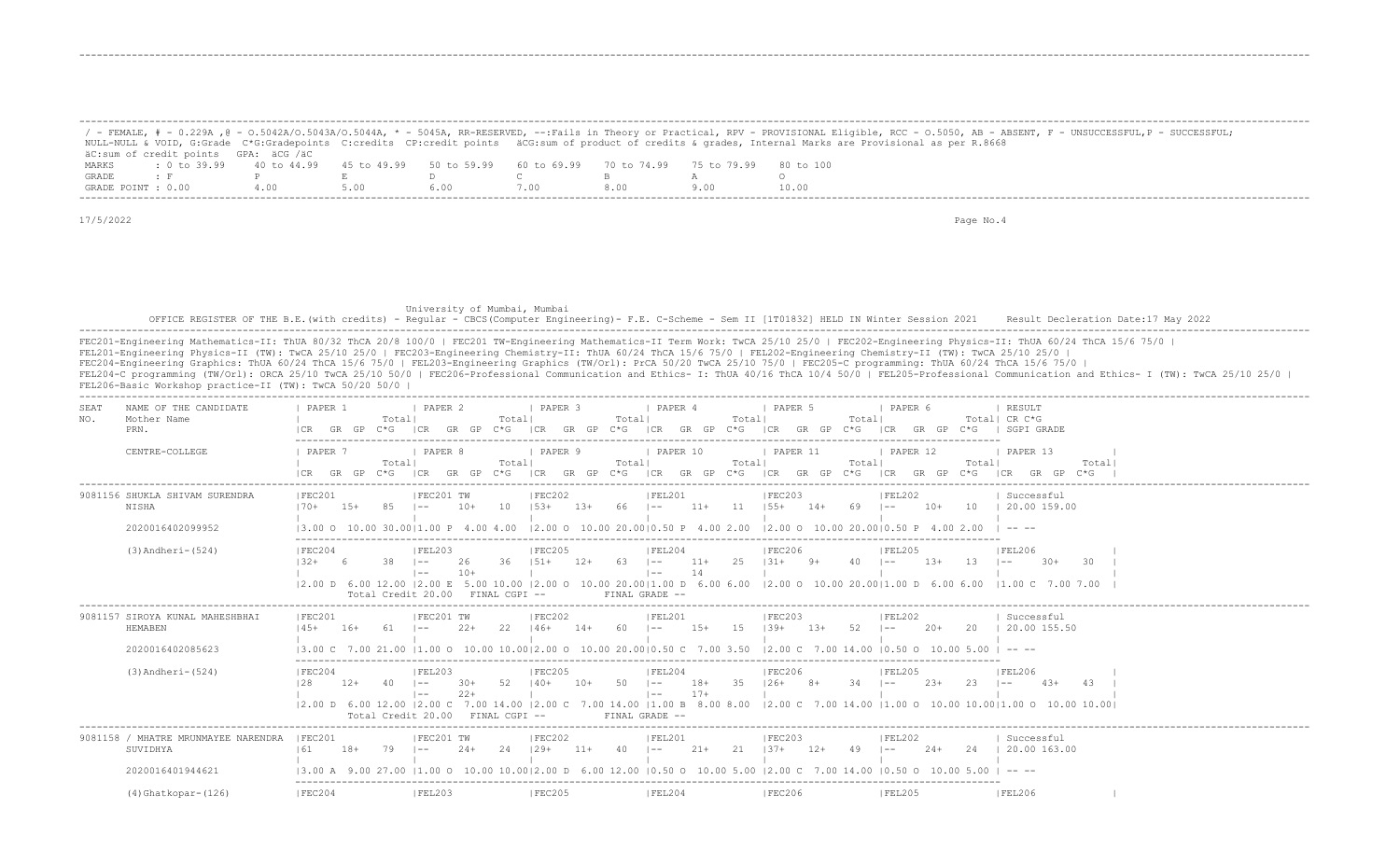|              |                                                                                                              |      |      |                                                                                                                                                                                                                                |      |     | / - FEMALE, # - 0.229A ,@ - 0.5042A/0.5043A/0.5044A, * - 5045A, RR-RESERVED, --:Fails in Theory or Practical, RPV - PROVISIONAL Eligible, RCC - 0.5050, AB - ABSENT, F - UNSUCCESSFUL,P - SUCCESSFUL; |
|--------------|--------------------------------------------------------------------------------------------------------------|------|------|--------------------------------------------------------------------------------------------------------------------------------------------------------------------------------------------------------------------------------|------|-----|-------------------------------------------------------------------------------------------------------------------------------------------------------------------------------------------------------|
|              |                                                                                                              |      |      |                                                                                                                                                                                                                                |      |     | NULL-NULL & VOID, G:Grade C*G:Gradepoints C:credits CP:credit points äCG:sum of product of credits & grades, Internal Marks are Provisional as per R.8668                                             |
|              | äC:sum of credit points GPA: äCG /äC                                                                         |      |      |                                                                                                                                                                                                                                |      |     |                                                                                                                                                                                                       |
| MARKS        | : 0 to 39.99   40 to 44.99   45 to 49.99   50 to 59.99   60 to 69.99   70 to 74.99   75 to 79.99   80 to 100 |      |      |                                                                                                                                                                                                                                |      |     |                                                                                                                                                                                                       |
| <b>GRADE</b> | $\cdot$ F $\cdot$ P $\cdot$ F $\cdot$                                                                        |      |      | in a comparative contract of the company of the company of the company of the company of the company of the company of the company of the company of the company of the company of the company of the company of the company o |      |     |                                                                                                                                                                                                       |
|              | GRADE POINT : 0.00                                                                                           | 4.00 | 5.00 | 6.00                                                                                                                                                                                                                           | 7.00 | 800 | 10.00                                                                                                                                                                                                 |

-------------------------------------------------------------------------------------------------------------------------------------------------------------------------------------------------------------------

-------------------------------------------------------------------------------------------------------------------------------------------------------------------------------------------------------------------

-------------------------------------------------------------------------------------------------------------------------------------------------------------------------------------------------------------------

17/5/2022 Page No.4

 University of Mumbai, Mumbai OFFICE REGISTER OF THE B.E.(with credits) - Regular - CBCS(Computer Engineering)- F.E. C-Scheme - Sem II [1T01832] HELD IN Winter Session 2021 Result Decleration Date:17 May 2022 -------------------------------------------------------------------------------------------------------------------------------------------------------------------------------------------------------------------

| NAME OF THE CANDIDATE<br>SEAT<br>Mother Name<br>NO.<br>PRN. | PAPER<br>Totall<br>$C*G$                | PAPER 2<br>1 PAPER 3<br>Totall<br>GP<br>GP<br>$C * G$<br>I CR<br>GR                                   | <i>I</i> PAPER 4<br>Totall<br>Total<br>C*G<br>ICR<br>GR<br>GP<br>C*G | PAPER 5<br>I PAPER 6<br>Totall<br>GR<br>ICR                                                                                                                                                                                                                | RESULT<br>Totall CR C*G<br>SGPI GRADE                                                                                                                                                                                                                                                                                                                                                        |
|-------------------------------------------------------------|-----------------------------------------|-------------------------------------------------------------------------------------------------------|----------------------------------------------------------------------|------------------------------------------------------------------------------------------------------------------------------------------------------------------------------------------------------------------------------------------------------------|----------------------------------------------------------------------------------------------------------------------------------------------------------------------------------------------------------------------------------------------------------------------------------------------------------------------------------------------------------------------------------------------|
| CENTRE-COLLEGE                                              | PAPER 7<br>Totall<br>$C*G$<br>GR<br>GP. | <b>I PAPER 8</b><br>PAPER 9<br>Totall<br>GP<br>GR<br>$C * G$<br>ICR<br>GR<br>GP<br>I CR               | PAPER 10<br>Totall<br>Total<br>$C*G$<br>GR GP<br>$C*G$<br>I CR       | PAPER 11<br>  PAPER 12<br>Totall<br>Totall<br>GR GP<br>ICR<br>C*G<br>GR.<br>$C * G$<br>I CR                                                                                                                                                                | PAPER 13<br>Totall                                                                                                                                                                                                                                                                                                                                                                           |
| 9081156 SHUKLA SHIVAM SURENDRA<br>NISHA                     | IFEC201<br>$15+$<br>85<br>$170+$        | IFEC201 TW<br>IFEC202<br>10<br>$13+$<br>$10+$<br>$153+$<br>l ——                                       | IFEL201<br>$11+$<br>66<br>11<br>$\vert - -$                          | IFEC203<br> FEL202<br>$155+$<br>$10+$<br>$14+$<br>69<br>10<br>$1 - -$                                                                                                                                                                                      | Successful<br>20.00 159.00                                                                                                                                                                                                                                                                                                                                                                   |
| 2020016402099952                                            | 13.00 O 10.00 30.0011.00 P 4.00         | 400                                                                                                   | $12.00$ O $10.00$ 20.0010.50 P $4.00$ 2.00                           | 12.00 0 10.00 20.0010.50                                                                                                                                                                                                                                   | $\frac{1}{2} \frac{1}{2} \frac{1}{2} \frac{1}{2} \frac{1}{2} \frac{1}{2} \frac{1}{2} \frac{1}{2} \frac{1}{2} \frac{1}{2} \frac{1}{2} \frac{1}{2} \frac{1}{2} \frac{1}{2} \frac{1}{2} \frac{1}{2} \frac{1}{2} \frac{1}{2} \frac{1}{2} \frac{1}{2} \frac{1}{2} \frac{1}{2} \frac{1}{2} \frac{1}{2} \frac{1}{2} \frac{1}{2} \frac{1}{2} \frac{1}{2} \frac{1}{2} \frac{1}{2} \frac{1}{2} \frac{$ |
| $(3)$ Andheri- $(524)$                                      | IFEC204<br>38<br>$132+$                 | FEL203<br>IFEC205<br>36<br>$151+$<br>$12+$<br>26<br>$1 - -$<br>$10+$<br>$1 - -$                       | IFEL204<br>$11+$<br>25<br>63<br>$\vert - - \vert$<br>14<br>$1 - -$   | FEC206<br>IFEL205<br>$131+$<br>$9+$<br>40<br>$1.3+$<br>-1.3<br>$1 - -$                                                                                                                                                                                     | FEL206<br>$30+$<br>30<br>$- -$                                                                                                                                                                                                                                                                                                                                                               |
|                                                             | Total Credit 20.00                      | $FTNAI, CGPT --$                                                                                      | FINAL GRADE --                                                       | $(2.00 \t{D} \t{6.00} \t{12.00} \t{2.00} \t{E} \t{5.00} \t{10.00} \t{2.00} \t{0} \t{10.00} \t{20.00} \t{10.00} \t{0} \t{0} \t{0} \t{0} \t{6.00} \t{10.00} \t{2.00} \t{0} \t{10.00} \t{20.00} \t{11.00} \t{D} \t{6.00} \t{10.00} \t{20.00} \t{11.00} \t{0}$ | 7.00 7.00                                                                                                                                                                                                                                                                                                                                                                                    |
| 9081157 SIROYA KUNAL MAHESHBHAI<br>HEMABEN                  | IFEC201<br>$145+$<br>$16+$              | IFEC201 TW<br>IFEC202<br>$2.2+$<br>22<br>$146+$<br>$14+$<br>$\sim$ $-$                                | IFEL201<br>$15+$<br>-1.5<br>-60<br>$\sim$                            | IFEC203<br>IFEL202<br>$139+$<br>$1.3+$<br>52<br>$20+$<br>20<br>$\sim$                                                                                                                                                                                      | Successful<br>20.00 155.50                                                                                                                                                                                                                                                                                                                                                                   |
| 2020016402085623                                            |                                         | 13.00 C 7.00 21.00 11.00 O 10.00 10.0012.00 O 10.00 20.0010.50 C 7.00 3.50 12.00 C 7.00 14.00 10.50 O |                                                                      | 10.00 5.00                                                                                                                                                                                                                                                 | $\cdots$                                                                                                                                                                                                                                                                                                                                                                                     |
| $(3)$ Andheri- $(524)$                                      | FEC204<br>128<br>$12+$<br>40            | <b>IFEC205</b><br> FEL203<br>52<br>$140+$<br>$10+$<br>$30+$<br>$1 - -$<br>$2.2 +$<br>l ——             | FEL204<br>$18+$<br>35<br>50<br>$\vert - -$<br>$17+$<br>$1 - -$       | <b>FEC206</b><br>IFEL205<br>$126+$<br>$8+$<br>34<br>$2.3+$<br>23                                                                                                                                                                                           | <b>IFEL206</b>                                                                                                                                                                                                                                                                                                                                                                               |
|                                                             | Total Credit 20.00                      | FINAL CGPI --                                                                                         | FINAL GRADE --                                                       | 12.00 D 6.00 12.00 12.00 C 7.00 14.00 12.00 C 7.00 14.00 11.00 B 8.00 8.00 12.00 C 7.00 14.00 11.00 O 10.00 10.0011.00 O 10.00 10.00 10.00                                                                                                                 |                                                                                                                                                                                                                                                                                                                                                                                              |
| 9081158 / MHATRE MRUNMAYEE NARENDRA<br>SUVIDHYA             | FEC201<br>161<br>$18+$<br>79            | FEC202<br> FEC201 TW<br>2.4<br>$129+$<br>$11+$<br>$24+$<br>$1 - -$                                    | FEL201<br>40<br>$21+$<br>21<br>$1 - -$                               | FEC203<br> FEL202<br>$1.37 +$<br>$12+$<br>49<br>24<br>$2.4+$<br>$1 - -$                                                                                                                                                                                    | Successful<br>20.00 163.00                                                                                                                                                                                                                                                                                                                                                                   |
| 2020016401944621                                            | $13.00 \, \text{A} \, \text{9}$         | 11.00<br>10.0012.00 D<br>600<br>12                                                                    | $10.50 \Omega$<br>10 00 5 00                                         | $12.00 \, \text{C}$<br>$10.50$ $\Omega$                                                                                                                                                                                                                    |                                                                                                                                                                                                                                                                                                                                                                                              |
| $(4)$ Ghatkopar- $(126)$                                    | FEC204                                  | <b>FEC205</b><br> FEL203                                                                              | FEL204                                                               | FEC206<br><b>FEL205</b>                                                                                                                                                                                                                                    | <b>FEL206</b>                                                                                                                                                                                                                                                                                                                                                                                |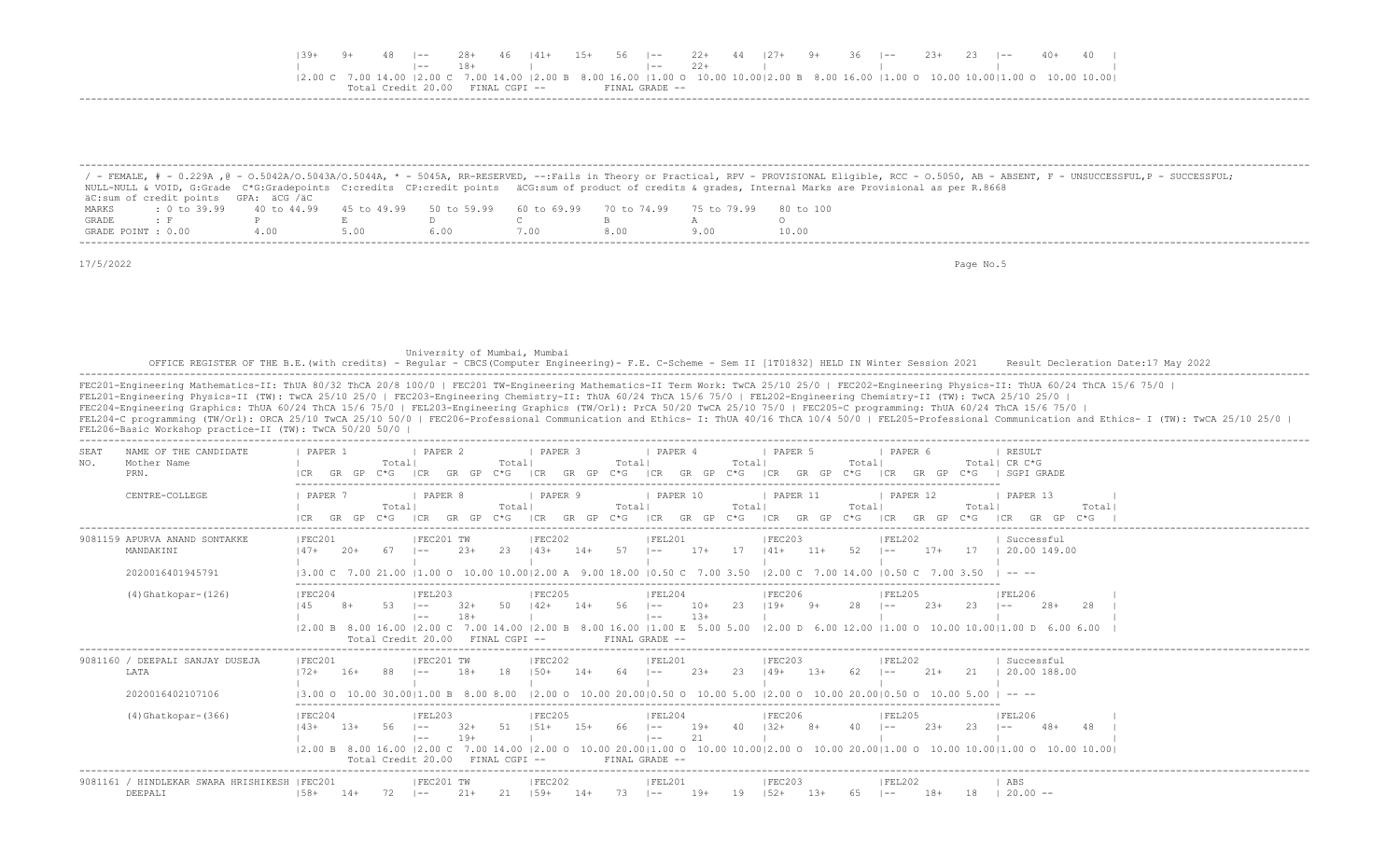| E39+ |  | $48$ $1--$                 |       | 28+ 46  41+ 15+ 56  -- 22+ 44  27+ 9+ 36  -- 23+ 23  -- 40+ 40                                                                                                                                                                                                                                                                     |  |                |       |  |  |  |  |  |  |
|------|--|----------------------------|-------|------------------------------------------------------------------------------------------------------------------------------------------------------------------------------------------------------------------------------------------------------------------------------------------------------------------------------------|--|----------------|-------|--|--|--|--|--|--|
|      |  |                            | $18+$ |                                                                                                                                                                                                                                                                                                                                    |  |                | $22+$ |  |  |  |  |  |  |
|      |  |                            |       | $(2.00 \text{ C } 7.00 \text{ 14.00 }   2.00 \text{ C } 7.00 \text{ 14.00 }   2.00 \text{ B } 8.00 \text{ 16.00 }   1.00 \text{ O } 10.00 \text{ 10.00 }   2.00 \text{ B } 8.00 \text{ 16.00 }   1.00 \text{ O } 10.00 \text{ 10.00 }   1.00 \text{ O } 10.00 \text{ 10.00 }   1.00 \text{ C } 10.00 \text{ 10.00 }   1.00 \text{$ |  |                |       |  |  |  |  |  |  |
|      |  | Credit 20 00 FINAL CGPI -- |       |                                                                                                                                                                                                                                                                                                                                    |  | FINAL GRADE -- |       |  |  |  |  |  |  |
|      |  |                            |       |                                                                                                                                                                                                                                                                                                                                    |  |                |       |  |  |  |  |  |  |

|                    |                                      |     |      |                                                                       |      |      | / - FEMALE, # - 0.229A ,@ - 0.5042A/0.5043A/0.5044A, * - 5045A, RR-RESERVED, --:Fails in Theory or Practical, RPV - PROVISIONAL Eligible, RCC - 0.5050, AB - ABSENT, F - UNSUCCESSFUL,P - SUCCESSFUL; |
|--------------------|--------------------------------------|-----|------|-----------------------------------------------------------------------|------|------|-------------------------------------------------------------------------------------------------------------------------------------------------------------------------------------------------------|
|                    |                                      |     |      |                                                                       |      |      | NULL-NULL & VOID, G:Grade C*G:Gradepoints C:credits CP:credit points äCG:sum of product of credits & grades, Internal Marks are Provisional as per R.8668                                             |
|                    | äC:sum of credit points GPA: äCG /äC |     |      |                                                                       |      |      |                                                                                                                                                                                                       |
| MARKS              | $: 0 \text{ to } 39.99$ 40 to 44.99  |     |      | 45 to 49.99 50 to 59.99 60 to 69.99 70 to 74.99 75 to 79.99 80 to 100 |      |      |                                                                                                                                                                                                       |
| GRADE              |                                      |     |      |                                                                       |      |      |                                                                                                                                                                                                       |
| GRADE POINT : 0.00 |                                      | 400 | 5.00 |                                                                       | .00. | 8.00 | 10.00                                                                                                                                                                                                 |

 University of Mumbai, Mumbai OFFICE REGISTER OF THE B.E.(with credits) - Regular - CBCS(Computer Engineering)- F.E. C-Scheme - Sem II [1T01832] HELD IN Winter Session 2021 Result Decleration Date:17 May 2022 -------------------------------------------------------------------------------------------------------------------------------------------------------------------------------------------------------------------

FEC201-Engineering Mathematics-II: ThUA 80/32 ThCA 20/8 100/0 | FEC201 TW-Engineering Mathematics-II Term Work: TwCA 25/10 25/0 | FEC202-Engineering Physics-II: ThUA 60/24 ThCA 15/6 75/0 | FEL201-Engineering Physics-II (TW): TwCA 25/10 25/0 | FEC203-Engineering Chemistry-II: ThUA 60/24 ThCA 15/6 75/0 | FEL202-Engineering Chemistry-II (TW): TwCA 25/10 25/0 | FEC204-Engineering Graphics: ThUA 60/24 ThCA 15/6 75/0 | FEL203-Engineering Graphics (TW/Orl): PrCA 50/20 TwCA 25/10 75/0 | FEC205-C programming: ThUA 60/24 ThCA 15/6 75/0 | FEL204-C programming (TW/Orl): ORCA 25/10 TwCA 25/10 50/0 | FEC206-Professional Communication and Ethics- I: ThUA 40/16 ThCA 10/4 50/0 | FEL205-Professional Communication and Ethics- I (TW): TwCA 25/10 25/0 | FEL206-Basic Workshop practice-II (TW): TwCA 50/20 50/0 | -------------------------------------------------------------------------------------------------------------------------------------------------------------------------------------------------------------------

| SEAT<br>NO. | NAME OF THE CANDIDATE<br>Mother Name<br>PRN.                   | PAPER 1                                                  |       | Totall                                  | PAPER 2                        |                | Totall<br>C*G.      | PAPER 3<br>I CR   | GR.<br>GP | Totall<br>$C*G$  | PAPER 4<br> CR<br>GR                           |                | Total<br>$C \star G$ | PAPER 5<br> CR<br>GR.                                                                                                               |        | Totall<br>C*G- | PAPER 6           |       | C*G.           | RESULT<br>Total  CR C*G<br>SGPI GRADE                                                                                                                         |                  |  |
|-------------|----------------------------------------------------------------|----------------------------------------------------------|-------|-----------------------------------------|--------------------------------|----------------|---------------------|-------------------|-----------|------------------|------------------------------------------------|----------------|----------------------|-------------------------------------------------------------------------------------------------------------------------------------|--------|----------------|-------------------|-------|----------------|---------------------------------------------------------------------------------------------------------------------------------------------------------------|------------------|--|
|             | CENTRE-COLLEGE                                                 | PAPER '<br>GR.                                           | GP    | Total <br>∩∗⊂                           | PAPER 8                        | GP             | Totall<br>C*G -     | I PAPER 9         | GP        | Total<br>$C * G$ | PAPER 10                                       | GP             | Total<br>$C * G$     | <b>I PAPER 11</b><br>GR.                                                                                                            | GP     | Total          | PAPER 12          |       | Totall<br>C*G. | PAPER 13                                                                                                                                                      | Total<br>$C * G$ |  |
|             | 9081159 APURVA ANAND SONTAKKE<br>MANDAKINI<br>2020016401945791 | FEC201<br>$147+$                                         | $20+$ |                                         | FEC201 TW                      | $23+$          | 23                  | FEC202<br>$14.3+$ | $14+$     | 57               | FEL201<br>$1 - -$                              | $17+$          | 17                   | FEC203<br>$141+$<br>13.00 C 7.00 21.00 11.00 O 10.00 10.0012.00 A 9.00 18.00 10.50 C 7.00 3.50 12.00 C 7.00 14.00 10.50 C 7.00 3.50 | $11+$  | 52             | FEL202<br>$- -$   | $17+$ | 17             | Successful<br>20.00 149.00<br>$\cdots$                                                                                                                        |                  |  |
|             | $(4)$ Ghatkopar- $(126)$                                       | FEC204<br>$12.00 \text{ B}$ 8.00 16.00 12.00 C           |       | Total Credit 20.00                      | FEL203<br>$- -$<br>$\vert - -$ | $32+$<br>$18+$ | 50<br>FINAL CGPI -- | FEC205<br>$142+$  | $14+$     | 56               | FEL204<br>$1 - -$<br>$1 - -$<br>FINAL GRADE -- | $10+$<br>$13+$ | -23-                 | FEC206<br>$119+$                                                                                                                    | $9+$   | 28             | FEL205            | $23+$ | 23             | FEL206<br>$28+$<br>l ——<br>7.00 14.00   2.00 B 8.00 16.00   1.00 E 5.00 5.00   2.00 D 6.00 12.00   1.00 O 10.00 10.00   1.00 D 6.00 6.00                      | 28               |  |
|             | 9081160 / DEEPALI SANJAY DUSEJA<br>LATA<br>2020016402107106    | FEC201<br>$172+$<br>13.00 0 10.00 30.0011.00 B 8.00 8.00 | 16+   |                                         | FEC201 TW                      | $18+$          | 18                  | FEC202<br>$150+$  | 14+       | 64               | FEL201<br>l ——                                 | $23+$          | 23                   | FEC203<br>$149+$<br>$12.00$ O $10.00$ 20.0010.50 O $10.00$ 5.00 12.00 O $10.00$ 20.0010.50 O $10.00$ 5.00 I -- --                   | $13+$  | 62             | FEL202            | $21+$ | 21             | Successful<br>20.00 188.00                                                                                                                                    |                  |  |
|             | $(4)$ Ghatkopar- $(366)$                                       | FEC204<br>$143+$                                         | $13+$ | -56<br>Total Credit 20.00 FINAL CGPI -- | FEL203<br>$\vert - -$<br>$- -$ | $32+$<br>$19+$ | 51                  | FEC205<br>$151+$  | $15+$     | 66               | FEL204<br>$1 - -$<br>$1 - -$<br>FINAL GRADE -- | $19+$<br>21    | 4 N                  | FEC206<br>$132+$                                                                                                                    |        | 40             | FEL205            | $23+$ | 23             | FEL206<br>$\sim$ $-$<br> 2.00 B 8.00 16.00  2.00 C 7.00 14.00  2.00 O 10.00 20.00 1.00 O 10.00 10.00 2.00 O 10.00 20.00 1.00 O 10.00 10.00 1.00 O 10.00 10.00 | 48               |  |
|             | 9081161 / HINDLEKAR SWARA HRISHIKESH   FEC201<br>DEEPALI       | $158+$                                                   | $14+$ | 72                                      | IFEC201 TW<br>$1 - -$          | 21+            | 21                  | FEC202<br>$159+$  | $14+$     | 73               | FEL201<br>$1 - -$                              | 19+            | -19                  | FEC203<br>$152+$                                                                                                                    | $1.3+$ | 65             | FEL202<br>$1 - -$ | 18+   | 18             | ABS<br>$20.00 -$                                                                                                                                              |                  |  |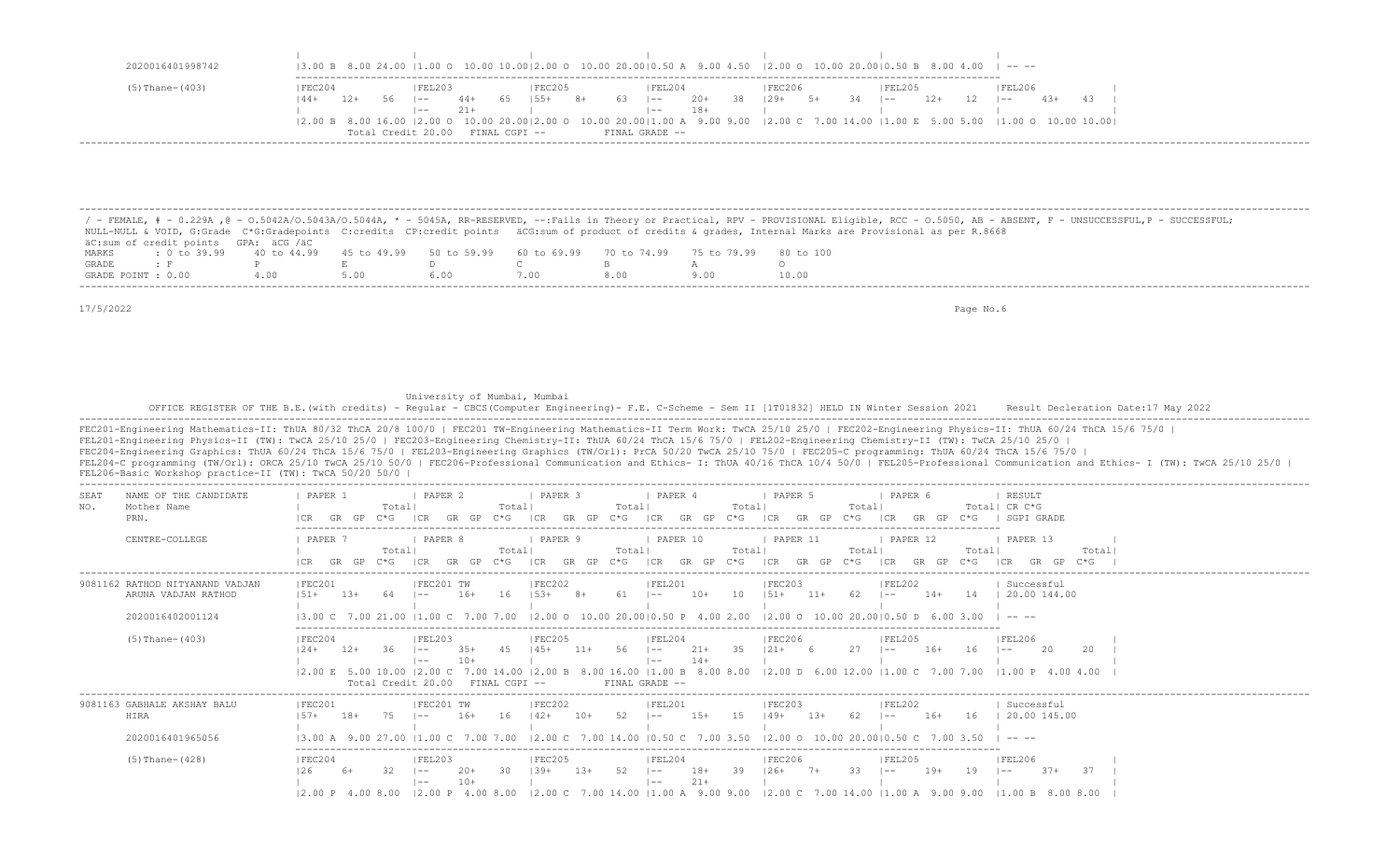| 2020016401998742     |        |            |                    |                |               |        |     |             |                |                |      | $(3.00 B 8.00 24.00 (1.00 O 10.00 10.00) 2.00 O 10.00 20.00) 0.50 A 9.00 4.50 (2.00 O 10.00 20.00) 0.50 B 8.00 4.00 (-7.00 C)$     |    |      |         |       |        |       |  |
|----------------------|--------|------------|--------------------|----------------|---------------|--------|-----|-------------|----------------|----------------|------|------------------------------------------------------------------------------------------------------------------------------------|----|------|---------|-------|--------|-------|--|
| $(5)$ Thane- $(403)$ | FEC204 |            | IFEL203            |                |               | IEC205 |     |             | FEL204         |                |      | FEC206                                                                                                                             |    |      | IFEL205 |       | FEL206 |       |  |
| $144+$               | 12+    | 56<br>$ -$ | $- -$              | $44+$<br>$21+$ | 65            | $155+$ | -8+ | $63 \t - -$ | $- -$          | $20+$<br>$18+$ | - 38 | $129+$                                                                                                                             | 5+ | - 34 | $- -$   | $12+$ | $- -$  | $43+$ |  |
|                      |        |            |                    |                |               |        |     |             |                |                |      | 2.00 B 8.00 16.00  2.00 O 10.00 20.00 2.00 O 10.00 20.00 1.00 A 9.00 9.00  2.00 C 7.00 14.00  1.00 E 5.00 5.00  1.00 O 10.00 10.00 |    |      |         |       |        |       |  |
|                      |        |            | Total Credit 20.00 |                | FINAL CGPI -- |        |     |             | FINAL GRADE -- |                |      |                                                                                                                                    |    |      |         |       |        |       |  |

 / - FEMALE, # - 0.229A ,@ - O.5042A/O.5043A/O.5044A, \* - 5045A, RR-RESERVED, --:Fails in Theory or Practical, RPV - PROVISIONAL Eligible, RCC - O.5050, AB - ABSENT, F - UNSUCCESSFUL,P - SUCCESSFUL; NULL-NULL & VOID, G:Grade C\*G:Gradepoints C:credits CP:credit points äCG:sum of product of credits & grades, Internal Marks are Provisional as per R.8668 äC:sum of credit points GPA: äCG /äC MARKS : 0 to 39.99 40 to 44.99 45 to 49.99 50 to 59.99 60 to 69.99 70 to 74.99 75 to 79.99 80 to 100<br>GRADE: F P E D C B A O GRADE : F P E D C B A O GRADE POINT : 0.00 4.00 5.00 6.00 7.00 8.00 9.00 10.00 -------------------------------------------------------------------------------------------------------------------------------------------------------------------------------------------------------------------

-------------------------------------------------------------------------------------------------------------------------------------------------------------------------------------------------------------------

17/5/2022 Page No.6

### University of Mumbai, Mumbai

OFFICE REGISTER OF THE B.E.(with credits) - Regular - CBCS(Computer Engineering)- F.E. C-Scheme - Sem II [1T01832] HELD IN Winter Session 2021 Result Decleration Date:17 May 2022

| FEL206-Basic Workshop practice-II (TW): TwCA 50/20 50/0                    | FEC201-Engineering Mathematics-II: ThUA 80/32 ThCA 20/8 100/0   FEC201 TW-Engineering Mathematics-II Term Work: TwCA 25/10 25/0   FEC202-Engineering Physics-II: ThUA 60/24 ThCA 15/6 75/0  <br>FEL201-Engineering Physics-II (TW): TwCA 25/10 25/0   FEC203-Engineering Chemistry-II: ThUA 60/24 ThCA 15/6 75/0   FEL202-Engineering Chemistry-II (TW): TwCA 25/10 25/0  <br>FEC204-Engineering Graphics: ThUA 60/24 ThCA 15/6 75/0   FEL203-Engineering Graphics (TW/Orl): PrCA 50/20 TwCA 25/10 75/0   FEC205-C programming: ThUA 60/24 ThCA 15/6 75/0  <br>FEL204-C programming (TW/Orl): ORCA 25/10 TwCA 25/10 50/0   FEC206-Professional Communication and Ethics- I: ThUA 40/16 ThCA 10/4 50/0   FEL205-Professional Communication and Ethics- I (TW): TwCA 25/10 25/0 |
|----------------------------------------------------------------------------|-------------------------------------------------------------------------------------------------------------------------------------------------------------------------------------------------------------------------------------------------------------------------------------------------------------------------------------------------------------------------------------------------------------------------------------------------------------------------------------------------------------------------------------------------------------------------------------------------------------------------------------------------------------------------------------------------------------------------------------------------------------------------------|
| NAME OF THE CANDIDATE<br>SEAT<br>Mother Name<br>NO.<br>PRN.                | PAPER 1<br>PAPER 2<br>I PAPER 3<br>PAPER 4<br>PAPER 5<br>PAPER 6<br>RESULT<br>Totall<br>Totall<br>Total<br>Totall<br>Total<br>Total  CR C*G<br>GR GP<br>$C * G$<br> CR<br>GP<br>$C * G$<br>ICR<br>$C * G$<br> CR<br>GR<br>GP<br>$C * G$<br>$G\mathbb{P}$<br>SGPI GRADE<br>GR GP<br>GR<br>I CR<br>GR<br>$C \star G$                                                                                                                                                                                                                                                                                                                                                                                                                                                            |
| CENTRE-COLLEGE                                                             | PAPER 8<br>  PAPER 9<br>  PAPER 10<br>PAPER 11<br>PAPER 12<br>  PAPER 13<br>PAPER 7<br>Totall<br>Totall<br>Totall<br>Total<br>Total<br>Totall<br>Totall<br>GP<br>GP<br>GP<br>GP<br>C*G.<br>GP<br>GR<br>ICR<br>GR<br>$C * G$<br>GP<br>ገ* ና<br>$C * G$<br>GR<br>$C*G$<br>I CR<br>$C * G$<br>$C*G$<br>GR.                                                                                                                                                                                                                                                                                                                                                                                                                                                                        |
| 9081162 RATHOD NITYANAND VADJAN<br>ARUNA VADJAN RATHOD<br>2020016402001124 | Successful<br>IFEC201<br>IFEC201 TW<br>IFEC202<br>IFEL201<br>IFEC203<br> FEL202<br>$16+$<br>16<br>10<br>$151+$<br>$11+$<br>62<br>20.00 144.00<br>$151+$<br>$1.3+$<br>$153+$<br>$10+$<br>$14+$<br>14<br>$8+$<br>$1 - -$<br>$1 - -$<br>$12.00$ $\Omega$ $10.00$ $20.0010.50$ P $4.00$ $2.00$<br>$12.00$ O $10.00$ $20.0010.50$ D $6.00$ 3.00<br>13.00 C 7.00 21.00<br>11.00 C                                                                                                                                                                                                                                                                                                                                                                                                   |
| $(5)$ Thane- $(403)$                                                       | FEC204<br> FEL203<br> FEC205<br> FEL204<br><b>IFEC206</b><br> FEL205<br> FEL206<br>56.<br>35<br>$121 +$<br>27<br>36<br>4.5<br>$145+$<br>$11+$<br>$21+$<br>- 6<br>$16+$<br>20<br>$124+$<br>$12+$<br>$3.5+$<br>$1 - -$<br>-20<br>$1 - -$<br>$10+$<br>$14+$<br>$\vert - - \vert$<br>$1 - -$<br>8.00 16.00   1.00 B 8.00 8.00   2.00 D 6.00 12.00   1.00 C 7.00 7.00   1.00 P 4.00 4.00<br>12.00 E 5.00 10.00 12.00 C<br>7.00 14.00<br>2.00 B<br>$FTNAI, CGPT - -$<br>Total Credit 20.00<br>$FTNAI, GRADE =$                                                                                                                                                                                                                                                                      |
| 9081163 GABHALE AKSHAY BALU<br>HIRA<br>2020016401965056                    | IFEC201<br>Successful<br>IFEC201 TW<br>IFEC202<br>IFEL201<br>IFEC203<br> FEL202<br>16<br>$18+$<br>75<br>$16+$<br>52<br>$1.5+$<br>1.5<br>$149+$<br>$1.3+$<br>$16+$<br>16<br>20.00 145.00<br>$1.57+$<br>$142+$<br>$10+$<br>62<br>$1 - -$<br>$- -$<br>7 00 14 00 10 50 C<br>7.003.50<br>$12.00$ O $10.00$ $20.0010.50$ C<br>12.00 <sub>C</sub>                                                                                                                                                                                                                                                                                                                                                                                                                                   |
| $(5)$ Thane- $(428)$                                                       | IFEL203<br>IFEC205<br>IFEL204<br>IFEC204<br><b>IFEC206</b><br>IFEL205<br> FEL206<br>52<br>39<br>32<br>$20+$<br>30<br>$139+$<br>$18+$<br>$126+$<br>33<br>19<br>-37<br>126<br>$1.3+$<br>$19+$<br>$37+$<br>$6+$<br>$1 - -$<br>$1 - -$<br>$7+$<br>$1 - -$<br>$\vert - -$<br>$10+$<br>$21+$<br>$1 - -$<br>$1 - -$<br>$ 2.00 \text{ C}$ 7.00 14.00 $ 1.00 \text{ A}$ 9.00 9.00 $ 2.00 \text{ C}$ 7.00 14.00 $ 1.00 \text{ A}$ 9.00 9.00 $ 1.00 \text{ B}$ 8.00 8.00<br>$12.00 \text{ P}$ 4.00 8.00<br>$ 2.00 \tP 4.00 \t8.00$                                                                                                                                                                                                                                                       |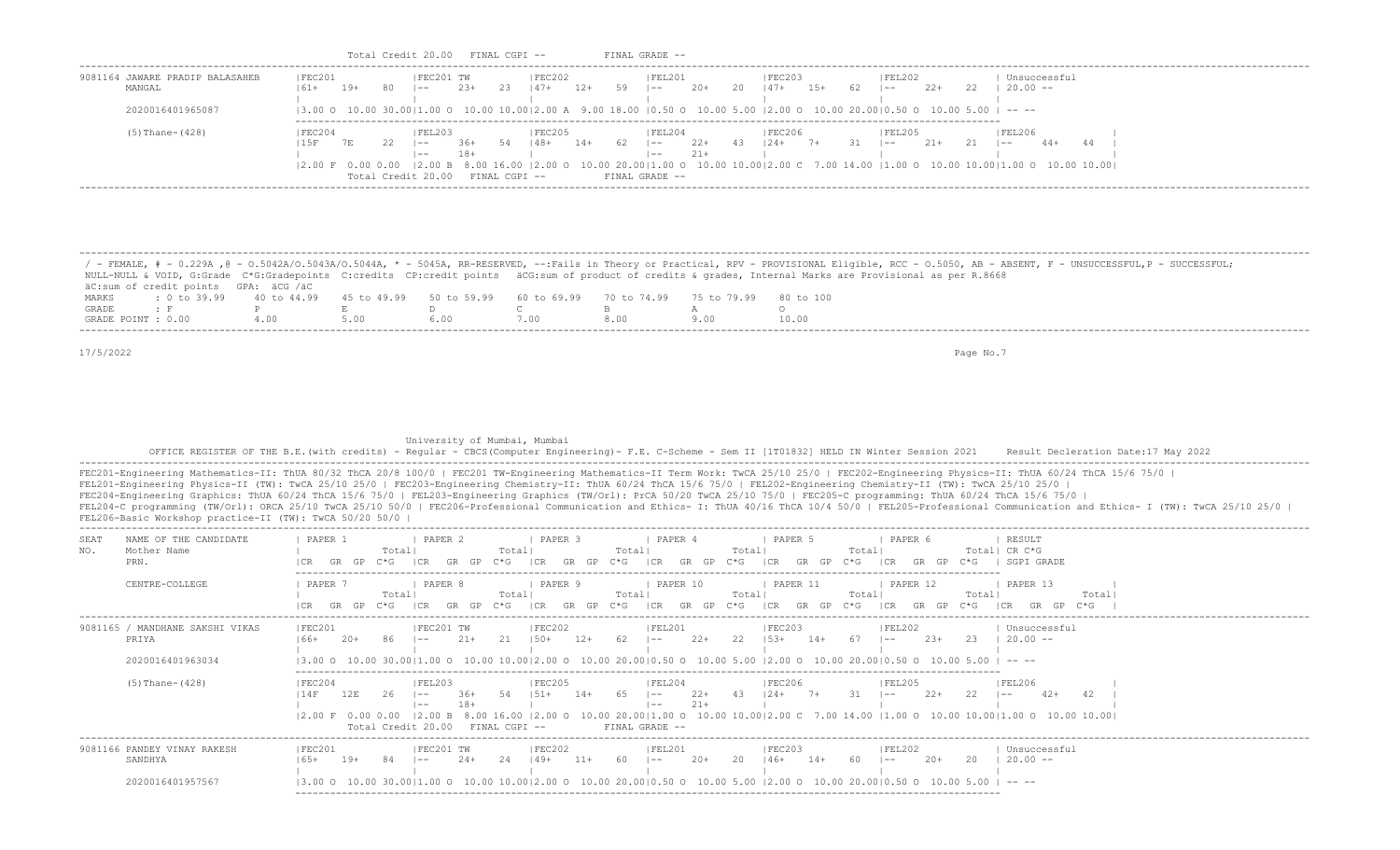| 9081164 JAWARE PRADIP BALASAHEB<br>MANGAL | IFEC201<br>161+ | 19+ | -80 | IFEC201 TW<br>$- -$ | $2.3+$ | 23            | IFEC202<br>$147+$ | -12+  | 59 | IFEL201<br>$- -$ | -20+  | 20  | IFEC203<br>$147+$                                                                                                                                                                           | 15+  | 62. | FEL202<br>$- -$ | $2.2+$ | 22 | $20.00 - -$   | Unsuccessful |    |  |
|-------------------------------------------|-----------------|-----|-----|---------------------|--------|---------------|-------------------|-------|----|------------------|-------|-----|---------------------------------------------------------------------------------------------------------------------------------------------------------------------------------------------|------|-----|-----------------|--------|----|---------------|--------------|----|--|
|                                           |                 |     |     |                     |        |               |                   |       |    |                  |       |     |                                                                                                                                                                                             |      |     |                 |        |    |               |              |    |  |
| 2020016401965087                          |                 |     |     |                     |        |               |                   |       |    |                  |       |     | $(3.00 \circ 10.00 \cdot 30.00)1.00 \circ 10.00 \cdot 10.00)2.00 \text{ A}$ 9.00 18.00 $(0.50 \circ 10.00 \cdot 5.00 \cdot 12.00 \circ 10.00 \cdot 20.00)0.50 \circ 10.00 \cdot 5.00$ $- -$ |      |     |                 |        |    |               |              |    |  |
| (5) Thane-(428)                           | FEC204          |     |     | <b>FEL203</b>       |        |               | <b>FEC205</b>     |       |    | IFEL204          |       |     | <b>FEC206</b>                                                                                                                                                                               |      |     | FEL205          |        |    | <b>FEL206</b> |              |    |  |
|                                           | 15F             | 7 E | 22  | $- -$               | 36+    | - 54          | 48+               | $14+$ | 62 | $1 - -$          | $22+$ | -43 | $124+$                                                                                                                                                                                      | $7+$ | -31 | $- -$           | $21+$  | 21 | $- -$         | $44+$        | 44 |  |
|                                           |                 |     |     | $- -$               | $18+$  |               |                   |       |    | $- -$            | $21+$ |     |                                                                                                                                                                                             |      |     |                 |        |    |               |              |    |  |
|                                           |                 |     |     |                     |        |               |                   |       |    |                  |       |     | 2.00 F 0.00 0.00  2.00 B 8.00 16.00  2.00 O 10.00 20.00 1.00 O 10.00 10.00 2.00 C 7.00 14.00  1.00 O 10.00 10.00 1.00 O 10.00 10.00                                                         |      |     |                 |        |    |               |              |    |  |
|                                           |                 |     |     | Total Credit 20.00  |        | FINAL CGPI -- |                   |       |    | FINAL GRADE --   |       |     |                                                                                                                                                                                             |      |     |                 |        |    |               |              |    |  |

 / - FEMALE, # - 0.229A ,@ - O.5042A/O.5043A/O.5044A, \* - 5045A, RR-RESERVED, --:Fails in Theory or Practical, RPV - PROVISIONAL Eligible, RCC - O.5050, AB - ABSENT, F - UNSUCCESSFUL,P - SUCCESSFUL; NULL-NULL & VOID, G:Grade C\*G:Gradepoints C:credits CP:credit points äCG:sum of product of credits & grades, Internal Marks are Provisional as per R.8668 äC:sum of credit points GPA: äCG /äC MARKS : 0 to 39.99 40 to 44.99 45 to 49.99 50 to 59.99 60 to 69.99 70 to 74.99 75 to 79.99 80 to 100<br>GRADE: F P R D C B A F P E D C B A O<br>INT:0.00 4.00 5.00 6.00 7.00 8.00 9.00 10.1 GRADE POINT : 0.00 4.00 5.00 6.00 7.00 8.00 9.00 10.00 -------------------------------------------------------------------------------------------------------------------------------------------------------------------------------------------------------------------

-------------------------------------------------------------------------------------------------------------------------------------------------------------------------------------------------------------------

17/5/2022 Page No.7

University of Mumbai, Mumbai

-------------------------------------------------------------------------------------------------------------------------

 OFFICE REGISTER OF THE B.E.(with credits) - Regular - CBCS(Computer Engineering)- F.E. C-Scheme - Sem II [1T01832] HELD IN Winter Session 2021 Result Decleration Date:17 May 2022 -------------------------------------------------------------------------------------------------------------------------------------------------------------------------------------------------------------------

 FEC201-Engineering Mathematics-II: ThUA 80/32 ThCA 20/8 100/0 | FEC201 TW-Engineering Mathematics-II Term Work: TwCA 25/10 25/0 | FEC202-Engineering Physics-II: ThUA 60/24 ThCA 15/6 75/0 | FEL201-Engineering Physics-II (TW): TwCA 25/10 25/0 | FEC203-Engineering Chemistry-II: ThUA 60/24 ThCA 15/6 75/0 | FEL202-Engineering Chemistry-II (TW): TwCA 25/10 25/0 | FEC204-Engineering Graphics: ThUA 60/24 ThCA 15/6 75/0 | FEL203-Engineering Graphics (TW/Orl): PrCA 50/20 TwCA 25/10 75/0 | FEC205-C programming: ThUA 60/24 ThCA 15/6 75/0 | FEL204-C programming (TW/Orl): ORCA 25/10 TwCA 25/10 50/0 | FEC206-Professional Communication and Ethics- I: ThUA 40/16 ThCA 10/4 50/0 | FEL205-Professional Communication and Ethics- I (TW): TwCA 25/10 25/0 | FEL206-Basic Workshop practice-II (TW): TwCA 50/20 50/0 |

| SEAT<br>NO.<br>PRN. | NAME OF THE CANDIDATE<br>Mother Name                       | PAPER 1<br>GR                                                                                                                           |       | Total<br>こ*に   | PAPER 2                                        |               | Total<br>`* ና | PAPER 3                                                       |       | Total<br>ነ* (⊋ | PAPER 4                                    |                                | Total<br>C*G-  | PAPER 5                         |       | Total<br>ነ* ና  | PAPER 6                |        | Totall<br>C*G.    | RESULT<br>CR C*G<br>SGPI GRADE                                                                                                                                                                                                                                                                                                                                                                                              |                |  |
|---------------------|------------------------------------------------------------|-----------------------------------------------------------------------------------------------------------------------------------------|-------|----------------|------------------------------------------------|---------------|---------------|---------------------------------------------------------------|-------|----------------|--------------------------------------------|--------------------------------|----------------|---------------------------------|-------|----------------|------------------------|--------|-------------------|-----------------------------------------------------------------------------------------------------------------------------------------------------------------------------------------------------------------------------------------------------------------------------------------------------------------------------------------------------------------------------------------------------------------------------|----------------|--|
|                     | CENTRE-COLLEGE                                             | PAPER 7<br>GR                                                                                                                           |       | Total<br>C*G - | PAPER 8                                        | GP            | Total<br>ገ* ና | PAPER 9                                                       |       | Total<br>ገ* ና  | PAPER 10                                   |                                | Total<br>C*G - | PAPER 11<br>GR.                 |       | Totall<br>C*G. | PAPER 12<br>GR.        |        | Totall<br>$C * G$ | PAPER 13<br>I C.R<br>GR                                                                                                                                                                                                                                                                                                                                                                                                     | Total<br>$C*G$ |  |
| PRIYA               | 9081165 / MANDHANE SAKSHI VIKAS<br>2020016401963034        | FEC201<br>$166+$<br>13.00                                                                                                               | $20+$ | 86<br>30 0011  | FEC201 TW<br>$- -$                             | $21+$         |               | FEC202<br>150+<br>$.00 \circ 10.00 10.0012.00 \circ 10.00 20$ | $12+$ |                | <b>FEL201</b><br>$- -$<br>$0010$           | $22+$<br>$.50 \circ 10.005.00$ |                | FEC203 <br>$153+$<br>1200010020 | $14+$ | -67            | FEL202<br>l ——         | $23+$  | 23                | Unsuccessful<br>$20.00 - -$<br>$\frac{1}{2} \frac{1}{2} \frac{1}{2} \frac{1}{2} \frac{1}{2} \frac{1}{2} \frac{1}{2} \frac{1}{2} \frac{1}{2} \frac{1}{2} \frac{1}{2} \frac{1}{2} \frac{1}{2} \frac{1}{2} \frac{1}{2} \frac{1}{2} \frac{1}{2} \frac{1}{2} \frac{1}{2} \frac{1}{2} \frac{1}{2} \frac{1}{2} \frac{1}{2} \frac{1}{2} \frac{1}{2} \frac{1}{2} \frac{1}{2} \frac{1}{2} \frac{1}{2} \frac{1}{2} \frac{1}{2} \frac{$ |                |  |
|                     | $(5)$ Thane- $(428)$                                       | FEC204<br>  14F<br>12.00 F 0.00                                                                                                         | 12E   |                | FEL203<br>$- -$<br>$- -$<br>Total Credit 20.00 | $.36+$<br>18+ | FINAL CGPI -- | <b>FEC205</b><br>2.00 0                                       | $14+$ |                | FEL204<br>$- -$<br>$- -$<br>FINAL GRADE -- | $2.2+$<br>$21+$                |                | <b>IFEC206</b><br>$124+$        |       |                | FEL205<br>$- -$        | $2.2+$ | 22                | <b>FEL206</b><br>$42+$<br>$- -$<br>10.00 20.00   1.00 0 10.00 10.00   2.00 0 7.00 14.00   1.00 0 10.00 10.00   1.00 0 10.00 10.00   10.00   0                                                                                                                                                                                                                                                                               |                |  |
|                     | 9081166 PANDEY VINAY RAKESH<br>SANDHYA<br>2020016401957567 | FEC201<br>$165+$<br>$(3.00 \t 0 \t 10.00 \t 30.00)$ [1.00 0 10.00 10.00 2.00 0 10.00 20.00 0.50 0 10.00 5.00  2.00 0 10.00 20.00 0.50 0 | $19+$ |                | FEC201 TW<br>$- -$                             | $24+$         | 24            | FEC202<br> 49+                                                |       |                | <b>FEL201</b><br>$- -$                     | $20+$                          | 20             | FEC203 <br>$146+$               | $14+$ |                | <b>FEL202</b><br>$- -$ | $20+$  | 20<br>.00.5.00    | Unsuccessful<br>$20.00 - -$<br>$\cdots$                                                                                                                                                                                                                                                                                                                                                                                     |                |  |

Total Credit 20.00 FINAL CGPI -- FINAL GRADE --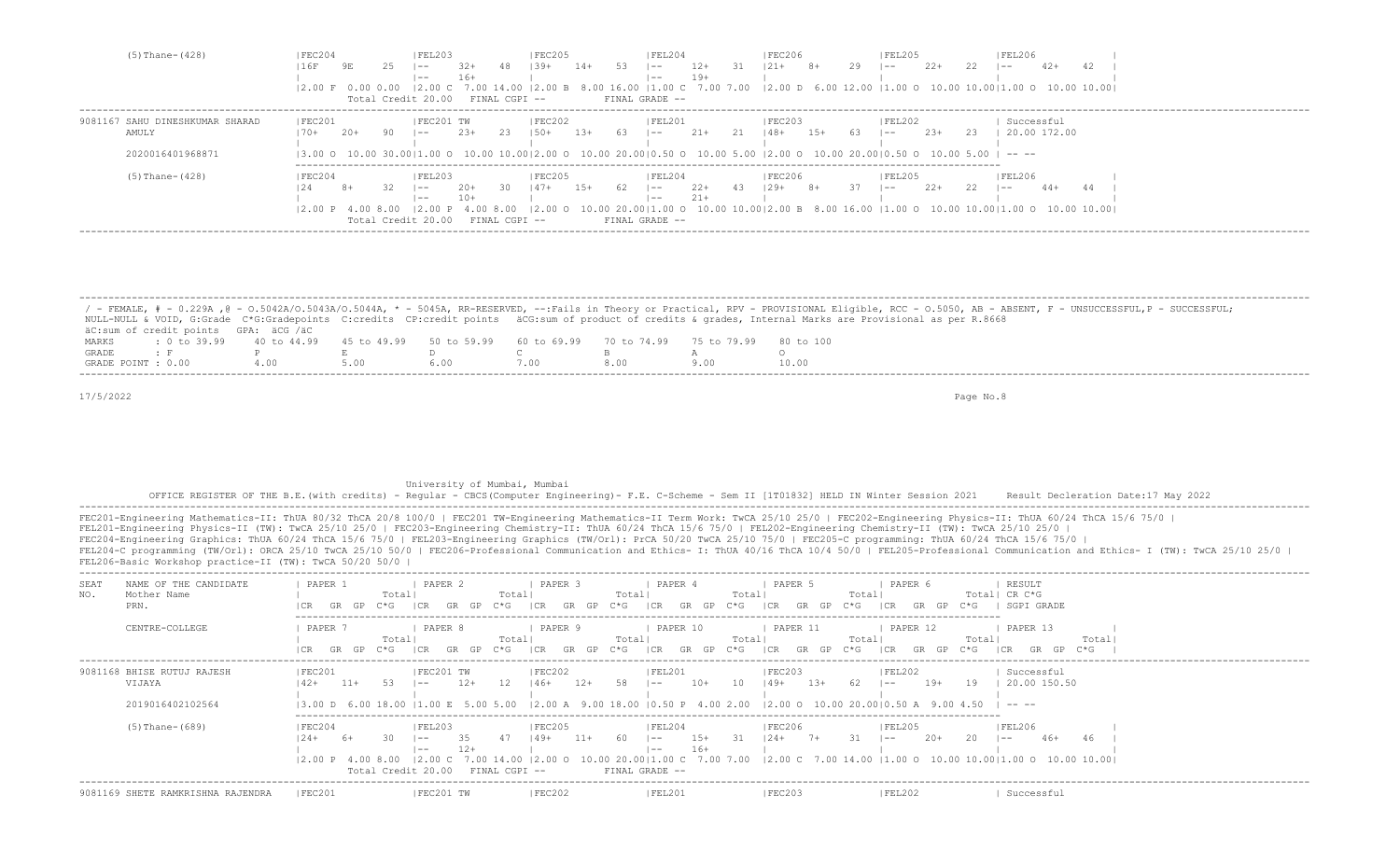| $(5)$ Thane- $(428)$            | FEC204            |       |      | FEL203                           |        |                   | IFEC205     |       |            | IFEL204        |        |      | IFEC206   |       |    | FEL205                                                                                                                                                                                                                         |        |      | FEL206       |       |                                                                                          |
|---------------------------------|-------------------|-------|------|----------------------------------|--------|-------------------|-------------|-------|------------|----------------|--------|------|-----------|-------|----|--------------------------------------------------------------------------------------------------------------------------------------------------------------------------------------------------------------------------------|--------|------|--------------|-------|------------------------------------------------------------------------------------------|
|                                 |                   | 9E    | 25.  | $- -$                            | 32+    | 48.               | $1.39+$     | $14+$ | -53        | $1 - -$        | $12+$  | - 31 | $121+$ 8+ |       | 29 | $1 - -$                                                                                                                                                                                                                        | $22+$  | 22   | $1 - -$      | $42+$ | 42.                                                                                      |
|                                 |                   |       |      | $- -$                            | $16+$  |                   |             |       |            | $- -$          | 19+    |      |           |       |    |                                                                                                                                                                                                                                |        |      |              |       |                                                                                          |
|                                 |                   |       |      |                                  |        |                   |             |       |            |                |        |      |           |       |    | 12.00 F 0.00 0.00 12.00 C 7.00 14.00 12.00 B 8.00 16.00 11.00 C 7.00 7.00 12.00 D 6.00 12.00 11.00 O 10.00 10.0010.00 10.00 10.00 10.00 10.00 10.00 10.00 10.00 10.00 10.00 10.00 10.00 10.00 10.00 10.00 10.00 10.00 10.00 10 |        |      |              |       |                                                                                          |
|                                 |                   |       |      | Total Credit 20.00 FINAL CGPI -- |        |                   |             |       |            | FINAL GRADE -- |        |      |           |       |    |                                                                                                                                                                                                                                |        |      |              |       |                                                                                          |
| 9081167 SAHU DINESHKUMAR SHARAD | FEC201            |       |      | FEC201 TW                        |        |                   | FEC202      |       |            | FEL201         |        |      | FEC203    |       |    | FEL202                                                                                                                                                                                                                         |        |      | Successful   |       |                                                                                          |
| AMULY                           | $170+$            | $20+$ | 90.  | $1 - -$                          | $2.3+$ | 23                | $1.50+$     | 13+   | 63 – 1 – – |                | 21+    | 21   | 148+      | $15+$ | 63 | $1 - -$                                                                                                                                                                                                                        | $2.3+$ | - 23 | 20.00 172.00 |       |                                                                                          |
|                                 |                   |       |      |                                  |        |                   |             |       |            |                |        |      |           |       |    |                                                                                                                                                                                                                                |        |      |              |       |                                                                                          |
| 2020016401968871                |                   |       |      |                                  |        |                   |             |       |            |                |        |      |           |       |    | $\vert 3.00$ 0 10.00 30.00 $\vert 1.00$ 0 10.00 10.00 $\vert 2.00$ 0 10.00 20.00 $\vert 0.50$ 0 10.00 5.00 $\vert 2.00$ 0 10.00 20.00 $\vert 0.50$ 0 10.00 5.00 $\vert$ -- --                                                  |        |      |              |       |                                                                                          |
| $(5)$ Thane- $(428)$            | IFEC204           |       |      | FEL203                           |        |                   | IFEC205     |       |            | FEL204         |        |      | IFEC206   |       |    | IFEL205                                                                                                                                                                                                                        |        |      | IFEL206      |       |                                                                                          |
|                                 |                   |       | -32. | $- - -$                          | $2.0+$ |                   | $30 \t147+$ | $15+$ | 62         | $\vert$ $ -$   | 22+ 43 |      | $129+$ 8+ |       | 37 | $1 - -$                                                                                                                                                                                                                        | $22+$  | 22   | $\sim$ $-$   | $44+$ |                                                                                          |
|                                 |                   |       |      | $- -$                            | 10+    |                   |             |       |            | $- -$          | $21+$  |      |           |       |    |                                                                                                                                                                                                                                |        |      |              |       |                                                                                          |
|                                 | 12.00 P 4.00 8.00 |       |      | 12.00P                           |        | 400800            |             |       |            |                |        |      |           |       |    |                                                                                                                                                                                                                                |        |      |              |       | 10.00 20.0011.00 0 10.00 10.0012.00 B 8.00 16.00 11.00 0 10.00 10.0011.00 0 10.00 10.001 |
|                                 |                   |       |      | Total Credit 20.00               |        | $FTNAI, CGPT - -$ |             |       |            | FINAL GRADE -- |        |      |           |       |    |                                                                                                                                                                                                                                |        |      |              |       |                                                                                          |
|                                 |                   |       |      |                                  |        |                   |             |       |            |                |        |      |           |       |    |                                                                                                                                                                                                                                |        |      |              |       |                                                                                          |

|                    |                                                                                                |  |  |  | / - FEMALE, # - 0.229A ,@ - 0.5042A/0.5043A/0.5044A, * - 5045A, RR-RESERVED, --:Fails in Theory or Practical, RPV - PROVISIONAL Eligible, RCC - 0.5050, AB - ABSENT, F - UNSUCCESSFUL,P - SUCCESSFUL; |
|--------------------|------------------------------------------------------------------------------------------------|--|--|--|-------------------------------------------------------------------------------------------------------------------------------------------------------------------------------------------------------|
|                    |                                                                                                |  |  |  | NULL-NULL & VOID, G:Grade C*G:Gradepoints C:credits CP:credit points äCG:sum of product of credits & qrades, Internal Marks are Provisional as per R.8668                                             |
|                    | äC:sum of credit points GPA: äCG /äC                                                           |  |  |  |                                                                                                                                                                                                       |
| MARKS              | t 0 to 39,99 40 to 44,99 45 to 49,99 50 to 59,99 60 to 69,99 70 to 74,99 75 to 79,99 80 to 100 |  |  |  |                                                                                                                                                                                                       |
| GRADE              |                                                                                                |  |  |  |                                                                                                                                                                                                       |
| GRADE POINT : 0.00 |                                                                                                |  |  |  | 10.00                                                                                                                                                                                                 |

### University of Mumbai, Mumbai

 OFFICE REGISTER OF THE B.E.(with credits) - Regular - CBCS(Computer Engineering)- F.E. C-Scheme - Sem II [1T01832] HELD IN Winter Session 2021 Result Decleration Date:17 May 2022 -------------------------------------------------------------------------------------------------------------------------------------------------------------------------------------------------------------------

| NAME OF THE CANDIDATE<br>SEA.<br>NO.<br>Mother Name<br>PRN. | PAPER 2<br>PAPER 3<br>PAPER 4<br>PAPER 6<br>RESULT<br>PAPER 1<br>PAPER 5<br>Total  CR C*G<br>Totall<br>Total <br>Total <br>Total<br>Total<br>SGPI GRADE<br>$C \star G$<br>$C*G$<br>GP<br>I C.R<br>$C * G$<br>GR.<br>GP<br>ICR<br>$C * G$<br>$C*G$<br>C*G<br>GR.<br>GP<br>1 C.R<br>GP<br>GR<br>GP<br>GR<br>GR                                                                                                                                                                                                                                                                                                                                                   |
|-------------------------------------------------------------|----------------------------------------------------------------------------------------------------------------------------------------------------------------------------------------------------------------------------------------------------------------------------------------------------------------------------------------------------------------------------------------------------------------------------------------------------------------------------------------------------------------------------------------------------------------------------------------------------------------------------------------------------------------|
| CENTRE-COLLEGE                                              | PAPER<br>PAPER 8<br>PAPER 9<br>PAPER 10<br>PAPER 11<br>PAPER 12<br>PAPER 13<br>Totall<br>Total<br>Total<br>Total<br>Totall<br>Total<br>Total<br>GP<br>C*G-<br>C*G-<br>C*G<br>I CR<br>GR<br>$C*G$<br>GP<br>C*G -<br>I CR<br>GR<br>GP.                                                                                                                                                                                                                                                                                                                                                                                                                           |
| 9081168 BHISE RUTUJ RAJESH<br>VIJAYA<br>2019016402102564    | FEC202<br> FEC201<br>IFEC201 TW<br> FEL201<br> FEC203<br> FEL202<br>Successful<br>12<br>$10+$<br>$11+$<br>$12+$<br>58.<br>10<br>$149+$<br>$13+$<br>-62<br>$19+$<br>19<br>20.00 150.50<br>$146+$<br>$12+$<br>$142+$<br>-53.<br>$- -$<br>$- -$<br>l ——<br>$(3.00 \text{ D } 6.00 \text{ 18.00 } 11.00 \text{ E } 5.00 \text{ 5.00 } 12.00 \text{ A } 9.00 \text{ 18.00 } 10.50 \text{ P } 4.00 \text{ 2.00 } 12.00 \text{ O } 10.00 \text{ 20.00} 10.50 \text{ A } 9.00 \text{ 4.50}$<br>-----                                                                                                                                                                   |
| $(5)$ Thane- $(689)$                                        | FEC204<br> FEL203<br> FEC205<br> FEL204<br> FEC206<br> FEL205<br> FEL206 <br>$15+$<br>35<br>- 31<br>$124+$<br>$20+$<br>$149+$<br>$11+$<br>-60<br>$7+$<br>20<br>$46+$<br>$6+$<br>$1 - -$<br>$1 - -$<br>$1 - -$<br>- 24<br>$- -$<br>$16+$<br>$12+$<br>$1 - -$<br>$- -$<br>$\begin{bmatrix} 2.00 & 0 & 10.00 & 20.00 & 11.00 & C & 7.00 & 7.00 & 12.00 & C & 7.00 & 14.00 & 11.00 & 0 & 10.00 & 10.00 & 10.00 & 10.00 & 10.00 & 10.00 & 10.00 & 10.00 & 10.00 & 10.00 & 10.00 & 10.00 & 10.00 & 10.00 & 10.00 & 10.00 & 10.00 & 10.00 & 10.00 & 10.0$<br>12.00C<br>$ 2,00 \tP 4,00 \t8,00$<br>7.00 14.00<br>Total Credit 20.00<br>FINAL CGPI --<br>FINAL GRADE -- |
| 9081169 SHETE RAMKRISHNA RAJENDRA                           | FEC201<br>FEC201 TW<br> FEC202<br> FEC203<br> FEL202<br><b>FEL201</b><br>Successful                                                                                                                                                                                                                                                                                                                                                                                                                                                                                                                                                                            |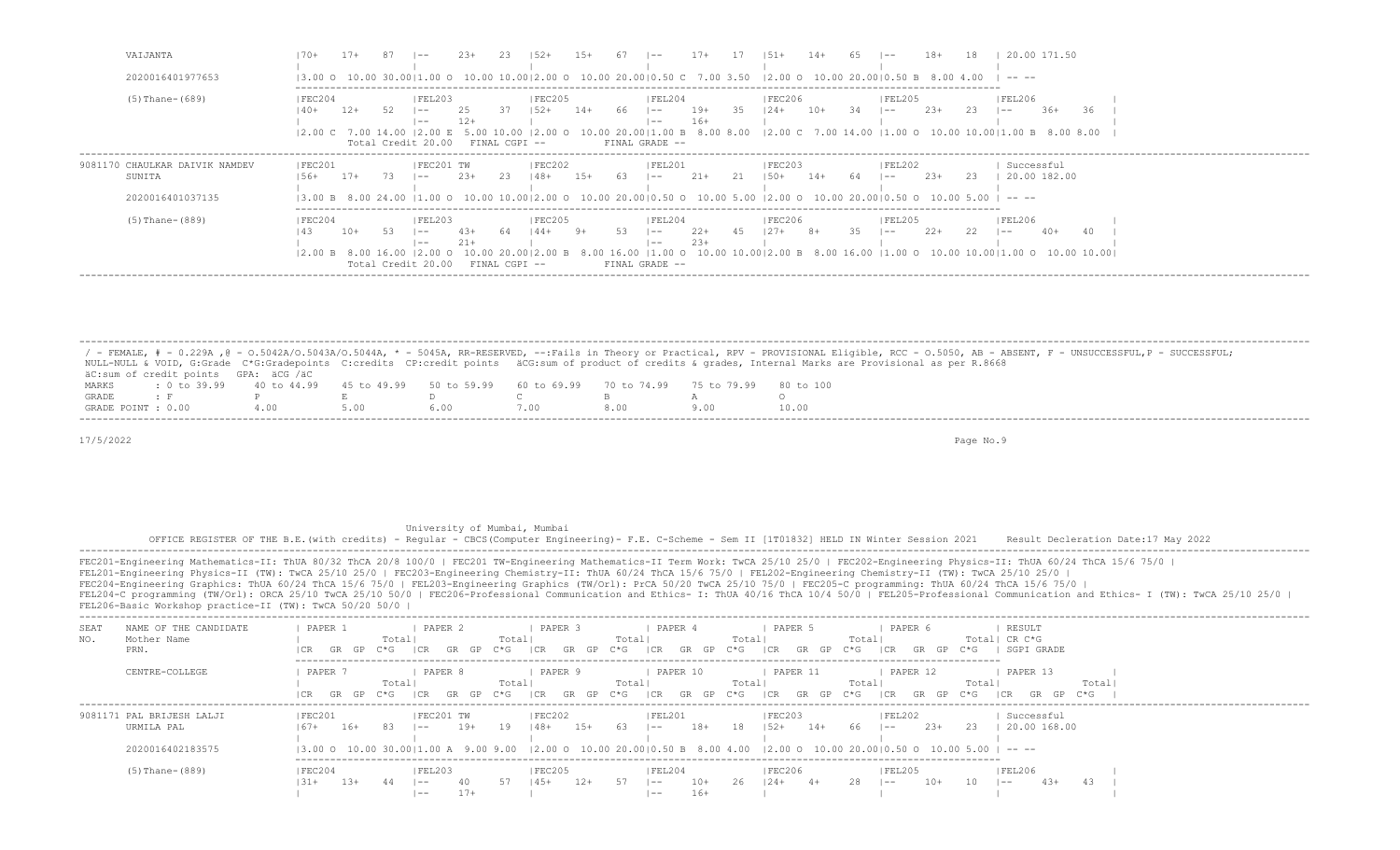| VAIJANTA<br>2020016401977653                                 | 20.00 171.50<br>$14+$<br>$\sim$<br>$17+$<br>$1.51 +$<br>$1 - -$<br>$(3.00 \t{0} 10.00 \t{0} 30.00   1.00 \t{0} 10.00 \t{10.00}   2.00 \t{0} 10.00 \t{20.00}   0.50 \t{0} 7.00 \t{3.50}   2.00 \t{0} 10.00 \t{20.00}   0.50 \t{B} 8.00$<br>-----                                                                                                                                                                                                                               |
|--------------------------------------------------------------|-------------------------------------------------------------------------------------------------------------------------------------------------------------------------------------------------------------------------------------------------------------------------------------------------------------------------------------------------------------------------------------------------------------------------------------------------------------------------------|
| $(5)$ Thane- $(689)$                                         | FEL203<br> FEC205<br> FEC204<br> FEL204<br> FEC206 <br> FEL205 <br> FEL206<br>-37<br>$10+$<br>$2.3+$<br>$12+$<br>66<br>$19+$<br>35<br>-34<br>23<br>$36+$<br>$1.52+$<br>$14+$<br>$124 +$<br>-36<br>$1 - -$<br>$- -$<br>$1 - -$<br>$1 - -$<br>$16+$<br>$12+$<br>$1 - -$<br>$- -$<br> 2.00 C 7.00 14.00  2.00 E 5.00 10.00  2.00 O 10.00 20.00 1.00 B 8.00 8.00  2.00 C 7.00 14.00  1.00 O 10.00 10.00 1.00 B 8.00 8.00<br>Total Credit 20.00<br>FINAL GRADE --<br>FINAL CGPI -- |
| 9081170 CHAULKAR DAIVIK NAMDEV<br>SUNITA<br>2020016401037135 | FEC201 TW<br> FEC201<br> FEC202<br> FEL201<br> FEC203<br> FEL202<br>Successful<br>21+<br>- 23<br>$1.5+$<br>$14+$<br>$2.3+$<br>20.00 182.00<br>$17+$<br>$2.3+$<br>- 63<br>21<br>$150+$<br>-23-<br>73.<br>148+<br>$1.56+$<br>$1 - -$<br>$1 - -$<br>$1 - -$<br>$(3.00 B 8.00 24.00 11.00 O 10.00 10.00 12.00 O 10.00 20.00 10.50 O 10.00 5.00 12.00 O 10.00 20.00 10.50 O 10.00 5.00 1 - - -$                                                                                    |
| $(5)$ Thane- $(889)$                                         | IFEC204<br> FEC205<br>IFEL204<br> FEC206 <br> FEL205<br> FEL203<br> FEL206<br>$2.2+$<br>$2.2+$<br>$10+$<br>35.<br>-22<br>$40+$<br>$144+$<br>-45<br>$127 +$<br>43+<br>-9+<br>-53<br>$8+$<br>64<br>$1 - -$<br>$\sim$<br>53<br>$- -$<br>$- -$<br>$23+$<br>$21+$<br>$- -$<br>l ——<br>10.00 10.0012.00 B 8.00 16.00 11.00 O 10.00 10.0011.00 O 10.00 10.001<br>00 Q<br>16 00<br>12.00 B<br>16.00<br>Total Credit 20.00<br>FINAL CGPI --<br>FINAL GRADE --                          |

 ------------------------------------------------------------------------------------------------------------------------------------------------------------------------------------------------------------------- / - FEMALE, # - 0.229A , @ - 0.5042A/O.5043A/O.5044A, \* - 5045A, RR-RESERVED, --:Fails in Theory or Practical, RPV - PROVISIONAL Eligible, RCC - 0.5050, AB - ABSENT, F - UNSUCCESSFUL,P - SUCCESSFUL; NULL-NULL & VOID, G:Grade C\*G:Gradepoints C:credits CP:credit points äCG:sum of product of credits & grades, Internal Marks are Provisional as per R.8668 äC:sum of credit points GPA: äCG /äC MARKS : 0 to 39.99 40 to 44.99 45 to 49.99 50 to 59.99 60 to 69.99 70 to 74.99 75 to 79.99 80 to 100 GRADE : F P E D C B A O GRADE POINT : 0.00 4.00 5.00 6.00 7.00 8.00 9.00 -------------------------------------------------------------------------------------------------------------------------------------------------------------------------------------------------------------------

17/5/2022 Page No.9

 University of Mumbai, Mumbai OFFICE REGISTER OF THE B.E.(with credits) - Regular - CBCS(Computer Engineering)- F.E. C-Scheme - Sem II [1T01832] HELD IN Winter Session 2021 Result Decleration Date:17 May 2022 ------------------------------------------------------------------------------------------------------------------------------------------------------------------------------------------------------------------- FEC201-Engineering Mathematics-II: ThUA 80/32 ThCA 20/8 100/0 | FEC201 TW-Engineering Mathematics-II Term Work: TwCA 25/10 25/0 | FEC202-Engineering Physics-II: ThUA 60/24 ThCA 15/6 75/0 | FEL201-Engineering Physics-II (TW): TwCA 25/10 25/0 | FEC203-Engineering Chemistry-II: ThUA 60/24 ThCA 15/6 75/0 | FEL202-Engineering Chemistry-II (TW): TwCA 25/10 25/0 | FEC204-Engineering Graphics: ThUA 60/24 ThCA 15/6 75/0 | FEL203-Engineering Graphics (TW/Orl): PrCA 50/20 TwCA 25/10 75/0 | FEC205-C programming: ThUA 60/24 ThCA 15/6 75/0 | FEL204-C programming (TW/Orl): ORCA 25/10 TwCA 25/10 50/0 | FEC206-Professional Communication and Ethics- I: ThUA 40/16 ThCA 10/4 50/0 | FEL205-Professional Communication and Ethics- I (TW): TwCA 25/10 25/0 | FEL206-Basic Workshop practice-II (TW): TwCA 50/20 50/0 | ------------------------------------------------------------------------------------------------------------------------------------------------------------------------------------------------------------------- SEAT NAME OF THE CANDIDATE | PAPER 1 | PAPER 2 | PAPER 3 | PAPER 4 | PAPER 5 | PAPER 6 | RESULT NO. Mother Name | Total| Total| Total| Total| Total| Total| Total| Total| Total| Total| Total| Total| Total| CR C\*G PRN. |CR GR GP C\*G |CR GR GP C\*G |CR GR GP C\*G |CR GR GP C\*G |CR GR GP C\*G |CR GR GP C\*G | SGPI GRADE ------------------------------------------------------------------------------------------------------------------------- CENTRE-COLLEGE | PAPER 7 | PAPER 8 | PAPER 9 | PAPER 10 | PAPER 11 | PAPER 12 | PAPER 13 |<br>| Total| Total| Total| Total| Total| Total| Total| Total| Total| Total| Total| | Total| Total| Total| Total| Total| Total| Total| |CR GR GP C\*G |CR GR GP C\*G |CR GR GP C\*G |CR GR GP C\*G |CR GR GP C\*G |CR GR GP C\*G |CR GR GP C\*G | ------------------------------------------------------------------------------------------------------------------------------------------------------------------------------------------------------------------- 9081171 PAL BRIJESH LALJI | |FEC201 | |FEC201 TW | |FEC202 | |FEL201 | |FEC203 | |FEL202 | Successful URMILA PAL |67+ 16+ 83 |-- 19+ 19 |48+ 15+ 63 |-- 18+ 18 |52+ 14+ 66 |-- 23+ 23 | 20.00 168.00 | | | | | | | 2020016402183575 |3.00 O 10.00 30.00|1.00 A 9.00 9.00 |2.00 O 10.00 20.00|0.50 B 8.00 4.00 |2.00 O 10.00 20.00|0.50 O 10.00 5.00 | -- -- ------------------------------------------------------------------------------------------------------------------------- (5)Thane-(889) |FEC204 |FEL203 |FEC205 |FEL204 |FEC206 |FEL205 |FEL206 | |31+ 13+ 44 |-- 40 57 |45+ 12+ 57 |-- 10+ 26 |24+ 4+ 28 |-- 10+ 10 |-- 43+ 43 | | |-- 17+ | |-- 16+ | | | |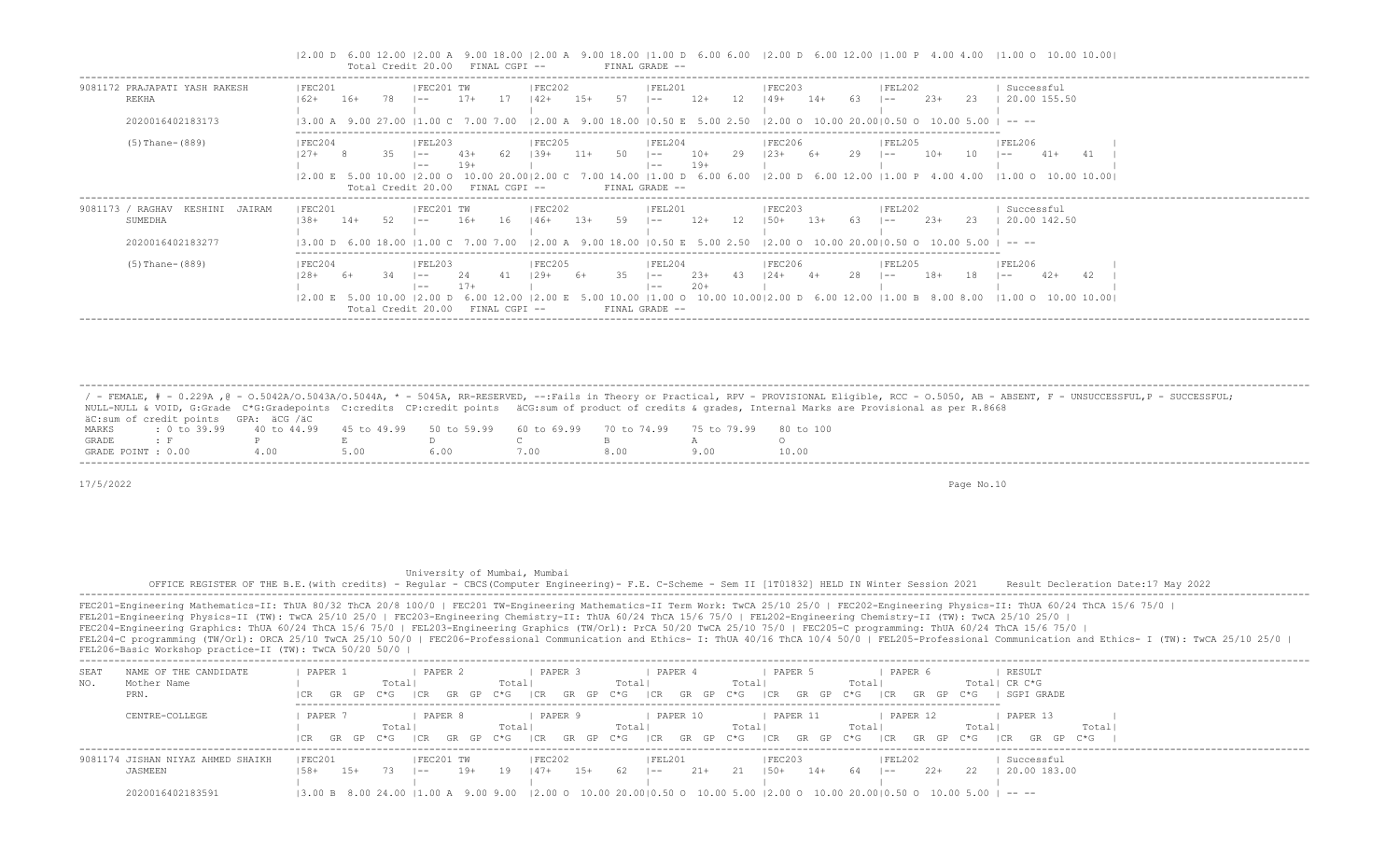|2.00 D 6.00 12.00 |2.00 A 9.00 18.00 |2.00 A 9.00 18.00 |1.00 D 6.00 6.00 |2.00 D 6.00 12.00 |1.00 P 4.00 4.00 |1.00 O 10.00 10.00| Total Credit 20.00 FINAL CGPI -- FINAL GRADE --

| 9081172 PRAJAPATI YASH RAKESH<br><b>REKHA</b>                        | FEC201<br>$162+$                           | $16+$ | 78. | FEC201 TW<br>$- -$                                             | $17+$                 |               | FEC202<br>  42+    | $1.5+$ | 57          | FEL201<br>$- -$                                                                                                                                                                              | $12+$          | -12 | FEC203<br> 49+                                                                                                  | $14+$  | -63   | FEL202<br>$- -$ | $2.3+$ | -23  | Successful<br>20.00 155.50                                         |
|----------------------------------------------------------------------|--------------------------------------------|-------|-----|----------------------------------------------------------------|-----------------------|---------------|--------------------|--------|-------------|----------------------------------------------------------------------------------------------------------------------------------------------------------------------------------------------|----------------|-----|-----------------------------------------------------------------------------------------------------------------|--------|-------|-----------------|--------|------|--------------------------------------------------------------------|
| 2020016402183173                                                     | $13.00$ A $9.00$ 27.00 $11.00$ C 7.00 7.00 |       |     |                                                                |                       |               |                    |        |             | $(2.00 \text{ A} \quad 9.00 \quad 18.00 \quad 10.50 \text{ E} \quad 5.00 \quad 2.50 \quad 12.00 \text{ O} \quad 10.00 \quad 20.0010.50 \text{ O} \quad 10.00 \quad 5.00$                     |                |     |                                                                                                                 |        |       |                 |        |      | -------                                                            |
| $(5)$ Thane- $(889)$                                                 | FEC204<br>$27+$<br>12.00 E 5.00            |       | 35. | FEL203 <br>$1 - -$<br>$- -$<br>$12.00$ O<br>Total Credit 20.00 | $4.3+$<br>19+<br>- ററ | FINAL CGPI -- | FEC205 <br>$1.39+$ | 11+    | 50<br>14.00 | FEL204<br>$1 - -$<br>$- -$<br>11.00 D 6.00 6.00<br>FINAL GRADE --                                                                                                                            | $10+$<br>$19+$ | 29  | FEC206<br>$123+$<br>$12.00$ D 6.00 12.00 11.00 P 4.00 4.00                                                      | 6+     | 29    | FEL205<br>$- -$ | $10+$  | 10   | <b>FEL206</b><br>$41+$<br>41<br>$\sim$ $-$<br>11.00 0 10.00 10.001 |
| 9081173 / RAGHAV<br>JAIRAM<br>KESHINI<br>SUMEDHA<br>2020016402183277 | FEC201<br>$-38+$<br>$13.00$ D 6.00 18.00   | $14+$ | 52. | IFEC201 TW<br>$- -$<br>11.00 C 7.00 7.00                       | $16+$                 | 16            | FEC202<br>146+     | $1.3+$ | 59          | IFEL201<br>$- -$<br>$(2.00 \text{ A} \quad 9.00 \quad 18.00 \quad 10.50 \text{ E} \quad 5.00 \quad 2.50 \quad 12.00 \text{ O} \quad 10.00 \quad 20.0010.50 \text{ O} \quad 10.00 \quad 5.00$ | $12+$          | 12  | FEC203 <br>$1.50+$                                                                                              | $1.3+$ | - 6.3 | FEL202<br>$- -$ | $2.3+$ | -23- | Successful<br>20.00 142.50<br>-----                                |
| (5) Thane-(889)                                                      | IFEC204<br>- 28+<br>$12.00 \t E \t 5.00$   | -6+   |     | IFEL203<br>$- -$<br>$- -$<br>$12.00$ D                         | 24<br>$17+$           |               | IFEC205<br>$129+$  | 6+     | 35<br>10.00 | FEL204<br>$\vert - -$<br>$- -$                                                                                                                                                               | $23+$<br>$20+$ | 43  | FEC206<br>$124+$<br>$ 1.00 \t{0} \t{10.00} \t{10.00}  2.00 \t{0} \t{6.00} \t{12.00} \t{1.00} \t{8.00} \t{8.00}$ | $4+$   | 28    | FEL205<br>$- -$ | $18+$  | 18   | <b>IFEL206</b><br>42<br>$42+$<br>$- -$<br>11.00 0 10.00 10.001     |

 / - FEMALE, # - 0.229A ,@ - O.5042A/O.5043A/O.5044A, \* - 5045A, RR-RESERVED, --:Fails in Theory or Practical, RPV - PROVISIONAL Eligible, RCC - O.5050, AB - ABSENT, F - UNSUCCESSFUL,P - SUCCESSFUL; NULL-NULL & VOID, G:Grade C\*G:Gradepoints C:credits CP:credit points äCG:sum of product of credits & grades, Internal Marks are Provisional as per R.8668 äC:sum of credit points GPA: äCG /äC MARKS : 0 to 39.99 40 to 44.99 45 to 49.99 50 to 59.99 60 to 69.99 70 to 74.99 75 to 79.99 80 to 100<br>GRADE: F P E D C B A GRADE : F P E D C B A O GRADE POINT : 0.00 4.00 5.00 6.00 7.00 8.00 9.00 10.00 -------------------------------------------------------------------------------------------------------------------------------------------------------------------------------------------------------------------

-------------------------------------------------------------------------------------------------------------------------------------------------------------------------------------------------------------------

17/5/2022 Page No.10

# University of Mumbai, Mumbai

 OFFICE REGISTER OF THE B.E.(with credits) - Regular - CBCS(Computer Engineering)- F.E. C-Scheme - Sem II [1T01832] HELD IN Winter Session 2021 Result Decleration Date:17 May 2022 -------------------------------------------------------------------------------------------------------------------------------------------------------------------------------------------------------------------

| SEA.  | NAME OF THE CANDIDATE         | PAPER             | PAPER 2      |                  | PAPER             | PAPER                   | PAPER                              | PAPER 6                                                                                                          | RESULT                   |                                |
|-------|-------------------------------|-------------------|--------------|------------------|-------------------|-------------------------|------------------------------------|------------------------------------------------------------------------------------------------------------------|--------------------------|--------------------------------|
| NO.   | Mother Name                   |                   | Totall       | Total            |                   | Totall                  | Totall                             | Totall                                                                                                           | Total  CR C*G            |                                |
|       | PRN.                          | GR GP             | C*G          | C*G<br>GP.<br>GR | GR<br>I CR<br>GP  | CR<br>C*G<br>GR GP      | $C \star G$<br>I CR<br>- GP<br>GR. | C*G.<br>GP.<br>1 C.R                                                                                             | <i>SGPI GRADE</i><br>C*G |                                |
|       | CENTRE-COLLEGE                | PAPER             | PAPER 8      |                  | PAPER             | PAPER 10                | PAPER 11                           | PAPER 12                                                                                                         | PAPER 13                 |                                |
|       |                               |                   | Total        | Totall           |                   | Total                   | Total                              | Total                                                                                                            | Total                    | Total                          |
|       |                               | GR GP C*G<br>I CR | LCR.         | C*G<br>GR GP     | I CR<br>GR<br>GP. | I CR<br>C*G<br>GP<br>GR | $C \star G$<br>I CR<br>GR GP       | $C*G$<br>I CR<br>GP.<br>GR                                                                                       | C*G<br>GP.<br>GR<br>I CR | $\mathcal{C} \star \mathsf{G}$ |
| 90811 | 174 JISHAN NIYAZ AHMED SHAIKH | FEC201            | FEC201 TW    |                  | <b>FEC202</b>     | FEL201                  | <b>FEC203</b>                      | FEL202                                                                                                           | Successful               |                                |
|       | JASMEEN                       | 15+<br>158+       | 73.<br>$- -$ | 19<br>19+        | $147+$<br>$15+$   | $21+$<br>-62<br>$- -$   | 21<br>$14+$<br>150+                | $- -$                                                                                                            | 20.00 183.00<br>22       |                                |
|       |                               |                   |              |                  |                   |                         |                                    |                                                                                                                  |                          |                                |
|       | 2020016402183591              |                   |              |                  |                   |                         |                                    | 13.00 B 8.00 24.00 11.00 A 9.00 9.00 12.00 O 10.00 20.0010.50 O 10.00 5.00 12.00 O 10.00 20.0010.50 O 10.00 5.00 |                          |                                |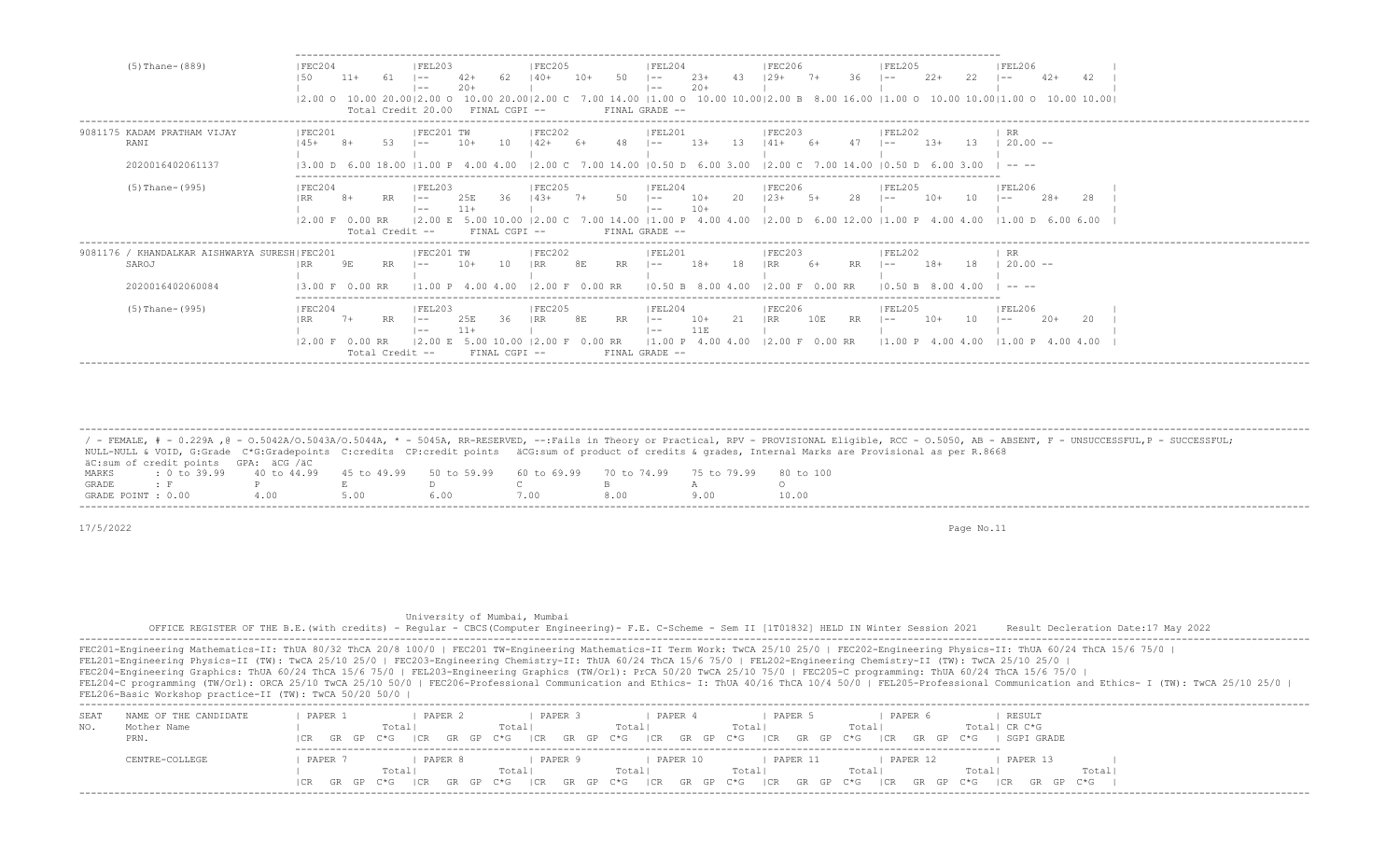| $(5)$ Thane- $(889)$                                                      | IFEC204                                     | $11+$         |                              | IFEL203<br>$- -$<br>$- -$<br>Total Credit 20.00 | $42+$<br>$20+$             | FINAL CGPI --                      | <b>IFEC205</b><br>$140+$                     | $10+$         | 50 | IFEL204<br>l ——<br>$- -$<br>FINAL GRADE --                  | $23+$<br>$20+$  | 43  | <b>IFEC206</b><br>129+<br> 2.00 0 10.00 20.00 2.00 0 10.00 20.00 2.00 C 7.00 14.00  1.00 0 10.00 10.00 2.00 B 8.00 16.00  1.00 0 10.00 10.00 1.00 0 10.00 10.00 |         | 36        | FEL205<br>l —— 1                                 | $2.2+$ | 22   | FEL206<br>$- -$                                                                                                                                                                                                                                                                                                                                                                                                 | $42+$ |    |
|---------------------------------------------------------------------------|---------------------------------------------|---------------|------------------------------|-------------------------------------------------|----------------------------|------------------------------------|----------------------------------------------|---------------|----|-------------------------------------------------------------|-----------------|-----|-----------------------------------------------------------------------------------------------------------------------------------------------------------------|---------|-----------|--------------------------------------------------|--------|------|-----------------------------------------------------------------------------------------------------------------------------------------------------------------------------------------------------------------------------------------------------------------------------------------------------------------------------------------------------------------------------------------------------------------|-------|----|
| 9081175 KADAM PRATHAM VIJAY<br>RANI<br>2020016402061137                   | IFEC201<br>13.00                            |               |                              | IFEC201 TW<br>$- -$                             | $10+$<br>4.00              | 1 O<br>4.00                        | IFEC202<br>$142+$                            |               |    | IFEL201<br>$- -$<br>12.00 C 7.00 14.00 10.50 D 6.00 3.00    | $1.3+$          |     | IFEC203<br>12.00 C 7.00 14.00                                                                                                                                   |         |           | FEL202<br>l —— I<br>10.50                        | $1.3+$ | -1.3 | RR<br>$20.00 -$<br>$\frac{1}{2} \frac{1}{2} \frac{1}{2} \frac{1}{2} \frac{1}{2} \frac{1}{2} \frac{1}{2} \frac{1}{2} \frac{1}{2} \frac{1}{2} \frac{1}{2} \frac{1}{2} \frac{1}{2} \frac{1}{2} \frac{1}{2} \frac{1}{2} \frac{1}{2} \frac{1}{2} \frac{1}{2} \frac{1}{2} \frac{1}{2} \frac{1}{2} \frac{1}{2} \frac{1}{2} \frac{1}{2} \frac{1}{2} \frac{1}{2} \frac{1}{2} \frac{1}{2} \frac{1}{2} \frac{1}{2} \frac{$ |       |    |
| $(5)$ Thane- $(995)$                                                      | FEC204<br>$12.00 \t F 0.00 \t RR$           |               | Total Credit --              | FEL203<br>$- -$<br>l ——<br>12.00 E              | 25E                        | 36.<br>5.00 10.00<br>FINAL CGPI -- | <b>FEC205</b><br>$14.3+$<br>.00 <sub>c</sub> |               |    | FEL204<br>$- -$<br>$- -$<br>FINAL GRADE --                  | $10+$<br>$10+$  |     | <b>IFEC206</b><br>$23+$<br>7.00 14.00   1.00 P 4.00 4.00   2.00 D 6.00 12.00   1.00 P 4.00 4.00   1.00 D 6.00 6.00                                              |         |           | FEL205                                           | -10+   |      | <b>FEL206</b><br>$- -$                                                                                                                                                                                                                                                                                                                                                                                          | $28+$ | 28 |
| 9081176 / KHANDALKAR AISHWARYA SURESH FEC201<br>SAROJ<br>2020016402060084 | 13.00 F                                     | 9Ε<br>0.00 RR | RR                           | IFEC201 TW                                      | $10+$<br>400               | 10                                 | FEC202<br>l RR.<br>12.00 F                   | 8E<br>0.00 RR | RR | FEL201<br>$- -$<br>10.50 B                                  | $18+$<br>800400 | 18  |                                                                                                                                                                 | 0.00 RR |           | FEL202<br>l —— I                                 | $18+$  | 18   | RR<br>$20.00 -$<br>$\cdots$                                                                                                                                                                                                                                                                                                                                                                                     |       |    |
| $(5)$ Thane- $(995)$                                                      | IFEC204<br>I RR.<br>$12.00 \t F 0.00 \t RR$ | $7+$          | <b>RR</b><br>Total Credit -- | FEL203<br>$- -$<br>$- -$<br>12.00 E             | 25E<br>$11+$<br>5.00 10.00 | 36<br>$FTNAI, CGPT - -$            | IFEC205<br> RR<br>00F                        | 8E<br>0.00 RR | RR | FEL204<br>$\sim$ $-$<br>$- -$<br> 1.00 P <br>FINAL GRADE -- | $10+$<br>11E    | 2.1 | IFEC206<br>IRR<br>4.00 4.00 12.00 F 0.00 RR                                                                                                                     | 10E     | <b>RR</b> | IFEL205<br>l —— I<br>$11.00 \text{ P}$ 4.00 4.00 | $10+$  | 10   | FEL206<br>l ——<br>$11.00 \text{ P}$ 4.00 4.00                                                                                                                                                                                                                                                                                                                                                                   | $20+$ | 20 |

 ------------------------------------------------------------------------------------------------------------------------------------------------------------------------------------------------------------------- / - FEMALE, # - 0.229A , @ - 0.5042A/O.5043A/O.5044A, \* - 5045A, RR-RESERVED, --:Fails in Theory or Practical, RPV - PROVISIONAL Eligible, RCC - 0.5050, AB - ABSENT, F - UNSUCCESSFUL, P - SUCCESSFUL; NULL-NULL & VOID, G:Grade C\*G:Gradepoints C:credits CP:credit points äCG:sum of product of credits & grades, Internal Marks are Provisional as per R.8668 äC:sum of credit points GPA: äCG /äC MARKS : 0 to 39.99 40 to 44.99 45 to 49.99 50 to 59.99 60 to 69.99 70 to 74.99 75 to 79.99 80 to 100 GRADE : F P E D C B A O GRADE POINT : 0.00

17/5/2022 Page No.11

 University of Mumbai, Mumbai OFFICE REGISTER OF THE B.E.(with credits) - Regular - CBCS(Computer Engineering)- F.E. C-Scheme - Sem II [1T01832] HELD IN Winter Session 2021 Result Decleration Date:17 May 2022 -------------------------------------------------------------------------------------------------------------------------------------------------------------------------------------------------------------------

| NAME OF THE CANDIDATE<br>SEA<br>Mother Name<br>PRN. | PAPER<br>PAPER 1<br>Total | PAPER<br>PAPER 4<br>Total <br>Totall    | PAPER<br>PAPER 5<br>Total<br>Totall<br>$ CR$ GR GP C*G $ CR$ GR GP C*G $ CR$ GR GP C*G $ CR$ GR GP C*G $ CR$ GR GP C*G $ CR$                          | RESULT<br>Total  CR C*G<br>SGPI GRADE<br>GR GP C*G |  |
|-----------------------------------------------------|---------------------------|-----------------------------------------|-------------------------------------------------------------------------------------------------------------------------------------------------------|----------------------------------------------------|--|
| CENTRE-COLLEGE                                      | PAPER<br>PAPER 8<br>Total | PAPER 10<br>PAPER 9<br>Total <br>Totall | PAPER 12<br>PAPER 11<br>Totall<br>Total <br> CR GR GP C*G  CR GR GP C*G  CR GR GP C*G  CR GR GP C*G  CR GR GP C*G  CR GR GP C*G  CR GP C*G  CR GP C*G | PAPER 13<br>Total<br>Totall                        |  |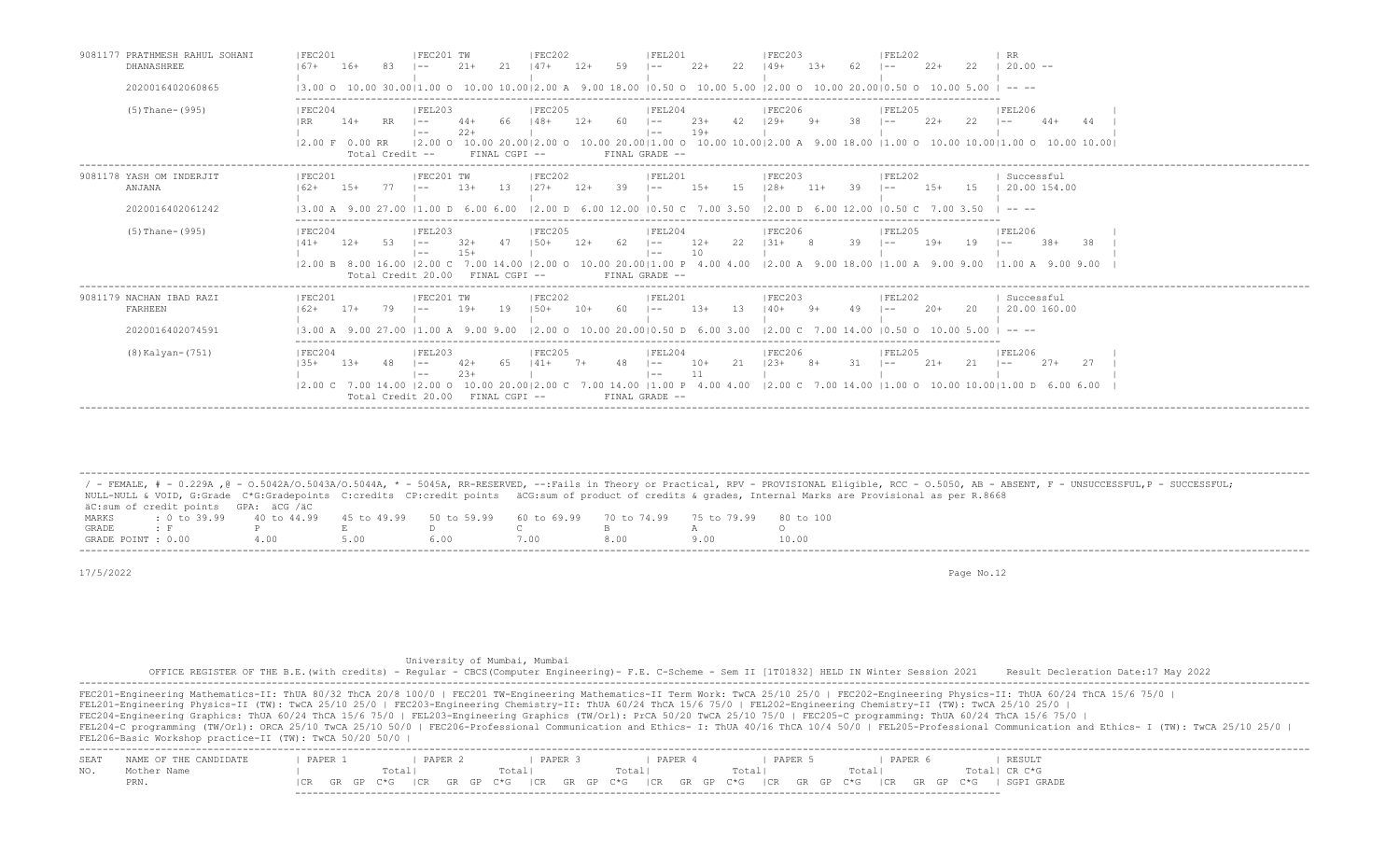| 9081177 PRATHMESH RAHUL SOHANI<br>DHANASHREE            | <b>FEC201</b><br>$167+$<br>$16+$                                                               | IFEC201 TW<br>IFEC202<br>2.1<br>$21 +$<br>12+<br>$147+$                                                                                                     | IFEL201<br>IFEC203<br>22<br>$2.2 +$<br>$13+$<br> 49+<br>$- -$                                                                                                                                                                         | <b>IFEL202</b><br><b>RR</b><br>22<br>$2.2 +$<br>$20.00 -$<br>$- -$                                                                                                                                                                                                                                                                                                                                                                                                       |
|---------------------------------------------------------|------------------------------------------------------------------------------------------------|-------------------------------------------------------------------------------------------------------------------------------------------------------------|---------------------------------------------------------------------------------------------------------------------------------------------------------------------------------------------------------------------------------------|--------------------------------------------------------------------------------------------------------------------------------------------------------------------------------------------------------------------------------------------------------------------------------------------------------------------------------------------------------------------------------------------------------------------------------------------------------------------------|
| 2020016402060865                                        |                                                                                                |                                                                                                                                                             | 3.00 0 10.00 30.00 1.00 0 10.00 10.00 2.00 A 9.00 18.00  0.50 0 10.00 5.00  2.00 0 10.00 20.00 0.50 0 10.00 5.00                                                                                                                      | --- --                                                                                                                                                                                                                                                                                                                                                                                                                                                                   |
| (5) Thane-(995)                                         | FEC204<br>$14+$<br><b>RR</b><br>$12.00 \t F 0.00 \t RR$<br>Total Credit --                     | FEL203<br> FEC205<br>$148+$<br>-60<br>66<br>$12+$<br>$1 - -$<br>$22+$<br>$1 - -$<br>$12.00$ O<br>FINAL CGPI --                                              | FEL204<br><b>FEC206</b><br>$23+$<br>42<br>$129+$<br>38<br>$9+$<br>l ——<br>$19+$<br>$1 - -$<br>$10.0020.00$  2.00 0 $10.0020.00$  1.00 0 $10.0010.00$  2.00 A 9.00 18.00  1.00 0 $10.0010.00$  1.00 0 $10.0010.00$  <br>FINAL GRADE -- | FEL206<br> FEL205<br>$2.2+$<br>22<br>$44+$<br>-44<br>$- -$                                                                                                                                                                                                                                                                                                                                                                                                               |
| 9081178 YASH OM INDERJIT<br>ANJANA<br>2020016402061242  | FEC201<br>$1.5+$<br>$162+$<br>$13.00 A$ 9.                                                     | FEC202<br>FEC201 TW<br>13<br>$1.3+$<br>$127+$<br>$12+$<br>-39<br>$12.00$ D 6.00 12.00 10.50 C<br>11.00 D<br>6.00 6.00                                       | IFEL201<br>IFEC203<br>$15+$<br>-1.5<br>$128+$<br>$11+$<br>-39<br>$- -$<br>7.00 3.50<br>$12.00$ D 6.00 12.00 10.50 C                                                                                                                   | Successful<br>IFEL202<br>20.00 154.00<br>$1.5+$<br>15<br>$- -$<br>700350<br>$\frac{1}{2} \frac{1}{2} \frac{1}{2} \frac{1}{2} \frac{1}{2} \frac{1}{2} \frac{1}{2} \frac{1}{2} \frac{1}{2} \frac{1}{2} \frac{1}{2} \frac{1}{2} \frac{1}{2} \frac{1}{2} \frac{1}{2} \frac{1}{2} \frac{1}{2} \frac{1}{2} \frac{1}{2} \frac{1}{2} \frac{1}{2} \frac{1}{2} \frac{1}{2} \frac{1}{2} \frac{1}{2} \frac{1}{2} \frac{1}{2} \frac{1}{2} \frac{1}{2} \frac{1}{2} \frac{1}{2} \frac{$ |
| (5) Thane-(995)                                         | FEC204<br>$141+$<br>$12+$<br>-53<br>$12.00 \text{ B}$ 8.00 16.00 12.00 C<br>Total Credit 20.00 | FEL203<br> FEC205<br>$150+$<br>- 62<br>$32+$<br>47<br>$12+$<br>$1 - -$<br>$15+$<br>$1 - -$<br>7.00 14.00<br>$12.00$ $\Omega$<br>FINAL CGPI --               | IFEL204<br> FEC206<br>22<br>$12+$<br>$1.31 +$<br>39<br>-8<br>$1 - -$<br>10<br>$\vert - -$<br>10.00 20.00   1.00 P 4.00 4.00   2.00 A 9.00 18.00   1.00 A 9.00 9.00<br>FINAL GRADE --                                                  | FEL206<br>IFEL205<br>$19+$<br>19<br>$.38+$<br>-38<br>$1 - -$<br>$- -$<br>$11.00 A$ 9.00 9.00                                                                                                                                                                                                                                                                                                                                                                             |
| 9081179 NACHAN IBAD RAZI<br>FARHEEN<br>2020016402074591 | IFEC201<br>$17+$<br>$162+$<br>79                                                               | IFEC202<br>IFEC201 TW<br>$19+$<br>19<br>$150+$<br>60<br>$1 - -$<br>13.00 A 9.00 27.00 11.00 A 9.00 9.00                                                     | IFEL201<br>IFEC203<br>$1.3+$<br>-13<br>$140+$<br>$- -$<br>$12.00$ O $10.00$ $20.0010.50$ D $6.00$ $3.00$ $12.00$ C $7.00$ $14.00$ $10.50$ O $10.00$ $5.00$                                                                            | Successful<br> FEL202<br>20.00 160.00<br>$20+$<br>20<br>$- -$<br>$\cdots$                                                                                                                                                                                                                                                                                                                                                                                                |
| (8) Kalyan-(751)                                        | FEC204<br>$135+$<br>$13+$<br>-48<br>Total Credit 20.00                                         | FEL203<br>IFEC205<br>$42+$<br>-65<br>$141+$<br>48<br>$7+$<br>$1 - -$<br>$1 - -$<br>$12.00 \text{ C}$ 7.00 14.00 12.00 0 10.00 20.0012.00 C<br>FINAL CGPI -- | FEL204<br><b>IFEC206</b><br>21<br>$10+$<br>$123+$<br>31<br>$8+$<br>$1 - -$<br>$- -$<br>7.00 14.00   1.00 P 4.00 4.00   2.00 C 7.00 14.00   1.00 O 10.00 10.00   1.00 D 6.00 6.00<br>FINAL GRADE --                                    | IFEL205<br> FEL206<br>21<br>27<br>$21+$<br>$2.7+$<br>$\sim$ $-$<br>$- -$                                                                                                                                                                                                                                                                                                                                                                                                 |

 / - FEMALE, # - 0.229A ,@ - O.5042A/O.5043A/O.5044A, \* - 5045A, RR-RESERVED, --:Fails in Theory or Practical, RPV - PROVISIONAL Eligible, RCC - O.5050, AB - ABSENT, F - UNSUCCESSFUL,P - SUCCESSFUL; NULL-NULL & VOID, G:Grade C\*G:Gradepoints C:credits CP:credit points äCG:sum of product of credits & grades, Internal Marks are Provisional as per R.8668 äC:sum of credit points GPA: äCG /äC MARKS : 0 to 39.99 40 to 44.99 45 to 49.99 50 to 59.99 60 to 69.99 70 to 74.99 75 to 79.99 80 to 100 GRADE : F P E D C B A O<br>GRADE POTNT : 0.00 4.00 5.00 6.00 7.00 8.00 9.00 10.0 GRADE POINT : 0.00 4.00 5.00 6.00 7.00 8.00 9.00 10.00

-------------------------------------------------------------------------------------------------------------------------------------------------------------------------------------------------------------------

-------------------------------------------------------------------------------------------------------------------------------------------------------------------------------------------------------------------

17/5/2022 Page No.12

University of Mumbai, Mumbai

OFFICE REGISTER OF THE B.E.(with credits) - Regular - CBCS(Computer Engineering)- F.E. C-Scheme - Sem II [1T01832] HELD IN Winter Session 2021 Result Decleration Date:17 May 2022

 ------------------------------------------------------------------------------------------------------------------------------------------------------------------------------------------------------------------- FEC201-Engineering Mathematics-II: ThUA 80/32 ThCA 20/8 100/0 | FEC201 TW-Engineering Mathematics-II Term Work: TwCA 25/10 25/0 | FEC202-Engineering Physics-II: ThUA 60/24 ThCA 15/6 75/0 | FEL201-Engineering Physics-II (TW): TwCA 25/10 25/0 | FEC203-Engineering Chemistry-II: ThUA 60/24 ThCA 15/6 75/0 | FEL202-Engineering Chemistry-II (TW): TwCA 25/10 25/0 | FEC204-Engineering Graphics: ThUA 60/24 ThCA 15/6 75/0 | FEL203-Engineering Graphics (TW/Orl): PrCA 50/20 TwCA 25/10 75/0 | FEC205-C programming: ThUA 60/24 ThCA 15/6 75/0 | FEL204-C programming (TW/Orl): ORCA 25/10 TwCA 25/10 50/0 | FEC206-Professional Communication and Ethics- I: ThUA 40/16 ThCA 10/4 50/0 | FEL205-Professional Communication and Ethics- I (TW): TwCA 25/10 25/0 | FEL206-Basic Workshop practice-II (TW): TwCA 50/20 50/0 | ------------------------------------------------------------------------------------------------------------------------------------------------------------------------------------------------------------------- SEAT NAME OF THE CANDIDATE | PAPER 1 | PAPER 2 | PAPER 3 | PAPER 4 | PAPER 5 | PAPER 6 NO. Mother Name | Total| Total| Total| Total| Total| Total| CR C\*G PRN. |CR GR GP C\*G |CR GR GP C\*G |CR GR GP C\*G |CR GR GP C\*G |CR GR GP C\*G |CR GR GP C\*G | SGPI GRADE

-------------------------------------------------------------------------------------------------------------------------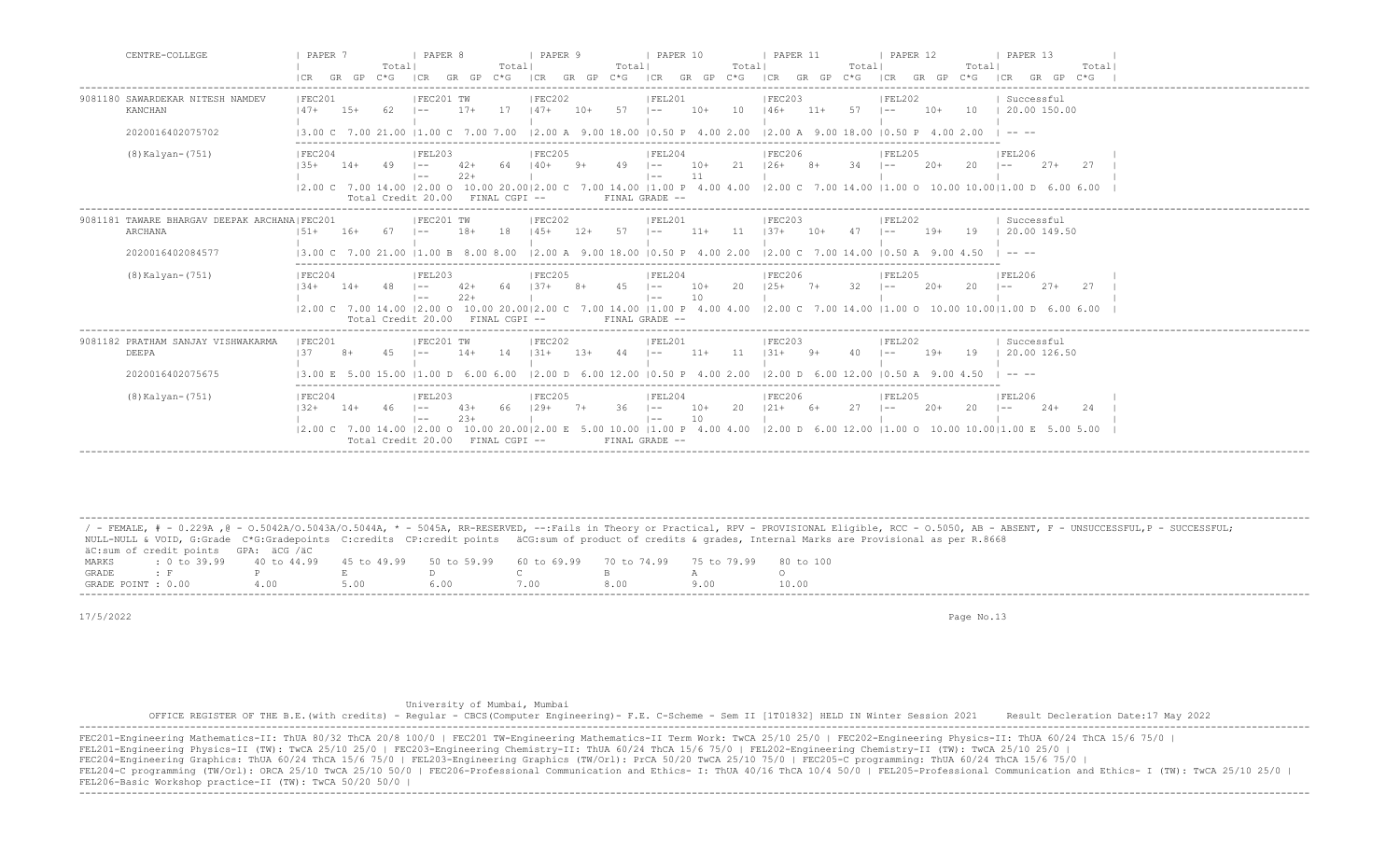| CENTRE-COLLEGE                                          | PAPER 7                                                                   | GR GP | Totall<br>$C * G$ | I PAPER 8<br>I CR                                                 | $GR$ $GP$ $C*G$ | Totall              | I PAPER 9<br>ICR GR GP C*G                     |       | Totall | PAPER 10<br>ICR GR GP C*G                                          |             | Totall | <b>I PAPER 11</b><br>ICR GR GP C*G             |       | Totall | <b>PAPER 12</b><br>ICR      | GR GP C*G | Totall | <b>I PAPER 13</b><br>Total<br>ICR<br>GR GP                                                                                                                                      |  |
|---------------------------------------------------------|---------------------------------------------------------------------------|-------|-------------------|-------------------------------------------------------------------|-----------------|---------------------|------------------------------------------------|-------|--------|--------------------------------------------------------------------|-------------|--------|------------------------------------------------|-------|--------|-----------------------------|-----------|--------|---------------------------------------------------------------------------------------------------------------------------------------------------------------------------------|--|
| 9081180 SAWARDEKAR NITESH NAMDEV<br>KANCHAN             | IFEC201<br>$147+$                                                         | $15+$ | 62.               | IFEC201 TW<br>$1 - -$                                             | $17+$           | 17                  | FEC202<br>$147+$                               | $10+$ | 57     | IFEL201<br>$1 - -$                                                 | $10+$       | 10     | IFEC203<br>$146+$                              | $11+$ | 57     | IFEL202<br>$\vert$ $-$      | $10+$     | 10     | Successful<br>$\vert$ 20.00 150.00                                                                                                                                              |  |
| 2020016402075702                                        | 13.00 C 7.00 21.00 11.00 C 7.00 7.00                                      |       |                   |                                                                   |                 |                     | 12.00 A 9.00 18.00 10.50 P 4.00 2.00           |       |        |                                                                    |             |        | $12.00$ A $9.00$ 18.00 10.50 P $4.00$ 2.00     |       |        |                             |           |        |                                                                                                                                                                                 |  |
| (8) Kalyan-(751)                                        | FEC204<br>$135+$                                                          | $14+$ | -49               | IFEL203<br>$1 - -$<br>$1 - -$<br>Total Credit 20.00               | $42+$<br>$22+$  | 64<br>FINAL CGPI -- | FEC205<br>$140+$                               | 9+    | 49     | FEL204<br>$\vert - - \vert$<br>$\vert - - \vert$<br>FINAL GRADE -- | $10+$<br>11 | 21     | FEC206<br>$126+$                               | $8+$  | 34     | FEL205<br>$1 - -$           | $20+$     | 20     | <b>FEL206</b><br>$27+$<br>27<br>$1 - -$<br> 2.00 C 7.00 14.00  2.00 O 10.00 20.00 2.00 C 7.00 14.00  1.00 P 4.00 4.00  2.00 C 7.00 14.00  1.00 O 10.00 10.00 1.00 D 6.00 6.00   |  |
| 9081181 TAWARE BHARGAV DEEPAK ARCHANA FEC201<br>ARCHANA | $151+$                                                                    | $16+$ | - 67              | IFEC201 TW<br>$1 - -$                                             | $18+$           | 18                  | IFEC202<br>$145+$                              | $12+$ | 57     | IFEL201<br>$1 - -$                                                 | $11+$       | 11     | IFEC203<br>$1.37 +$                            | $10+$ | 47     | FEL202<br>$\sim$            | $19+$     | 19     | Successful<br>120.00149.50                                                                                                                                                      |  |
| 2020016402084577                                        | 13.00 C 7.00 21.00 11.00 B 8.00 8.00                                      |       |                   |                                                                   |                 |                     | $12.00$ A $9.00$ 18.00 $10.50$ P $4.00$ $2.00$ |       |        |                                                                    |             |        | $12.00 \text{ C}$ 7.00 14.00 10.50 A 9.00 4.50 |       |        |                             |           |        | $\cdots$                                                                                                                                                                        |  |
| $(8)$ Kalyan- $(751)$                                   | FEC204<br>$1.34 +$                                                        | $14+$ | -48               | IFEL203<br>$1 - -$<br>$1 - -$<br>Total Credit 20.00 FINAL CGPI -- | $42+$<br>$22+$  | 64                  | IFEC205<br>$1.37+$                             | $8+$  | 4.5    | IFEL204<br>$1 - -$<br>$1 - -$<br>FINAL GRADE --                    | $10+$<br>10 | 20     | <b>IFEC206</b><br>$125+$                       | $7+$  | 32     | IFEL205<br>$1 - -$          | $20+$     | 20     | <b>IFEL206</b><br>$27+$<br>2.7<br>$1 - -$<br> 2.00 C 7.00 14.00  2.00 O 10.00 20.00 2.00 C 7.00 14.00  1.00 P 4.00 4.00  2.00 C 7.00 14.00  1.00 O 10.00 10.00 1.00 D 6.00 6.00 |  |
| 9081182 PRATHAM SANJAY VISHWAKARMA<br>DEEPA             | FEC201<br>137                                                             |       | 45                | FEC201 TW<br>$1 - -$                                              | $14+$           | 14                  | FEC202<br>$1.31 +$                             | $13+$ | 44     | FEL201<br>$1 - -$                                                  | $11+$       | 11     | FEC203<br>$1.31 +$                             | $9+$  | 40     | FEL202                      | $19+$     | 19     | Successful<br>20.00 126.50                                                                                                                                                      |  |
| 2020016402075675                                        | 13.00 E                                                                   |       |                   | 11.00L                                                            | 6 N N           |                     | 1200 D 600 1200                                |       |        | $10.50 \text{ P}$ 4.00 2.00                                        |             |        | 12.00 D 6.00 12.00                             |       |        |                             |           |        |                                                                                                                                                                                 |  |
| $(8)$ Kalyan- $(751)$                                   | FEC204<br>$132+$<br>$ 2,00 \tC$ 7.00 14.00 $ 2,00 \tC$ 10.00 20.00 2.00 E | $14+$ | 46                | FEL203<br>$\vert - - \vert$<br>$\vert$ $-$<br>Total Credit 20.00  | $43+$<br>$23+$  | 66<br>FINAL CGPI -- | FEC205<br>$129+$                               | $7+$  | 36     | FEL204<br>$\vert - - \vert$<br>$1 - -$<br>FINAL GRADE --           | $10+$<br>10 | 20     | FEC206<br>$121+$                               | $6+$  | 27     | FEL205<br>$\vert - - \vert$ | $20+$     | 20     | FEL206<br>$24+$<br>24<br>$1 - -$<br>5.00 10.00   1.00 P 4.00 4.00   2.00 D 6.00 12.00   1.00 O 10.00 10.00   1.00 E 5.00 5.00                                                   |  |

 ------------------------------------------------------------------------------------------------------------------------------------------------------------------------------------------------------------------- / - FEMALE, # - 0.229A , @ - 0.5042A/O.5043A/O.5044A, \* - 5045A, RR-RESERVED, --:Fails in Theory or Practical, RPV - PROVISIONAL Eligible, RCC - 0.5050, AB - ABSENT, F - UNSUCCESSFUL, P - SUCCESSFUL; NULL-NULL & VOID, G:Grade C\*G:Gradepoints C:credits CP:credit points äCG:sum of product of credits & grades, Internal Marks are Provisional as per R.8668 äC:sum of credit points GPA: äCG /äC MARKS : 0 to 39.99 40 to 44.99 45 to 49.99 50 to 59.99 60 to 69.99 70 to 74.99 75 to 79.99 80 to 100<br>GRADE: F P E D C B A O GRADE : F P E D C B A O GRADE POINT : 0.00 4.00 5.00 6.00 7.00 8.00 9.00 10.00

17/5/2022 Page No.13

University of Mumbai, Mumbai

 OFFICE REGISTER OF THE B.E.(with credits) - Regular - CBCS(Computer Engineering)- F.E. C-Scheme - Sem II [1T01832] HELD IN Winter Session 2021 Result Decleration Date:17 May 2022 -------------------------------------------------------------------------------------------------------------------------------------------------------------------------------------------------------------------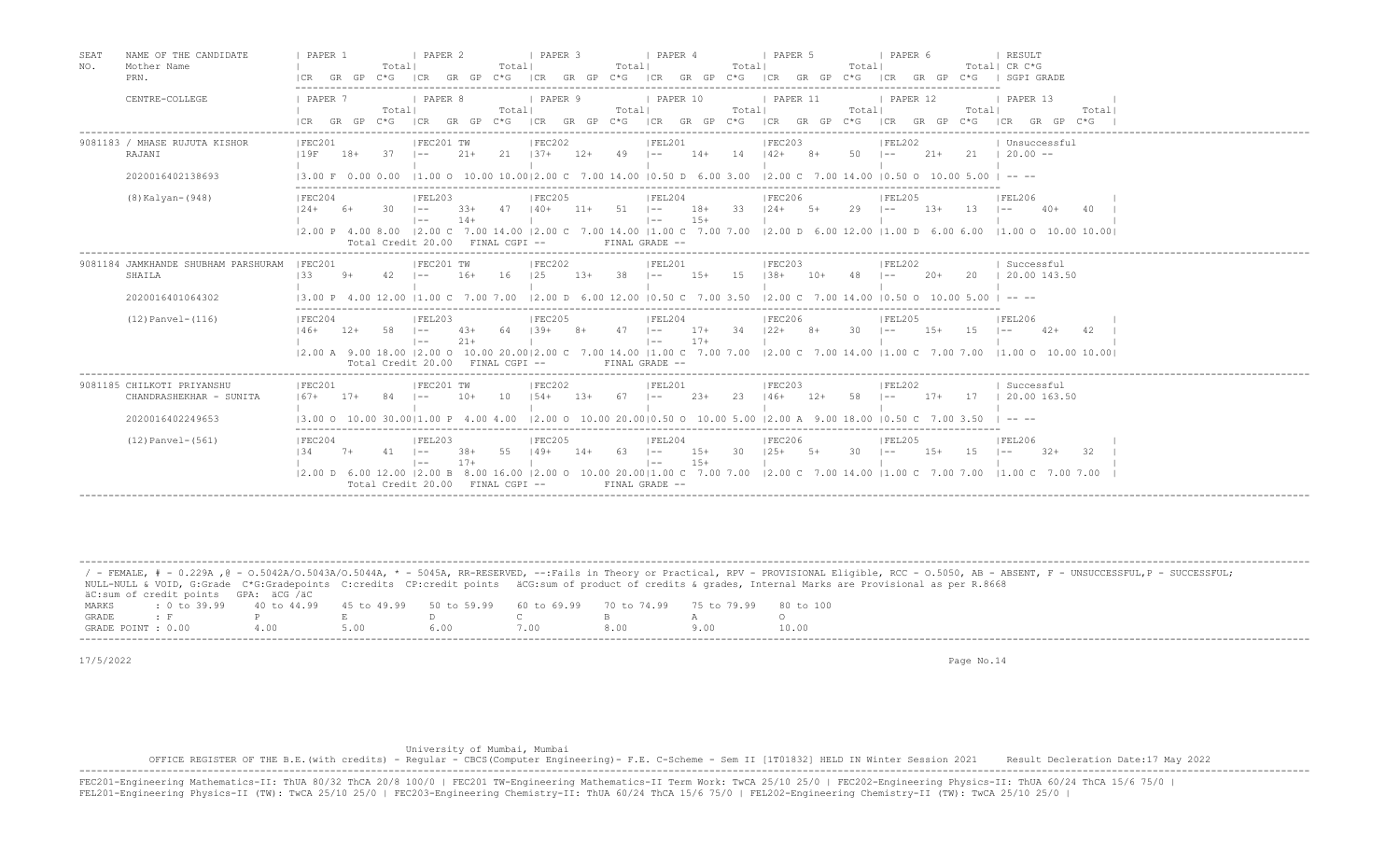| SEAT<br>NAME OF THE CANDIDATE<br>NO.<br>Mother Name<br>PRN.               | PAPER 1<br>Totall<br>$C * G$<br>ICR GR GP                                        | PAPER 2<br>Totall<br>GR GP<br>$C*G$<br> CR<br> CR                                                                                                                                                                                                                                                                                                                                                                                             | I PAPER 3<br>Totall<br>GR GP C*G ICR GR GP C*G                   | PAPER 4<br>Total                | I PAPER 5<br>Total <br>ICR GR GP C*G                                                                                                                                       | PAPER 6<br>GR GP C*G<br>ICR       | RESULT<br>Total  CR C*G<br>  SGPI GRADE                           |
|---------------------------------------------------------------------------|----------------------------------------------------------------------------------|-----------------------------------------------------------------------------------------------------------------------------------------------------------------------------------------------------------------------------------------------------------------------------------------------------------------------------------------------------------------------------------------------------------------------------------------------|------------------------------------------------------------------|---------------------------------|----------------------------------------------------------------------------------------------------------------------------------------------------------------------------|-----------------------------------|-------------------------------------------------------------------|
| CENTRE-COLLEGE                                                            | PAPER 7<br>Totall<br>$GR$ $GP$ $C*G$<br>LCR.                                     | PAPER 8<br>Totall<br>ICR<br>GR GP C*G<br>ICR                                                                                                                                                                                                                                                                                                                                                                                                  | PAPER 9<br>Totall                                                | PAPER 10<br>Totall              | PAPER 11<br>Totall<br>GR GP C*G ICR GR GP C*G ICR GR GP C*G ICR GR GP C*G                                                                                                  | PAPER 12<br>Totall                | PAPER 13<br>Total <br>ICR<br>GR GP<br>$C*G$                       |
| 9081183 / MHASE RUJUTA KISHOR<br>RAJANI<br>2020016402138693               | IFEC201<br>119F<br>37<br>18+<br>13.00 F 0.00 0.00                                | IFEC201 TW<br>IFEC202<br>$21 +$<br>21<br>$137+$<br>$1 - -$<br>$11.00$ O $10.00$ $10.0012.00$ C $7.00$ $14.00$ $10.50$ D $6.00$ 3.00                                                                                                                                                                                                                                                                                                           | $12+$<br>49 –                                                    | IFEL201<br>$14+14$ $142+8+$     | IFEC203<br>$50 - 1 -$<br>$12.00 \text{ C}$ 7.00 14.00 10.50 0 10.00 5.00 1 -- --                                                                                           | IFEL202<br>$21+$                  | Unsuccessful<br>$21 \t 20.00 -$                                   |
| $(8)$ Kalyan- $(948)$                                                     | IFEC204<br>$124+$<br>6+<br>30.                                                   | IFEL203<br>IFEC205<br>$140+$<br>$1 - -$<br>$3.3+$<br>47<br>$14+$<br>$\vert - -$<br>12.00 P 4.00 8.00 12.00 C 7.00 14.00 12.00 C 7.00 14.00 11.00 C 7.00 7.00 12.00 D 6.00 12.00 11.00 D 6.00 6.00 11.00 O 10.00 10.00 10.00<br>Total Credit 20.00 FINAL CGPI --                                                                                                                                                                               | $51 - -$<br>$11+$<br>$\vert - -$<br>FINAL GRADE --               | IFEL204<br>$18+33$<br>$15+$     | <b>IFEC206</b><br>$124+$<br>$5+$<br>29                                                                                                                                     | IFEL205<br>$13+$<br>13<br>$1 - -$ | <b>IFEL206</b><br>$1 - -$<br>-40+                                 |
| 9081184 JAMKHANDE SHUBHAM PARSHURAM<br>SHAILA<br>2020016401064302         | IFEC201<br>133<br>$9+$<br>$42 \quad 1--$<br>13.00 P 4.00 12.00 11.00 C 7.00 7.00 | FEC201 TW<br> FEC202<br>125<br>$16+$<br>16                                                                                                                                                                                                                                                                                                                                                                                                    | $13+38$ $1--$                                                    | IFEL201                         | IFEC203<br>15+ 15 138+ 10+ 48<br>$\vert 2.00 \vert D$ 6.00 12.00 $\vert 0.50 \vert C$ 7.00 3.50 $\vert 2.00 \vert C$ 7.00 14.00 $\vert 0.50 \vert O$ 10.00 5.00 $\vert$ -- | FEL202<br>$20+$<br>$1 - -$        | Successful<br>20   20.00 143.50                                   |
| $(12)$ Panvel- $(116)$                                                    | IFEC204<br>$146+$<br>$12+$<br>58                                                 | IFEL203<br>IFEC205<br>$4.3+$<br>$1.39+$<br>$1 - -$<br>- 64<br>$21 +$<br>$1 - -$<br>12.00 A 9.00 18.00 12.00 O 10.00 20.0012.00 C 7.00 14.00 11.00 C 7.00 7.00 12.00 C 7.00 14.00 11.00 C 7.00 7.00 11.00 O 10.00 10.001<br>Total Credit 20.00 FINAL CGPI --                                                                                                                                                                                   | 47<br>$\vert - -$<br>$8+$<br>$\vert - - \vert$<br>FINAL GRADE -- | IFEL204<br>34<br>$17+$<br>$17+$ | <b>IFEC206</b><br>$122+$<br>$8+$<br>30<br>$1 - -$                                                                                                                          | IFEL205<br>1.5<br>$1.5+$          | <b>IFEL206</b><br>42<br>$42+$                                     |
| 9081185 CHILKOTI PRIYANSHU<br>CHANDRASHEKHAR - SUNITA<br>2020016402249653 | IFEC201<br>$167+$<br>$17+$<br>84<br>13.00 0 10.00 30.0011.00 P 4.00 4.00         | FEC201 TW<br>IFEC202<br>$10+$<br>$1.54+$<br>10<br>$1 - -$                                                                                                                                                                                                                                                                                                                                                                                     | 67<br>$1.3+$<br>$1 - -$                                          | IFEL201<br>$2.3+$<br>23         | IFEC203<br>$146+$<br>$12+$<br>58<br>$1 - -$<br>$12.00$ O $10.00$ 20.0010.50 O $10.00$ 5.00 12.00 A $9.00$ 18.00 10.50 C 7.00 3.50                                          | FEL202<br>$17+$<br>17             | Successful<br>$\pm 20.00$ 163.50                                  |
| $(12)$ Panvel- $(561)$                                                    | IFEC204<br>134<br>$7+$<br>$41 - -$                                               | IFEL203<br>IFEC205<br>55<br>$38+$<br>149+<br>$17+$<br>$\vert - -$<br>$(2.00 \text{ D } 6.00 \text{ 12.00 } (2.00 \text{ B } 8.00 \text{ 16.00 } (2.00 \text{ O } 10.00 \text{ 20.00} (1.00 \text{ C } 7.00 \text{ 7.00 } (2.00 \text{ C } 7.00 \text{ 14.00 } (1.00 \text{ C } 7.00 \text{ 7.00} (1.00 \text{ C } 7.00 \text{ 7.00} (1.00 \text{ C } 7.00 \text{ 7.00} (1.00 \text{ C } 7.00 \text{ 7.00$<br>Total Credit 20.00 FINAL CGPI -- | $14+$<br>63 –<br>$1 - -$<br>FINAL GRADE --                       | IFEL204<br>30<br>$15+$<br>$15+$ | <b>IFEC206</b><br>$125+$ 5+<br>30<br>$1 - -$                                                                                                                               | IFEL205<br>$1.5+$<br>1.5          | IFEL206<br>$32+$<br>-32<br>$1 - -$<br>$11.00 \text{ C}$ 7.00 7.00 |

|                    |                                      |                                                                                                              |      |      |      |     | / - FEMALE, # - 0.229A ,@ - 0.5042A/0.5043A/0.5044A, * - 5045A, RR-RESERVED, --:Fails in Theory or Practical, RPV - PROVISIONAL Eligible, RCC - 0.5050, AB - ABSENT, F - UNSUCCESSFUL,P - SUCCESSFUL; |
|--------------------|--------------------------------------|--------------------------------------------------------------------------------------------------------------|------|------|------|-----|-------------------------------------------------------------------------------------------------------------------------------------------------------------------------------------------------------|
|                    |                                      |                                                                                                              |      |      |      |     | NULL-NULL & VOID, G:Grade C*G:Gradepoints C:credits CP:credit points äCG:sum of product of credits & qrades, Internal Marks are Provisional as per R.8668                                             |
|                    | äC:sum of credit points GPA: äCG /äC |                                                                                                              |      |      |      |     |                                                                                                                                                                                                       |
| MARKS              |                                      | : 0 to 39.99   40 to 44.99   45 to 49.99   50 to 59.99   60 to 69.99   70 to 74.99   75 to 79.99   80 to 100 |      |      |      |     |                                                                                                                                                                                                       |
| GRADE              | <b>Example 19</b>                    |                                                                                                              |      |      |      |     |                                                                                                                                                                                                       |
| GRADE POINT : 0.00 |                                      | 400                                                                                                          | 5.00 | 6.00 | 7.00 | 800 | 10.00                                                                                                                                                                                                 |
|                    |                                      |                                                                                                              |      |      |      |     |                                                                                                                                                                                                       |

-------------------------------------------------------------------------------------------------------------------------------------------------------------------------------------------------------------------

17/5/2022 Page No.14

#### University of Mumbai, Mumbai

 OFFICE REGISTER OF THE B.E.(with credits) - Regular - CBCS(Computer Engineering)- F.E. C-Scheme - Sem II [1T01832] HELD IN Winter Session 2021 Result Decleration Date:17 May 2022 ------------------------------------------------------------------------------------------------------------------------------------------------------------------------------------------------------------------- FEC201-Engineering Mathematics-II: ThUA 80/32 ThCA 20/8 100/0 | FEC201 TW-Engineering Mathematics-II Term Work: TwCA 25/10 25/0 | FEC202-Engineering Physics-II: ThUA 60/24 ThCA 15/6 75/0 |<br>FEL201-Engineering Physics-II (TW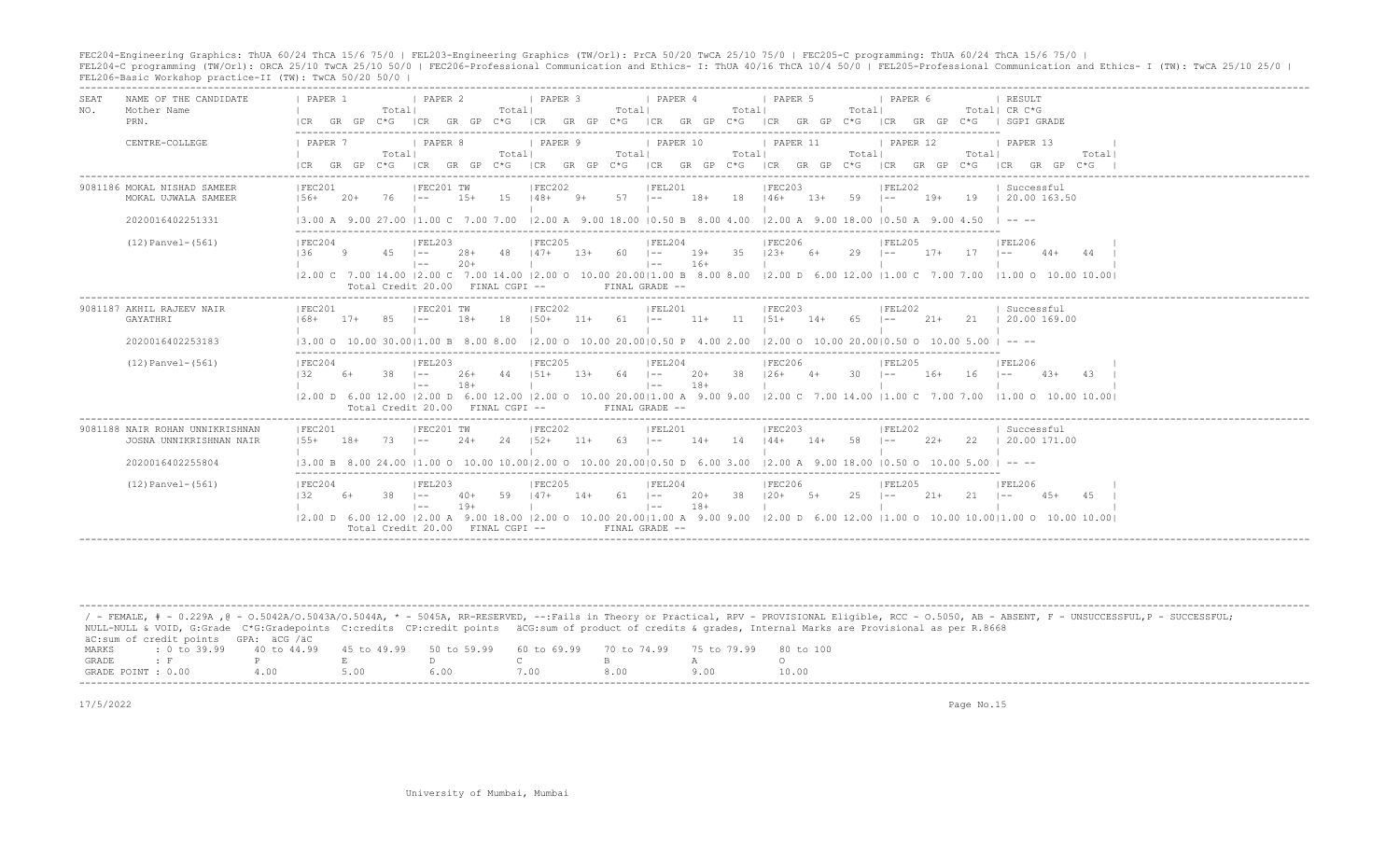FEC204-Engineering Graphics: ThUA 60/24 ThCA 15/6 75/0 | FEL203-Engineering Graphics (TW/Orl): PrCA 50/20 TwCA 25/10 75/0 | FEC205-C programming: ThUA 60/24 ThCA 15/6 75/0 |<br>FEL204-C programming (TW/Orl): ORCA 25/10 TwCA 2

| <b>SEAT</b><br>NO. | NAME OF THE CANDIDATE<br>Mother Name<br>PRN.                                   | PAPER 1<br>ICR                                                                                                                                  | GR GP | Total <br>$C * G$ | I PAPER 2<br>ICR                                                  | GR GP           | Totall<br>$C * G$   | I PAPER 3         |        | Totall     | PAPER 4<br>ICR GR GP C*G ICR GR GP C*G                          |                | Total  | PAPER 5<br>ICR GR GP C*G                                                   |        | Totall      | PAPER 6<br> CR     |        |            | RESULT<br>Total  CR C*G<br>GR GP C*G   SGPI GRADE                                                                                                                   |       |
|--------------------|--------------------------------------------------------------------------------|-------------------------------------------------------------------------------------------------------------------------------------------------|-------|-------------------|-------------------------------------------------------------------|-----------------|---------------------|-------------------|--------|------------|-----------------------------------------------------------------|----------------|--------|----------------------------------------------------------------------------|--------|-------------|--------------------|--------|------------|---------------------------------------------------------------------------------------------------------------------------------------------------------------------|-------|
|                    | CENTRE-COLLEGE                                                                 | 1 PAPER 7<br>ICR GR GP                                                                                                                          |       | Totall<br>$C*G$   | I PAPER 8<br> CR                                                  | $GR$ $GP$ $C*G$ | Totall              | I PAPER 9         |        | Totall     | I PAPER 10                                                      |                | Totall | <b>I PAPER 11</b>                                                          |        | Totall      | <b>I PAPER 12</b>  |        | Totall     | I PAPER 13<br>$ CR$ GR GP C*G $ CR$ GR GP C*G $ CR$ GR GP C*G $ CR$ GR GP C*G $ CR$ GR GP C*G                                                                       | Total |
|                    | 9081186 MOKAL NISHAD SAMEER<br>MOKAL UJWALA SAMEER                             | IFEC201<br>$156+$                                                                                                                               | $20+$ | 76                | IFEC201 TW<br>$-$                                                 | $1.5+$          | 1.5                 | IFEC202<br>$148+$ | $9+$   | $57 - 1 -$ | IFEL201                                                         | $18+$          | 18     | IFEC203<br>$146+$                                                          | $1.3+$ | $59 - 1 -$  | FEL202             | $19+$  |            | Successful<br>19   20.00 163.50                                                                                                                                     |       |
|                    | 2020016402251331<br>$(12)$ Panvel- $(561)$                                     | 13.00 A 9.00 27.00 11.00 C 7.00 7.00 12.00 A 9.00 18.00 10.50 B 8.00 4.00 12.00 A 9.00 18.00 10.50 A 9.00 4.50<br>IFEC204<br>136                | -9    | $45 - 1 -$        | FEL203<br>$1 - -$<br>Total Credit 20.00 FINAL CGPI --             | $28+$<br>$20+$  | 48   47+            | IFEC205           | $1.3+$ | 60 –       | IFEL204<br>$1 - -$<br>FINAL GRADE --                            | $19+$<br>$16+$ | 35     | IFEC206<br>$123+$                                                          | $6+$   | $29$ $1--$  | FEL205             | $17+$  | $17 - 1 -$ | $\cdots$<br>IFEL206<br>$44+$<br> 2.00 C 7.00 14.00  2.00 C 7.00 14.00  2.00 O 10.00 20.00 1.00 B 8.00 8.00  2.00 D 6.00 12.00  1.00 C 7.00 7.00  1.00 O 10.00 10.00 | 44    |
|                    | 9081187 AKHIL RAJEEV NAIR<br>GAYATHRI<br>2020016402253183                      | IFEC201<br>$168+$<br>13.00 Q 10.00 30.0011.00 B 8.00 8.00                                                                                       | $17+$ |                   | FEC201 TW                                                         | $18+$           | 18                  | FEC202<br>$150+$  | $11+$  | 61         | FEL201<br>$1 - -$<br>$12.00$ O $10.00$ 20.0010.50 P $4.00$ 2.00 | $11+$          | 11     | IFEC203<br>$1.51 +$<br>$12.00$ O $10.00$ 20.0010.50 O $10.00$ 5.00 I -- -- | $14+$  | 65          | IFEL202<br>$1 - -$ | $21+$  |            | Successful<br>21 1 20.00 169.00                                                                                                                                     |       |
|                    | $(12)$ Panvel- $(561)$                                                         | IFEC204<br>132.                                                                                                                                 | 6+    | 38                | IFEL203<br>$1 - -$<br>$1 - -$<br>Total Credit 20.00 FINAL CGPI -- | $26+$<br>$18+$  | 44                  | IFEC205<br>$151+$ | $1.3+$ | $64$ $1--$ | IFEL204<br>$\vert - - \vert$<br>FINAL GRADE --                  | $20+$<br>$18+$ | -38    | IFEC206<br>$126+$                                                          | $4+$   | $30 \t - -$ | IFEL205            | $16+$  | $16 - 1 =$ | IFEL206<br>$4.3+$<br> 2.00 D 6.00 12.00  2.00 D 6.00 12.00  2.00 O 10.00 20.00 1.00 A 9.00 9.00  2.00 C 7.00 14.00  1.00 C 7.00 7.00  1.00 O 10.00 10.00            | 43    |
|                    | 9081188 NAIR ROHAN UNNIKRISHNAN<br>JOSNA UNNIKRISHNAN NAIR<br>2020016402255804 | IFEC201<br>$1.5.5+$<br>13.00 B 8.00 24.00 11.00 O 10.00 10.0012.00 O 10.00 20.0010.50 D 6.00 3.00 12.00 A 9.00 18.00 10.50 O 10.00 5.00 I -- -- | $18+$ | 73                | IFEC201 TW<br>$1 - -$                                             | $24+$           | 2.4                 | IFEC202<br>$152+$ | $11+$  | 63         | IFEL201<br>$\vert - - \vert$                                    | $14+$          | 14     | IFEC203<br>$144+$                                                          | $14+$  | 58          | IFEL202<br>$1 - -$ | $2.2+$ | 22         | Successful<br>20.00 171.00                                                                                                                                          |       |
|                    | $(12)$ Panvel- $(561)$                                                         | FEC204<br>132                                                                                                                                   | 6+    | 38                | IFEL203<br>$1 - -$<br>$1 - -$<br>Total Credit 20.00               | 40+<br>$19+$    | 59<br>FINAL CGPI -- | IFEC205<br>$147+$ | 14+    | 61   --    | FEL204<br>$1 - -$<br>FINAL GRADE --                             | $20+$<br>$18+$ | 38     | <b>IFEC206</b><br>$120+$                                                   | $-5+$  | $25 - 1 =$  | IFEL205            | $21+$  | $21 - 1 =$ | IFEL206<br>$45+$<br>12.00 D 6.00 12.00 12.00 A 9.00 18.00 12.00 O 10.00 20.0011.00 A 9.00 9.00 12.00 D 6.00 12.00 11.00 O 10.00 10.0011.00 O 10.00 10.00 10.00      |       |

|                    |                                                                                                |      |  |      | / - FEMALE, # - 0.229A ,@ - 0.5042A/0.5043A/0.5044A, * - 5045A, RR-RESERVED, --:Fails in Theory or Practical, RPV - PROVISIONAL Eligible, RCC - 0.5050, AB - ABSENT, F - UNSUCCESSFUL,P - SUCCESSFUL; |
|--------------------|------------------------------------------------------------------------------------------------|------|--|------|-------------------------------------------------------------------------------------------------------------------------------------------------------------------------------------------------------|
|                    |                                                                                                |      |  |      | NULL-NULL & VOID, G:Grade C*G:Gradepoints C:credits CP:credit points äCG:sum of product of credits & grades, Internal Marks are Provisional as per R.8668                                             |
|                    | äC:sum of credit points GPA: äCG /äC                                                           |      |  |      |                                                                                                                                                                                                       |
| MARKS              | t 0 to 39,99 40 to 44,99 45 to 49,99 50 to 59,99 60 to 69,99 70 to 74,99 75 to 79,99 80 to 100 |      |  |      |                                                                                                                                                                                                       |
| GRADE              |                                                                                                |      |  |      |                                                                                                                                                                                                       |
| GRADE POINT : 0.00 |                                                                                                | 5.00 |  | 8.00 | 10.00                                                                                                                                                                                                 |
|                    |                                                                                                |      |  |      |                                                                                                                                                                                                       |

17/5/2022 Page No.15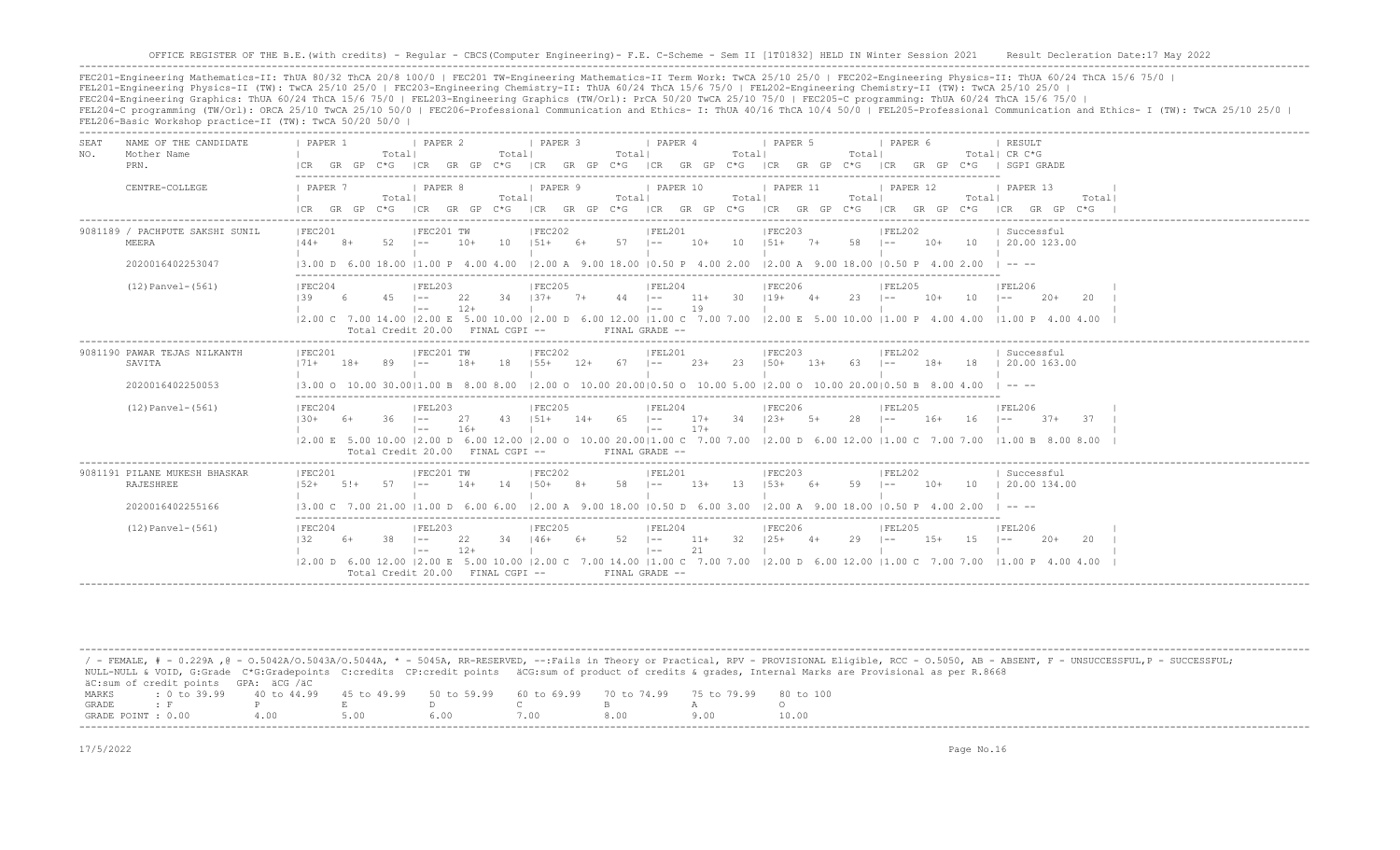FEC201-Engineering Mathematics-II: ThUA 80/32 ThCA 20/8 100/0 | FEC201 TW-Engineering Mathematics-II Term Work: TwCA 25/10 25/0 | FEC202-Engineering Physics-II: ThUA 60/24 ThCA 15/6 75/0 | FEL201-Engineering Physics-II (TW): TwCA 25/10 25/0 | FEC203-Engineering Chemistry-II: ThUA 60/24 ThCA 15/6 75/0 | FEL202-Engineering Chemistry-II (TW): TwCA 25/10 25/0 | FEC204-Engineering Graphics: ThUA 60/24 ThCA 15/6 75/0 | FEL203-Engineering Graphics (TW/Orl): PrCA 50/20 TwCA 25/10 75/0 | FEC205-C programming: ThUA 60/24 ThCA 15/6 75/0 | FEL204-C programming (TW/Orl): ORCA 25/10 TwCA 25/10 50/0 | FEC206-Professional Communication and Ethics- I: ThUA 40/16 ThCA 10/4 50/0 | FEL205-Professional Communication and Ethics- I (TW): TwCA 25/10 25/0 | FEL206-Basic Workshop practice-II (TW): TwCA 50/20 50/0 |

-------------------------------------------------------------------------------------------------------------------------------------------------------------------------------------------------------------------

| SEA.<br>NO. | NAME OF THE CANDIDATE<br>Mother Name              | PAPER 1               |       | Totall                           | <b>I PAPER 2</b>            |             | Totall      | <b>I PAPER 3</b>         |       | Totall                      | <i>I</i> PAPER 4              |             | Totall | I PAPER 5                                                                                                       |        | Totall       | I PAPER 6 |       |            | <b>I RESULT</b><br>Total  CR C*G                                                                                                      |
|-------------|---------------------------------------------------|-----------------------|-------|----------------------------------|-----------------------------|-------------|-------------|--------------------------|-------|-----------------------------|-------------------------------|-------------|--------|-----------------------------------------------------------------------------------------------------------------|--------|--------------|-----------|-------|------------|---------------------------------------------------------------------------------------------------------------------------------------|
|             | PRN.                                              | ICR.                  | GR GP | $C * G$                          | ICR GR GP                   |             |             |                          |       |                             |                               |             |        | $C*G$ ICR GR GP $C*G$ ICR GR GP $C*G$ ICR GR GP $C*G$                                                           |        |              |           |       |            | ICR GR GP C*G I SGPI GRADE                                                                                                            |
|             | CENTRE-COLLEGE                                    | <b>I PAPER 7</b>      |       | Totall                           | <i>I</i> PAPER 8            |             | Totall      | <b>I PAPER 9</b>         |       | Totall                      | 1 PAPER 10                    |             | Totall | PAPER 11                                                                                                        |        | Totall       | PAPER 12  |       | Totall     | 1 PAPER 13<br>Total                                                                                                                   |
|             |                                                   | $ICR$ $GR$ $GP$ $C*G$ |       |                                  |                             |             |             |                          |       |                             |                               |             |        |                                                                                                                 |        |              |           |       |            | ICR GR GP C*G ICR GR GP C*G ICR GR GP C*G ICR GR GP C*G ICR GR GP C*G ICR GP C*G ICR GP C*G                                           |
|             | 9081189 / PACHPUTE SAKSHI SUNIL<br>MEERA          | IFEC201<br>$144+$ 8+  |       | 52.                              | IFEC201 TW<br>$1 - -$       | $10+$       | 10          | IFEC202                  |       | $151+ 6+ 57$ $1--$          | IFEL201                       |             |        | IFEC203<br>$10+$ 10 $151+$ 7+ 58 1--                                                                            |        |              | IFEL202   |       |            | Successful<br>10+ 10 1 20.00 123.00                                                                                                   |
|             | 2020016402253047                                  |                       |       |                                  |                             |             |             |                          |       |                             |                               |             |        | 13.00 D 6.00 18.00 11.00 P 4.00 4.00 12.00 A 9.00 18.00 10.50 P 4.00 2.00 12.00 A 9.00 18.00 10.50 P 4.00 2.00  |        |              |           |       |            | $\Box$ $\Box$ $\Box$ $\Box$                                                                                                           |
|             | $(12)$ Panvel- $(561)$                            | IFEC204<br>139        | - 6 - | $45$ $ -$                        | FEL203                      | 22          |             | IFEC205                  |       | $34$ $137+$ $7+$ $44$ $1--$ | IFEL204                       |             |        | IFEC206<br>$11+$ 30 $119+$ 4+                                                                                   |        | $23 \t - -$  | IFEL205   | $10+$ | $10 - 1 =$ | FEL206<br>-20+<br>-20                                                                                                                 |
|             |                                                   |                       |       | Total Credit 20.00 FINAL CGPI -- | $1 - -$                     | $12+$       |             |                          |       |                             | $\vert - -$<br>FINAL GRADE -- | 19          |        |                                                                                                                 |        |              |           |       |            | 2.00 C 7.00 14.00  2.00 E 5.00 10.00  2.00 D 6.00 12.00  1.00 C 7.00 7.00  2.00 E 5.00 10.00  1.00 P 4.00 4.00  1.00 P 4.00 4.00 4.00 |
|             | 9081190 PAWAR TEJAS NILKANTH                      | IFEC201               |       |                                  | IFEC201 TW                  |             |             | IFEC202                  |       |                             | IFEL201                       |             |        | IFEC203                                                                                                         |        |              | IFEL202   |       |            | Successful                                                                                                                            |
|             | SAVITA                                            | $171+$                | $18+$ |                                  |                             | $18+$       | 18          | $155+$                   | $12+$ | $67 \t - -$                 |                               | 23+         | 23     | $150+$                                                                                                          | $1.3+$ | 63           | $1 - -$   | $18+$ | 18         | 20.00 163.00                                                                                                                          |
|             | 2020016402250053                                  |                       |       |                                  |                             |             |             |                          |       |                             |                               |             |        | 13.00 0 10.00 30.0011.00 B 8.00 8.00 12.00 0 10.00 20.0010.50 0 10.00 5.00 12.00 0 10.00 20.0010.50 B 8.00 4.00 |        |              |           |       |            |                                                                                                                                       |
|             | $(12)$ Panvel- $(561)$                            | IFEC204<br>$130+$     | - 6+  | $36 = 1 -$                       | IFEL203                     | 27<br>$16+$ | $43 \t151+$ | IFEC205                  |       | $14+ 65$ $1--$              | IFEL204<br>$\vert - - \vert$  | $17+$       |        | IFEC206<br>17+ 34 123+ 5+                                                                                       |        | $28 - 1 - -$ | IFEL205   | $16+$ | $16 - 1 -$ | IFEL206<br>$37 + 37$                                                                                                                  |
|             |                                                   |                       |       | Total Credit 20.00 FINAL CGPI -- | $1 - -$                     |             |             |                          |       |                             | FINAL GRADE --                |             |        |                                                                                                                 |        |              |           |       |            | 12.00 E 5.00 10.00 12.00 D 6.00 12.00 12.00 O 10.00 20.0011.00 C 7.00 7.00 12.00 D 6.00 12.00 11.00 C 7.00 7.00 11.00 B 8.00 8.00     |
|             | 9081191 PILANE MUKESH BHASKAR<br><b>RAJESHREE</b> | IFEC201<br>$1.52+$    | $5!+$ | 57                               | IFEC201 TW<br>$1 - -$       | $14+$       | 14          | IFEC202<br>$150+$ 8+     |       | 58   --                     | IFEL201                       | $13+$       | 13     | IFEC203<br>$153+6+$                                                                                             |        | 59 I--       | IFEL202   | $10+$ | 10         | Successful<br>  20.00 134.00                                                                                                          |
|             | 2020016402255166                                  |                       |       |                                  |                             |             |             |                          |       |                             |                               |             |        | 13.00 C 7.00 21.00 11.00 D 6.00 6.00 12.00 A 9.00 18.00 10.50 D 6.00 3.00 12.00 A 9.00 18.00 10.50 P 4.00 2.00  |        |              |           |       |            | $\cdots$                                                                                                                              |
|             | $(12)$ Panvel- $(561)$                            | FEC204<br>132         | 6+    | $38$ $1--$                       | FEL203<br>$\vert - - \vert$ | 22<br>$12+$ |             | FEC205<br>$34$ $146+$ 6+ |       | $52 - 1 =$                  | FEL204<br>$\vert - - \vert$   | $11+$<br>21 |        | FEC206<br>$32 \t125+ \t4+$                                                                                      |        | $29 - 1 - -$ | IFEL205   | 15+   | 15         | FEL206<br>$1 - -$<br>$20+$<br>20                                                                                                      |
|             |                                                   |                       |       | Total Credit 20.00 FINAL CGPI -- |                             |             |             |                          |       |                             | FINAL GRADE --                |             |        |                                                                                                                 |        |              |           |       |            | 2.00 D 6.00 12.00  2.00 E 5.00 10.00  2.00 C 7.00 14.00  1.00 C 7.00 7.00  2.00 D 6.00 12.00  1.00 C 7.00 7.00  1.00 P 4.00 4.00      |

/ - FEMALE, # - 0.229A , @ - 0.5042A/O.5043A/O.5044A, \* - 5045A, RR-RESERVED, --:Fails in Theory or Practical, RPV - PROVISIONAL Eligible, RCC - 0.5050, AB - ABSENT, F - UNSUCCESSFUL, P - SUCCESSFUL; NULL-NULL & VOID, G:Grade C\*G:Gradepoints C:credits CP:credit points äCG:sum of product of credits & grades, Internal Marks are Provisional as per R.8668 äC:sum of credit points GPA: äCG /äC MARKS : 0 to 39.99 40 to 44.99 45 to 49.99 50 to 59.99 60 to 69.99 70 to 74.99 75 to 79.99 80 to 100 GRADE : F P E D C B A O GRADE POINT : 0.00 4.00 5.00 6.00 7.00 8.00 9.00 10.00 -------------------------------------------------------------------------------------------------------------------------------------------------------------------------------------------------------------------

-------------------------------------------------------------------------------------------------------------------------------------------------------------------------------------------------------------------

17/5/2022 Page No.16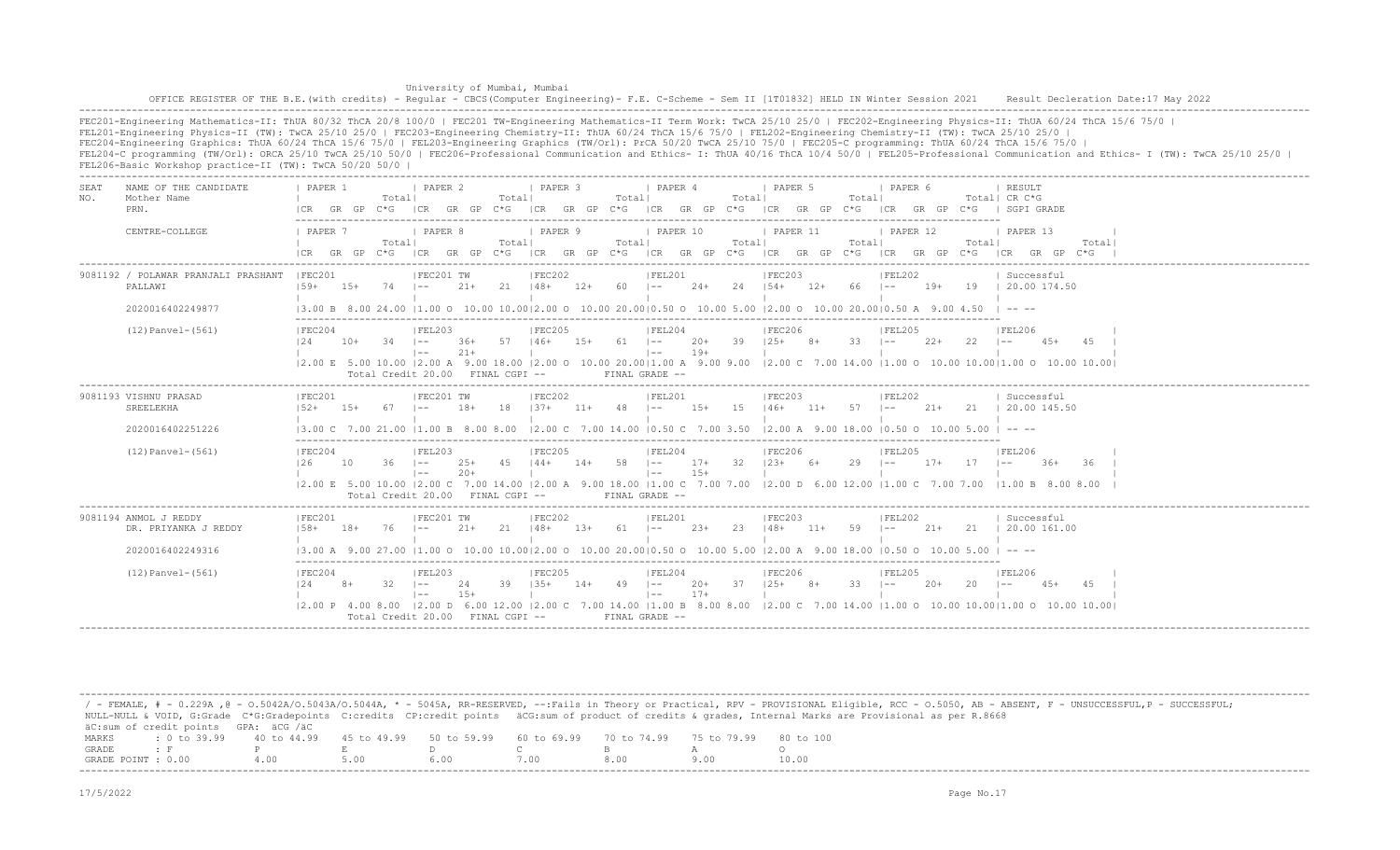|             |                                                                                                                                                                                                                                                                                                                                                                                                                        |                                                                                                                                                            |       |             |                                                                   |                |             | University of Mumbai, Mumbai                                                       |                |                                                     |                                                |       |        |                                     |                         |                                            |       |              | OFFICE REGISTER OF THE B.E. (with credits) - Reqular - CBCS (Computer Engineering) - F.E. C-Scheme - Sem II [1T01832] HELD IN Winter Session 2021 Result Decleration Date:17 May 2022                                                                                                                                                                                                                          |
|-------------|------------------------------------------------------------------------------------------------------------------------------------------------------------------------------------------------------------------------------------------------------------------------------------------------------------------------------------------------------------------------------------------------------------------------|------------------------------------------------------------------------------------------------------------------------------------------------------------|-------|-------------|-------------------------------------------------------------------|----------------|-------------|------------------------------------------------------------------------------------|----------------|-----------------------------------------------------|------------------------------------------------|-------|--------|-------------------------------------|-------------------------|--------------------------------------------|-------|--------------|----------------------------------------------------------------------------------------------------------------------------------------------------------------------------------------------------------------------------------------------------------------------------------------------------------------------------------------------------------------------------------------------------------------|
|             | FEL201-Engineering Physics-II (TW): TwCA 25/10 25/0   FEC203-Engineering Chemistry-II: ThUA 60/24 ThCA 15/6 75/0   FEL202-Engineering Chemistry-II (TW): TwCA 25/10 25/0  <br>FEC204-Engineering Graphics: ThUA 60/24 ThCA 15/6 75/0   FEL203-Engineering Graphics (TW/Orl): PrCA 50/20 TwCA 25/10 75/0   FEC205-C programming: ThUA 60/24 ThCA 15/6 75/0  <br>FEL206-Basic Workshop practice-II (TW): TwCA 50/20 50/0 |                                                                                                                                                            |       |             |                                                                   |                |             |                                                                                    |                |                                                     |                                                |       |        |                                     |                         |                                            |       |              | FEC201-Engineering Mathematics-II: ThUA 80/32 ThCA 20/8 100/0   FEC201 TW-Engineering Mathematics-II Term Work: TwCA 25/10 25/0   FEC202-Engineering Physics-II: ThUA 60/24 ThCA 15/6 75/0  <br>FEL204-C programming (TW/Orl): ORCA 25/10 TwCA 25/10 50/0   FEC206-Professional Communication and Ethics- I: ThUA 40/16 ThCA 10/4 50/0   FEL205-Professional Communication and Ethics- I (TW): TwCA 25/10 25/0 |
| SEAT<br>NO. | NAME OF THE CANDIDATE<br>Mother Name<br>PRN.                                                                                                                                                                                                                                                                                                                                                                           | I PAPER 1<br>The Common State                                                                                                                              |       | Totall      | <b>PAPER 2</b>                                                    |                | Total       | PAPER <sub>3</sub>                                                                 |                | Total                                               | PAPER 4                                        |       | Totall | I PAPER 5                           | Totall                  | I PAPER 6                                  |       |              | RESULT<br>Total  CR C*G<br> CR GR GP C*G  CR GR GP C*G  CR GR GP C*G  CR GR GP C*G  CR GR GP C*G  CR GR GP C*G   SGPI GRADE                                                                                                                                                                                                                                                                                    |
|             | CENTRE-COLLEGE                                                                                                                                                                                                                                                                                                                                                                                                         | <b>I PAPER 7</b>                                                                                                                                           |       | Totall      | PAPER 8                                                           |                | Totall      | PAPER 9                                                                            |                | Totall                                              | PAPER 10                                       |       | Total  | PAPER 11                            | Totall                  | PAPER 12                                   |       | Totall       | PAPER 13<br>Totall<br>ICR GR GP C*G ICR GR GP C*G ICR GR GP C*G ICR GR GP C*G ICR GR GP C*G ICR GR GP C*G ICR GR GP C*G                                                                                                                                                                                                                                                                                        |
|             | 9081192 / POLAWAR PRANJALI PRASHANT   FEC201<br>PALLAWI<br>2020016402249877                                                                                                                                                                                                                                                                                                                                            | $159+ 15+$<br>$(3.00 B 8.00 24.00 11.00 O 10.00 10.0012.00 O 10.00 20.0010.50 O 10.00 5.00 12.00 O 10.00 20.0010.50 A 9.00 4.50$   ----                    |       | $74$ $1-$   | IFEC201 TW                                                        | $21+$          |             | FEC202<br>$21 \t148+ 12+ 60 \t1--$                                                 |                |                                                     | IFEL201                                        |       |        | IFEC203                             |                         | FEL202                                     |       |              | Successful<br>24+ 24   54+ 12+ 66   -- 19+ 19   20.00 174.50                                                                                                                                                                                                                                                                                                                                                   |
|             | $(12)$ Panvel- $(561)$                                                                                                                                                                                                                                                                                                                                                                                                 | IFEC204<br>124                                                                                                                                             | $10+$ | $-34$ $1--$ | IFEL203<br>$1 - -$<br>Total Credit 20.00 FINAL CGPI --            | $21+$          |             | IFEC205<br>36+ 57 146+ 15+ 61 1-- 20+ 39 125+ 8+                                   |                | and the contract of the property of the contract of | IFEL204<br>FINAL GRADE --                      | $19+$ |        | <b>IFEC206</b><br><b>The Common</b> | the control of the con- | IFEL205<br>$33 \t - - - 22 +$              |       | $22 - 1 = -$ | IFEL206<br>45+ 45 I<br> 2.00 E 5.00 10.00  2.00 A 9.00 18.00  2.00 O 10.00 20.00 1.00 A 9.00 9.00  2.00 C 7.00 14.00  1.00 O 10.00 10.00 1.00 O 10.00 10.00                                                                                                                                                                                                                                                    |
|             | 9081193 VISHNU PRASAD<br>SREELEKHA<br>2020016402251226                                                                                                                                                                                                                                                                                                                                                                 | IFEC201<br>$152+$ 15+<br>$13.00 \text{ C}$ 7.00 21.00 11.00 B 8.00 8.00 12.00 C 7.00 14.00 10.50 C 7.00 3.50 12.00 A 9.00 18.00 10.50 O 10.00 5.00 I -- -- |       | 67          | IFEC201 TW<br>$1 - -$                                             | $18+$          |             | IFEC202                                                                            |                |                                                     | IFEL201<br>$\Box$                              |       |        | IFEC203                             |                         | FEL202                                     |       |              | Successful<br>18   37+ 11+ 48   -- 15+ 15   46+ 11+ 57   -- 21+ 21   20.00 145.50                                                                                                                                                                                                                                                                                                                              |
|             | $(12)$ Panvel- $(561)$                                                                                                                                                                                                                                                                                                                                                                                                 | FEC204<br>126                                                                                                                                              | 10    | $36 \t - -$ | FEL203 <br>$1 - -$<br>Total Credit 20.00 FINAL CGPI --            | $25+$<br>$20+$ |             | <b>IFEC205</b><br>45   44+ 14+ 58   -- 17+ 32   23+ 6+                             |                |                                                     | FEL204<br>$\vert - - \vert$<br>FINAL GRADE --  | $15+$ |        | <b>FEC206</b>                       |                         | <b>FEL205</b><br>$29$ $1- 17+$ $17$ $1--$  |       |              | FEL206<br>$36+$<br>36.<br>12.00 E 5.00 10.00 12.00 C 7.00 14.00 12.00 A 9.00 18.00 11.00 C 7.00 7.00 12.00 D 6.00 12.00 11.00 C 7.00 7.00 11.00 B 8.00 8.00                                                                                                                                                                                                                                                    |
|             | 9081194 ANMOL J REDDY<br>DR. PRIYANKA J REDDY<br>2020016402249316                                                                                                                                                                                                                                                                                                                                                      | IFEC201<br>$158 + 18 +$                                                                                                                                    |       | $76$ $1--$  | IFEC201 TW                                                        | 21+            |             | IFEC202<br>21   48+ 13+ 61   -- 23+ 23   48+ 11+ 59   --<br><b>College College</b> |                |                                                     | FEL201<br><b>The Common</b>                    |       |        | IFEC203<br><b>The Contract</b>      |                         | IFEL202                                    |       |              | Successful<br>21+ 21   20.00 161.00                                                                                                                                                                                                                                                                                                                                                                            |
|             | $(12)$ Panvel- $(561)$                                                                                                                                                                                                                                                                                                                                                                                                 | IFEC204<br>12.4                                                                                                                                            | $8+$  | 32 F        | IFEL203<br>$1 - -$<br>$1 - -$<br>Total Credit 20.00 FINAL CGPI -- | 24<br>$15+$    | $39$ $135+$ | IFEC205                                                                            | $14+ 49$ $1--$ |                                                     | IFEL204<br>$\vert - - \vert$<br>FINAL GRADE -- | $17+$ |        | <b>IFEC206</b><br>20+ 37 125+ 8+    | $33 - 1 = -$            | IFEL205<br>the contract of the contract of | $20+$ | $20 \t - -$  | IFEL206<br>12.00 P 4.00 8.00 12.00 D 6.00 12.00 12.00 C 7.00 14.00 11.00 B 8.00 8.00 12.00 C 7.00 14.00 11.00 O 10.00 10.0011.00 O 10.00 10.00 10.00                                                                                                                                                                                                                                                           |

/ - FEMALE, # - 0.229A , @ - 0.5042A/O.5043A/O.5044A, \* - 5045A, RR-RESERVED, --:Fails in Theory or Practical, RPV - PROVISIONAL Eligible, RCC - 0.5050, AB - ABSENT, F - UNSUCCESSFUL,P - SUCCESSFUL; NULL-NULL & VOID, G:Grade C\*G:Gradepoints C:credits CP:credit points äCG:sum of product of credits & grades, Internal Marks are Provisional as per R.8668 äC:sum of credit points GPA: äCG /äC MARKS : 0 to 39.99 40 to 44.99 45 to 49.99 50 to 59.99 60 to 69.99 70 to 74.99 75 to 79.99 80 to 100<br>GRADE: F P E D C B A O GRADE : F P E D C B A O GRADE POINT : 0.00 4.00 5.00 6.00 7.00 8.00 9.00 10.00 -------------------------------------------------------------------------------------------------------------------------------------------------------------------------------------------------------------------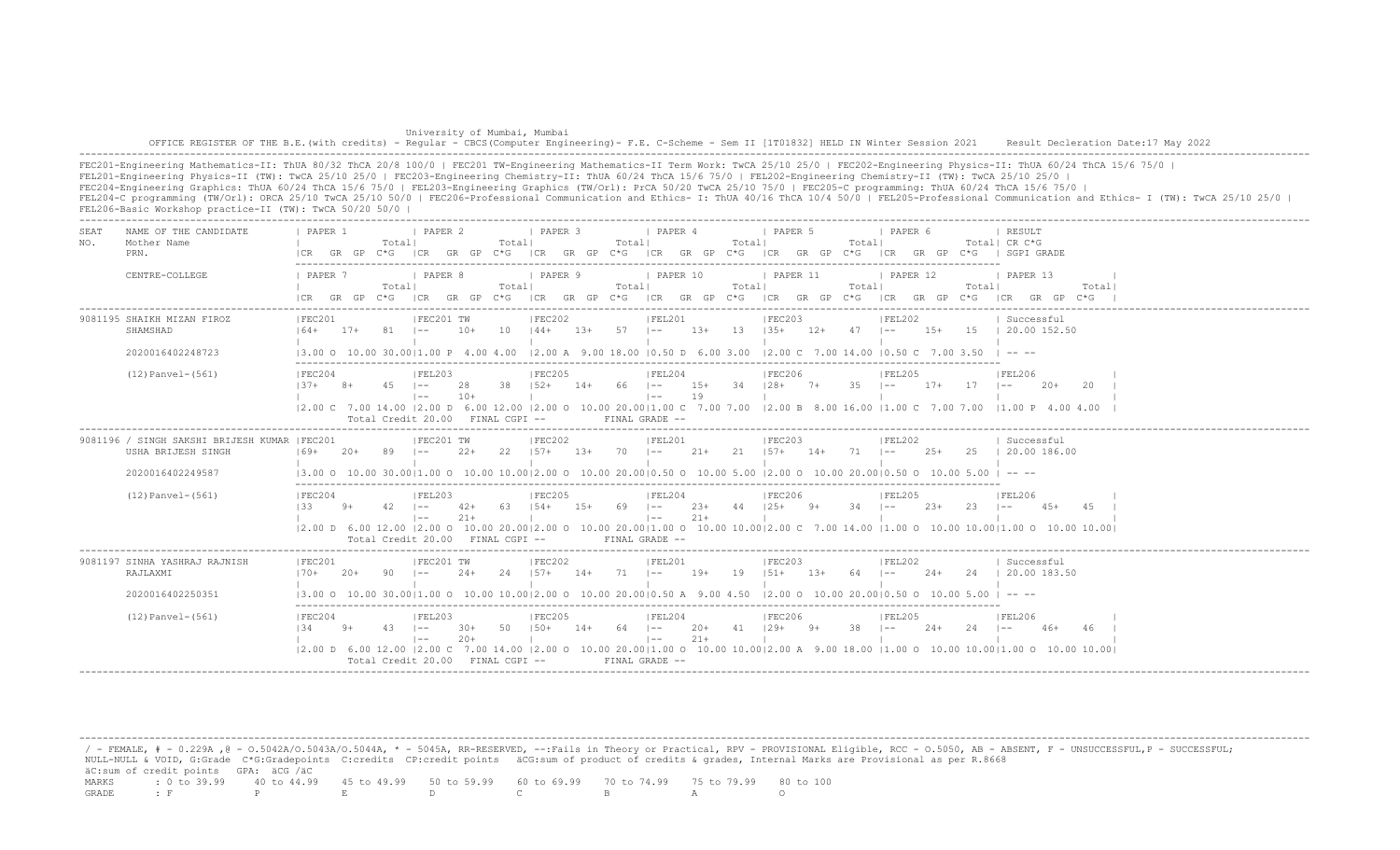| University of Mumbai, Mumbai                                                                                                                                                          |  |
|---------------------------------------------------------------------------------------------------------------------------------------------------------------------------------------|--|
| OFFICE REGISTER OF THE B.E. (with credits) - Reqular - CBCS (Computer Engineering) - F.E. C-Scheme - Sem II [1T01832] HELD IN Winter Session 2021 Result Decleration Date:17 May 2022 |  |
|                                                                                                                                                                                       |  |

FEC201-Engineering Mathematics-II: ThUA 80/32 ThCA 20/8 100/0 | FEC201 TW-Engineering Mathematics-II Term Work: TwCA 25/10 25/0 | FEC202-Engineering Physics-II: ThUA 60/24 ThCA 15/6 75/0 | FEL201-Engineering Physics-II (TW): TwCA 25/10 25/0 | FEC203-Engineering Chemistry-II: ThUA 60/24 ThCA 15/6 75/0 | FEL202-Engineering Chemistry-II (TW): TwCA 25/10 25/0 | FEC204-Engineering Graphics: ThUA 60/24 ThCA 15/6 75/0 | FEL203-Engineering Graphics (TW/Orl): PrCA 50/20 TwCA 25/10 75/0 | FEC205-C programming: ThUA 60/24 ThCA 15/6 75/0 | FEL204-C programming (TW/Orl): ORCA 25/10 TwCA 25/10 50/0 | FEC206-Professional Communication and Ethics- I: ThUA 40/16 ThCA 10/4 50/0 | FEL205-Professional Communication and Ethics- I (TW): TwCA 25/10 25/0 | FEL206-Basic Workshop practice-II (TW): TwCA 50/20 50/0 |

| SEA.<br>NO. | NAME OF THE CANDIDATE<br>Mother Name<br>PRN.                                           | PAPER 1<br>I CR                | GR GP | Totall      | <b>I PAPER 2</b><br>$C*G$ ICR GR GP $C*G$                     |                 | Totall | <b>I PAPER 3</b>                             |        | Totall     | <i>I</i> PAPER 4<br>ICR GR GP C*G ICR GR GP C*G |                   | Totall | 1 PAPER 5<br>ICR GR GP C*G                                                                                                                                                                                  |        | Totall         | PAPER 6                     |        |                  | RESULT<br>Total  CR C*G<br>ICR GR GP C*G I SGPI GRADE                                                                                                                         |       |
|-------------|----------------------------------------------------------------------------------------|--------------------------------|-------|-------------|---------------------------------------------------------------|-----------------|--------|----------------------------------------------|--------|------------|-------------------------------------------------|-------------------|--------|-------------------------------------------------------------------------------------------------------------------------------------------------------------------------------------------------------------|--------|----------------|-----------------------------|--------|------------------|-------------------------------------------------------------------------------------------------------------------------------------------------------------------------------|-------|
|             | CENTRE-COLLEGE                                                                         | 1 PAPER 7<br>$ICR$ GR GP $C*G$ |       | Totall      | I PAPER 8                                                     |                 | Totall | <i>I</i> PAPER 9                             |        | Totall     | I PAPER 10                                      |                   | Totall | 1 PAPER 11<br>ICR GR GP C*G ICR GR GP C*G ICR GR GP C*G ICR GR GP C*G                                                                                                                                       |        | Total          | 1 PAPER 12<br>ICR GR GP C*G |        | Totall           | 1 PAPER 13<br>ICR GR GP C*G                                                                                                                                                   | Total |
|             | 9081195 SHAIKH MIZAN FIROZ<br>SHAMSHAD                                                 | IFEC201<br>$164+$              | $17+$ | - 81 - 11   | IFEC201 TW                                                    | $10+$           | 10     | IFEC202<br>$144+$                            | 13+    | $57 - 1 -$ | IFEL201                                         | $13+$ $13$ $135+$ |        | <b>FEC203</b>                                                                                                                                                                                               |        | $12+ 47$ $1--$ | FEL202                      |        |                  | Successful<br>15+ 15   20.00 152.50                                                                                                                                           |       |
|             | 2020016402248723<br>$(12)$ Panvel- $(561)$                                             | IFEC204<br>$137+$ 8+           |       | $45$ $1--$  | IFEL203<br>$1 - -$<br>Total Credit 20.00 FINAL CGPI --        | 28<br>$10+$     |        | <b>IFEC205</b><br>$38$ $152+$ $14+$ 66 $1--$ |        |            | FEL204<br>$1 - -$<br>$FTNAI, GRADE =$           | 19                |        | $(3.00 \t 0 \t 10.00 \t 30.00   1.00 \t P$ 4.00 4.00 $(2.00 \t A \t 9.00 \t 18.00   0.50 \t D \t 6.00 \t 3.00   2.00 \t C \t 7.00 \t 14.00   0.50 \t C \t 7.00 \t 3.50$<br>IFEC206<br>15+ 34 128+ 7+ 35 1-- |        |                | IFEL205                     |        | $17+$ $17$ $1--$ | $1 - - - - -$<br><b>IFEL206</b><br>$20+$<br> 2.00 C 7.00 14.00  2.00 D 6.00 12.00  2.00 O 10.00 20.00 1.00 C 7.00 7.00  2.00 B 8.00 16.00  1.00 C 7.00 7.00  1.00 P 4.00 4.00 | - 2.0 |
|             | 9081196 / SINGH SAKSHI BRIJESH KUMAR  FEC201<br>USHA BRIJESH SINGH<br>2020016402249587 | $169+$                         | $20+$ |             | IFEC201 TW                                                    | $2.2+$          | 22.2   | IFEC202<br>$1.57+$                           | $1.3+$ | 70         | IFEL201<br>$1 - -$                              | 21+               | 21     | IFEC203<br>$157+$ 14+                                                                                                                                                                                       |        | 71             | IFEL202<br>$1 - -$          | $2.5+$ | - 2.5            | Successful<br>120.00186.00                                                                                                                                                    |       |
|             | $(12)$ Panvel- $(561)$                                                                 | IFEC204<br>133                 | $9+$  | $42 \mid -$ | IFEL203<br>$1 - -$<br>Total Credit 20.00 FINAL CGPI --        | $42+$<br>$21 +$ | -63    | IFEC205<br>$154+$                            | $1.5+$ | $69$ $1--$ | IFEL204<br>$1 - -$<br>FINAL GRADE --            | $21+$             |        | IFEC206<br>$23+$ 44 $125+$ 9+                                                                                                                                                                               |        | $34 - 1 -$     | IFEL205                     | $2.3+$ | -23-             | IFEL206<br>$1 - -$<br>$4.5+$<br> 2.00 D 6.00 12.00  2.00 O 10.00 20.00 2.00 O 10.00 20.00 1.00 O 10.00 10.00 2.00 C 7.00 14.00  1.00 O 10.00 10.00 1.00 O 10.00 10.00         | 4.5   |
|             | 9081197 SINHA YASHRAJ RAJNISH<br>RAJLAXMI<br>2020016402250351                          | IFEC201<br>$170+$              | $20+$ | 90          | IFEC201 TW<br>$1 - -$                                         | $24+$           | 24     | IFEC202<br>$1.57+$                           | $14+$  | 71         | IFEL201<br>$\vert - -$                          | $19+$             | 19     | IFEC203<br>$151+$<br>$13.00$ o $10.00$ $30.0011.00$ o $10.00$ $10.0012.00$ o $10.00$ $20.0010.50$ A $9.00$ $4.50$ $12.00$ o $10.00$ $20.0010.50$ o $10.00$ $5.00$ $1 - -$                                   | $1.3+$ | 64             | IFEL202<br>$1 - -$          | $2.4+$ | 2.4              | Successful<br>  20.00 183.50                                                                                                                                                  |       |
|             | $(12)$ Panvel- $(561)$                                                                 | FEC204<br>134                  | $9+$  | $43 - 1 =$  | IFEL203<br>$\vert - -$<br>Total Credit $20.00$ FINAL CGPI $-$ | 30+<br>$20+$    | 50     | FEC205<br>$150+$                             | 14+    | 64 –       | FEL204<br>$\vert - -$<br>FINAL GRADE --         | $20+$<br>$21+$    |        | FEC206<br>$41$ $129+$ $9+$                                                                                                                                                                                  |        | 38             | IFEL205<br>$1 - -$          | $2.4+$ |                  | IFEL206<br>46+<br>12.00 D 6.00 12.00 12.00 C 7.00 14.00 12.00 O 10.00 20.0011.00 O 10.00 10.0012.00 A 9.00 18.00 11.00 O 10.00 10.0010.00 O 10.00 10.001                      |       |

 / - FEMALE, # - 0.229A ,@ - O.5042A/O.5043A/O.5044A, \* - 5045A, RR-RESERVED, --:Fails in Theory or Practical, RPV - PROVISIONAL Eligible, RCC - O.5050, AB - ABSENT, F - UNSUCCESSFUL,P - SUCCESSFUL; NULL-NULL & VOID, G:Grade C\*G:Gradepoints C:credits CP:credit points äCG:sum of product of credits & grades, Internal Marks are Provisional as per R.8668 äC:sum of credit points GPA: äCG /äC MARKS : 0 to 39.99 40 to 44.99 45 to 49.99 50 to 59.99 60 to 69.99 70 to 74.99 75 to 79.99 80 to 100 GRADE : F P E D C B A O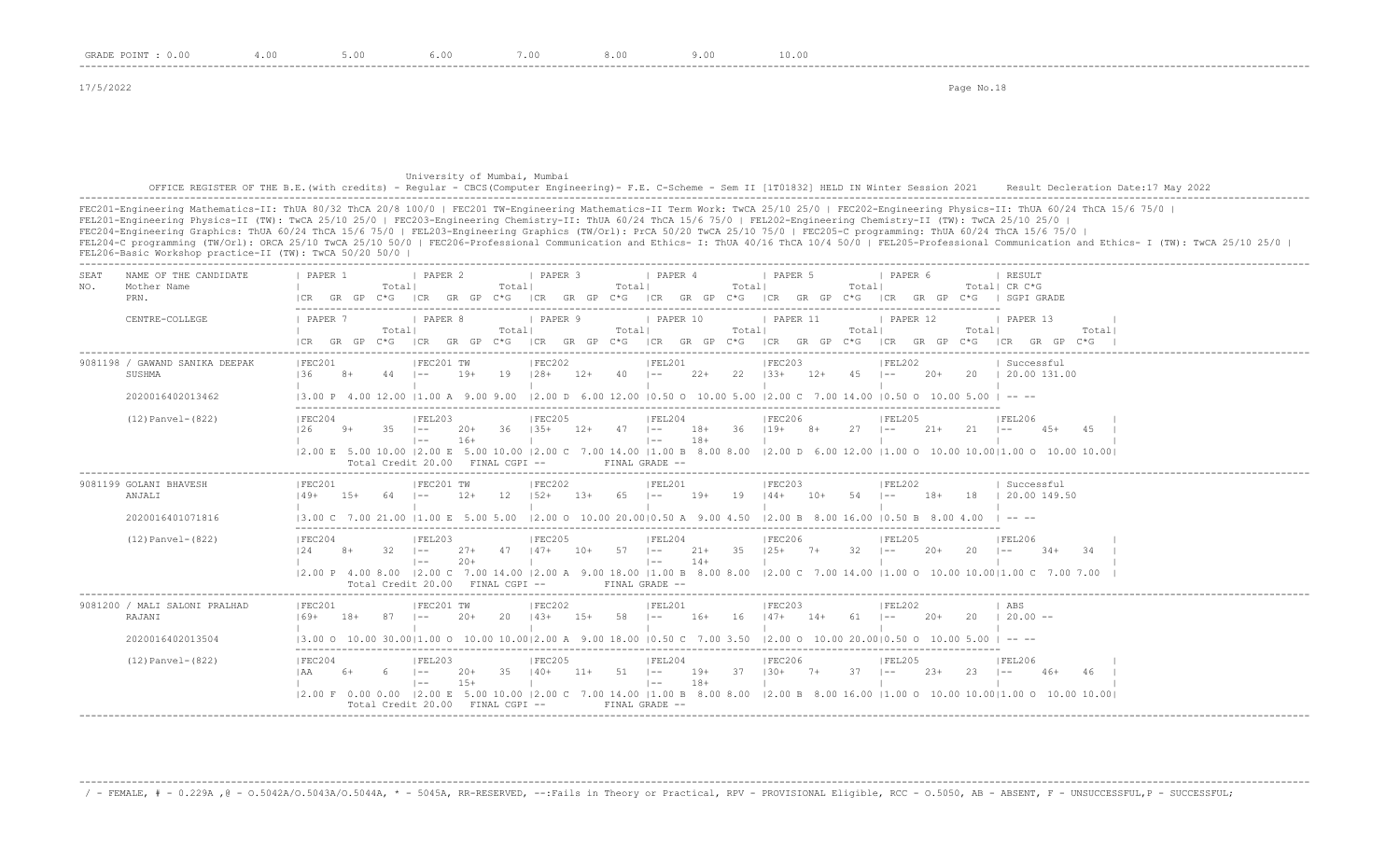#### University of Mumbai, Mumbai OFFICE REGISTER OF THE B.E.(with credits) - Regular - CBCS(Computer Engineering)- F.E. C-Scheme - Sem II [1T01832] HELD IN Winter Session 2021 Result Decleration Date:17 May 2022 -------------------------------------------------------------------------------------------------------------------------------------------------------------------------------------------------------------------

FEC201-Engineering Mathematics-II: ThUA 80/32 ThCA 20/8 100/0 | FEC201 TW-Engineering Mathematics-II Term Work: TwCA 25/10 25/0 | FEC202-Engineering Physics-II: ThUA 60/24 ThCA 15/6 75/0 | FEL201-Engineering Physics-II (TW): TwCA 25/10 25/0 | FEC203-Engineering Chemistry-II: ThUA 60/24 ThCA 15/6 75/0 | FEL202-Engineering Chemistry-II (TW): TwCA 25/10 25/0 | FEC204-Engineering Graphics: ThUA 60/24 ThCA 15/6 75/0 | FEL203-Engineering Graphics (TW/Orl): PrCA 50/20 TwCA 25/10 75/0 | FEC205-C programming: ThUA 60/24 ThCA 15/6 75/0 | FEL204-C programming (TW/Orl): ORCA 25/10 TwCA 25/10 50/0 | FEC206-Professional Communication and Ethics- I: ThUA 40/16 ThCA 10/4 50/0 | FEL205-Professional Communication and Ethics- I (TW): TwCA 25/10 25/0 | FEL206-Basic Workshop practice-II (TW): TwCA 50/20 50/0 |

-------------------------------------------------------------------------------------------------------------------------------------------------------------------------------------------------------------------

| <b>SEAT</b><br>NO.<br>PRN.       | NAME OF THE CANDIDATE<br>Mother Name               | PAPER 1                                                                                                                                      | GR GP | Totall       | <b>I PAPER 2</b>                                                      |                | Totall | <b>I PAPER 3</b>  |               | Totall     | <b>I PAPER 4</b><br>$C*G$   CR GR GP $C*G$   CR GR GP $C*G$   CR GR GP $C*G$   CR GR GP                                                               |                | Total  | I PAPER 5                             | Totall<br>$C * G$ | 1 PAPER 6<br>ICR GR GP |        |        | RESULT<br>Total! CR C*G<br>SGPI GRADE                                                                                                                                                       |       |  |
|----------------------------------|----------------------------------------------------|----------------------------------------------------------------------------------------------------------------------------------------------|-------|--------------|-----------------------------------------------------------------------|----------------|--------|-------------------|---------------|------------|-------------------------------------------------------------------------------------------------------------------------------------------------------|----------------|--------|---------------------------------------|-------------------|------------------------|--------|--------|---------------------------------------------------------------------------------------------------------------------------------------------------------------------------------------------|-------|--|
|                                  | CENTRE-COLLEGE                                     | I PAPER 7<br>ICR GR GP C*G ICR GR GP C*G ICR GR GP C*G ICR GR GP C*G ICR GR GP C*G ICR GR GP C*G                                             |       | Totall       | <b>I PAPER 8</b>                                                      |                | Totall | PAPER 9           |               | Totall     | PAPER 10                                                                                                                                              |                | Totall | PAPER 11                              | Totall            | PAPER 12               |        | Totall | PAPER 13<br>$ CR$ GR GP $C*G$                                                                                                                                                               | Total |  |
| SUSHMA                           | 9081198 / GAWAND SANIKA DEEPAK<br>2020016402013462 | IFEC201<br>136<br>13.00 P 4.00 12.00 11.00 A 9.00 9.00                                                                                       | $8+$  | $44$ $1--$   | IFEC201 TW                                                            | $19+$          | 19     | IFEC202<br>$128+$ | $12+40$ $1--$ |            | IFEL201<br>$\vert 2.00 \vert D$ 6.00 12.00 $\vert 0.50 \vert D$ 10.00 5.00 $\vert 2.00 \vert C$ 7.00 14.00 $\vert 0.50 \vert D$ 10.00 5.00 $\vert$ -- |                |        | IFEC203<br>$22+$ 22 $133+$ 12+ 45 1-- |                   | FEL202                 | $20+$  |        | Successful<br>20 1 20.00 131.00                                                                                                                                                             |       |  |
|                                  | $(12)$ Panvel- $(822)$                             | IFEC204<br>126                                                                                                                               | $9+$  | 35           | IFEL203<br>$1 - -$<br>$1 - -$<br>Total Credit 20.00 FINAL CGPI --     | $20+$<br>$16+$ | - 36   | IFEC205<br>$135+$ | 12+           | $47 - -$   | IFEL204<br>$\vert - -$<br>FINAL GRADE --                                                                                                              | 18+<br>$18+$   |        | <b>IFEC206</b><br>$36$ $119+$ $8+$    | $27 - 1 - -$      | IFEL205                | $21+$  | 2.1    | <b>IFEL206</b><br>$\vert - - \vert$<br>$4.5+$<br>12.00 E 5.00 10.00 12.00 E 5.00 10.00 12.00 C 7.00 14.00 11.00 B 8.00 8.00 12.00 D 6.00 12.00 11.00 O 10.00 10.0010.00 0 10.00 10.00 10.00 | 4.5   |  |
| 9081199 GOLANI BHAVESH<br>ANJALI | 2020016401071816                                   | FEC201<br>$149+$<br> 3.00 C 7.00 21.00  1.00 E 5.00 5.00  2.00 O 10.00 20.00 0.50 A 9.00 4.50  2.00 B 8.00 16.00  0.50 B 8.00 4.00           | $15+$ | $64$ $1--$   | FEC201 TW                                                             | $12+$          | 12     | FEC202<br>$152+$  | $1.3+$        | $65 = 1 -$ | FEL201                                                                                                                                                | $19+$          |        | FEC203<br>19 144+ 10+                 | $54$ $1--$        | FEL202                 | $18+$  | 18     | Successful<br>  20.00 149.50                                                                                                                                                                |       |  |
|                                  | $(12)$ Panvel- $(822)$                             | IFEC204<br>12.4                                                                                                                              | $8+$  | $32 - 1 = -$ | IFEL203<br>$\vert - -$<br>Total Credit 20.00 FINAL CGPI --            | $27+$<br>$20+$ | 47     | IFEC205<br>$147+$ | $10+$         | $57 - 1 -$ | IFEL204<br>$1 - -$<br>FINAL GRADE --                                                                                                                  | $21+$<br>$14+$ | 35     | IFEC206<br>$125+$ 7+                  | $32 - 1 = -$      | IFEL205                | $20+$  | 20     | IFEL206<br>$1 - -$<br>$34+$<br>12.00 P 4.00 8.00 12.00 C 7.00 14.00 12.00 A 9.00 18.00 11.00 B 8.00 8.00 12.00 C 7.00 14.00 11.00 O 10.00 10.0011.00 C 7.00 7.00                            | $-34$ |  |
| RAJANI                           | 9081200 / MALI SALONI PRALHAD<br>2020016402013504  | FEC201<br>$169+$<br>13.00 0 10.00 30.0011.00 0 10.00 10.0012.00 A 9.00 18.00 10.50 C 7.00 3.50 12.00 0 10.00 20.0010.50 0 10.00 5.00 I -- -- | $18+$ | 87           | FEC201 TW<br>$1 - -$                                                  | $20+$          | 2.0    | FEC202<br>$143+$  | $1.5+$        | $58 = 1 -$ | FEL201                                                                                                                                                | $16+$          | 16     | FEC203<br>$147+$ 14+                  | $61 \t - -$       | FEL202                 | $20+$  | 20     | ABS<br>$20.00 -$                                                                                                                                                                            |       |  |
|                                  | $(12)$ Panvel- $(822)$                             | IFEC204<br>I AA                                                                                                                              | $6+$  |              | IFEL203<br>$\vert - -$<br>$1 - -$<br>Total Credit 20.00 FINAL CGPI -- | 20+<br>$1.5+$  | - 35   | IFEC205<br>$140+$ | $11+$         | $51 - -$   | IFEL204<br>$\vert - - \vert$<br>FINAL GRADE --                                                                                                        | $19+$<br>$18+$ | 37     | <b>IFEC206</b><br>$130+ 7+$           | $37 \quad - -$    | IFEL205                | $2.3+$ | 23     | IFEL206<br>46+<br>$1 - -$<br>12.00 F 0.00 0.00 12.00 E 5.00 10.00 12.00 C 7.00 14.00 11.00 B 8.00 8.00 12.00 B 8.00 16.00 11.00 O 10.00 10.0011.00 O 10.00 10.00 10.00 10.00 P              | 46    |  |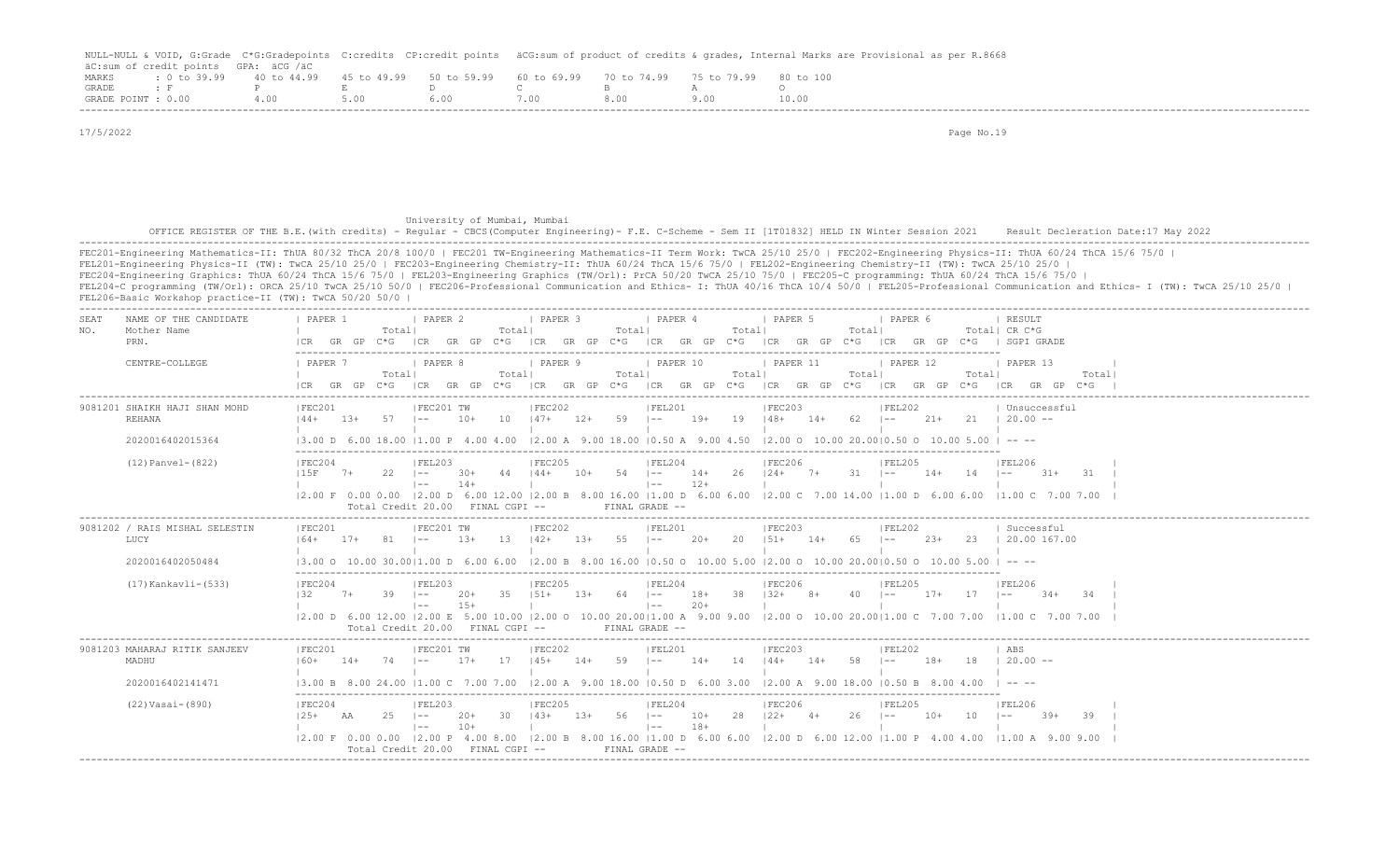|                    |                                      |                                     |             |                                                           |       | NULL-NULL & VOID, G:Grade C*G:Gradepoints C:credits CP:credit points äCG:sum of product of credits & qrades, Internal Marks are Provisional as per R.8668 |
|--------------------|--------------------------------------|-------------------------------------|-------------|-----------------------------------------------------------|-------|-----------------------------------------------------------------------------------------------------------------------------------------------------------|
|                    | äC:sum of credit points GPA: äCG /äC |                                     |             |                                                           |       |                                                                                                                                                           |
| MARKS              |                                      | $: 0 \text{ to } 39.99$ 40 to 44.99 | 45 to 49.99 | 50 to 59.99 60 to 69.99 70 to 74.99 75 to 79.99 80 to 100 |       |                                                                                                                                                           |
| <b>GRADE</b>       |                                      |                                     |             |                                                           |       |                                                                                                                                                           |
| GRADE POINT : 0.00 |                                      |                                     | 5.00        | 5.00.                                                     | 8 N.O |                                                                                                                                                           |
|                    |                                      |                                     |             |                                                           |       |                                                                                                                                                           |

 17/5/2022 Page No.19 University of Mumbai, Mumbai OFFICE REGISTER OF THE B.E.(with credits) - Regular - CBCS(Computer Engineering)- F.E. C-Scheme - Sem II [1T01832] HELD IN Winter Session 2021 Result Decleration Date:17 May 2022 ------------------------------------------------------------------------------------------------------------------------------------------------------------------------------------------------------------------- FEC201-Engineering Mathematics-II: ThUA 80/32 ThCA 20/8 100/0 | FEC201 TW-Engineering Mathematics-II Term Work: TwCA 25/10 25/0 | FEC202-Engineering Physics-II: ThUA 60/24 ThCA 15/6 75/0 | FEL201-Engineering Physics-II (TW): TwCA 25/10 25/0 | FEC203-Engineering Chemistry-II: ThUA 60/24 ThCA 15/6 75/0 | FEL202-Engineering Chemistry-II (TW): TwCA 25/10 25/0 | FEC204-Engineering Graphics: ThUA 60/24 ThCA 15/6 75/0 | FEL203-Engineering Graphics (TW/Orl): PrCA 50/20 TwCA 25/10 75/0 | FEC205-C programming: ThUA 60/24 ThCA 15/6 75/0 | FEL204-C programming (TW/Orl): ORCA 25/10 TwCA 25/10 50/0 | FEC206-Professional Communication and Ethics- I: ThUA 40/16 ThCA 10/4 50/0 | FEL205-Professional Communication and Ethics- I (TW): TwCA 25/10 25/0 | FEL206-Basic Workshop practice-II (TW): TwCA 50/20 50/0 | ------------------------------------------------------------------------------------------------------------------------------------------------------------------------------------------------------------------- SEAT NAME OF THE CANDIDATE | PAPER 1 | PAPER 2 | PAPER 3 | PAPER 4 | PAPER 5 | PAPER 6 | RESULT NO. Mother Name | Total| Total| Total| Total| Total| Total| CR C\*G PRN. |CR GR GP C\*G |CR GR GP C\*G |CR GR GP C\*G |CR GR GP C\*G |CR GR GP C\*G |CR GR GP C\*G | SGPI GRADE ------------------------------------------------------------------------------------------------------------------------- CENTRE-COLLEGE | PAPER 7 | PAPER 8 | PAPER 9 | PAPER 10 | PAPER 11 | PAPER 12 | PAPER 13 | | Total| Total| Total| Total| Total| Total| Total| |CR GR GP C\*G |CR GR GP C\*G |CR GR GP C\*G |CR GR GP C\*G |CR GR GP C\*G |CR GR GP C\*G |CR GR GP C\*G | ------------------------------------------------------------------------------------------------------------------------------------------------------------------------------------------------------------------- |FEC201 |FEC201 TW |FEC202 |FEL201 |FEC203 |FEL202 | Unsuccessful REHANA |44+ 13+ 57 |-- 10+ 10 |47+ 12+ 59 |-- 19+ 19 |48+ 14+ 62 |-- 21+ 21 | 20.00 -- | | | | | | | 2020016402015364 |3.00 D 6.00 18.00 |1.00 P 4.00 4.00 |2.00 A 9.00 18.00 |0.50 A 9.00 4.50 |2.00 O 10.00 20.00|0.50 O 10.00 5.00 | -- -- ------------------------------------------------------------------------------------------------------------------------- (12) |FEC204 | FEL203 | FEC205 | FEC206 | FEL204 | FEC206 | FEL205 | FEL206 | FEL206 |15F 7+ 22 |-- 30+ 44 |44+ 10+ 54 |-- 14+ 26 |24+ 7+ 31 |-- 14+ 14 |-- 31+ 31 | | |-- 14+ | |-- 12+ | | | | |2.00 F 0.00 0.00 |2.00 D 6.00 12.00 |2.00 B 8.00 16.00 |1.00 D 6.00 6.00 |2.00 C 7.00 14.00 |1.00 D 6.00 6.00 |1.00 C 7.00 7.00 | Total Credit 20.00 FINAL CGPI -- FINAL GRADE -- ------------------------------------------------------------------------------------------------------------------------------------------------------------------------------------------------------------------- 9081202 / RAIS MISHAL SELESTIN |FEC201 |FEC201 TW |FEC202 |FEL201 |FEC203 |FEL202 | Successful LUCY |64+ 17+ 81 |-- 13+ 13 |42+ 13+ 55 |-- 20+ 20 |51+ 14+ 65 |-- 23+ 23 | 20.00 167.00 | | | | | | |  $2000010.50030.0011.00 D 6.006.00 12.00 B 8.00 16.00 10.50 0 10.00 5.00 12.00 0 10.00 20.0010.50 0 10.00 5.00 1 - - -$  ------------------------------------------------------------------------------------------------------------------------- (17) Kankavli-(533) |FEC204 |FEL203 |FEC205 |FEL204 |FEC206 |FEL205 |FEL206 |FEL206 |32 7+ 39 |-- 20+ 35 |51+ 13+ 64 |-- 18+ 38 |32+ 8+ 40 |-- 17+ 17 |-- 34+ 34 | | |-- 15+ | |-- 20+ | | | | |2.00 D 6.00 12.00 |2.00 E 5.00 10.00 |2.00 O 10.00 20.00|1.00 A 9.00 9.00 |2.00 O 10.00 20.00|1.00 C 7.00 7.00 |1.00 C 7.00 7.00 | Total Credit 20.00 FINAL CGPI -- FINAL GRADE -- ------------------------------------------------------------------------------------------------------------------------------------------------------------------------------------------------------------------- 9081203 MAHARAJ RITIK SANJEEV | FEC201 | FEC201 TW | FEC202 | FEL201 | FEC203 | FEL202 | ABS MADHU |60+ 14+ 74 |-- 17+ 17 |45+ 14+ 59 |-- 14+ 14 |44+ 14+ 58 |-- 18+ 18 | 20.00 -- | | | | | | | 2020016402141471 |3.00 B 8.00 24.00 |1.00 C 7.00 7.00 |2.00 A 9.00 18.00 |0.50 D 6.00 3.00 |2.00 A 9.00 18.00 |0.50 B 8.00 4.00 | -- -- ------------------------------------------------------------------------------------------------------------------------- (22) Vasai-(890) |FEC204 |FEL203 |FEC205 |FEL204 |FEC206 |FEL205 |FEL206 |FEL205 |FEL206 |25+ AA 25 |-- 20+ 30 |43+ 13+ 56 |-- 10+ 28 |22+ 4+ 26 |-- 10+ 10 |-- 39+ 39 | | |-- 10+ | |-- 18+ | | | | |2.00 F 0.00 0.00 |2.00 P 4.00 8.00 |2.00 B 8.00 16.00 |1.00 D 6.00 6.00 |2.00 D 6.00 12.00 |1.00 P 4.00 4.00 |1.00 A 9.00 9.00 | Total Credit 20.00 FINAL CGPI -- FINAL GRADE --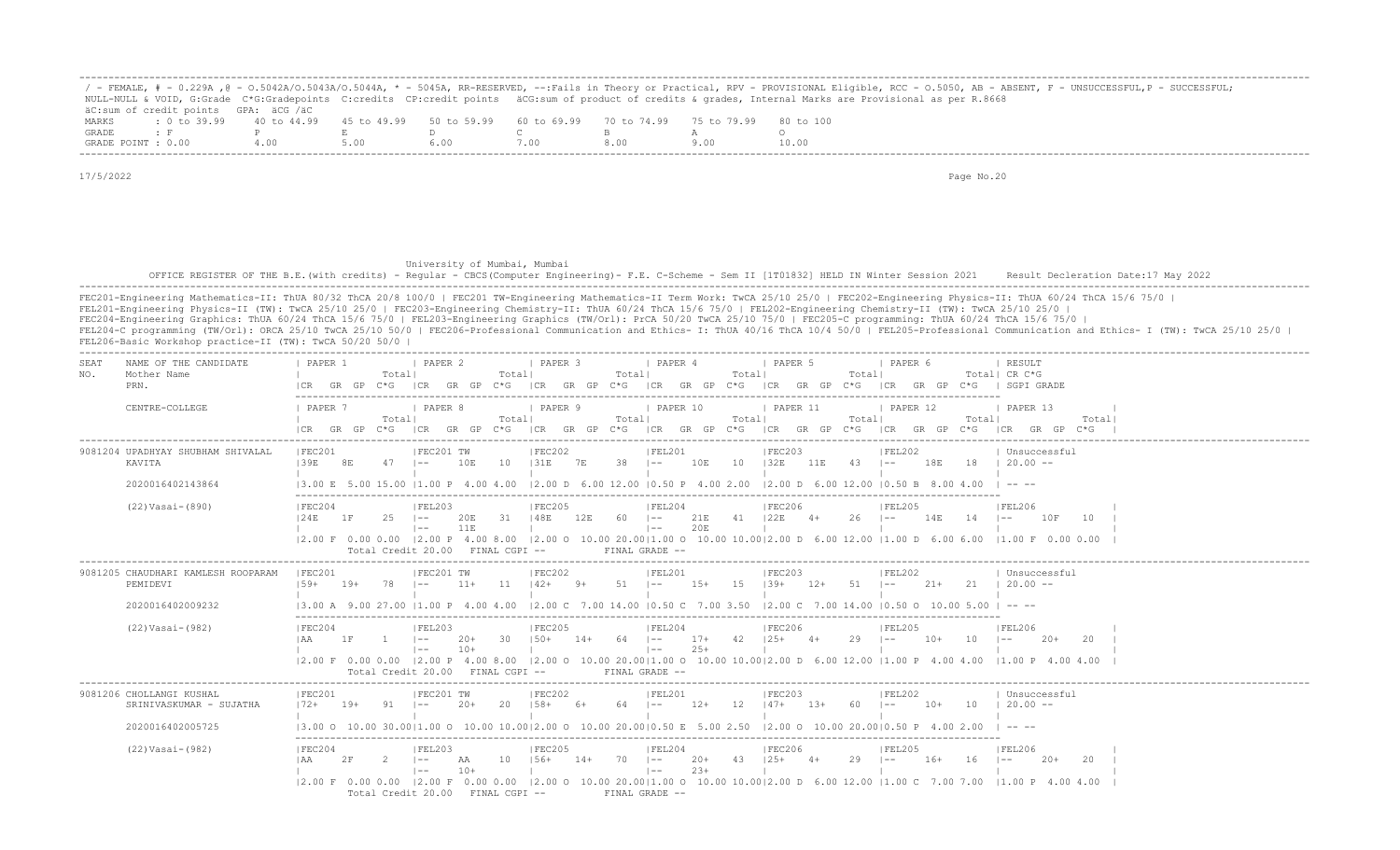|                    |                                                                                                |     |  |      |  | ' - FEMALE, # - 0.229A ,@ - 0.5042A/0.5043A/0.5044A, * - 5045A, RR-RESERVED, --:Fails in Theory or Practical, RPV - PROVISIONAL Eligible, RCC - 0.5050, AB - ABSENT, F - UNSUCCESSFUL,P - SUCCESSFUL; |
|--------------------|------------------------------------------------------------------------------------------------|-----|--|------|--|-------------------------------------------------------------------------------------------------------------------------------------------------------------------------------------------------------|
|                    |                                                                                                |     |  |      |  | NULL-NULL & VOID, G:Grade C*G:Gradepoints C:credits CP:credit points äCG:sum of product of credits & grades, Internal Marks are Provisional as per R.8668                                             |
|                    | äC:sum of credit points GPA: äCG /äC                                                           |     |  |      |  |                                                                                                                                                                                                       |
| MARKS              | t 0 to 39,99 40 to 44,99 45 to 49,99 50 to 59,99 60 to 69,99 70 to 74,99 75 to 79,99 80 to 100 |     |  |      |  |                                                                                                                                                                                                       |
| GRADE              |                                                                                                |     |  |      |  |                                                                                                                                                                                                       |
| GRADE POINT : 0.00 |                                                                                                | 400 |  | '.00 |  | 10.00                                                                                                                                                                                                 |

 University of Mumbai, Mumbai OFFICE REGISTER OF THE B.E.(with credits) - Regular - CBCS(Computer Engineering) - F.E. C-Scheme - Sem II [1T01832] HELD IN Winter Session 2021 Result Decleration Date:17 May 2022 -------------------------------------------------------------------------------------------------------------------------------------------------------------------------------------------------------------------

| SEAT<br>NO. | NAME OF THE CANDIDATE<br>Mother Name<br>PRN.                            | PAPER 1<br>Totall<br>GR GP                     | I PAPER 2<br>Totall<br>$C*G$ $ CR$ $GR$ $GP$ $C*G$                                                                                 | PAPER 3<br>Totall<br>ICR GR GP C*G | PAPER 4<br>Totall<br>$ CR$ GR GP $C*G$ $ CR$ GR GP $C*G$                                                                                                                                                                    | PAPER 5<br>Totall                   | I PAPER 6<br>GR GP C*G   SGPI GRADE<br> CR | RESULT<br>Total  CR C*G                      |
|-------------|-------------------------------------------------------------------------|------------------------------------------------|------------------------------------------------------------------------------------------------------------------------------------|------------------------------------|-----------------------------------------------------------------------------------------------------------------------------------------------------------------------------------------------------------------------------|-------------------------------------|--------------------------------------------|----------------------------------------------|
|             | CENTRE-COLLEGE                                                          | <b>I PAPER 7</b><br>Totall<br>GR GP<br>C*G ICR | <b>I PAPER 8</b><br>Totall                                                                                                         | <b>I PAPER 9</b><br>Totall         | PAPER 10<br>Totall<br>GR GP C*G   ICR GR GP C*G   ICR GR GP C*G   ICR GR GP C*G   ICR GR GP C*G   ICR GR GP C*G                                                                                                             | PAPER 11<br>Totall                  | <b>I PAPER 12</b><br>Total                 | 1 PAPER 13<br>Total                          |
|             | 9081204 UPADHYAY SHUBHAM SHIVALAL<br>KAVITA<br>2020016402143864         | FEC201<br>139E<br>8E<br>$47 \quad - -$         | FEC201 TW<br>10<br>10E<br>13.00 E 5.00 15.00 I1.00 P 4.00 4.00                                                                     | FEC202<br>38<br>131E<br>7E         | FEL201<br>10E<br>10<br>$\sim$<br>$(2.00 \t{D} \t{6.00} \t{12.00} \t{0.50} \t{P} \t{4.00} \t{2.00} \t{2.00} \t{6.00} \t{12.00} \t{0.50} \t{B} \t{8.00} \t{4.00}$                                                             | FEC203<br>132E<br>11E<br>$43 - 1 =$ | FEL202<br>18E                              | Unsuccessful<br>$18 \t-120.00 -$<br>$\cdots$ |
|             | $(22) Vasi-(890)$                                                       | FEC204<br>124E<br>25<br>1 F                    | FEL203<br>31<br>$\vert - -$<br>20E<br>11E<br>$\vert$ $-$<br>Total Credit 20.00 FINAL CGPI --                                       | FEC205<br>148E<br>12E<br>60.       | FEL204<br>41 I22E<br>$\vert - - \vert$<br>21E<br>20E<br>$\vert - - \vert$<br>FINAL GRADE --                                                                                                                                 | FEC206<br>$26$ $ -$<br>$4+$         | FEL205<br>14E<br>14                        | FEL206<br>10 F<br>10<br>$ -$                 |
|             | 9081205 CHAUDHARI KAMLESH ROOPARAM<br>PEMIDEVI<br>2020016402009232      | FEC201<br>$78$ $1--$<br>$159+$<br>19+          | FEC201 TW<br>$11 \t142+$<br>$11+$                                                                                                  | FEC202<br>$51 - -$<br>$9+$         | FEL201<br>$15 \t  39+$<br>$15+$<br>13.00 A 9.00 27.00 11.00 P 4.00 4.00 12.00 C 7.00 14.00 10.50 C 7.00 3.50 12.00 C 7.00 14.00 10.50 O 10.00 5.00 1                                                                        | FEC203<br>$12+ 51$ $1--$            | FEL202<br>$21+$                            | Unsuccessful<br>21 1 20.00 --<br>$\cdots$    |
|             | $(22) Vasi-(982)$                                                       | FEC204<br>1 F                                  | FEL203<br>30<br>$1 - -$<br>-20+<br>$10+$<br>$\vert$ $-$<br>Total Credit 20.00 FINAL CGPI --                                        | FEC205<br>$150+$<br>$14+$<br>64    | FEL204<br>$\vert - -$<br>$17+$<br>42<br>$25+$<br>$\vert - - \vert$<br>12.00 F 0.00 0.00 12.00 P 4.00 8.00 12.00 O 10.00 20.0011.00 O 10.00 10.0012.00 D 6.00 12.00 11.00 P 4.00 4.00 11.00 P 4.00 4.00<br>FINAL GRADE --    | FEC206<br>$125+$<br>29<br>$4+$      | FEL205<br>$10+$<br>10<br>$1 - -$           | FEL206<br>$20+$<br>-20                       |
|             | 9081206 CHOLLANGI KUSHAL<br>SRINIVASKUMAR - SUJATHA<br>2020016402005725 | FEC201<br>$172+$<br>19+<br>91 –                | IFEC201 TW<br>20<br>$20+$                                                                                                          | FEC202<br>$158+$<br>6+<br>64       | FEL201<br>$12+$<br>12<br>$1 - -$<br>$(3.00 \t 0 \t 10.00 \t 30.00   1.00 \t 0 \t 10.00 \t 10.00   2.00 \t 0 \t 10.00 \t 20.00   0.50 \t E \t 5.00 \t 2.50 \t   2.00 \t 0 \t 10.00 \t 20.00   0.50 \t P \t 4.00 \t 2.00$     | FEC203<br>$147+$<br>$13+$<br>60     | FEL202<br>$\vert - - \vert$<br>$10+$<br>10 | Unsuccessful<br>$120.00 -$                   |
|             | $(22) Vasi-(982)$                                                       | IFEC204<br>2F                                  | IFEL203<br>10<br>AA<br>$10+$<br>$\vert - - \vert$<br>$12.00 \t{F}$ 0.00 0.00 12.00 F 0.00 0.00<br>Total Credit 20.00 FINAL CGPI -- | IFEC205<br>$156+$<br>70<br>$14+$   | IFEL204<br>$20+$<br>43<br>$1 - -$<br>$23+$<br>$ ---$<br>$(2.00 \t 0 \t 10.00 \t 20.00)1.00 \t 0 \t 10.00 \t 10.00)2.00 \t 0 \t 6.00 \t 12.00 \t 11.00 \t C \t 7.00 \t 7.00 \t 11.00 \t P \t 4.00 \t 4.00$<br>FINAL GRADE -- | IFEC206<br>$125+$<br>29             | IFEL205<br>$16+$<br>16<br>$1 - -$          | IFEL206<br>-20                               |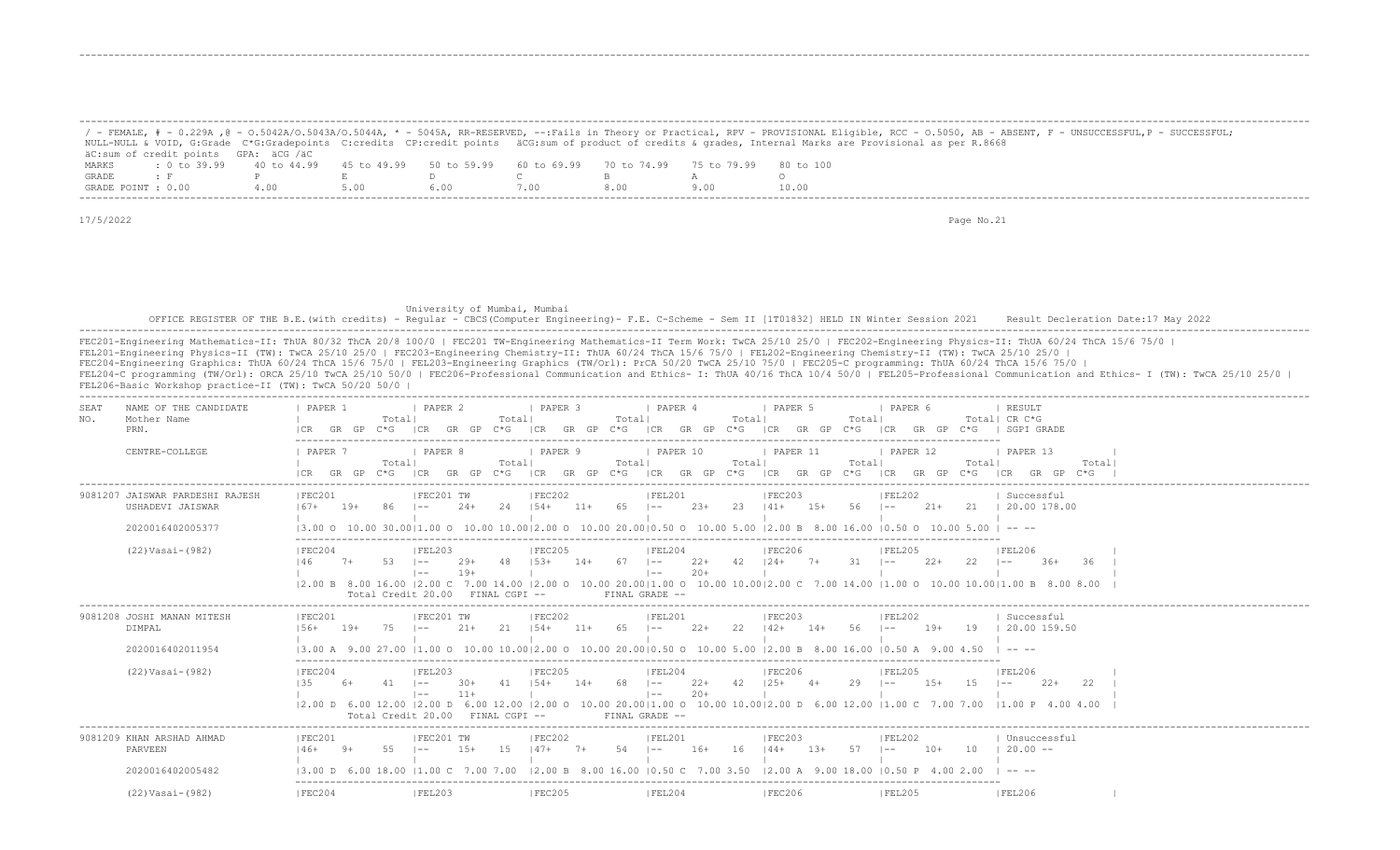|       |                                                                                                              |      |      |                                 |      |     | / - FEMALE, # - 0.229A ,@ - 0.5042A/0.5043A/0.5044A, * - 5045A, RR-RESERVED, --:Fails in Theory or Practical, RPV - PROVISIONAL Eligible, RCC - 0.5050, AB - ABSENT, F - UNSUCCESSFUL,P - SUCCESSFUL; |
|-------|--------------------------------------------------------------------------------------------------------------|------|------|---------------------------------|------|-----|-------------------------------------------------------------------------------------------------------------------------------------------------------------------------------------------------------|
|       |                                                                                                              |      |      |                                 |      |     | NULL-NULL & VOID, G:Grade C*G:Gradepoints C:credits CP:credit points äCG:sum of product of credits & grades, Internal Marks are Provisional as per R.8668                                             |
|       | äC:sum of credit points GPA: äCG /äC                                                                         |      |      |                                 |      |     |                                                                                                                                                                                                       |
| MARKS | : 0 to 39.99   40 to 44.99   45 to 49.99   50 to 59.99   60 to 69.99   70 to 74.99   75 to 79.99   80 to 100 |      |      |                                 |      |     |                                                                                                                                                                                                       |
| GRADE | $\bullet$ F $\bullet$ P $\bullet$ F $\bullet$                                                                |      |      | $\Box$ . The contract of $\Box$ |      |     |                                                                                                                                                                                                       |
|       | GRADE POINT : 0.00                                                                                           | 4.00 | 5.00 | 6.00                            | 7.00 | 800 | 10.00                                                                                                                                                                                                 |

-------------------------------------------------------------------------------------------------------------------------------------------------------------------------------------------------------------------

-------------------------------------------------------------------------------------------------------------------------------------------------------------------------------------------------------------------

-------------------------------------------------------------------------------------------------------------------------------------------------------------------------------------------------------------------

17/5/2022 Page No.21

 University of Mumbai, Mumbai OFFICE REGISTER OF THE B.E.(with credits) - Regular - CBCS(Computer Engineering)- F.E. C-Scheme - Sem II [1T01832] HELD IN Winter Session 2021 Result Decleration Date:17 May 2022 -------------------------------------------------------------------------------------------------------------------------------------------------------------------------------------------------------------------

| NAME OF THE CANDIDATE<br>SEAT<br>Mother Name<br>NO.<br>PRN. | PAPER<br>Totall<br>$C*G$                                   | <b>I PAPER 2</b><br>Totall<br>GP<br>GR<br>$C * G$      | <b>I PAPER 3</b><br>Totall<br>GR GP<br>I CR<br>C*G                                                                                                    | <i>I</i> PAPER 4<br>Totall<br>I CR<br>GR<br>GP<br>$C * G$       | <b>PAPER 5</b><br>Totall<br>ICR<br>GR GP                                                  | <b>I PAPER 6</b>                               | RESULT<br>Totall CR C*G<br>SGPI GRADE                                                                                                                                                                                                                                                                                                                                                        |
|-------------------------------------------------------------|------------------------------------------------------------|--------------------------------------------------------|-------------------------------------------------------------------------------------------------------------------------------------------------------|-----------------------------------------------------------------|-------------------------------------------------------------------------------------------|------------------------------------------------|----------------------------------------------------------------------------------------------------------------------------------------------------------------------------------------------------------------------------------------------------------------------------------------------------------------------------------------------------------------------------------------------|
| CENTRE-COLLEGE                                              | PAPER 7<br>Totall<br>$C*G$<br>GR GP                        | <b>PAPER 8</b><br>Totall<br>ICR<br>GP<br>$C * G$<br>GR | PAPER 9<br>Totall<br>ICR<br>GR GP<br>$C*G$                                                                                                            | PAPER 10<br>Totall<br>ICR GR GP<br>$C \star G$                  | PAPER 11<br>Total <br>ICR GR GP C*G<br>ICR                                                | PAPER 12<br>Totall<br>GP.<br>$C*G$<br>GR       | PAPER 13<br>Totall<br>$GR$ $GP$ $C*G$<br>ICR                                                                                                                                                                                                                                                                                                                                                 |
| 9081207 JAISWAR PARDESHI RAJESH<br>USHADEVI JAISWAR         | IFEC201<br>$167+$<br>$19+$<br>86                           | IFEC201 TW<br>24<br>$2.4 +$<br>$1 - -$                 | FEC202<br>$11+$<br>65<br>$1.54+$                                                                                                                      | FEL201<br>$23+$<br>23<br>$\vert - - \vert$                      | FEC203<br>$1.5+$<br>56<br>$141+$<br>$1 - -$                                               | IFEL202<br>$21+$                               | Successful<br>21   20.00 178.00                                                                                                                                                                                                                                                                                                                                                              |
| 2020016402005377<br>(22) Vasai-(982)                        | 13.00 0 10.00 30.0011.00 0<br> FEC204<br>146<br>$7+$<br>53 | FEL203<br>29+<br>-48<br>$1 - -$                        | 10.00 10.0012.00 0 10.00 20.0010.50 0<br><b>IFEC205</b><br>$153+$<br>$67 \t - -$<br>$14+$                                                             | FEL204<br>$22+$                                                 | 10.00 5.00 12.00 B 8.00 16.00 10.50 O<br><b>FEC206</b><br>$42 \t124+ \t7+$<br>$-31$ $1--$ | $10.005.001 - - -$<br> FEL205<br>$2.2+$<br>-22 | <b>FEL206</b><br>$36+$<br>-36<br>$1 - -$                                                                                                                                                                                                                                                                                                                                                     |
|                                                             | Total Credit 20.00                                         | $19+$<br>$1 - -$<br>FINAL CGPT --                      | 12.00 B 8.00 16.00 12.00 C 7.00 14.00 12.00 O 10.00 20.0011.00 O 10.00 10.0012.00 C 7.00 14.00 11.00 O 10.00 10.0011.00 B 8.00 8.00<br>FINAL GRADE -- | $20+$<br>$1 - -$                                                |                                                                                           |                                                |                                                                                                                                                                                                                                                                                                                                                                                              |
| 9081208 JOSHI MANAN MITESH<br>DIMPAL                        | IFEC201<br>$156+$<br>$19+$<br>75                           | IFEC201 TW<br>$21+$<br>2.1<br>$1 - -$                  | FEC202<br>$154+$<br>$11 +$<br>65                                                                                                                      | IFEL201<br>$22+$<br>22<br>$1 - -$                               | FEC203<br>56<br>$142+$<br>$14+$<br>$1 - -$                                                | FEL202<br>$19+$<br>19                          | Successful<br>120.00159.50                                                                                                                                                                                                                                                                                                                                                                   |
| 2020016402011954                                            |                                                            |                                                        | 13.00 A 9.00 27.00 11.00 O 10.00 10.0012.00 O 10.00 20.0010.50 O 10.00 5.00 12.00 B 8.00 16.00 10.50 A 9.00 4.50                                      |                                                                 |                                                                                           |                                                | $\cdots$                                                                                                                                                                                                                                                                                                                                                                                     |
| $(22) Vasi-(982)$                                           | IFEC204<br>135<br>$6+$<br>41                               | IFEL203<br>$30+$<br>41<br>$1 - -$<br>$11+$<br>$1 - -$  | IFEC205<br>$154+$<br>$14+$<br>68                                                                                                                      | IFEL204<br>$22+$<br>42<br>$\vert - - \vert$<br>$20+$<br>$1 - -$ | IFEC206<br>$125+$ 4+<br>29<br>$1 - -$                                                     | IFFI205<br>$1.5+$<br>1.5                       | <b>IFEL206</b><br>$22+$<br>22                                                                                                                                                                                                                                                                                                                                                                |
|                                                             |                                                            | Total Credit 20.00<br>FINAL CGPI --                    | 2.00 D 6.00 12.00  2.00 D 6.00 12.00  2.00 O 10.00 20.00 1.00 O 10.00 10.00 2.00 D 6.00 12.00  1.00 C 7.00 7.00  1.00 P 4.00 4.00<br>FINAL GRADE --   |                                                                 |                                                                                           |                                                |                                                                                                                                                                                                                                                                                                                                                                                              |
|                                                             |                                                            |                                                        |                                                                                                                                                       |                                                                 |                                                                                           |                                                |                                                                                                                                                                                                                                                                                                                                                                                              |
| 9081209 KHAN ARSHAD AHMAD<br>PARVEEN                        | IFEC201<br>$146+$ 9+<br>55                                 | IFEC201 TW<br>$1.5+$<br>1.5<br>$1 - -$                 | IFEC202<br>$147+$<br>$54$ $1 - -$<br>$7+$                                                                                                             | IFEL201<br>$16+$<br>16                                          | IFEC203<br>$144+$<br>$1.3+$<br>57<br>$1 - -$                                              | IFEL202<br>$10+$<br>- 10                       | Unsuccessful<br>$120.00 -$                                                                                                                                                                                                                                                                                                                                                                   |
| 2020016402005482                                            | 13.00 D 6.00 18.00                                         | $11.00 \text{ C}$<br>700                               | 12.00 B 8.00 16.00 10.50 C 7.00 3.50                                                                                                                  |                                                                 | $12.00$ A $9.00$ 18.00 10.50 P                                                            |                                                | $\frac{1}{2} \frac{1}{2} \frac{1}{2} \frac{1}{2} \frac{1}{2} \frac{1}{2} \frac{1}{2} \frac{1}{2} \frac{1}{2} \frac{1}{2} \frac{1}{2} \frac{1}{2} \frac{1}{2} \frac{1}{2} \frac{1}{2} \frac{1}{2} \frac{1}{2} \frac{1}{2} \frac{1}{2} \frac{1}{2} \frac{1}{2} \frac{1}{2} \frac{1}{2} \frac{1}{2} \frac{1}{2} \frac{1}{2} \frac{1}{2} \frac{1}{2} \frac{1}{2} \frac{1}{2} \frac{1}{2} \frac{$ |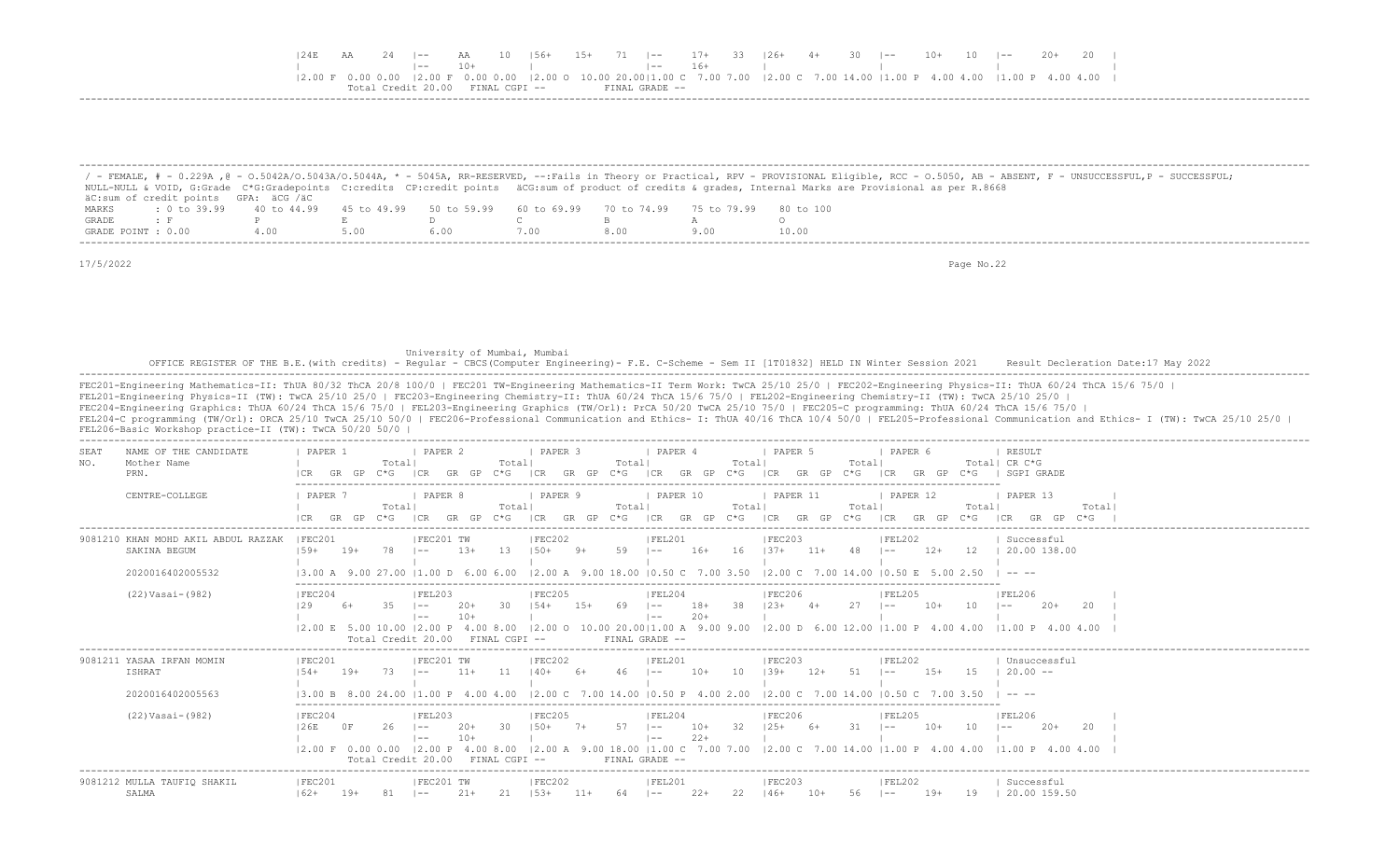|  |  | AA            | 10   56+ |  |  |  | 15+ 71  -- 17+ 33  26+ 4+ 30  -- 10+ 10  -- 20+ 20                                                                             |  |  |  |
|--|--|---------------|----------|--|--|--|--------------------------------------------------------------------------------------------------------------------------------|--|--|--|
|  |  |               |          |  |  |  |                                                                                                                                |  |  |  |
|  |  |               |          |  |  |  | 2.00 F 0.00 0.00  2.00 F 0.00 0.00  2.00 O 10.00 20.00 1.00 C 7.00 7.00  2.00 C 7.00 14.00  1.00 P 4.00 4.00  1.00 P 4.00 4.00 |  |  |  |
|  |  | FINAL CGPI -- |          |  |  |  |                                                                                                                                |  |  |  |
|  |  |               |          |  |  |  |                                                                                                                                |  |  |  |

|                    |                                      |     |      |                                                                       |      |      | / - FEMALE, # - 0.229A ,@ - 0.5042A/0.5043A/0.5044A, * - 5045A, RR-RESERVED, --:Fails in Theory or Practical, RPV - PROVISIONAL Eligible, RCC - 0.5050, AB - ABSENT, F - UNSUCCESSFUL,P - SUCCESSFUL; |
|--------------------|--------------------------------------|-----|------|-----------------------------------------------------------------------|------|------|-------------------------------------------------------------------------------------------------------------------------------------------------------------------------------------------------------|
|                    |                                      |     |      |                                                                       |      |      | NULL-NULL & VOID, G:Grade C*G:Gradepoints C:credits CP:credit points äCG:sum of product of credits & grades, Internal Marks are Provisional as per R.8668                                             |
|                    | äC:sum of credit points GPA: äCG /äC |     |      |                                                                       |      |      |                                                                                                                                                                                                       |
| MARKS              | $: 0 \text{ to } 39.99$ 40 to 44.99  |     |      | 45 to 49.99 50 to 59.99 60 to 69.99 70 to 74.99 75 to 79.99 80 to 100 |      |      |                                                                                                                                                                                                       |
| GRADE              |                                      |     |      |                                                                       |      |      |                                                                                                                                                                                                       |
| GRADE POINT : 0.00 |                                      | 400 | 5.00 |                                                                       | .00. | 8.00 | 10.00                                                                                                                                                                                                 |

University of Mumbai, Mumbai, Mumbai<br>OFFICE REGISTER OF THE B.E.(with credits) - Regular - CBCS(Computer Engineering)- F.E. C-Scheme - Sem II [1T01832] HELD IN Winter Session 2021 Result Decleration Date:17 May 2022<br>------

| NAME OF THE CANDIDATE<br>SEAT                                           | PAPER 1                                          |                          | PAPER 2                                                              |                               | PAPER 3                                   | PAPER 4                                                                                                                                         | PAPER 5                                                                    | PAPER 6                                                                                                                                                                       | RESULT                                                                                                                                                                                                                                                                                                                                                                                                                    |
|-------------------------------------------------------------------------|--------------------------------------------------|--------------------------|----------------------------------------------------------------------|-------------------------------|-------------------------------------------|-------------------------------------------------------------------------------------------------------------------------------------------------|----------------------------------------------------------------------------|-------------------------------------------------------------------------------------------------------------------------------------------------------------------------------|---------------------------------------------------------------------------------------------------------------------------------------------------------------------------------------------------------------------------------------------------------------------------------------------------------------------------------------------------------------------------------------------------------------------------|
| NO.<br>Mother Name<br>PRN.                                              | GR.<br>GP                                        | Total <br>C*G.           | GP                                                                   | Totall<br>こ*に                 | Total<br>GP                               | Total<br>GP<br>$C*G$                                                                                                                            | Total                                                                      | $C \star G$                                                                                                                                                                   | Total  CR C*G<br>SGPI GRADE                                                                                                                                                                                                                                                                                                                                                                                               |
| CENTRE-COLLEGE                                                          | PAPER 7<br>GR                                    | Totall<br>こ*に            | PAPER 8<br>GP                                                        | Totall<br>`* ና<br>ICR         | PAPER 9<br>Totall<br>GP<br>GR.<br>$C * G$ | PAPER 10<br>Total<br> CR<br>GR<br>GP<br>$C * G$                                                                                                 | PAPER 11<br>Total<br>GR GP<br>I CR<br>$C*G$                                | PAPER 12<br>Totall<br>GP<br>$C * G$<br>ICR<br>GR                                                                                                                              | PAPER 13<br>Total<br>I CR<br>GR GP<br>$C * G$                                                                                                                                                                                                                                                                                                                                                                             |
| 9081210 KHAN MOHD AKIL ABDUL RAZZAK<br>SAKINA BEGUM<br>2020016402005532 | IFEC201<br>$159+$<br>$19+$<br>$13.00 A$ 9        | 78                       | IFEC201 TW<br>$1.3+$                                                 | -1.3<br>. 600 600             | IFEC202<br>59<br>1200A90018               | IFEL201<br>$16+$<br>16<br>$1 - -$<br>00 10 50 C 7 00 3 50 12 00 C 7 00 14 00                                                                    | IFEC203<br>48<br>$1.37+$<br>$11+$                                          | IFEL202<br>$12+$<br>12<br>$- -$                                                                                                                                               | Successful<br>20.00 138.00                                                                                                                                                                                                                                                                                                                                                                                                |
| $(22) Vasi-(982)$                                                       | IFEC204                                          | Total Credit 20.00       | FEL203<br>l — —<br>$12.00 \t{E}$ 5.00 10.00 12.00 P 4.00 8.00        | FINAL CGPI --                 | IFEC205                                   | IFEL204<br>$18+$<br>38<br>$1 - -$<br>$20+$<br>$- -$<br>FINAL GRADE --                                                                           | IFEC206                                                                    | IFEL205<br>$10+$<br>10<br>$(2.00 \t 0 \t 10.00 \t 20.00   1.00 \t A \t 9.00 \t 9.00 \t 12.00 \t D \t 6.00 \t 12.00   1.00 \t P \t 4.00 \t 4.00 \t 11.00 \t P \t 4.00 \t 4.00$ | IFEL206<br>20<br>$20+$<br>$- -$                                                                                                                                                                                                                                                                                                                                                                                           |
| 9081211 YASAA IRFAN MOMIN<br><b>ISHRAT</b><br>2020016402005563          | FEC201<br>$19+$<br>$1.54+$<br>13.00 B 8.00 24.00 | 73.                      | IFEC201 TW<br>$11+$<br>$\sim$ $-$<br>11.00P                          | 11<br>$140+$<br>4.004.00      | FEC202<br>46                              | FEL201<br>10<br>$10+$<br>$1 - -$<br>$12.00 \text{ C}$ 7.00 14.00 10.50 P 4.00 2.00                                                              | IFEC203<br>$1.39+$<br>.51<br>$12+$<br>12.00 C 7.00 14.00 10.50 C 7.00 3.50 | FEL202<br>$1.5+$<br>-1.5<br>$- -$                                                                                                                                             | Unsuccessful<br>$20.00 -$<br>$\frac{1}{2} \frac{1}{2} \frac{1}{2} \frac{1}{2} \frac{1}{2} \frac{1}{2} \frac{1}{2} \frac{1}{2} \frac{1}{2} \frac{1}{2} \frac{1}{2} \frac{1}{2} \frac{1}{2} \frac{1}{2} \frac{1}{2} \frac{1}{2} \frac{1}{2} \frac{1}{2} \frac{1}{2} \frac{1}{2} \frac{1}{2} \frac{1}{2} \frac{1}{2} \frac{1}{2} \frac{1}{2} \frac{1}{2} \frac{1}{2} \frac{1}{2} \frac{1}{2} \frac{1}{2} \frac{1}{2} \frac{$ |
| $(22) Vasi-(982)$                                                       | FEC204<br>126E<br>0 F<br>$ 2.00 \tF 0.00 0.00$   | 26<br>Total Credit 20.00 | FEL203<br>$1 - -$<br>$10+$<br>$1 - -$<br>$12.00 \text{ P}$ 4.00 8.00 | 30<br>$150+$<br>FINAL CGPI -- | IFEC205<br>57                             | IFEL204<br>32<br>$10+$<br>$1 - -$<br>$22+$<br>$1 - -$<br>9.00 18.00   1.00 C 7.00 7.00   2.00 C 7.00 14.00   1.00 P 4.00 4.00<br>FINAL GRADE -- | FEC206<br>31<br>$125+$<br>$6+$                                             | IFEL205<br>$10+$<br>10<br>$1 - -$                                                                                                                                             | <b>FEL206</b><br>20<br>$2.0+$<br>$1 - -$<br>$11.00 \text{ P}$ 4.00 4.00                                                                                                                                                                                                                                                                                                                                                   |
| 9081212 MULLA TAUFIO SHAKIL<br>SALMA                                    | IFEC201<br>$162+$<br>$19+$                       |                          | IFEC201 TW<br>$21+$<br>$- -$                                         | $153+$                        | IFEC202<br>$11+$<br>64.                   | IFEL201<br>$22+$<br>22<br>$1 - -$                                                                                                               | IFEC203<br>$10+$<br>146+<br>56                                             | IFEL202<br>$19+$<br>19<br>$1 - -$                                                                                                                                             | Successful<br>20.00 159.50                                                                                                                                                                                                                                                                                                                                                                                                |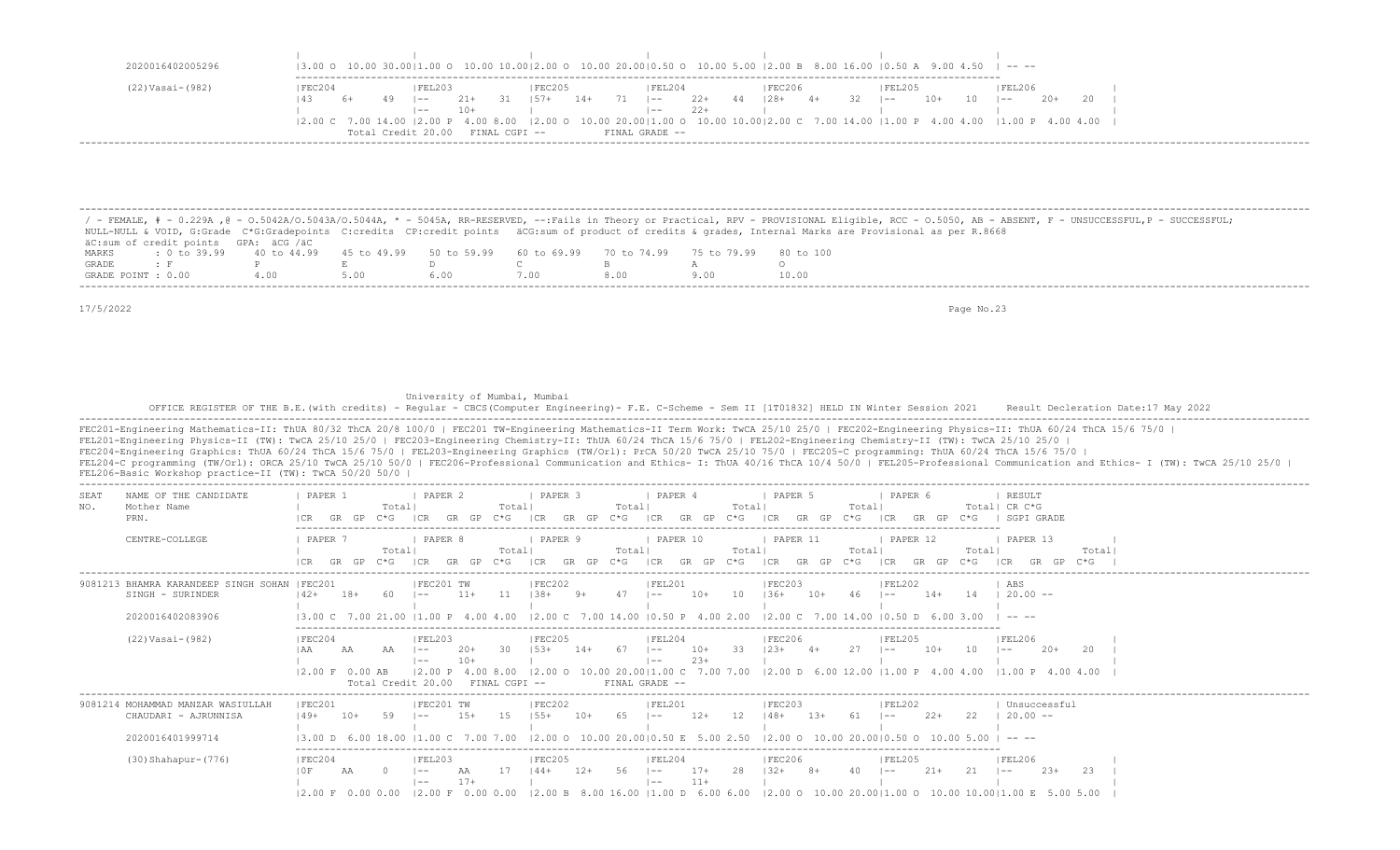| 2020016402005296 |                            |    |    |                    |       |               |         |       |    |                |       |    |        |      |      | $(3.00 \circ 10.00 \cdot 30.00)1.00 \circ 10.00 \cdot 10.00)2.00 \circ 10.00 \cdot 20.00]0.50 \circ 10.00 \cdot 5.00 \cdot 12.00 \cdot B \cdot 8.00 \cdot 16.00 \cdot 10.50 \cdot A \cdot 9.00 \cdot 4.50 \cdot 1 - - -$ |     |    |         |       |  |
|------------------|----------------------------|----|----|--------------------|-------|---------------|---------|-------|----|----------------|-------|----|--------|------|------|--------------------------------------------------------------------------------------------------------------------------------------------------------------------------------------------------------------------------|-----|----|---------|-------|--|
| (22) Vasai-(982) | FEC204                     |    |    | FEL203             |       |               | IFEC205 |       |    | FEL204         |       |    | FEC206 |      |      | IFEL205                                                                                                                                                                                                                  |     |    | 'FEL206 |       |  |
|                  | 143                        | 6+ | 49 | $ -$               | $21+$ | 31            | $157+$  | $14+$ | 71 | $1 - -$        | $22+$ | 44 | $128+$ | $4+$ | - 32 | $- -$                                                                                                                                                                                                                    | 10+ | 10 | $1 - -$ | $20+$ |  |
|                  |                            |    |    | $- -$              | $10+$ |               |         |       |    | $- -$          | $22+$ |    |        |      |      |                                                                                                                                                                                                                          |     |    |         |       |  |
|                  | 12.00 C 7.00 14.00 12.00 P |    |    |                    |       |               |         |       |    |                |       |    |        |      |      | 4.00 8.00   2.00 0 10.00 20.00   1.00 0 10.00 10.00   2.00 C 7.00 14.00   1.00 P 4.00 4.00   1.00 P 4.00 4.00                                                                                                            |     |    |         |       |  |
|                  |                            |    |    | Total Credit 20.00 |       | FINAL CGPI -- |         |       |    | FINAL GRADE -- |       |    |        |      |      |                                                                                                                                                                                                                          |     |    |         |       |  |

 / - FEMALE, # - 0.229A ,@ - O.5042A/O.5043A/O.5044A, \* - 5045A, RR-RESERVED, --:Fails in Theory or Practical, RPV - PROVISIONAL Eligible, RCC - O.5050, AB - ABSENT, F - UNSUCCESSFUL,P - SUCCESSFUL; NULL-NULL & VOID, G:Grade C\*G:Gradepoints C:credits CP:credit points äCG:sum of product of credits & grades, Internal Marks are Provisional as per R.8668 äC:sum of credit points GPA: äCG /äC MARKS : 0 to 39.99 40 to 44.99 45 to 49.99 50 to 59.99 60 to 69.99 70 to 74.99 75 to 79.99 80 to 100<br>GRADE: F P E D C B A O GRADE : F P E D C B A O GRADE POINT : 0.00 4.00 5.00 6.00 7.00 8.00 9.00 10.00 -------------------------------------------------------------------------------------------------------------------------------------------------------------------------------------------------------------------

-------------------------------------------------------------------------------------------------------------------------------------------------------------------------------------------------------------------

17/5/2022 Page No.23

University of Mumbai, Mumbai

OFFICE REGISTER OF THE B.E.(with credits) - Regular - CBCS(Computer Engineering)- F.E. C-Scheme - Sem II [1T01832] HELD IN Winter Session 2021 Result Decleration Date:17 May 2022

| <b>SEAT</b><br>NO. | NAME OF THE CANDIDATE<br>Mother Name                              | PAPER 1                            |       |               | Total           | PAPER <sub>2</sub>                                            |                | Totall                               | I PAPER 3           |          | Totall        | I PAPER 4                                         |                | Totall                                                                              | PAPER 5            |            | Totall          | PAPER 6                  |                                               |                   | RESULT<br>Total  CR C*G                                                                                                                                     |        |        |  |
|--------------------|-------------------------------------------------------------------|------------------------------------|-------|---------------|-----------------|---------------------------------------------------------------|----------------|--------------------------------------|---------------------|----------|---------------|---------------------------------------------------|----------------|-------------------------------------------------------------------------------------|--------------------|------------|-----------------|--------------------------|-----------------------------------------------|-------------------|-------------------------------------------------------------------------------------------------------------------------------------------------------------|--------|--------|--|
|                    | PRN.                                                              |                                    | GR    | $C * G$<br>GP |                 | CR<br>GR                                                      | GP             | $C * G$                              | ICR                 | GR GP    | $C*G$         | CR                                                | GP<br>GR       | $C*G$                                                                               | ICR                | GR GP      | $C * G$         |                          |                                               |                   | SGPI GRADE                                                                                                                                                  |        |        |  |
|                    | CENTRE-COLLEGE                                                    | PAPER 7                            | GR.   | GP            | Totall<br>$C*G$ | PAPER 8<br>GR.<br>ICR                                         | GP             | Totall<br>C*G.                       | PAPER 9<br>I CR     | GP<br>GR | Totall<br>C*G | PAPER 10<br>ICR                                   | GP<br>GR       | Totall<br>$C * G$                                                                   | PAPER 11<br>I CR   | GR GP      | Totall<br>$C*G$ | PAPER 12<br>LCR.         | GP<br>GR                                      | Totall<br>$C * G$ | PAPER 13                                                                                                                                                    |        | Totall |  |
|                    | 9081213 BHAMRA KARANDEEP SINGH SOHAN   FEC201<br>SINGH - SURINDER | $142+$                             | $18+$ |               | 60              | IFEC201 TW                                                    | $11+$          | 11                                   | IFEC202<br>$1.38 +$ | $9+$     | 47            | IFEL201<br>$1 - -$                                | $10+$          | 1 O                                                                                 | IFEC203<br>$1.36+$ | $10+$      | 46              | FEL202                   | $14+$                                         | 14                | ABS<br>$20.00 -$                                                                                                                                            |        |        |  |
|                    | 2020016402083906                                                  |                                    |       |               |                 |                                                               |                | 13.00 C 7.00 21.00 11.00 P 4.00 4.00 |                     |          |               |                                                   |                | $12.00 \text{ C}$ 7.00 14.00 10.50 P 4.00 2.00 12.00 C 7.00 14.00 10.50 D 6.00 3.00 |                    |            |                 |                          |                                               |                   |                                                                                                                                                             |        |        |  |
|                    | $(22) Vasi-(982)$                                                 | FEC204<br>12.00 F 0.00 AB          | AA    |               |                 | FEL203<br>$1 - -$<br>$1 - -$<br>12.00 P<br>Total Credit 20.00 | $20+$<br>$10+$ | 30<br>4.00 8.00<br>FINAL CGPI --     | FEC205<br>$153+$    | $14+$    | 67            | FEL204<br>$\sim$<br>$1 - -$<br>$FTNAI, GRADE - -$ | $10+$<br>$23+$ | 33                                                                                  | FEC206<br>$123+$   | $\Delta +$ | 27              | <b>FEL205</b><br>$1 - -$ | $10+$                                         | 10                | FEL206<br>$1 - -$<br>$ 2.00 \t{0} 10.00 \t{20.00}  1.00 \t{C} 7.00 \t{7.00} 12.00 \t{D} 6.00 \t{12.00}  1.00 \t{P} 4.00 \t{4.00} 11.00 \t{P} 4.00 \t{4.00}$ | $20+$  | 20     |  |
|                    | 9081214 MOHAMMAD MANZAR WASIULLAH<br>CHAUDARI - AJRUNNISA         | IFEC201<br>$149+$                  | $10+$ |               | 59              | IFEC201 TW                                                    | $1.5+$         | 15                                   | IFEC202<br>$155+$   | $10+$    | -65           | IFEL201<br>$1 - -$                                | $12+$          | 12                                                                                  | IFEC203<br>$148+$  | $13+$      | -61             | FEL202                   | $22+$                                         | 22                | Unsuccessful<br>$20.00 -$                                                                                                                                   |        |        |  |
|                    | 2020016401999714                                                  |                                    |       |               |                 |                                                               |                |                                      |                     |          |               | $12.00$ O $10.00$ $20.0010.50$ F $5.00$ $2.50$    |                |                                                                                     |                    |            |                 |                          | $12.00$ O $10.00$ $20.0010.50$ O $10.00$ 5.00 |                   |                                                                                                                                                             |        |        |  |
|                    | $(30)$ Shahapur – $(776)$                                         | FEC204<br>10F<br>12.00 F 0.00 0.00 |       |               |                 | FEL203<br>$\sim$ $-$<br>$1 - -$<br>12.00 F 0.00 0.00          | AA<br>$17+$    |                                      | IFEC205<br>$144+$   | $12+$    | 56            | FEL204<br>$\sim$<br>$1 - -$                       | $17+$<br>$11+$ | -28                                                                                 | FEC206<br>$1.32+$  |            | 4 O             | FEL205                   | $21+$                                         | 2.1               | IFEL206<br>$\sim$ $-$<br>$12.00 \text{ B}$ 8.00 16.00 11.00 D 6.00 6.00 12.00 O 10.00 20.0011.00 O 10.00 10.0011.00 E 5.00 5.00                             | $2.3+$ | 23     |  |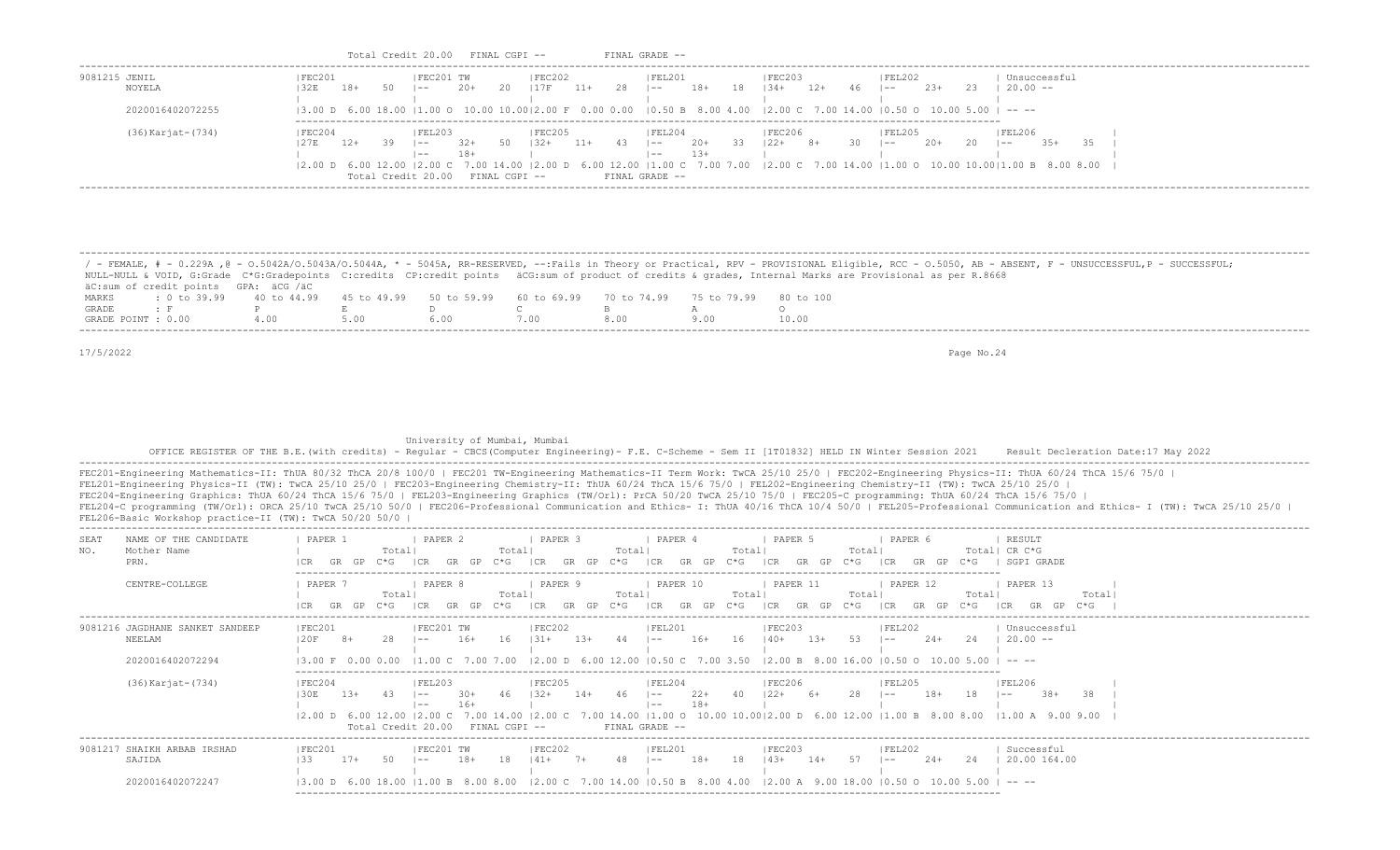| 9081215 JENIL<br>NOYELA                                                                                                                                                                                                                                                                                                                                                                                                                                                                          |                                                                                                       | FEC201                                         | IFEC201 TW                                                                                                    |          | FEC202                                         | FEL201                                          |                                                                                 | FEC203<br> 32E 18+ 50  -- 20+ 20  17F 11+ 28  -- 18+ 18  34+ 12+ 46  -- 23+ 23  20.00 --                                                                                                                                                                                                                                                                          |                                     | FEL202               |                        | Unsuccessful                                                                                                                                                                                                                                                                                                                                                   |
|--------------------------------------------------------------------------------------------------------------------------------------------------------------------------------------------------------------------------------------------------------------------------------------------------------------------------------------------------------------------------------------------------------------------------------------------------------------------------------------------------|-------------------------------------------------------------------------------------------------------|------------------------------------------------|---------------------------------------------------------------------------------------------------------------|----------|------------------------------------------------|-------------------------------------------------|---------------------------------------------------------------------------------|-------------------------------------------------------------------------------------------------------------------------------------------------------------------------------------------------------------------------------------------------------------------------------------------------------------------------------------------------------------------|-------------------------------------|----------------------|------------------------|----------------------------------------------------------------------------------------------------------------------------------------------------------------------------------------------------------------------------------------------------------------------------------------------------------------------------------------------------------------|
| 2020016402072255                                                                                                                                                                                                                                                                                                                                                                                                                                                                                 |                                                                                                       |                                                | the contract of the con-                                                                                      |          | the control of the control of the              |                                                 | the contract of the contract of the contract of the contract of the contract of |                                                                                                                                                                                                                                                                                                                                                                   | the contract of the contract of the |                      | and the control of the |                                                                                                                                                                                                                                                                                                                                                                |
|                                                                                                                                                                                                                                                                                                                                                                                                                                                                                                  |                                                                                                       |                                                |                                                                                                               |          |                                                |                                                 |                                                                                 | $(3.00 \text{ D } 6.00 \text{ 18.00 }  1.00 \text{ O } 10.00 \text{ 10.00 }  2.00 \text{ F } 0.00 \text{ 0.00 }  0.50 \text{ B } 8.00 \text{ 4.00 }  2.00 \text{ C } 7.00 \text{ 14.00 }  0.50 \text{ O } 10.00 \text{ 5.00 }  -1.00 \text{ C } 7.00 \text{ 5.00 } 10.00 \text{ 6.00 }  -1.00 \text{ C } 7.00 \text{ 6.00 } 10.00 \text$                          |                                     |                      |                        |                                                                                                                                                                                                                                                                                                                                                                |
| (36) Karjat-(734)                                                                                                                                                                                                                                                                                                                                                                                                                                                                                |                                                                                                       | FEC204                                         | FEL203                                                                                                        |          | FEC205                                         | FEL204                                          |                                                                                 | FEC206                                                                                                                                                                                                                                                                                                                                                            |                                     | FEL205               |                        | FEL206<br> 27E 12+ 39  -- 32+ 50  32+ 11+ 43  -- 20+ 33  22+ 8+ 30  -- 20+ 20  -- 35+ 35                                                                                                                                                                                                                                                                       |
|                                                                                                                                                                                                                                                                                                                                                                                                                                                                                                  |                                                                                                       |                                                | $1 - -$ 18+                                                                                                   |          |                                                | $1 - 13 +$                                      |                                                                                 | the contract of the contract of the contract of the contract of the contract of the contract of                                                                                                                                                                                                                                                                   |                                     |                      |                        | $(2.00 \text{ D } 6.00 \text{ } 12.00 \text{ }  2.00 \text{ C } 7.00 \text{ } 14.00 \text{ }  2.00 \text{ D } 6.00 \text{ } 12.00 \text{ }  1.00 \text{ C } 7.00 \text{ } 7.00 \text{ } 7.00 \text{ } 2.00 \text{ C } 7.00 \text{ } 14.00 \text{ }  1.00 \text{ O } 10.00 \text{ } 10.00 \text{ }  1.00 \text{ B } 8.00 \text{ } 8.00 \text{ }  1.00 \text{ C$ |
|                                                                                                                                                                                                                                                                                                                                                                                                                                                                                                  |                                                                                                       |                                                |                                                                                                               |          |                                                | Total Credit 20.00 FINAL CGPI -- FINAL GRADE -- |                                                                                 |                                                                                                                                                                                                                                                                                                                                                                   |                                     |                      |                        |                                                                                                                                                                                                                                                                                                                                                                |
|                                                                                                                                                                                                                                                                                                                                                                                                                                                                                                  |                                                                                                       |                                                |                                                                                                               |          |                                                |                                                 |                                                                                 |                                                                                                                                                                                                                                                                                                                                                                   |                                     |                      |                        |                                                                                                                                                                                                                                                                                                                                                                |
|                                                                                                                                                                                                                                                                                                                                                                                                                                                                                                  |                                                                                                       |                                                |                                                                                                               |          |                                                |                                                 |                                                                                 |                                                                                                                                                                                                                                                                                                                                                                   |                                     |                      |                        |                                                                                                                                                                                                                                                                                                                                                                |
|                                                                                                                                                                                                                                                                                                                                                                                                                                                                                                  |                                                                                                       |                                                |                                                                                                               |          |                                                |                                                 |                                                                                 |                                                                                                                                                                                                                                                                                                                                                                   |                                     |                      |                        |                                                                                                                                                                                                                                                                                                                                                                |
|                                                                                                                                                                                                                                                                                                                                                                                                                                                                                                  |                                                                                                       |                                                |                                                                                                               |          |                                                |                                                 |                                                                                 |                                                                                                                                                                                                                                                                                                                                                                   |                                     |                      |                        | / - FEMALE, # - 0.229A , @ - 0.5042A/0.5043A/0.5044A, * - 5045A, RR-RESERVED, --:Fails in Theory or Practical, RPV - PROVISIONAL Eligible, RCC - 0.5050, AB - ABSENT, F - UNSUCCESSFUL, P - SUCCESSFUL;                                                                                                                                                        |
| NULL-NULL & VOID, G:Grade C*G:Gradepoints C:credits CP:credit points äCG:sum of product of credits & grades, Internal Marks are Provisional as per R.8668                                                                                                                                                                                                                                                                                                                                        |                                                                                                       |                                                |                                                                                                               |          |                                                |                                                 |                                                                                 |                                                                                                                                                                                                                                                                                                                                                                   |                                     |                      |                        |                                                                                                                                                                                                                                                                                                                                                                |
| äC: sum of credit points GPA: äCG /äC<br>MARKS                                                                                                                                                                                                                                                                                                                                                                                                                                                   | : 0 to 39.99  40 to 44.99  45 to 49.99  50 to 59.99  60 to 69.99  70 to 74.99  75 to 79.99  80 to 100 |                                                |                                                                                                               |          |                                                |                                                 |                                                                                 |                                                                                                                                                                                                                                                                                                                                                                   |                                     |                      |                        |                                                                                                                                                                                                                                                                                                                                                                |
| $\mathbf{F}$ and $\mathbf{F}$ and $\mathbf{F}$ and $\mathbf{F}$ and $\mathbf{F}$<br>GRADE<br>GRADE POINT : 0.00  4.00  5.00  6.00  7.00  8.00                                                                                                                                                                                                                                                                                                                                                    |                                                                                                       | $\mathbb P$ . Expanding the set of $\mathbb E$ |                                                                                                               |          |                                                | D C B                                           | $A \sim \frac{1}{2}$<br>9.00                                                    | $\circ$<br>10.00                                                                                                                                                                                                                                                                                                                                                  |                                     |                      |                        |                                                                                                                                                                                                                                                                                                                                                                |
|                                                                                                                                                                                                                                                                                                                                                                                                                                                                                                  |                                                                                                       |                                                |                                                                                                               |          |                                                |                                                 |                                                                                 |                                                                                                                                                                                                                                                                                                                                                                   |                                     |                      |                        |                                                                                                                                                                                                                                                                                                                                                                |
| 17/5/2022                                                                                                                                                                                                                                                                                                                                                                                                                                                                                        |                                                                                                       |                                                |                                                                                                               |          |                                                |                                                 |                                                                                 |                                                                                                                                                                                                                                                                                                                                                                   |                                     |                      | Page No.24             |                                                                                                                                                                                                                                                                                                                                                                |
|                                                                                                                                                                                                                                                                                                                                                                                                                                                                                                  |                                                                                                       |                                                |                                                                                                               |          |                                                |                                                 |                                                                                 |                                                                                                                                                                                                                                                                                                                                                                   |                                     |                      |                        |                                                                                                                                                                                                                                                                                                                                                                |
|                                                                                                                                                                                                                                                                                                                                                                                                                                                                                                  |                                                                                                       |                                                |                                                                                                               |          | University of Mumbai, Mumbai                   |                                                 |                                                                                 |                                                                                                                                                                                                                                                                                                                                                                   |                                     |                      |                        | OFFICE REGISTER OF THE B.E. (with credits) - Reqular - CBCS (Computer Engineering) - F.E. C-Scheme - Sem II [1T01832] HELD IN Winter Session 2021 Result Decleration Date:17 May 2022                                                                                                                                                                          |
|                                                                                                                                                                                                                                                                                                                                                                                                                                                                                                  |                                                                                                       |                                                |                                                                                                               |          |                                                |                                                 |                                                                                 |                                                                                                                                                                                                                                                                                                                                                                   |                                     |                      |                        | FEC201-Engineering Mathematics-II: ThUA 80/32 ThCA 20/8 100/0   FEC201 TW-Engineering Mathematics-II Term Work: TwCA 25/10 25/0   FEC202-Engineering Physics-II: ThUA 60/24 ThCA 15/6 75/0                                                                                                                                                                     |
|                                                                                                                                                                                                                                                                                                                                                                                                                                                                                                  |                                                                                                       |                                                |                                                                                                               |          |                                                |                                                 |                                                                                 |                                                                                                                                                                                                                                                                                                                                                                   |                                     |                      |                        |                                                                                                                                                                                                                                                                                                                                                                |
| NAME OF THE CANDIDATE                                                                                                                                                                                                                                                                                                                                                                                                                                                                            |                                                                                                       | PAPER 1                                        | PAPER 2                                                                                                       |          |                                                | PAPER <sub>4</sub>                              |                                                                                 |                                                                                                                                                                                                                                                                                                                                                                   |                                     | PAPER 6              |                        | FEL204-C programming (TW/Orl): ORCA 25/10 TwCA 25/10 50/0   FEC206-Professional Communication and Ethics- I: ThUA 40/16 ThCA 10/4 50/0   FEL205-Professional Communication and Ethics- I (TW): TwCA 25/10 25/0                                                                                                                                                 |
| Mother Name                                                                                                                                                                                                                                                                                                                                                                                                                                                                                      |                                                                                                       | and the state of the state                     | Total   Total   Total   Total   Total   Total   Total   Total   Total   Total   Total   Total   Total   Total |          | PAPER 3<br>Total   Total                       |                                                 |                                                                                 | PAPER 5<br>Total rotal rotal rotal rotal rotal rotal rotal rotal rotal rotal rotal rotal rotal rotal rotal rotal rotal rotal rotal rotal rotal rotal rotal rotal rotal rotal rotal rotal rotal rotal rotal rotal rotal rotal rotal rotal                                                                                                                          |                                     | Total  Total  CR C*G |                        | RESULT                                                                                                                                                                                                                                                                                                                                                         |
| PRN.                                                                                                                                                                                                                                                                                                                                                                                                                                                                                             |                                                                                                       |                                                |                                                                                                               |          |                                                |                                                 |                                                                                 | CR GR GP C*G  CR GR GP C*G  CR GR GP C*G  CR GR GP C*G  CR GR GP C*G  CR GP C*G   CR GP C*G   SGPI GRADE                                                                                                                                                                                                                                                          |                                     |                      |                        |                                                                                                                                                                                                                                                                                                                                                                |
| CENTRE-COLLEGE                                                                                                                                                                                                                                                                                                                                                                                                                                                                                   |                                                                                                       | 1 PAPER 7                                      | PAPER 8<br>Total                                                                                              |          | Total                                          |                                                 | Total rotal Total                                                               | PAPER 9   PAPER 10   PAPER 11   PAPER 12   PAPER 13<br>Total                                                                                                                                                                                                                                                                                                      |                                     |                      | Total                  | Totall                                                                                                                                                                                                                                                                                                                                                         |
|                                                                                                                                                                                                                                                                                                                                                                                                                                                                                                  |                                                                                                       |                                                |                                                                                                               |          |                                                |                                                 |                                                                                 |                                                                                                                                                                                                                                                                                                                                                                   |                                     |                      |                        | ICR GR GP C*G ICR GR GP C*G ICR GR GP C*G ICR GR GP C*G ICR GR GP C*G ICR GP C*G ICR GP C*G ICR GR GP C*G I                                                                                                                                                                                                                                                    |
|                                                                                                                                                                                                                                                                                                                                                                                                                                                                                                  |                                                                                                       | FEC201                                         | FEC201 TW                                                                                                     |          | FEC202                                         |                                                 |                                                                                 |                                                                                                                                                                                                                                                                                                                                                                   |                                     |                      |                        | Unsuccessful                                                                                                                                                                                                                                                                                                                                                   |
| NEELAM                                                                                                                                                                                                                                                                                                                                                                                                                                                                                           |                                                                                                       | $120F$ 8+<br>The Contract                      |                                                                                                               |          | the control of the control of the con-         | the control of the control of the con-          |                                                                                 | 28  -- 16+ 16   31+ 13+ 44  -- 16+ 16   40+ 13+ 53  -- 24+ 24   20.00 --<br>the control of the control of the control of the control of                                                                                                                                                                                                                           |                                     |                      |                        |                                                                                                                                                                                                                                                                                                                                                                |
| 2020016402072294                                                                                                                                                                                                                                                                                                                                                                                                                                                                                 |                                                                                                       |                                                |                                                                                                               |          |                                                |                                                 |                                                                                 | $\left[3.00 \text{ F } 0.00 \text{ } 0.00 \text{ } 1.00 \text{ C } 7.00 \text{ } 7.00 \text{ } 7.00 \text{ } 12.00 \text{ D } 6.00 \text{ } 12.00 \text{ } 10.50 \text{ C } 7.00 \text{ } 3.50 \text{ } \left[2.00 \text{ B } 8.00 \text{ } 16.00 \text{ } 10.50 \text{ } 0.500 \text{ } 10.00 \text{ } 5.00 \text{ } \right] = -1.00 \text{ F } 1.00 \text{ F }$ |                                     |                      |                        |                                                                                                                                                                                                                                                                                                                                                                |
| FEL201-Engineering Physics-II (TW): TwCA 25/10 25/0   FEC203-Engineering Chemistry-II: ThUA 60/24 ThCA 15/6 75/0   FEL202-Engineering Chemistry-II (TW): TwCA 25/10 25/0  <br>FEC204-Engineering Graphics: ThUA 60/24 ThCA 15/6 75/0   FEL203-Engineering Graphics (TW/Orl): PrCA 50/20 TwCA 25/10 75/0   FEC205-C programming: ThUA 60/24 ThCA 15/6 75/0  <br>FEL206-Basic Workshop practice-II (TW): TwCA 50/20 50/0  <br>SEAT<br>NO.<br>9081216 JAGDHANE SANKET SANDEEP<br>(36) Karjat- (734) |                                                                                                       |                                                |                                                                                                               |          |                                                |                                                 |                                                                                 | FEC204  FEL203  FEC205  FEL204  FEC206  FEL205  FEL206                                                                                                                                                                                                                                                                                                            |                                     |                      |                        |                                                                                                                                                                                                                                                                                                                                                                |
|                                                                                                                                                                                                                                                                                                                                                                                                                                                                                                  |                                                                                                       |                                                |                                                                                                               | $ --26+$ |                                                |                                                 |                                                                                 |                                                                                                                                                                                                                                                                                                                                                                   |                                     |                      |                        | 30E 13+ 43  -- 30+ 46  32+ 14+ 46  -- 22+ 40  22+ 6+ 28  -- 18+ 18  -- 38+ 38                                                                                                                                                                                                                                                                                  |
|                                                                                                                                                                                                                                                                                                                                                                                                                                                                                                  |                                                                                                       |                                                |                                                                                                               |          |                                                | Total Credit 20.00 FINAL CGPI -- FINAL GRADE -- |                                                                                 |                                                                                                                                                                                                                                                                                                                                                                   |                                     |                      |                        | 2.00 D 6.00 12.00  2.00 C 7.00 14.00  2.00 C 7.00 14.00  1.00 O 10.00 10.00 2.00 D 6.00 12.00  1.00 B 8.00 8.00  1.00 A 9.00 9.00                                                                                                                                                                                                                              |
|                                                                                                                                                                                                                                                                                                                                                                                                                                                                                                  |                                                                                                       |                                                |                                                                                                               |          |                                                |                                                 |                                                                                 |                                                                                                                                                                                                                                                                                                                                                                   |                                     |                      |                        |                                                                                                                                                                                                                                                                                                                                                                |
| SAJIDA                                                                                                                                                                                                                                                                                                                                                                                                                                                                                           |                                                                                                       | FEC201                                         | FEC201 TW                                                                                                     |          | FEC202 <br>$133$ 17+ 50 $1--$ 18+ 18 $141+$ 7+ | FEL201                                          |                                                                                 | FEC203                                                                                                                                                                                                                                                                                                                                                            |                                     | FEL202               |                        | Successful<br>48 $\vert - - \vert 18 + \vert 18 + \vert 14 + \vert 14 + \vert 57 + \vert - - \vert 24 + \vert 24 + \vert 20.00 \vert 164.00$                                                                                                                                                                                                                   |
| 9081217 SHAIKH ARBAB IRSHAD<br>2020016402072247                                                                                                                                                                                                                                                                                                                                                                                                                                                  |                                                                                                       |                                                |                                                                                                               |          |                                                |                                                 |                                                                                 | $(3.00 \text{ D } 6.00 \text{ 18.00 }   1.00 \text{ B } 8.00 \text{ 8.00 }   2.00 \text{ C } 7.00 \text{ 14.00 }   0.50 \text{ B } 8.00 \text{ 4.00 }   2.00 \text{ A } 9.00 \text{ 18.00 }   0.50 \text{ O } 10.00 \text{ 5.00 }   - - -$                                                                                                                        |                                     |                      |                        |                                                                                                                                                                                                                                                                                                                                                                |

Total Credit 20.00 FINAL CGPI -- FINAL GRADE --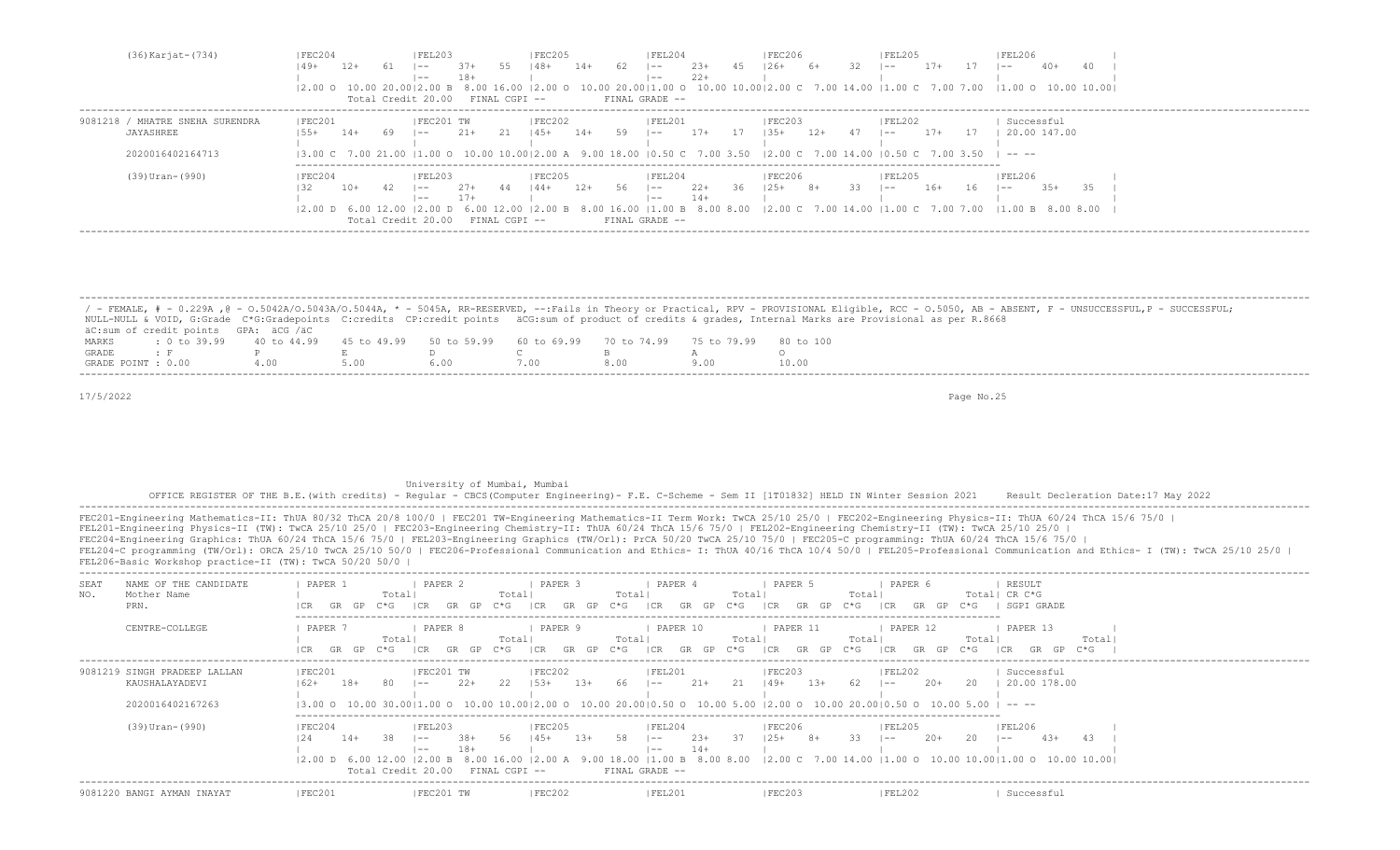| (36) Karjat-(734)               | <b>FEC204</b>                | FEL203                              | FEC205                 | FEL204                       | FEC206 <br> FEL205                                                                                                                                    | <b>FEL206</b>        |
|---------------------------------|------------------------------|-------------------------------------|------------------------|------------------------------|-------------------------------------------------------------------------------------------------------------------------------------------------------|----------------------|
|                                 | 12+<br> 49+                  | 55<br>$37+$<br>$- -$                | - 62<br>  48+<br>$14+$ | $2.3+$<br>45<br>$1 - -$      | $126+$<br>6+<br>$17+$<br>$1 - -$                                                                                                                      | $40+$<br>$- -$       |
|                                 |                              | $18+$<br>$- -$                      |                        | $22+$<br>$- -$               |                                                                                                                                                       |                      |
|                                 |                              |                                     |                        |                              | 12.00 0 10.00 20.0012.00 B 8.00 16.00 12.00 0 10.00 20.0011.00 0 10.00 10.0012.00 C 7.00 14.00 11.00 C 7.00 7.00 11.00 0 10.00 10.001                 |                      |
|                                 |                              | Total Credit 20.00 FINAL CGPI --    | FINAL GRADE --         |                              |                                                                                                                                                       |                      |
| 9081218 / MHATRE SNEHA SURENDRA | FEC201                       | FEC201 TW                           | FEC202                 | FEL201                       | FEC203 <br> FEL202                                                                                                                                    | Successful           |
| JAYASHREE                       | $14+$<br>69                  | 21<br>$21+$<br>$ -$                 | $14+ 59$<br>145+       | $17+$<br>17<br>$\sim$        | 12+<br>$135+$<br>$17+$<br>47<br>$\sim$                                                                                                                | 20.00 147.00<br>- 17 |
|                                 |                              |                                     |                        |                              |                                                                                                                                                       |                      |
| 2020016402164713                |                              |                                     |                        |                              | $\vert 3.00 \vert C$ 7.00 21.00 $\vert 1.00 \vert 0$ 10.00 10.00   2.00 A 9.00 18.00   0.50 C 7.00 3.50   2.00 C 7.00 14.00   0.50 C 7.00 3.50   ---- |                      |
|                                 |                              |                                     |                        |                              |                                                                                                                                                       |                      |
| $(39)$ Uran- $(990)$            | IFEC204                      | IFEL203                             | IFEC205                | IFEL204                      | FEC206<br>IFEL205                                                                                                                                     | FEL206               |
|                                 | 10+                          | 44<br>$27+$<br>$- -$                | $144+$<br>12+<br>56    | $2.2+$<br>36<br>$\vert$ $ -$ | 33<br>$125+$ 8+<br>16+<br>$1 - -$                                                                                                                     | $3.5+$<br>$16 - 1 =$ |
|                                 |                              | $17+$<br>$- -$                      |                        | $14+$<br>$- -$               |                                                                                                                                                       |                      |
|                                 | $12.00$ D 6.00 12.00 12.00 D |                                     |                        |                              | 6.00 12.00 12.00 B 8.00 16.00 11.00 B 8.00 8.00 12.00 C 7.00 14.00 11.00 C 7.00 7.00 11.00 B 8.00 8.00                                                |                      |
|                                 |                              | Total Credit 20.00<br>FINAL CGPI -- |                        | FINAL GRADE --               |                                                                                                                                                       |                      |
|                                 |                              |                                     |                        |                              |                                                                                                                                                       |                      |

|                    |                                                                                                |      |  |  | / - FEMALE, # - 0.229A ,@ - 0.5042A/0.5043A/0.5044A, * - 5045A, RR-RESERVED, --:Fails in Theory or Practical, RPV - PROVISIONAL Eligible, RCC - 0.5050, AB - ABSENT, F - UNSUCCESSFUL,P - SUCCESSFUL; |
|--------------------|------------------------------------------------------------------------------------------------|------|--|--|-------------------------------------------------------------------------------------------------------------------------------------------------------------------------------------------------------|
|                    |                                                                                                |      |  |  | NULL-NULL & VOID, G:Grade C*G:Gradepoints C:credits CP:credit points äCG:sum of product of credits & qrades, Internal Marks are Provisional as per R.8668                                             |
|                    | äC:sum of credit points GPA: äCG /äC                                                           |      |  |  |                                                                                                                                                                                                       |
| MARKS              | t 0 to 39,99 40 to 44,99 45 to 49,99 50 to 59,99 60 to 69,99 70 to 74,99 75 to 79,99 80 to 100 |      |  |  |                                                                                                                                                                                                       |
| GRADE              |                                                                                                |      |  |  |                                                                                                                                                                                                       |
| GRADE POINT : 0.00 |                                                                                                | 4.00 |  |  |                                                                                                                                                                                                       |

#### University of Mumbai, Mumbai

 OFFICE REGISTER OF THE B.E.(with credits) - Regular - CBCS(Computer Engineering)- F.E. C-Scheme - Sem II [1T01832] HELD IN Winter Session 2021 Result Decleration Date:17 May 2022 -------------------------------------------------------------------------------------------------------------------------------------------------------------------------------------------------------------------

| NAME OF THE CANDIDATE<br>SEAT<br>NO.<br>Mother Name<br>PRN.        | PAPER 1<br>Totall<br>C*G<br>GR<br>GP                                                       | PAPER 2<br>PAPER 3<br>Totall<br>C*G-<br>I CR<br>GR<br>GP.<br>GR                                         | PAPER 4<br>Totall<br>Total<br>$C * G$<br>C*G<br>ICR<br>GR.<br>GP.<br>GP.                        | PAPER 5<br>PAPER 6<br>Total<br>$C * G$<br>ICR<br>GP.<br>GR.<br>GR.                                                                                                                  | RESULT<br>CR C*G<br>Totall<br>SGPI GRADE<br>$C * G$    |
|--------------------------------------------------------------------|--------------------------------------------------------------------------------------------|---------------------------------------------------------------------------------------------------------|-------------------------------------------------------------------------------------------------|-------------------------------------------------------------------------------------------------------------------------------------------------------------------------------------|--------------------------------------------------------|
| CENTRE-COLLEGE                                                     | PAPER 7<br>Total<br>GR GP<br>$C*G$                                                         | PAPER 8<br>PAPER 9<br>Totall<br>GP<br>$C * G$<br>GR<br>I CR<br>GR.                                      | PAPER 10<br>Total<br>Totall<br>ICR<br>GR.<br>GP.<br>GP.<br>$C*G$<br>$C*G$                       | PAPER 11<br>PAPER 12<br>Total<br>ICR<br>ICR<br>GR<br>GP<br>$C*G$                                                                                                                    | PAPER 13<br>Total<br>Total<br>C*G<br>ICR<br>C*G.<br>GR |
| 9081219 SINGH PRADEEP LALLAN<br>KAUSHALAYADEVI<br>2020016402167263 | FEC201<br>$18+$<br>$162+$<br>-80<br>$- -$                                                  | FEC201 TW<br> FEC202<br>- 22<br>$22+$<br>$1.5.3+$<br>13+                                                | FEL201<br>$21+$<br>21<br>66<br>$1 - -$                                                          | FEC203 <br> FEL202<br>$149+$<br>62<br>$2.0+$<br>13+<br>$1 - -$<br>13.00 0 10.00 30.0011.00 0 10.00 10.0012.00 0 10.00 20.0010.50 0 10.00 5.00 12.00 0 10.00 20.0010.50 0 10.00 5.00 | Successful<br>20<br>20.00 178.00<br>-----              |
| $(39)$ Uran- $(990)$                                               | FEC204<br>$14+$<br>38<br>124<br>$- -$<br>$- -$<br>12.00 D 6.00 12.00<br>Total Credit 20.00 | IFEL203<br> FEC205 <br>56<br>$145+$<br>$38+$<br>$13+$<br>$18+$<br>12.00 B<br>8.0016.00<br>FINAL CGPI -- | IFEL204<br>- 37<br>58<br>$23+$<br>$\sim$<br>$14+$<br>$\overline{\phantom{a}}$<br>FINAL GRADE -- | FEC206 <br> FEL205<br>33<br>$8+$<br>$20+$<br>$125+$<br>$1 - -$<br>9.00 18.00 11.00 B 8.00 8.00 12.00 C 7.00 14.00 11.00 O 10.00 10.00 11.00 O 10.00 10.00 1                         | FEL206<br>20<br>$43+$<br>43<br>$1 - -$                 |
| 9081220 BANGI AYMAN INAYAT                                         | IFEC201                                                                                    | FEC201 TW<br>IFEC202                                                                                    | FEL201                                                                                          | FEC203 <br> FEL202                                                                                                                                                                  | Successful                                             |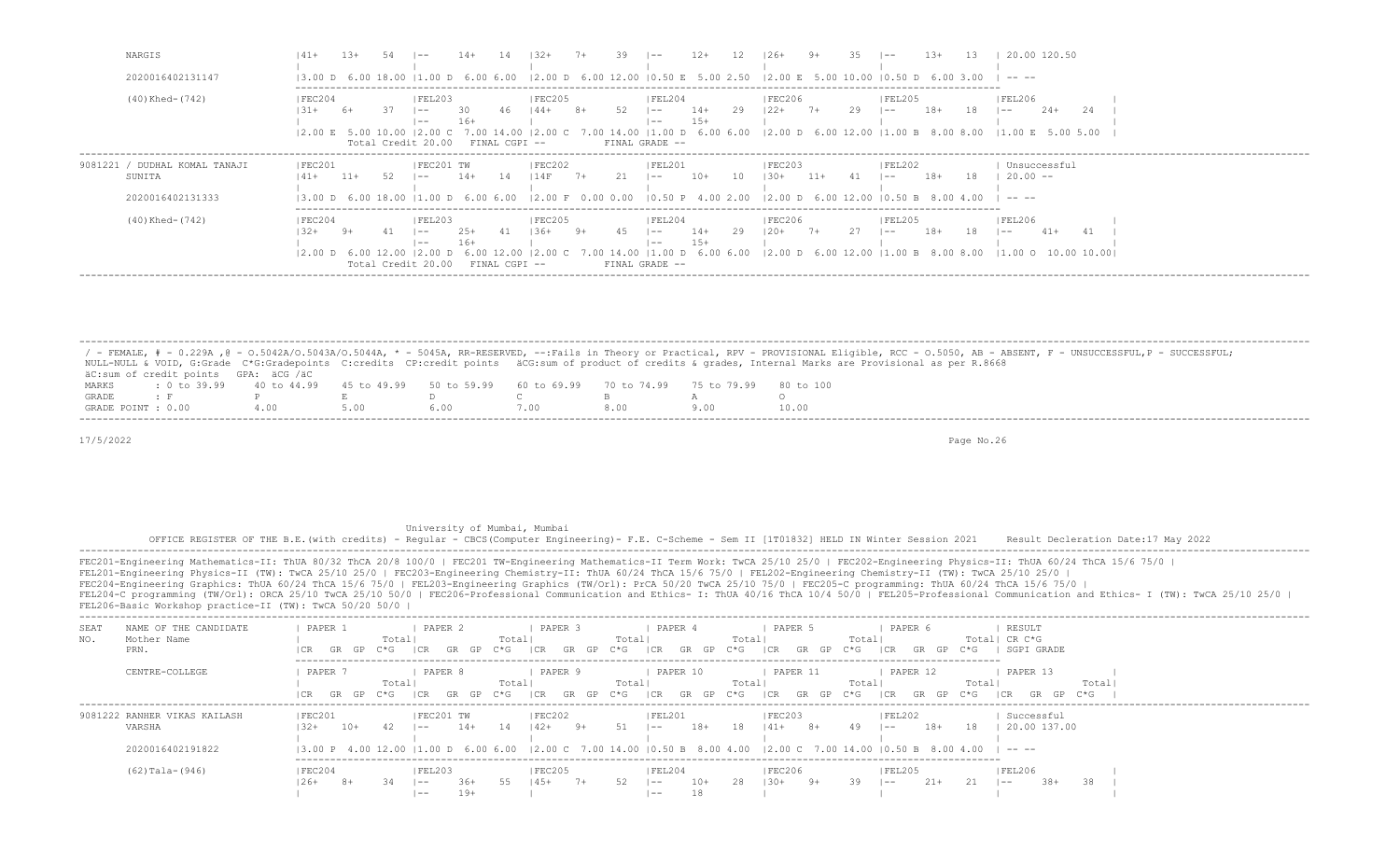| NARGIS                                                      |                                                        |       |     |                                                                |                                             |               | $132+$             |      |      | $\vert - -$                                                                                                                                                                                                                                                                                                                                               | $12+$                       |    | $126+$                                                             | 9+    | -35- | $\sim$            | $1.3+$ |     | 20.00 120.50                                                                                                                                                                                                                                                                                                                                                                                                                  |  |
|-------------------------------------------------------------|--------------------------------------------------------|-------|-----|----------------------------------------------------------------|---------------------------------------------|---------------|--------------------|------|------|-----------------------------------------------------------------------------------------------------------------------------------------------------------------------------------------------------------------------------------------------------------------------------------------------------------------------------------------------------------|-----------------------------|----|--------------------------------------------------------------------|-------|------|-------------------|--------|-----|-------------------------------------------------------------------------------------------------------------------------------------------------------------------------------------------------------------------------------------------------------------------------------------------------------------------------------------------------------------------------------------------------------------------------------|--|
| 2020016402131147                                            | 13.00 D 6.00 18.00                                     |       |     | 1.00 D 6.00 6.00                                               |                                             |               |                    |      |      | $(2.00 \text{ D } 6.00 \text{ 12.00 } 10.50 \text{ E } 5.00 \text{ 2.50 } 12.00 \text{ E } 5.00 \text{ 10.00 } 10.50 \text{ D } 6.00 \text{ 3.00}$                                                                                                                                                                                                        |                             |    |                                                                    |       |      |                   |        |     | ------                                                                                                                                                                                                                                                                                                                                                                                                                        |  |
| $(40)$ Khed- $(742)$                                        | FEC204<br>$-31+$<br>$ 2,00 \tE$ 5.00 10.00 $ 2,00 \tC$ | 6+    |     | FEL203<br>$- -$<br>$- -$<br>Total Credit 20.00                 | 30.<br>$16+$<br>7.00 14.00<br>FINAL CGPI -- | -46           | FEC205 <br>$144+$  | $8+$ | - 52 | IFEL204<br>$1 - -$<br>$- -$<br>FINAL GRADE --                                                                                                                                                                                                                                                                                                             | $14+$<br>$15+$              | 29 | FEC206<br>$122+7+$                                                 |       | 29   | FEL205<br>$1 - -$ | $18+$  | -18 | FEL206 <br>$2.4+$<br>24<br>$1 - -$<br>$(2.00 \text{ C} \quad 7.00 \text{ 14.00} \mid 1.00 \text{ D} \quad 6.00 \text{ 6.00} \quad (2.00 \text{ D} \quad 6.00 \text{ 12.00} \mid 1.00 \text{ B} \quad 8.00 \text{ 8.00} \quad (1.00 \text{ E} \quad 5.00 \text{ 5.00} \cdot (2.00 \text{ A}) \cdot (2.00 \text{ A}) \cdot (2.00 \text{ A}) \cdot (2.00 \text{ A}) \cdot (2.00 \text{ A}) \cdot (2.00 \text{ A}) \cdot (2.00 \$ |  |
| 9081221 / DUDHAL KOMAL TANAJI<br>SUNITA<br>2020016402131333 | FEC201<br>$141 +$                                      | $11+$ | 52. | IFEC201 TW<br>$1 - -$                                          | $14+$                                       | - 14          | FEC202<br>114F     | $7+$ | 2.1  | FEL201<br>$1 - -$<br>$(3.00 \text{ D } 6.00 \text{ 18.00 } 11.00 \text{ D } 6.00 \text{ 6.00 } 2.00 \text{ F } 0.00 \text{ 0.00 } 10.50 \text{ P } 4.00 \text{ 2.00 } 12.00 \text{ D } 6.00 \text{ 12.00 } 10.50 \text{ B } 8.00 \text{ 4.00 } 10.00 \text{ P } 10.00 \text{ P } 10.00 \text{ P } 10.00 \text{ P } 10.00 \text{ P } 10.00 \text{ P } 10.$ | $10+$                       | 10 | FEC203 <br>$1.30+$                                                 | $11+$ |      | FEL202<br>$1 - -$ | $18+$  | 18  | Unsuccessful<br>$20.00 - -$<br>-----                                                                                                                                                                                                                                                                                                                                                                                          |  |
| (40) Khed- (742)                                            | FEC204<br>$32+$<br>12.00 D 6.00 12.00                  | -9+   |     | FEL203 <br>$1 - -$<br>$- -$<br>$12.00$ D<br>Total Credit 20.00 | $2.5+$<br>16+                               | FINAL CGPI -- | FEC205 <br>$1.36+$ | $9+$ |      | IFEL204<br>$- -$<br>$- -$<br>00 D.<br>FINAL GRADE --                                                                                                                                                                                                                                                                                                      | $14+$<br>$15+$<br>6.00 6.00 | 29 | <b>IFEC206</b><br>$120+$<br>$12.00$ D 6.00 12.00 11.00 B 8.00 8.00 | 7+    | 27   | FEL205<br>$1 - -$ | 18+    | -18 | <b>FEL206</b><br>$41+$<br>$1 - -$<br>$11.00$ O $10.00$ 10.001                                                                                                                                                                                                                                                                                                                                                                 |  |

/ - FEMALE, # - 0.229A , @ - 0.5042A/O.5043A/O.5044A, \* - 5045A, RR-RESERVED, --:Fails in Theory or Practical, RPV - PROVISIONAL Eligible, RCC - 0.5050, AB - ABSENT, F - UNSUCCESSFUL, P - SUCCESSFUL; NULL-NULL & VOID, G:Grade C\*G:Gradepoints C:credits CP:credit points äCG:sum of product of credits & grades, Internal Marks are Provisional as per R.8668  $\texttt{aC:sum of credit points}$  GPA:  $\texttt{aCG}$  / $\texttt{aC}$ <br>MARKS : 0 to 39.99 40 to 44.99 MARKS : 0 to 39.99 40 to 44.99 45 to 49.99 50 to 59.99 60 to 69.99 70 to 74.99 75 to 79.99 80 to 100 GRADE : F P E D C B A O GRADE POINT : 0.00 4.00 5.00 6.00 7.00 8.00 9.00 10.00 -------------------------------------------------------------------------------------------------------------------------------------------------------------------------------------------------------------------

-------------------------------------------------------------------------------------------------------------------------------------------------------------------------------------------------------------------

17/5/2022 Page No.26

University of Mumbai, Mumbai

OFFICE REGISTER OF THE B.E.(with credits) - Regular - CBCS(Computer Engineering)- F.E. C-Scheme - Sem II [1T01832] HELD IN Winter Session 2021 Result Decleration Date:17 May 2022

 ------------------------------------------------------------------------------------------------------------------------------------------------------------------------------------------------------------------- FEC201-Engineering Mathematics-II: ThUA 80/32 ThCA 20/8 100/0 | FEC201 TW-Engineering Mathematics-II Term Work: TwCA 25/10 25/0 | FEC202-Engineering Physics-II: ThUA 60/24 ThCA 15/6 75/0 | FEL201-Engineering Physics-II (TW): TwCA 25/10 25/0 | FEC203-Engineering Chemistry-II: ThUA 60/24 ThCA 15/6 75/0 | FEL202-Engineering Chemistry-II (TW): TwCA 25/10 25/0 | FEC204-Engineering Graphics: ThUA 60/24 ThCA 15/6 75/0 | FEL203-Engineering Graphics (TW/Orl): PrCA 50/20 TwCA 25/10 75/0 | FEC205-C programming: ThUA 60/24 ThCA 15/6 75/0 | FEL204-C programming (TW/Orl): ORCA 25/10 TwCA 25/10 50/0 | FEC206-Professional Communication and Ethics- I: ThUA 40/16 ThCA 10/4 50/0 | FEL205-Professional Communication and Ethics- I (TW): TwCA 25/10 25/0 | FEL206-Basic Workshop practice-II (TW): TwCA 50/20 50/0 |

| SEAT<br>NO. | NAME OF THE CANDIDATE<br>Mother Name<br>PRN.               | PAPER 1            | GR GP     | C*G | Totall          | PAPER 2                         | GP           | Totall<br>C*G. | PAPER 3<br>I CR  | GR   | $C * G$<br>GP | Totall | PAPER 4<br>I CR<br>GR         | GP        | Totall<br>C*G –   | PAPER 5<br> CR   | GP.<br>GR | Totall<br>C*G | PAPER 6<br>I CR        | GP.       | $C*G$                                                                                                                                                                                                                                                                                                         | RESULT<br>Total  CR C*G                | SGPI GRADE                 |       |       |  |
|-------------|------------------------------------------------------------|--------------------|-----------|-----|-----------------|---------------------------------|--------------|----------------|------------------|------|---------------|--------|-------------------------------|-----------|-------------------|------------------|-----------|---------------|------------------------|-----------|---------------------------------------------------------------------------------------------------------------------------------------------------------------------------------------------------------------------------------------------------------------------------------------------------------------|----------------------------------------|----------------------------|-------|-------|--|
|             | CENTRE-COLLEGE                                             | PAPER 7            | GR GP C*G |     | Totall<br>I CR. | PAPER 8                         | GR GP        | Totall<br>C*G  | PAPER 9<br>  CR  | GR   | $C * G$<br>GP | Totall | PAPER 10<br> CR<br>GR         | GP        | Totall<br>$C * G$ | PAPER 11<br> CR  | GR GP C*G | Totall        | PAPER 12<br> CR        | GR<br>GP. | Totall<br>C*G                                                                                                                                                                                                                                                                                                 | 1 C.R                                  | PAPER 13<br>GP<br>GR       | $C*G$ | Total |  |
|             | 9081222 RANHER VIKAS KAILASH<br>VARSHA<br>2020016402191822 | IFEC201<br>$1.32+$ | 10+       | -42 |                 | IFEC201 TW<br>$- -$             | 14+          | 14             | FEC202<br>142+   | - 9+ | 51            |        | IFEL201<br>$\sim$             | 18+       | 18                | FEC203<br>$141+$ | $8+$      | 49            | FEL202<br>$- -$        | 18+       | 18<br>$(3.00 \text{ P} \quad 4.00 \text{ } 12.00 \text{ }  1.00 \text{ D} \quad 6.00 \text{ } 6.00 \text{ }  2.00 \text{ C} \quad 7.00 \text{ } 14.00 \text{ }  0.50 \text{ B} \quad 8.00 \text{ } 4.00 \text{ }  2.00 \text{ C} \quad 7.00 \text{ } 14.00 \text{ }  0.50 \text{ B} \quad 8.00 \text{ } 4.00$ | $\mathbf{1}$ $\mathbf{1}$ $\mathbf{1}$ | Successful<br>20.00 137.00 |       |       |  |
|             | $(62)$ Tala- $(946)$                                       | FEC204<br>$26+$    | $8+$      |     |                 | <b>FEL203</b><br>$- -$<br>$- -$ | 36+<br>$19+$ | 55.            | FEC205<br>$4.5+$ | $7+$ | 52.           |        | FEL204<br>$\sim$ $-$<br>$- -$ | 10+<br>18 | 28                | FEC206<br>$130+$ | 9+        | 39.           | <b>FEL205</b><br>$- -$ | $21+$     |                                                                                                                                                                                                                                                                                                               | FEL206<br>$- -$                        | $38+$                      | 38.   |       |  |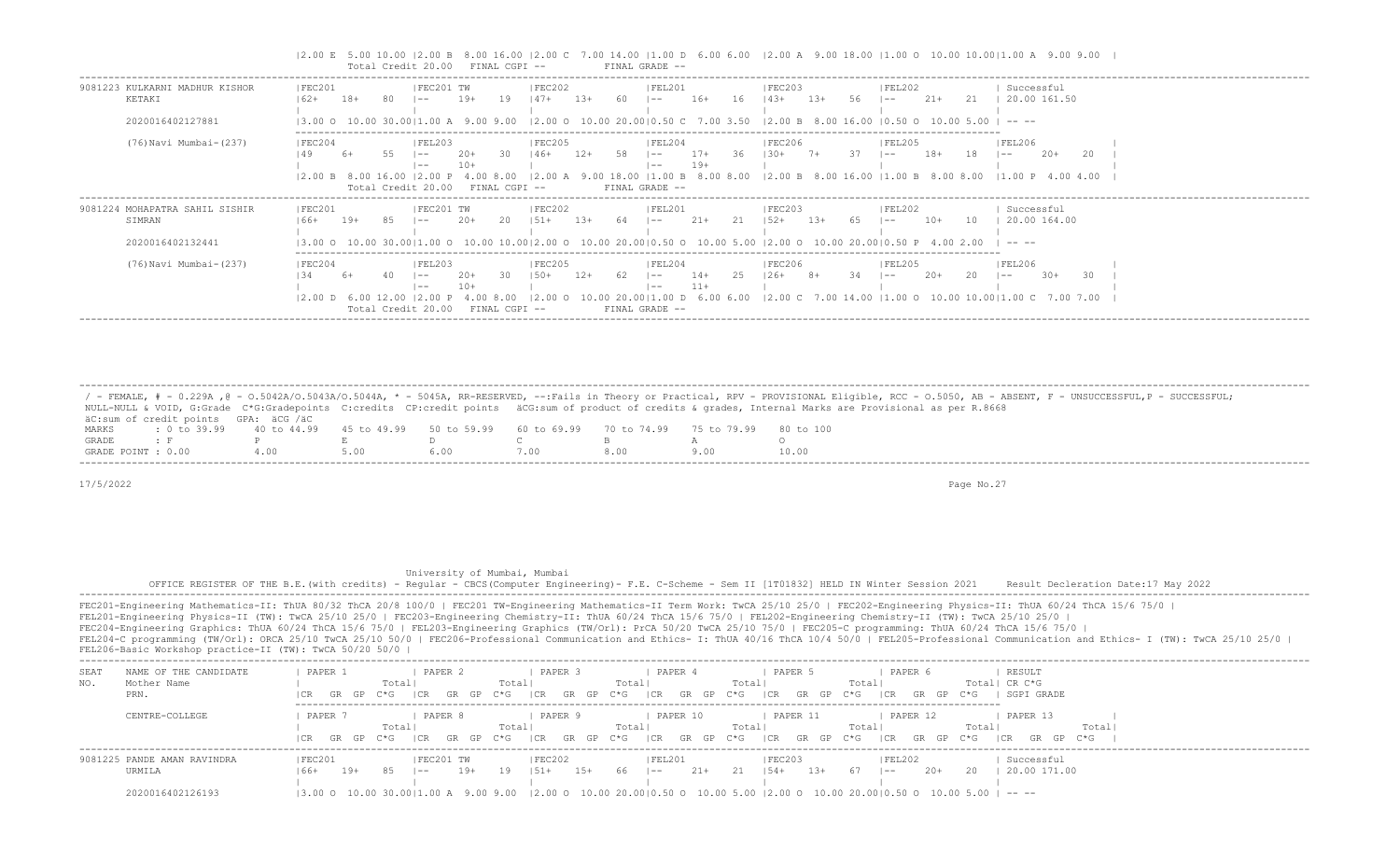|                                                                                  | Total Credit 20.00                                 |                                | FINAL CGPI --                                           |                                                                                                                                                                                                             |     | FINAL GRADE --                               |                                                       |                    |        |      |                                                           |              |                        |                                                                                                                                              |
|----------------------------------------------------------------------------------|----------------------------------------------------|--------------------------------|---------------------------------------------------------|-------------------------------------------------------------------------------------------------------------------------------------------------------------------------------------------------------------|-----|----------------------------------------------|-------------------------------------------------------|--------------------|--------|------|-----------------------------------------------------------|--------------|------------------------|----------------------------------------------------------------------------------------------------------------------------------------------|
| 9081223 KULKARNI MADHUR KISHOR<br> FEC201<br>KETAKI<br>$162+$                    | $18+$                                              | FEC201 TW<br>$- -$             | $19+$<br>19                                             | FEC202<br>$147+$<br>$1.3+$                                                                                                                                                                                  | 60  | FEL201<br>$1 - -$                            | $16+$<br>16                                           | FEC203<br>$143+$   | $13+$  | 56.  | FEL202<br>$1 - -$                                         | $21+$<br>-21 | Successful             | 20.00 161.50                                                                                                                                 |
| 2020016402127881                                                                 | 13.00 0 10.00 30.0011.00 A 9.00 9.00               |                                |                                                         | $12.00$ O $10.00$ 20.0010.50 C 7.00 3.50 12.00 B 8.00 16.00 10.50 O 10.00 5.00 I -- --                                                                                                                      |     |                                              |                                                       |                    |        |      |                                                           |              |                        |                                                                                                                                              |
| (76) Navi Mumbai- (237)<br> FEC204                                               | $12.00 B$ 8.00 16.00 12.00 P<br>Total Credit 20.00 | FEL203<br>$\vert - -$<br>$- -$ | 30.<br>$20+$<br>$10+$<br>8.00<br>FINAL CGPI --          | <b>IFEC205</b><br>146+<br>12+                                                                                                                                                                               |     | FEL204<br>$1 - -$<br>$- -$<br>FINAL GRADE -- | $17+$<br>-36<br>$19+$<br>9.00 18.00 11.00 B 8.00 8.00 | FEC206 <br>$+0.81$ |        | 37   | FEL205<br>$- -$<br>$12.00 B$ 8.00 16.00 11.00 B 8.00 8.00 | 18+          | FEL206<br>18<br>$- -$  | $20+$<br>-20<br>$11.00 \text{ P}$ 4.00 4.00                                                                                                  |
| FEC201<br>9081224 MOHAPATRA SAHIL SISHIR<br>SIMRAN<br>$166+$<br>2020016402132441 | 19+                                                | FEC201 TW<br>$- -$             | -20<br>$20+$                                            | FEC202<br>$1.51 +$<br>$1.3+$<br>$(3.00 \t 0 \t 10.00 \t 30.00   1.00 \t 0 \t 10.00 \t 10.00   2.00 \t 0 \t 10.00 \t 20.00   0.50 \t 0 \t 10.00 \t 5.00   2.00 \t 0 \t 10.00 \t 20.00   0.50 \t P$ 4.00 2.00 | -64 | FEL201<br>$- -$                              | $21+$<br>21                                           | FEC203<br>$1.52+$  | $1.3+$ | - 65 | FEL202<br>l —— 1                                          | $10+$<br>10  | Successful<br>-----    | 20.00 164.00                                                                                                                                 |
| (76) Navi Mumbai-(237)<br> FEC204                                                | 2.00 D 6.00 12.00  2.00 P<br>Total Credit 20.00    | FEL203<br>$- -$<br>$- -$       | $20+$<br>30.<br>$10+$<br>4.00 8.00<br>$FTNAI, CGPT - -$ | <b>FEC205</b><br>$150+$<br>12+                                                                                                                                                                              | 62  | FEL204<br>$1 - -$<br>$- -$<br>FINAL GRADE -- | $14+$<br>25<br>$11+$                                  | FEC206 <br>$126+$  | $8+$   | -34  | FEL205<br>$\sim$ $-$                                      | $2.0+$       | FEL206<br>-20<br>$- -$ | $30+$<br>30<br>$(2.00 \t 0 \t 10.00 \t 20.00)$ [1.00 D 6.00 6.00 $(2.00 \t 7.00 \t 14.00 \t 11.00 \t 0 \t 10.00 \t 10.00)$ [1.00 C 7.00 7.00 |

|2.00 E 5.00 10.00 |2.00 B 8.00 16.00 |2.00 C 7.00 14.00 |1.00 D 6.00 6.00 |2.00 A 9.00 18.00 |1.00 O 10.00 10.00|1.00 A 9.00 9.00 |

 / - FEMALE, # - 0.229A ,@ - O.5042A/O.5043A/O.5044A, \* - 5045A, RR-RESERVED, --:Fails in Theory or Practical, RPV - PROVISIONAL Eligible, RCC - O.5050, AB - ABSENT, F - UNSUCCESSFUL,P - SUCCESSFUL; NULL-NULL & VOID, G:Grade C\*G:Gradepoints C:credits CP:credit points äCG:sum of product of credits & grades, Internal Marks are Provisional as per R.8668 äC:sum of credit points GPA: äCG /äC MARKS : 0 to 39.99 40 to 44.99 45 to 49.99 50 to 59.99 60 to 69.99 70 to 74.99 75 to 79.99 80 to 100<br>GRADE : F P E D C B A GRADE : F P E D C B A O GRADE POINT : 0.00 4.00 5.00 6.00 7.00 8.00 9.00 10.00 -------------------------------------------------------------------------------------------------------------------------------------------------------------------------------------------------------------------

-------------------------------------------------------------------------------------------------------------------------------------------------------------------------------------------------------------------

17/5/2022 Page No.27

# University of Mumbai, Mumbai

 OFFICE REGISTER OF THE B.E.(with credits) - Regular - CBCS(Computer Engineering)- F.E. C-Scheme - Sem II [1T01832] HELD IN Winter Session 2021 Result Decleration Date:17 May 2022 -------------------------------------------------------------------------------------------------------------------------------------------------------------------------------------------------------------------

| SEA1 | NAME OF THE CANDIDATE       | PAPER  |           |        | PAPER 2 |            |        |          | PAPER .   |       |                          | PAPER    |           |       | PAPER 5  |                  |        |        | PAPER 6  |       |       | RESULT        |       |  |  |  |
|------|-----------------------------|--------|-----------|--------|---------|------------|--------|----------|-----------|-------|--------------------------|----------|-----------|-------|----------|------------------|--------|--------|----------|-------|-------|---------------|-------|--|--|--|
| NO.  | Mother Name                 |        |           | Total  |         |            | Total  |          |           |       | Total                    |          |           | Total |          |                  | Totall |        |          |       |       | Total  CR C*G |       |  |  |  |
|      | PRN.                        |        | GR GP     | C*G    | TCR.    | GP -<br>GR | C*G    |          | GP<br>GR. | $C*G$ | ICR                      | GR.      | GP        | C*G   | 1 CR     | <b>GP</b><br>GR. | C*G    | I CR   | GR       | GP.   | C*G   | SGPI GRADE    |       |  |  |  |
|      | CENTRE-COLLEGE              | PAPER  |           |        | PAPER 8 |            |        |          | PAPER 9   |       |                          | PAPER 10 |           |       | PAPER 11 |                  |        |        | PAPER 12 |       |       | PAPER 13      |       |  |  |  |
|      |                             |        |           | Totall |         |            | Totall |          |           |       | Total                    |          |           | Total |          |                  | Total  |        |          |       | Total |               | Total |  |  |  |
|      |                             | I CR   | GR GP C*G |        | I CR.   | GR GP C*G  |        | I CR.    | GR GP C*G |       | CR                       |          | GR GP C*G |       | I CR     | GP .<br>GR       | C*G    | I CR.  | GR       | GP.   | C*G.  | GR<br>GP.     | C*G   |  |  |  |
|      | 9081225 PANDE AMAN RAVINDRA | FEC201 |           |        |         | FEC201 TW  |        | FEC202   |           |       | FEL201                   |          |           |       | FEC203   |                  |        | FEL202 |          |       |       | Successful    |       |  |  |  |
|      | URMILA                      | 66+    | 19+       | 85.    | $- -$   | 19+        | 19     | $1.51 +$ | 15+       | 66.   | $\overline{\phantom{a}}$ |          | $21+$     |       | 154+     | 13+              |        | $- -$  |          | $20+$ |       | 20.00 171.00  |       |  |  |  |
|      |                             |        |           |        |         |            |        |          |           |       |                          |          |           |       |          |                  |        |        |          |       |       |               |       |  |  |  |
|      | 2020016402126193            |        |           |        |         |            |        |          |           |       |                          |          |           |       |          |                  |        |        |          |       |       |               |       |  |  |  |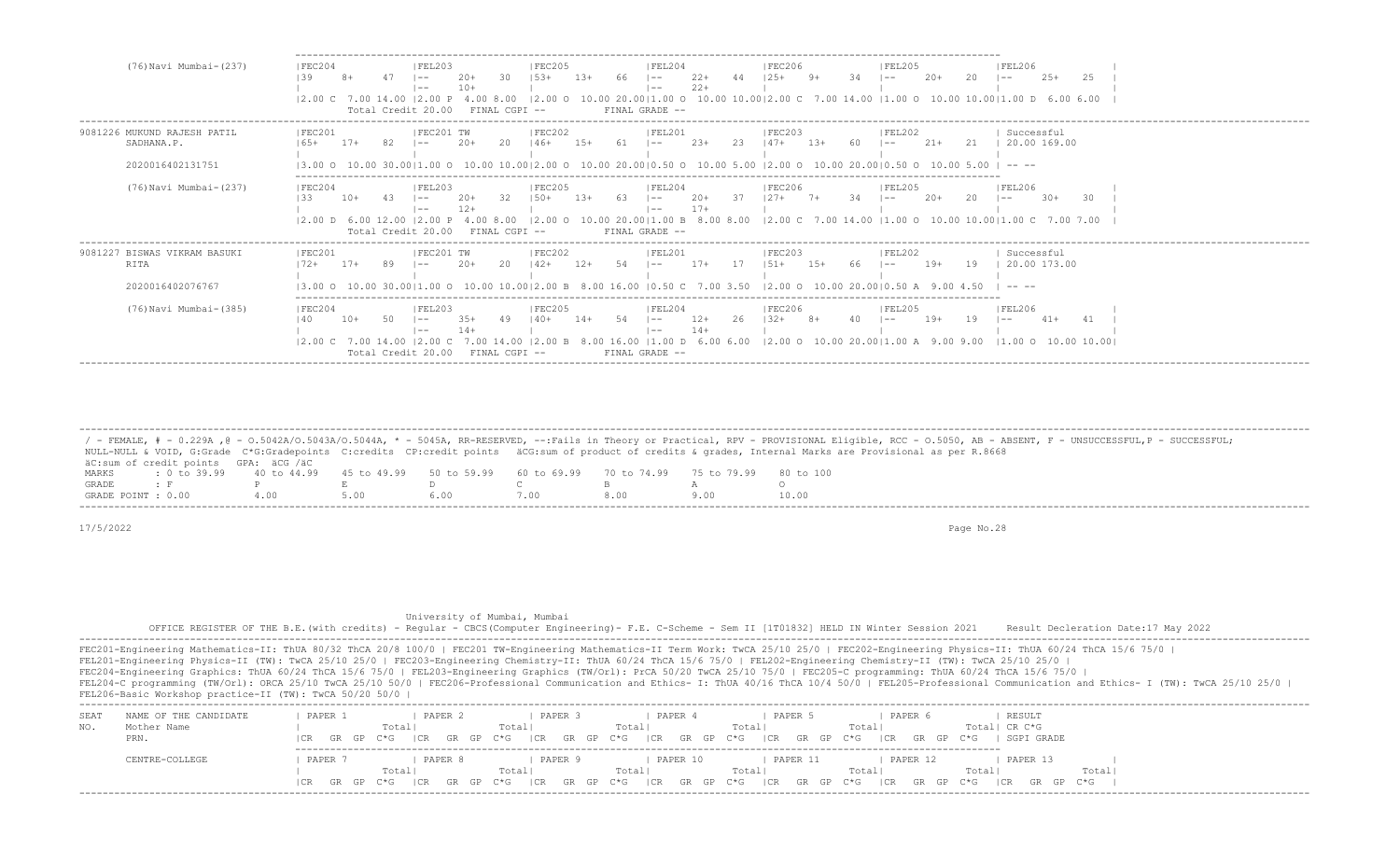| (76) Navi Mumbai-(237)                                          | FEC204<br>IFEL203<br>IFEC205<br> FEL206<br>IFEL204<br>IFEC206<br>IFEL205<br>30<br>$22+$<br>66.<br>$20+$<br>$2.5+$<br>139<br>$153+$<br>$1.3+$<br>34<br>20<br>$20+$<br>25<br>$1 - -$<br>l —— I<br>$- -$<br>$22+$<br>$10+$<br>$\vert - -$<br>$- -$<br>$(2.00 \t 0 \t 10.00 \t 20.00   1.00 \t 0 \t 10.00 \t 10.00   2.00 \t C \t 7.00 \t 14.00   1.00 \t 0 \t 10.00 \t 10.00   1.00 \t 0 \t 6.00 \t 6.00$<br>$ 2,00 \;$ $\sim$ $ 7,00 \;$ $14,00 \;$<br>12.00 P<br>4.00 8.00                                                           |
|-----------------------------------------------------------------|-------------------------------------------------------------------------------------------------------------------------------------------------------------------------------------------------------------------------------------------------------------------------------------------------------------------------------------------------------------------------------------------------------------------------------------------------------------------------------------------------------------------------------------|
|                                                                 | FINAL GRADE --<br>Total Credit 20.00<br>FINAL CGPI --                                                                                                                                                                                                                                                                                                                                                                                                                                                                               |
| 9081226 MUKUND RAJESH PATIL<br>SADHANA.P.                       | IFEC201<br>IFEC202<br>IFEL201<br>IFEC201 TW<br>IFEC203<br><b>IFFI202</b><br>Successful<br>20.00 169.00<br>$2.3+$<br>$21+$<br>$17+$<br>$20+$<br>-20<br>-23<br>21<br>$165+$<br>$146+$<br>-61<br>$1.3+$<br>$- -$<br>$- -$<br>l —— 1                                                                                                                                                                                                                                                                                                    |
| 2020016402131751                                                | $10.00$ 30.0011.00 O $10.00$ 10.0012.00 O $10.00$ 20.0010.50 O $10.00$ 5.00 12.00 O $10.00$ 20.0010.50 O $10.00$ 5.00<br>13.00<br>-----                                                                                                                                                                                                                                                                                                                                                                                             |
| (76) Navi Mumbai- (237)                                         | FEC204<br><b>FEL203</b><br><b>FEC205</b><br><b>FEL204</b><br><b>FEC206</b><br><b>FEL205</b><br> FEL206<br>$20+$<br>$20+$<br>-32<br>$150+$<br>$20+$<br>$30+$<br>-30<br>133<br>$10+$<br>-13+<br>-63<br>20<br>$- -$<br>$- -$<br>l —— I<br>l ——<br>$17+$<br>$- -$<br>$- -$<br>$(2.00 \t 0 \t 10.00 \t 20.00)1.00 \t B \t 8.00 \t 8.00 \t (2.00 \t C \t 7.00 \t 14.00 \t (1.00 \t 0 \t 10.00 \t 10.00)1.00 \t C \t 7.00 \t 7.00$<br>$12.00$ D 6.00 12.00<br>12.00P<br>4.00 8.00<br>FINAL GRADE --<br>Total Credit 20.00<br>FINAL CGPI -- |
| 9081227 BISWAS VIKRAM BASUKI<br><b>RITA</b><br>2020016402076767 | FEC201<br> FEC201 TW<br> FEC202<br>Successful<br> FEL201<br>IFEC203<br> FEL202<br>- 2.0<br>54<br>$17+$<br>17<br>19<br>20.00 173.00<br>89<br>$20+$<br>$142+$<br>$151+$<br>$15+$<br>-66<br>$19+$<br>$17+$<br>12+<br>$- -$<br>l —— I<br>ワンモ<br>$- -$<br>10.00 30.0011.00 O 10.00 10.0012.00 B 8.00 16.00 10.50 C 7.00 3.50 12.00 O 10.00 20.0010.50 A<br>13.00<br>$\cdots$                                                                                                                                                             |
| (76) Navi Mumbai-(385)                                          | FEC204<br>IFEC205<br>IFEL204<br><b>IFEC206</b><br><b>IFEL206</b><br> FEL203<br>IFEL205<br>$12+$<br>$19+$<br>19<br>$41+$<br>140<br>10+<br>  40+<br>$14+$<br>l —— I<br>$- -$<br>$- -$<br>$- -$<br>$14+$<br>$- -$<br>$- -$<br>8.00 16.00   1.00 D 6.00 6.00   2.00 O 10.00 20.00   1.00 A 9.00 9.00   1.00 O 10.00 10.00  <br>$ 2,00 \, C$ 7.00 14.00 $ 2,00 \, C$<br>7.00 14.00<br>FINAL GRADE --<br>Total Credit 20.00<br>FINAL CGPI --                                                                                              |

 ------------------------------------------------------------------------------------------------------------------------------------------------------------------------------------------------------------------- / - FEMALE, # - 0.229A , @ - 0.5042A/O.5043A/O.5044A, \* - 5045A, RR-RESERVED, --:Fails in Theory or Practical, RPV - PROVISIONAL Eligible, RCC - 0.5050, AB - ABSENT, F - UNSUCCESSFUL, P - SUCCESSFUL; NULL-NULL & VOID, G:Grade C\*G:Gradepoints C:credits CP:credit points äCG:sum of product of credits & grades, Internal Marks are Provisional as per R.8668 äC:sum of credit points GPA: äCG /äC MARKS : 0 to 39.99 40 to 44.99 45 to 49.99 50 to 59.99 60 to 69.99 70 to 74.99 75 to 79.99 80 to 100 GRADE : F P E D C B A O GRADE POINT : 0.00

17/5/2022 Page No.28

 University of Mumbai, Mumbai OFFICE REGISTER OF THE B.E.(with credits) - Regular - CBCS(Computer Engineering)- F.E. C-Scheme - Sem II [1T01832] HELD IN Winter Session 2021 Result Decleration Date:17 May 2022 -------------------------------------------------------------------------------------------------------------------------------------------------------------------------------------------------------------------

| SEA' | NAME OF THE CANDIDATE | PAPER         | PAPER 2 | PAPER              | PAPER                       | PAPER<br>PAPER                 | RESULT                         |       |
|------|-----------------------|---------------|---------|--------------------|-----------------------------|--------------------------------|--------------------------------|-------|
| NO.  | Mother Name           |               | Total   | Total <sub>1</sub> | Total                       | Total<br>Total                 | Total  CR C*G                  |       |
|      | PRN.                  | ICR GR GP C*G | CR      | GRGP C*G ICR       | GR GP C*G ICR GR GP C*G ICR | GR GP C*G<br> CR               | SGPI GRADE<br>GR GP C*G        |       |
|      |                       |               |         |                    |                             |                                |                                |       |
|      | CENTRE-COLLEGE        | PAPER         | PAPER   | PAPER 9            | PAPER 10                    | PAPER 12<br>PAPER 11           | PAPER 13                       |       |
|      |                       |               | Total   | Total              | Totall                      | Total<br>Total'                | Total                          | Total |
|      |                       | ICR GR GP C*G | ICR     | GR GP C*G ICR      | GRGP C*G ICRGR              | GP C*G ICR<br>GR GP C*G<br> CR | GR GP C*G<br>GR GP C*G<br>I CR |       |
|      |                       |               |         |                    |                             |                                |                                |       |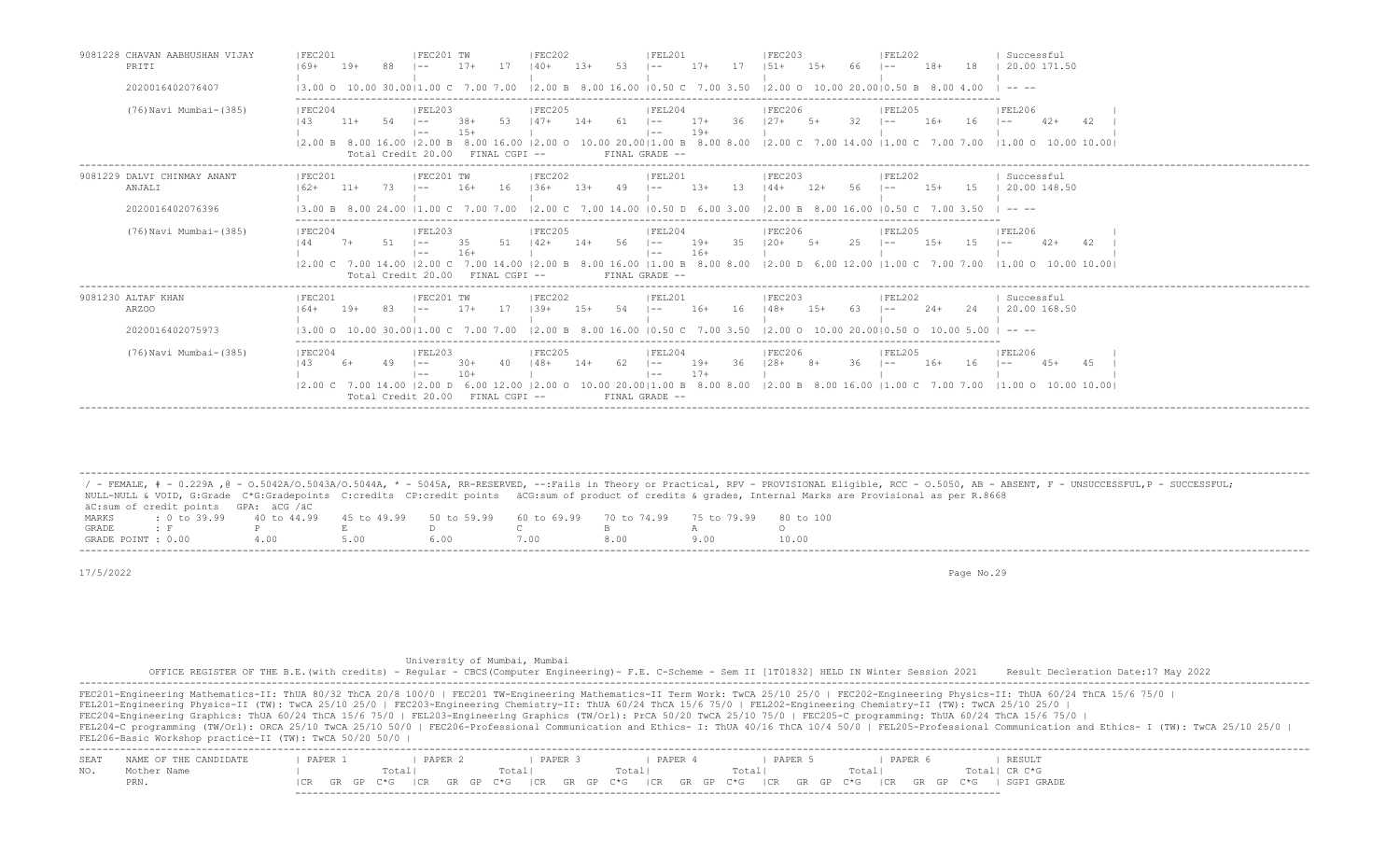| 9081228 CHAVAN AABHUSHAN VIJAY<br>PRITI                   | IFEC201<br>IFEC201 TW<br>IFEC203<br><b>IFEL202</b><br>IFEC202<br>IFEL201<br>Successful<br>$17+$<br>17<br>$17+$<br>17<br>20.00 171.50<br>-53<br>$1.5+$<br>$18+$<br>18<br>$19+$<br>$140+$<br>$13+$<br>$151 +$<br>$169+$<br>$- -$<br>$- -$                                                                                                                                                                                                                                                                                                                                                                                                                                                                                                                                               |
|-----------------------------------------------------------|---------------------------------------------------------------------------------------------------------------------------------------------------------------------------------------------------------------------------------------------------------------------------------------------------------------------------------------------------------------------------------------------------------------------------------------------------------------------------------------------------------------------------------------------------------------------------------------------------------------------------------------------------------------------------------------------------------------------------------------------------------------------------------------|
| 2020016402076407                                          | $12.00 B$ 8.00 16.00 10.50 C 7.00 3.50 12.00 O 10.00 20.0010.50 B 8.00 4.00<br>13.00 0 10.00 30.0011.00 C 7.00 7.00<br>$\cdots$                                                                                                                                                                                                                                                                                                                                                                                                                                                                                                                                                                                                                                                       |
| (76) Navi Mumbai-(385)                                    | FEC204<br> FEL206<br> FEL203<br> FEC205<br> FEL204<br><b>IFEC206</b><br> FEL205<br>36<br>$12.7+$<br>-32<br>$.38+$<br>-53<br>$147+$<br>61<br>$17+$<br>$5+$<br>$16+$<br>42<br>143<br>$11+$<br>.54<br>$14+$<br>16<br>$42+$<br>$1 - -$<br>$1 - -$<br>$1 - -$<br>$\overline{a}$<br>$19+$<br>$1.5+$<br>$1 - -$<br>$\vert - -$<br> 2.00 B 8.00 16.00  2.00 B 8.00 16.00  2.00 O 10.00 20.00 1.00 B 8.00 8.00  2.00 C 7.00 14.00  1.00 C 7.00 7.00  1.00 O 10.00 10.00  <br>Total Credit 20.00<br>FINAL GRADE --<br>FINAL CGPI --                                                                                                                                                                                                                                                             |
| 9081229 DALVI CHINMAY ANANT<br>ANJALI<br>2020016402076396 | FEC201 TW<br> FEC202<br>IFEL201<br>Successful<br> FEC201<br>IFEC203<br>IFEL202<br>20.00 148.50<br>- 16<br>15<br>$11+$<br>73<br>$16+$<br>$136+$<br>$1.3+$<br>49<br>$13+$<br>-13-<br>$144+$<br>$12+$<br>-56<br>$1.5+$<br>$162+$<br>$- -$<br>$- -$<br>13.00 B.8<br>$12.00 \text{ C}$ 7.00 14.00 10.50 D 6.00 3.00<br>12.00 B 8.00 16.00 10.50 C 7.00 3.50<br>$11.00 \, \text{C}$<br>7.00<br>$\frac{1}{2} \frac{1}{2} \frac{1}{2} \frac{1}{2} \frac{1}{2} \frac{1}{2} \frac{1}{2} \frac{1}{2} \frac{1}{2} \frac{1}{2} \frac{1}{2} \frac{1}{2} \frac{1}{2} \frac{1}{2} \frac{1}{2} \frac{1}{2} \frac{1}{2} \frac{1}{2} \frac{1}{2} \frac{1}{2} \frac{1}{2} \frac{1}{2} \frac{1}{2} \frac{1}{2} \frac{1}{2} \frac{1}{2} \frac{1}{2} \frac{1}{2} \frac{1}{2} \frac{1}{2} \frac{1}{2} \frac{$ |
| (76) Navi Mumbai-(385)                                    | <b>FEL206</b><br> FEC204<br>IFEL203<br> FEC205<br>IFEL204<br><b>IFEC206</b><br>IFEL205<br>51<br>35<br>144<br>56<br>19+<br>$120+$<br>2.5<br>$1.5+$<br>1.5<br>51<br>35.<br>$142+$<br>$5+$<br>$42+$<br>42<br>$7+$<br>$1 - -$<br>$14+$<br>$1 - -$<br>$1 - -$<br>$- -$<br>$16+$<br>$16+$<br>$\vert - -$<br>$1 - -$<br>8.00 16.00   1.00 B 8.00 8.00   2.00 D 6.00 12.00   1.00 C 7.00 7.00   1.00 O 10.00 10.00  <br>12.00 C 7.00 14.00 12.00 C 7.00 14.00<br>12.00 B<br>FINAL CGPI --<br>Total Credit 20.00<br>FINAL GRADE --                                                                                                                                                                                                                                                             |
| 9081230 ALTAF KHAN<br>ARZ00<br>2020016402075973           | IFEC201<br>IFEC201 TW<br>IFEC202<br>Successful<br>IFEL201<br>IFEC203<br>IFEL202<br>$17+$<br>20.00 168.50<br>$1.39+$<br>.54<br>$16+$<br>16<br>$148+$<br>$1.5+$<br>63<br>$2.4+$<br>24<br>$19+$<br>-83<br>$1.5+$<br>$164+$<br>$\vert - -$<br>$\vert - -$<br>$1 - -$<br>$12.00 B$ 8.00 16.00 10.50 C 7.00 3.50 12.00 O 10.00 20.0010.50 O 10.00 5.00<br>13.00 0 10.00 30.0011.00 C 7.00 7.00<br>$\cdots$                                                                                                                                                                                                                                                                                                                                                                                  |
| (76) Navi Mumbai-(385)                                    | FEC204<br> FEL203<br>IFEC205<br> FEL204<br><b>IFEC206</b><br> FEL205<br><b>IFEL206</b><br>62<br>$19+$<br>- 36<br>$128+$<br>36<br>4.5<br> 43<br>$30+$<br>$148+$<br>$8+$<br>$16+$<br>16<br>$4.5+$<br>40<br>$14+$<br>$\vert - -$<br>$1 - -$<br>$\sim$ $-$<br>$- -$<br>$17+$<br>$- -$<br>$1 - -$<br>12.00 C 7.00 14.00 12.00 D 6.00 12.00 12.00 O 10.00 20.0011.00 B 8.00 8.00 12.00 B 8.00 16.00 11.00 C 7.00 7.00 11.00 O 10.00 10.001<br>Total Credit 20.00 FINAL CGPI --<br>FINAL GRADE --                                                                                                                                                                                                                                                                                            |

 / - FEMALE, # - 0.229A ,@ - O.5042A/O.5043A/O.5044A, \* - 5045A, RR-RESERVED, --:Fails in Theory or Practical, RPV - PROVISIONAL Eligible, RCC - O.5050, AB - ABSENT, F - UNSUCCESSFUL,P - SUCCESSFUL; NULL-NULL & VOID, G:Grade C\*G:Gradepoints C:credits CP:credit points äCG:sum of product of credits & grades, Internal Marks are Provisional as per R.8668 äC:sum of credit points GPA: äCG /äC MARKS : 0 to 39.99 40 to 44.99 45 to 49.99 50 to 59.99 60 to 69.99 70 to 74.99 75 to 79.99 80 to 100<br>GRADE: F P E D C B A O GRADE : F P E D C B A O GRADE POINT : 0.00 4.00 5.00 6.00 7.00 8.00 9.00 10.00 -------------------------------------------------------------------------------------------------------------------------------------------------------------------------------------------------------------------

-------------------------------------------------------------------------------------------------------------------------------------------------------------------------------------------------------------------

17/5/2022 Page No.29

University of Mumbai, Mumbai

-------------------------------------------------------------------------------------------------------------------------

 OFFICE REGISTER OF THE B.E.(with credits) - Regular - CBCS(Computer Engineering)- F.E. C-Scheme - Sem II [1T01832] HELD IN Winter Session 2021 Result Decleration Date:17 May 2022 -------------------------------------------------------------------------------------------------------------------------------------------------------------------------------------------------------------------

|      | FEC201-Engineering Mathematics-II: ThUA 80/32 ThCA 20/8 100/0   FEC201 TW-Engineering Mathematics-II Term Work: TwCA 25/10 25/0   FEC202-Engineering Physics-II: ThUA 60/24 ThCA 15/6 75/0  <br>FEL201-Engineering Physics-II (TW): TwCA 25/10 25/0   FEC203-Engineering Chemistry-II: ThUA 60/24 ThCA 15/6 75/0   FEL202-Engineering Chemistry-II (TW): TwCA 25/10 25/0  <br>FEC204-Engineering Graphics: ThUA 60/24 ThCA 15/6 75/0   FEL203-Engineering Graphics (TW/Orl): PrCA 50/20 TwCA 25/10 75/0   FEC205-C programming: ThUA 60/24 ThCA 15/6 75/0  <br>FEL204-C programming (TW/Orl): ORCA 25/10 TwCA 25/10 50/0   FEC206-Professional Communication and Ethics- I: ThUA 40/16 ThCA 10/4 50/0   FEL205-Professional Communication and Ethics- I (TW): TwCA 25/10 25/0  <br>FEL206-Basic Workshop practice-II (TW): TwCA 50/20 50/0 |         |                     |       |                |                  |       |       |                 |         |                |     |                    |                                       |  |  |  |  |
|------|--------------------------------------------------------------------------------------------------------------------------------------------------------------------------------------------------------------------------------------------------------------------------------------------------------------------------------------------------------------------------------------------------------------------------------------------------------------------------------------------------------------------------------------------------------------------------------------------------------------------------------------------------------------------------------------------------------------------------------------------------------------------------------------------------------------------------------------------|---------|---------------------|-------|----------------|------------------|-------|-------|-----------------|---------|----------------|-----|--------------------|---------------------------------------|--|--|--|--|
| SEA' | NAME OF THE CANDIDATE<br>Mother Name<br>PRN.                                                                                                                                                                                                                                                                                                                                                                                                                                                                                                                                                                                                                                                                                                                                                                                               | PAPER 1 | Total <br>GR GP C*G | PAPER | Totalı<br>I CR | PAPER 3<br>GR GP | Total | PAPER | Total<br>GP C*G | PAPER 5 | Total<br>$C*G$ | ICR | PAPER<br>GR GP C*G | RESULT<br>Total! CR C*G<br>SGPI GRADE |  |  |  |  |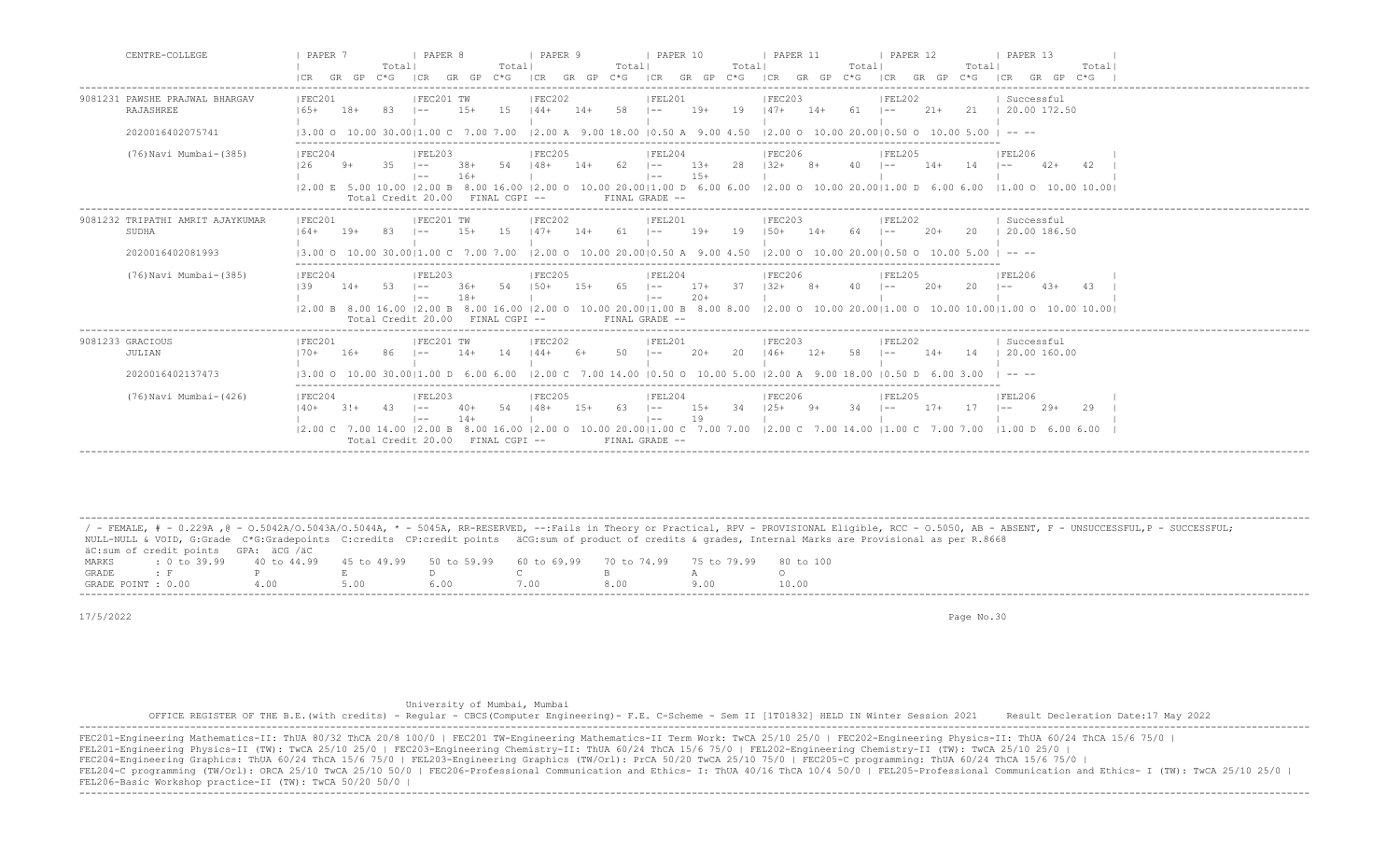| CENTRE-COLLEGE                                                  | PAPER 7<br>I PAPER 8<br>I PAPER 9<br><b>I PAPER 10</b><br><b>I PAPER 11</b><br>PAPER 12<br>I PAPER 13<br>Totall<br>Totall<br>Total <br>Totall<br>Totall<br>Totall<br>Total<br>GR GP C*G<br>$GR$ $GP$ $C*G$<br>ICR GR GP C*G ICR GR GP C*G ICR GR GP C*G<br>ICR<br>ICR GR GP C*G<br> CR<br>GR GP<br>$C*G$                                                                                                                                                                                                                                                                                                                                                 |
|-----------------------------------------------------------------|----------------------------------------------------------------------------------------------------------------------------------------------------------------------------------------------------------------------------------------------------------------------------------------------------------------------------------------------------------------------------------------------------------------------------------------------------------------------------------------------------------------------------------------------------------------------------------------------------------------------------------------------------------|
| 9081231 PAWSHE PRAJWAL BHARGAV<br>RAJASHREE<br>2020016402075741 | IFEC201 TW<br>IFEL201<br>IFEC201<br>IFEC202<br>IFEC203<br>IFEL202<br>Successful<br>1.5<br>$19+$<br>19<br>$147+$<br>$21+$<br>21   20.00 172.50<br>$165+$<br>$1.5+$<br>$144+$<br>58<br>$14+$<br>$61 \t - -$<br>$18+$<br>-83<br>$14+$<br>$\vert - - \vert$<br>$1 - -$<br>12.00 A 9.00 18.00 10.50 A 9.00 4.50<br>$12.00$ O $10.00$ $20.0010.50$ O $10.00$ 5.00 I<br>13.00 Q 10.00 30.0011.00 C 7.00 7.00                                                                                                                                                                                                                                                    |
| (76) Navi Mumbai-(385)                                          | FEL206<br> FEC204<br> FEL203<br> FEC205<br> FEL204<br><b>FEC206</b><br> FEL205<br>$13+$<br>28<br>126<br>35<br>$38+$<br>54   48+<br>62<br>$132+$<br>$9+$<br>$14+$<br>$\sim$ $\sim$ $\sim$<br>$8+$<br>$40 - 1$<br>$14+$<br>14<br>$42+$<br>$\vert - -$<br>$\vert - - \vert$<br>-42<br>$15+$<br>$16+$<br>$\vert - - \vert$<br>$1 - -$<br>$(2.00 \t{E} \t{5.00} \t{10.00} \t{2.00} \t{B} \t{8.00} \t{16.00} \t{2.00} \t{0} \t{10.00} \t{2.000} \t{1.00} \t{D} \t{6.00} \t{6.00} \t{12.00} \t{0} \t{10.00} \t{20.00} \t{11.00} \t{D} \t{6.00} \t{6.00} \t{11.00} \t{0} \t{10.00} \t{10.00} \t{10.00}$<br>Total Credit 20.00<br>FINAL CGPI --<br>FINAL GRADE -- |
| 9081232 TRIPATHI AMRIT AJAYKUMAF<br>SUDHA<br>2020016402081993   | IFEC201 TW<br>IFEC202<br>IFEL201<br>IFEC201<br>Successful<br>IFEC203<br>IFEL202<br>1.5<br>$147+$<br>$19+$<br>19<br>20<br>  20.00 186.50<br>$164+$<br>83<br>$1.5+$<br>$61 - -$<br>$150+$<br>$14+$<br>$20+$<br>$19+$<br>$14+$<br>64<br>$1 - -$<br>$1 - -$<br>$12.00$ O $10.00$ $20.0010.50$ A $9.00$ $4.50$<br>$12.00$ Q $10.00$ $20.0010.50$ Q $10.00$ 5.00 I<br>13.00 0 10.00 30.0011.00 C 7.00 7.00<br>$\cdots$                                                                                                                                                                                                                                         |
| (76) Navi Mumbai-(385)                                          | FEC204<br> FEC205<br>IFEL205<br>IFEL206<br>IFEL203<br>IFEL204<br><b>IFEC206</b><br>37<br>$1.50+$<br>$17 +$<br>20<br>139<br>-53<br>54<br>$1.5+$<br>65<br>$1.32+$<br>4 Q<br>43<br>$14+$<br>$\vert - -$<br>$-36+$<br>$\vert - -$<br>$8+$<br>$20+$<br>$4.3+$<br>$1 - -$<br>$1 - -$<br>$18+$<br>$20+$<br>$\vert$ $-$<br>$\vert$ $-$<br> 2.00 B 8.00 16.00  2.00 B 8.00 16.00  2.00 O 10.00 20.00 1.00 B 8.00 8.00  2.00 O 10.00 20.00 1.00 O 10.00 10.00 1.00 O 10.00 10.00 <br>Total Credit 20.00 FINAL CGPI --<br>FINAL GRADE --                                                                                                                            |
| 9081233 GRACIOUS<br>JULIAN<br>2020016402137473                  | FEC201 TW<br> FEC202<br> FEL201<br>IFEC201<br> FEC203<br> FEL202<br>Successful<br>14<br>50<br>20<br>14<br>20.00 160.00<br>86<br>$144+$<br>$20+$<br>$12+$<br>58<br>$14+$<br>170+<br>$16+$<br>$14+$<br>$6+$<br>$146+$<br>$1 - -$<br>$\sim$<br>$12.00 \, \text{C}$<br>7.00 14.00 10.50 0 10.00 5.00<br>$12.00$ A $9.00$ 18.00<br>13.00 O<br>30.0011.00. D. 6.00. 6.00.<br>10.50 D                                                                                                                                                                                                                                                                           |
| (76) Navi Mumbai-(426)                                          | FEC204<br> FEC205<br> FEL204<br>IFEL203<br> FEC206<br> FEL205<br> FEL206<br>34<br>$125+$<br>34<br>17<br>54<br>$148+$<br>$15+$<br>63<br>$15+$<br>$17+$<br>$140+$<br>43<br>$1 - -$<br>$9+$<br>$29+$<br>29<br>$3!+$<br>$1 - -$<br>40+<br>$1 - -$<br>$1 - -$<br>$14+$<br>19<br>$\vert - - \vert$<br>$1 - -$<br>10.00 20.00   1.00 C 7.00 7.00   2.00 C 7.00 14.00   1.00 C 7.00 7.00   1.00 D 6.00 6.00<br>$12.00 \text{ C}$ 7.00 14.00 12.00 B 8.00 16.00 12.00 O<br>Total Credit 20.00<br>FINAL CGPI --<br>FINAL GRADE --                                                                                                                                  |

 ------------------------------------------------------------------------------------------------------------------------------------------------------------------------------------------------------------------- / - FEMALE, # - 0.229A , @ - 0.5042A/O.5043A/O.5044A, \* - 5045A, RR-RESERVED, --:Fails in Theory or Practical, RPV - PROVISIONAL Eligible, RCC - 0.5050, AB - ABSENT, F - UNSUCCESSFUL,P - SUCCESSFUL; NULL-NULL & VOID, G:Grade C\*G:Gradepoints C:credits CP:credit points äCG:sum of product of credits & grades, Internal Marks are Provisional as per R.8668 äC:sum of credit points GPA: äCG /äC MARKS : 0 to 39.99 40 to 44.99 45 to 49.99 50 to 59.99 60 to 69.99 70 to 74.99 75 to 79.99 80 to 100<br>GRADE: F P E D C B A O GRADE : F P E D C B A O GRADE POINT : 0.00 4.00 5.00 6.00 7.00 8.00 9.00 10.00

17/5/2022 Page No.30

University of Mumbai, Mumbai

 OFFICE REGISTER OF THE B.E.(with credits) - Regular - CBCS(Computer Engineering)- F.E. C-Scheme - Sem II [1T01832] HELD IN Winter Session 2021 Result Decleration Date:17 May 2022 -------------------------------------------------------------------------------------------------------------------------------------------------------------------------------------------------------------------